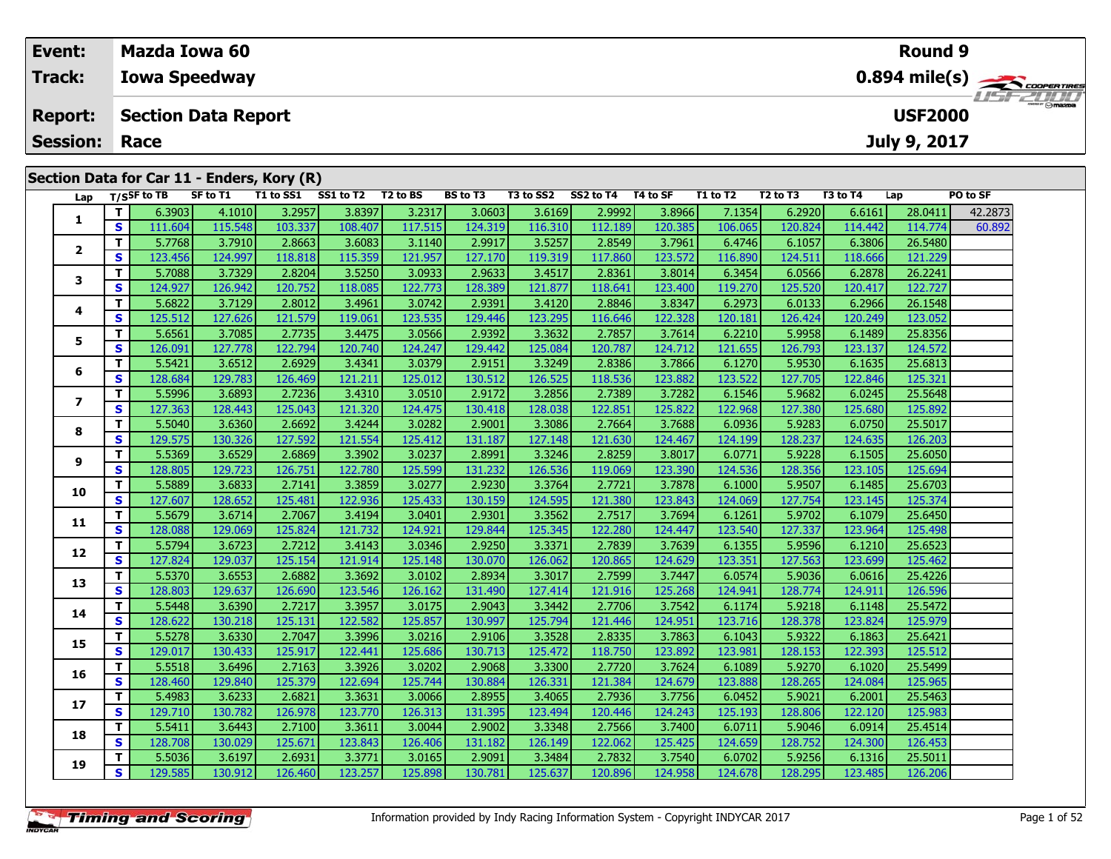| Event:          |                  | <b>Mazda Iowa 60</b>       |                                            |           |          |                 |           |           |          |          |          |          | <b>Round 9</b> |                 |                                                       |
|-----------------|------------------|----------------------------|--------------------------------------------|-----------|----------|-----------------|-----------|-----------|----------|----------|----------|----------|----------------|-----------------|-------------------------------------------------------|
| Track:          |                  | <b>Iowa Speedway</b>       |                                            |           |          |                 |           |           |          |          |          |          |                |                 | $0.894$ mile(s) $\overbrace{\hspace{2cm}}$ codenances |
| <b>Report:</b>  |                  | <b>Section Data Report</b> |                                            |           |          |                 |           |           |          |          |          |          | <b>USF2000</b> |                 | $H = -H$                                              |
| <b>Session:</b> | Race             |                            |                                            |           |          |                 |           |           |          |          |          |          | July 9, 2017   |                 |                                                       |
|                 |                  |                            | Section Data for Car 11 - Enders, Kory (R) |           |          |                 |           |           |          |          |          |          |                |                 |                                                       |
| Lap             | T/SSF to TB      | SF to T1                   | T1 to SS1                                  | SS1 to T2 | T2 to BS | <b>BS</b> to T3 | T3 to SS2 | SS2 to T4 | T4 to SF | T1 to T2 | T2 to T3 | T3 to T4 | Lap            | <b>PO to SF</b> |                                                       |
|                 | 6.3903           | 4.1010                     | 3.2957                                     | 3.8397    | 3.2317   | 3.0603          | 3.6169    | 2.9992    | 3.8966   | 7.1354   | 6.2920   | 6.6161   | 28.0411        | 42.2873         |                                                       |
|                 | 111.604 <b>I</b> | 115.548                    | 103.337                                    | 108.407   | 117.515  | 124.319         | 116.310   | 112.189   | 120.385  | 106.065  | 120.824  | 114.442  | 114.774        | 60.892          |                                                       |

| 1                       | T.           | 6.3903  | 4.1010  | 3.2957  | 3.8397  | 3.2317  | 3.0603  | 3.6169  | 2.9992  | 3.8966  | 7.1354  | 6.2920  | 6.6161  | 28.0411 | 42.2873 |
|-------------------------|--------------|---------|---------|---------|---------|---------|---------|---------|---------|---------|---------|---------|---------|---------|---------|
|                         | $\mathbf{s}$ | 111.604 | 115.548 | 103.337 | 108.407 | 117.515 | 124.319 | 116.310 | 112.189 | 120.385 | 106.065 | 120.824 | 114.442 | 114.774 | 60.892  |
|                         | т            | 5.7768  | 3.7910  | 2.8663  | 3.6083  | 3.1140  | 2.9917  | 3.5257  | 2.8549  | 3.7961  | 6.4746  | 6.1057  | 6.3806  | 26.5480 |         |
| $\overline{\mathbf{2}}$ | S            | 123.456 | 124.997 | 118.818 | 115.359 | 121.957 | 127.170 | 119.319 | 117.860 | 123.572 | 116.890 | 124.511 | 118.666 | 121.229 |         |
|                         | т            | 5.7088  | 3.7329  | 2.8204  | 3.5250  | 3.0933  | 2.9633  | 3.4517  | 2.8361  | 3.8014  | 6.3454  | 6.0566  | 6.2878  | 26.2241 |         |
| з                       | S            | 124.927 | 126.942 | 120.752 | 118.085 | 122.773 | 128.389 | 121.877 | 118.641 | 123.400 | 119.270 | 125.520 | 120.417 | 122,727 |         |
|                         | т            | 5.6822  | 3.7129  | 2.8012  | 3.4961  | 3.0742  | 2.9391  | 3.4120  | 2.8846  | 3.8347  | 6.2973  | 6.0133  | 6.2966  | 26.1548 |         |
| 4                       | $\mathbf{s}$ | 125.512 | 127.626 | 121.579 | 119.061 | 123.535 | 129.446 | 123.295 | 116.646 | 122.328 | 120.181 | 126.424 | 120.249 | 123.052 |         |
|                         | T.           | 5.6561  | 3.7085  | 2.7735  | 3.4475  | 3.0566  | 2.9392  | 3.3632  | 2.7857  | 3.7614  | 6.2210  | 5.9958  | 6.1489  | 25.8356 |         |
| 5                       | S            | 126.091 | 127.778 | 122.794 | 120.740 | 124.247 | 129.442 | 125.084 | 120.787 | 124.712 | 121.655 | 126.793 | 123.137 | 124.572 |         |
|                         | T.           | 5.5421  | 3.6512  | 2.6929  | 3.4341  | 3.0379  | 2.9151  | 3.3249  | 2.8386  | 3.7866  | 6.1270  | 5.9530  | 6.1635  | 25.6813 |         |
| 6                       | S            | 128.684 | 129.783 | 126.469 | 121.211 | 125.012 | 130.512 | 126.525 | 118.536 | 123.882 | 123.522 | 127.705 | 122.846 | 125.321 |         |
|                         | T.           | 5.5996  | 3.6893  | 2.7236  | 3.4310  | 3.0510  | 2.9172  | 3.2856  | 2.7389  | 3.7282  | 6.1546  | 5.9682  | 6.0245  | 25.5648 |         |
| 7                       | <b>S</b>     | 127.363 | 128.443 | 125.043 | 121.320 | 124.475 | 130.418 | 128.038 | 122.851 | 125.822 | 122.968 | 127.380 | 125.680 | 125.892 |         |
|                         | т            | 5.5040  | 3.6360  | 2.6692  | 3.4244  | 3.0282  | 2.9001  | 3.3086  | 2.7664  | 3.7688  | 6.0936  | 5.9283  | 6.0750  | 25.5017 |         |
| 8                       | <b>S</b>     | 129.575 | 130.326 | 127.592 | 121.554 | 125.412 | 131.187 | 127.148 | 121.630 | 124.467 | 124.199 | 128.237 | 124.635 | 126.203 |         |
|                         | T.           | 5.5369  | 3.6529  | 2.6869  | 3.3902  | 3.0237  | 2.8991  | 3.3246  | 2.8259  | 3.8017  | 6.0771  | 5.9228  | 6.1505  | 25.6050 |         |
| 9                       | S            | 128.805 | 129.723 | 126.751 | 122.780 | 125.599 | 131.232 | 126.536 | 119.069 | 123.390 | 124.536 | 128.356 | 123.105 | 125.694 |         |
| 10                      | T.           | 5.5889  | 3.6833  | 2.7141  | 3.3859  | 3.0277  | 2.9230  | 3.3764  | 2.7721  | 3.7878  | 6.1000  | 5.9507  | 6.1485  | 25.6703 |         |
|                         | S            | 127.607 | 128.652 | 125.481 | 122.936 | 125.433 | 130.159 | 124.595 | 121.380 | 123.843 | 124.069 | 127.754 | 123.145 | 125.374 |         |
| 11                      | т            | 5.5679  | 3.6714  | 2.7067  | 3.4194  | 3.0401  | 2.9301  | 3.3562  | 2.7517  | 3.7694  | 6.1261  | 5.9702  | 6.1079  | 25.6450 |         |
|                         | S            | 128.088 | 129.069 | 125.824 | 121.732 | 124.921 | 129.844 | 125.345 | 122.280 | 124.447 | 123.540 | 127.337 | 123.964 | 125.498 |         |
| 12                      | т            | 5.5794  | 3.6723  | 2.7212  | 3.4143  | 3.0346  | 2.9250  | 3.3371  | 2.7839  | 3.7639  | 6.1355  | 5.9596  | 6.1210  | 25.6523 |         |
|                         | S            | 127.824 | 129.037 | 125.154 | 121.914 | 125.148 | 130.070 | 126.062 | 120.865 | 124.629 | 123.351 | 127.563 | 123.699 | 125.462 |         |
| 13                      | т            | 5.5370  | 3.6553  | 2.6882  | 3.3692  | 3.0102  | 2.8934  | 3.3017  | 2.7599  | 3.7447  | 6.0574  | 5.9036  | 6.0616  | 25.4226 |         |
|                         | S            | 128.803 | 129.637 | 126.690 | 123.546 | 126.162 | 131.490 | 127.414 | 121.916 | 125.268 | 124.941 | 128.774 | 124.911 | 126.596 |         |
| 14                      | т            | 5.5448  | 3.6390  | 2.7217  | 3.3957  | 3.0175  | 2.9043  | 3.3442  | 2.7706  | 3.7542  | 6.1174  | 5.9218  | 6.1148  | 25.5472 |         |
|                         | $\mathbf{s}$ | 128.622 | 130.218 | 125.131 | 122.582 | 125.857 | 130.997 | 125.794 | 121.446 | 124.951 | 123.716 | 128.378 | 123.824 | 125.979 |         |
| 15                      | т            | 5.5278  | 3.6330  | 2.7047  | 3.3996  | 3.0216  | 2.9106  | 3.3528  | 2.8335  | 3.7863  | 6.1043  | 5.9322  | 6.1863  | 25.6421 |         |
|                         | S            | 129.017 | 130.433 | 125.917 | 122.441 | 125.686 | 130.713 | 125.472 | 118.750 | 123.892 | 123.981 | 128.153 | 122.393 | 125.512 |         |
| 16                      | т            | 5.5518  | 3.6496  | 2.7163  | 3.3926  | 3.0202  | 2.9068  | 3.3300  | 2.7720  | 3.7624  | 6.1089  | 5.9270  | 6.1020  | 25.5499 |         |
|                         | S            | 128.460 | 129.840 | 125.379 | 122.694 | 125.744 | 130.884 | 126.331 | 121.384 | 124.679 | 123.888 | 128.265 | 124.084 | 125.965 |         |
| 17                      | T.           | 5.4983  | 3.6233  | 2.6821  | 3.3631  | 3.0066  | 2.8955  | 3.4065  | 2.7936  | 3.7756  | 6.0452  | 5.9021  | 6.2001  | 25.5463 |         |
|                         | S            | 129.710 | 130.782 | 126.978 | 123.770 | 126.313 | 131.395 | 123.494 | 120.446 | 124.243 | 125.193 | 128.806 | 122.120 | 125.983 |         |
| 18                      | T            | 5.5411  | 3.6443  | 2.7100  | 3.3611  | 3.0044  | 2.9002  | 3.3348  | 2.7566  | 3.7400  | 6.0711  | 5.9046  | 6.0914  | 25.4514 |         |
|                         | $\mathbf{s}$ | 128.708 | 130.029 | 125.671 | 123.843 | 126.406 | 131.182 | 126.149 | 122.062 | 125.425 | 124.659 | 128.752 | 124.300 | 126.453 |         |
| 19                      | T.           | 5.5036  | 3.6197  | 2.6931  | 3.3771  | 3.0165  | 2.9091  | 3.3484  | 2.7832  | 3.7540  | 6.0702  | 5.9256  | 6.1316  | 25.5011 |         |
|                         | S            | 129.585 | 130.912 | 126.460 | 123.257 | 125.898 | 130.781 | 125.637 | 120.896 | 124.958 | 124.678 | 128.295 | 123.485 | 126.206 |         |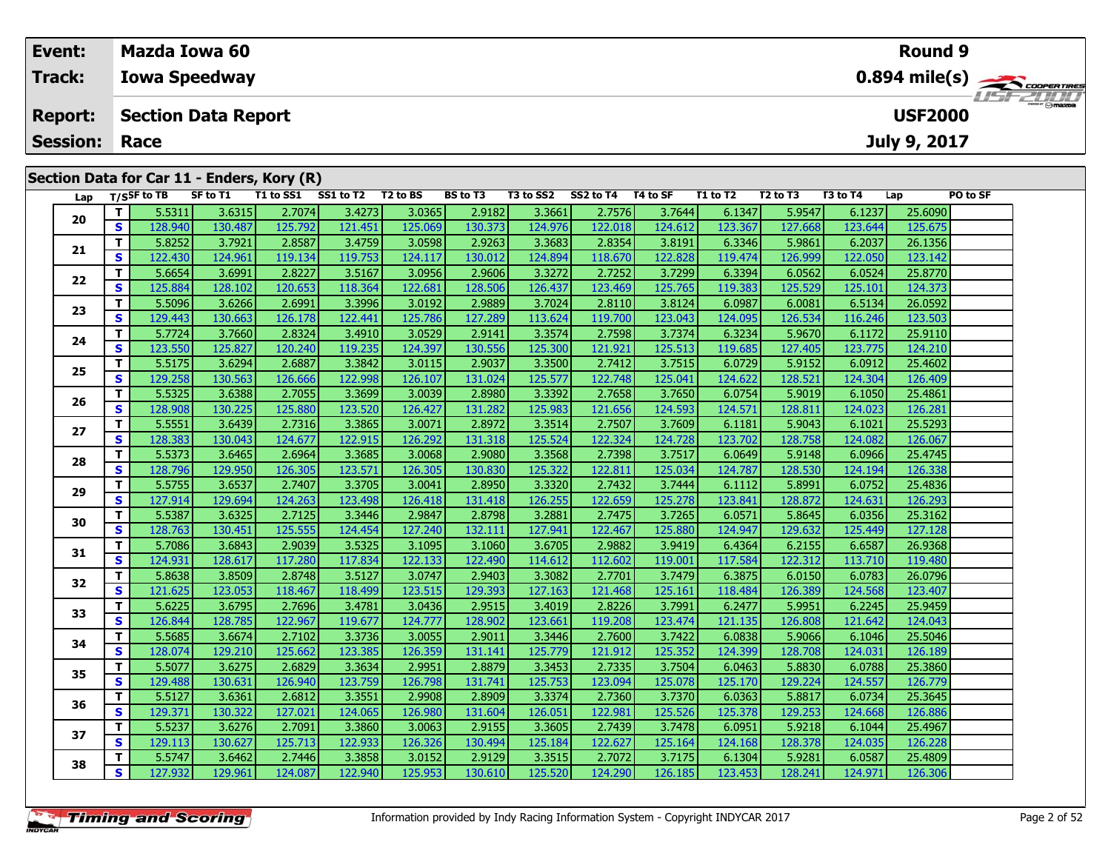| Event:               |    |             | <b>Mazda Iowa 60</b>                       |           |           |          |                 |           |           |          |          |            |          | <b>Round 9</b> |          |                                                            |
|----------------------|----|-------------|--------------------------------------------|-----------|-----------|----------|-----------------|-----------|-----------|----------|----------|------------|----------|----------------|----------|------------------------------------------------------------|
| <b>Track:</b>        |    |             | <b>Iowa Speedway</b>                       |           |           |          |                 |           |           |          |          |            |          |                |          | $0.894$ mile(s) $\frac{1}{\sqrt{2.5} \cdot 0.0768777665}}$ |
| <b>Report:</b>       |    |             | <b>Section Data Report</b>                 |           |           |          |                 |           |           |          |          |            |          | <b>USF2000</b> |          | $H = - 2H H$                                               |
| <b>Session: Race</b> |    |             |                                            |           |           |          |                 |           |           |          |          |            |          | July 9, 2017   |          |                                                            |
|                      |    |             | Section Data for Car 11 - Enders, Kory (R) |           |           |          |                 |           |           |          |          |            |          |                |          |                                                            |
| Lap                  |    | T/SSF to TB | SF to T1                                   | T1 to SS1 | SS1 to T2 | T2 to BS | <b>BS</b> to T3 | T3 to SS2 | SS2 to T4 | T4 to SF | T1 to T2 | $T2$ to T3 | T3 to T4 | Lap            | PO to SF |                                                            |
| 20                   |    | 5.5311      | 3.6315                                     | 2.7074    | 3.4273    | 3.0365   | 2.9182          | 3.3661    | 2.7576    | 3.7644   | 6.1347   | 5.9547     | 6.1237   | 25.6090        |          |                                                            |
|                      | S. | 128.940     | 130.487                                    | 125.792   | 121.451   | 125.069  | 130.373         | 124.976   | 122.018   | 124.612  | 123.367  | 127.668    | 123.644  | 125.675        |          |                                                            |

| $\mathbf{s}$<br>128.940<br>125.792<br>121.451<br>125.069<br>122.018<br>123.367<br>127.668<br>123.644<br>125.675<br>130.487<br>130.373<br>124.976<br>124.612<br>T.<br>2.8587<br>3.0598<br>2.8354<br>6.3346<br>26.1356<br>5.8252<br>3.7921<br>3.4759<br>2.9263<br>3.3683<br>3.8191<br>5.9861<br>6.2037<br>21<br>$\mathbf{s}$<br>124.894<br>122.828<br>123.142<br>122.430<br>124.961<br>119.134<br>119.753<br>124.117<br>130.012<br>118.670<br>119.474<br>126.999<br>122.050<br>T.<br>5.6654<br>3.6991<br>2.8227<br>3.0956<br>2.9606<br>3.3272<br>2.7252<br>3.7299<br>6.3394<br>6.0562<br>6.0524<br>25.8770<br>3.5167<br>22<br>S<br>125.884<br>128.102<br>120.653<br>118.364<br>122.681<br>126.437<br>123.469<br>119.383<br>125.529<br>125.101<br>124.373<br>128.506<br>125.765<br>T.<br>5.5096<br>3.6266<br>2.6991<br>3.3996<br>3.0192<br>2.9889<br>3.7024<br>2.8110<br>3.8124<br>6.0987<br>6.5134<br>26.0592<br>6.0081<br>23<br>S<br>129.443<br>130.663<br>126.178<br>122.441<br>125.786<br>127.289<br>113.624<br>119.700<br>123.043<br>124.095<br>126.534<br>116.246<br>123.503<br>T.<br>5.7724<br>3.7660<br>2.8324<br>3.4910<br>3.0529<br>2.9141<br>3.3574<br>2.7598<br>3.7374<br>6.3234<br>5.9670<br>6.1172<br>25.9110<br>24<br>$\mathbf{s}$<br>123.550<br>125.827<br>120.240<br>119.235<br>124.397<br>130.556<br>125.300<br>121.921<br>125.513<br>119.685<br>127.405<br>123.775<br>124.210<br>T.<br>5.5175<br>3.6294<br>2.6887<br>3.3842<br>3.0115<br>2.9037<br>3.3500<br>2.7412<br>3.7515<br>6.0729<br>5.9152<br>6.0912<br>25.4602<br>25<br>S<br>122.748<br>129.258<br>130.563<br>126.666<br>122.998<br>126.107<br>131.024<br>125.577<br>125.041<br>124.622<br>128.521<br>124.304<br>126.409<br>T.<br>2.7055<br>5.5325<br>3.6388<br>3.3699<br>3.0039<br>2.8980<br>3.3392<br>2.7658<br>3.7650<br>6.0754<br>5.9019<br>6.1050<br>25.4861<br>26<br>S<br>124.023<br>128.908<br>130.225<br>125.880<br>123.520<br>126.427<br>131.282<br>125.983<br>121.656<br>124.593<br>124.571<br>128.811<br>126.281<br>T.<br>5.5551<br>3.6439<br>2.7316<br>3.3865<br>3.0071<br>2.8972<br>3.3514<br>2.7507<br>3.7609<br>6.1181<br>5.9043<br>6.1021<br>25.5293<br>27<br>S<br>122.324<br>128.383<br>130.043<br>124.677<br>122.915<br>126.292<br>131.318<br>125.524<br>123.702<br>128.758<br>124.082<br>126.067<br>124.728<br>T.<br>5.5373<br>3.6465<br>2.6964<br>3.3685<br>3.0068<br>2.9080<br>3.3568<br>2.7398<br>3.7517<br>6.0649<br>5.9148<br>6.0966<br>25.4745<br>28<br>S<br>126.305<br>125.322<br>122.811<br>124.787<br>126.338<br>128.796<br>129.950<br>123.571<br>126.305<br>130.830<br>125.034<br>128.530<br>124.194<br>T.<br>5.5755<br>3.6537<br>2.7407<br>3.3705<br>3.0041<br>3.3320<br>2.7432<br>3.7444<br>6.1112<br>5.8991<br>6.0752<br>25.4836<br>2.8950<br>29<br>S<br>127.914<br>129.694<br>124.263<br>123.498<br>126.418<br>131.418<br>126.255<br>122.659<br>125.278<br>123.841<br>124.631<br>126.293<br>128.872<br>T.<br>5.5387<br>3.6325<br>2.7125<br>2.9847<br>2.8798<br>3.2881<br>2.7475<br>3.7265<br>5.8645<br>6.0356<br>25.3162<br>3.3446<br>6.0571<br>30<br>S<br>128.763<br>130.451<br>125.555<br>124.454<br>127.240<br>132.111<br>127.941<br>122.467<br>125.880<br>124.947<br>129.632<br>125.449<br>127.128<br>T.<br>2.9039<br>5.7086<br>3.6843<br>3.5325<br>3.1095<br>3.6705<br>2.9882<br>3.9419<br>6.4364<br>6.2155<br>6.6587<br>26.9368<br>3.1060<br>31<br>S<br>124.931<br>128.617<br>117.280<br>117.834<br>122.133<br>122.490<br>114.612<br>112.602<br>119.001<br>117.584<br>122.312<br>113.710<br>119.480<br>T.<br>2.8748<br>3.0747<br>5.8638<br>3.8509<br>3.5127<br>2.9403<br>3.3082<br>2.7701<br>3.7479<br>6.3875<br>6.0150<br>6.0783<br>26.0796<br>32<br>S<br>123.515<br>123.407<br>121.625<br>123.053<br>118.467<br>118.499<br>129.393<br>127.163<br>121.468<br>125.161<br>118.484<br>126.389<br>124.568<br>T.<br>5.6225<br>6.2245<br>3.6795<br>2.7696<br>3.0436<br>2.9515<br>3.4019<br>2.8226<br>3.7991<br>6.2477<br>5.9951<br>25.9459<br>3.4781<br>33<br>$\mathbf{s}$<br>122.967<br>126.844<br>124.777<br>123.661<br>121.135<br>121.642<br>124.043<br>128.785<br>119.677<br>128.902<br>119.208<br>123.474<br>126.808<br>T.<br>5.5685<br>2.7102<br>3.0055<br>3.7422<br>6.0838<br>25.5046<br>3.6674<br>3.3736<br>2.9011<br>3.3446<br>2.7600<br>5.9066<br>6.1046<br>34<br>S.<br>125.662<br>125.779<br>124.399<br>124.031<br>126.189<br>128.074<br>129.210<br>123.385<br>126.359<br>131.141<br>121.912<br>125.352<br>128.708<br>T.<br>5.5077<br>2.6829<br>2.9951<br>3.3453<br>2.7335<br>6.0463<br>5.8830<br>6.0788<br>25.3860<br>3.6275<br>3.3634<br>2.8879<br>3.7504<br>35<br><b>S</b><br>129.488<br>130.631<br>126.940<br>126.798<br>131.741<br>125.753<br>123.094<br>125.078<br>125.170<br>129.224<br>124.557<br>126.779<br>123.759<br>T.<br>2.9908<br>5.5127<br>3.6361<br>2.6812<br>3.3551<br>2.8909<br>3.3374<br>2.7360<br>3.7370<br>6.0363<br>5.8817<br>6.0734<br>25.3645<br>36<br>S<br>122.981<br>125.378<br>124.668<br>129.371<br>130.322<br>127.021<br>124.065<br>126.980<br>131.604<br>126.051<br>125.526<br>129.253<br>126.886<br>T.<br>5.5237<br>3.6276<br>2.7091<br>3.3860<br>3.0063<br>2.9155<br>3.3605<br>2.7439<br>3.7478<br>6.0951<br>5.9218<br>6.1044<br>25.4967<br>37<br>S<br>125.713<br>122.933<br>126.326<br>129.113<br>130.627<br>130.494<br>125.184<br>122.627<br>125.164<br>124.168<br>128.378<br>124.035<br>126.228<br>T.<br>2.7446<br>3.0152<br>5.5747<br>3.6462<br>3.3858<br>2.9129<br>3.3515<br>2.7072<br>3.7175<br>6.1304<br>5.9281<br>6.0587<br>25.4809<br>38<br>S.<br>127.932<br>125.953<br>125.520<br>124.971<br>129.961<br>124.087<br>122.940<br>130.610<br>124.290<br>126.185<br>123.453<br>128.241<br>126.306 | 20 | <b>Propri</b> | 3.0315 | 2.7074 | 3.4273 | 3.0305 | 7.2197 | 3.3001 | 2.7570 | 3.7044 | 0.1347 | 3.Y547 | 0.1237 | 25.0090 |  |
|-------------------------------------------------------------------------------------------------------------------------------------------------------------------------------------------------------------------------------------------------------------------------------------------------------------------------------------------------------------------------------------------------------------------------------------------------------------------------------------------------------------------------------------------------------------------------------------------------------------------------------------------------------------------------------------------------------------------------------------------------------------------------------------------------------------------------------------------------------------------------------------------------------------------------------------------------------------------------------------------------------------------------------------------------------------------------------------------------------------------------------------------------------------------------------------------------------------------------------------------------------------------------------------------------------------------------------------------------------------------------------------------------------------------------------------------------------------------------------------------------------------------------------------------------------------------------------------------------------------------------------------------------------------------------------------------------------------------------------------------------------------------------------------------------------------------------------------------------------------------------------------------------------------------------------------------------------------------------------------------------------------------------------------------------------------------------------------------------------------------------------------------------------------------------------------------------------------------------------------------------------------------------------------------------------------------------------------------------------------------------------------------------------------------------------------------------------------------------------------------------------------------------------------------------------------------------------------------------------------------------------------------------------------------------------------------------------------------------------------------------------------------------------------------------------------------------------------------------------------------------------------------------------------------------------------------------------------------------------------------------------------------------------------------------------------------------------------------------------------------------------------------------------------------------------------------------------------------------------------------------------------------------------------------------------------------------------------------------------------------------------------------------------------------------------------------------------------------------------------------------------------------------------------------------------------------------------------------------------------------------------------------------------------------------------------------------------------------------------------------------------------------------------------------------------------------------------------------------------------------------------------------------------------------------------------------------------------------------------------------------------------------------------------------------------------------------------------------------------------------------------------------------------------------------------------------------------------------------------------------------------------------------------------------------------------------------------------------------------------------------------------------------------------------------------------------------------------------------------------------------------------------------------------------------------------------------------------------------------------------------------------------------------------------------------------------------------------------------------------------------------------------------------------------------------------------------------------------------------------------------------------------------------------------------------------------------------------------------------------------------------------------------------------------------------------------------------------------------------------------------------------------------------------------------------------------------------------------------------------------------------------------------------------------------------------------------------------------------------------------------------------------------------------------------------------------------------------------------------------------------------------------------------------------------------------------------------------------------------------------------------------------------------------|----|---------------|--------|--------|--------|--------|--------|--------|--------|--------|--------|--------|--------|---------|--|
|                                                                                                                                                                                                                                                                                                                                                                                                                                                                                                                                                                                                                                                                                                                                                                                                                                                                                                                                                                                                                                                                                                                                                                                                                                                                                                                                                                                                                                                                                                                                                                                                                                                                                                                                                                                                                                                                                                                                                                                                                                                                                                                                                                                                                                                                                                                                                                                                                                                                                                                                                                                                                                                                                                                                                                                                                                                                                                                                                                                                                                                                                                                                                                                                                                                                                                                                                                                                                                                                                                                                                                                                                                                                                                                                                                                                                                                                                                                                                                                                                                                                                                                                                                                                                                                                                                                                                                                                                                                                                                                                                                                                                                                                                                                                                                                                                                                                                                                                                                                                                                                                                                                                                                                                                                                                                                                                                                                                                                                                                                                                                                                                                                                             |    |               |        |        |        |        |        |        |        |        |        |        |        |         |  |
|                                                                                                                                                                                                                                                                                                                                                                                                                                                                                                                                                                                                                                                                                                                                                                                                                                                                                                                                                                                                                                                                                                                                                                                                                                                                                                                                                                                                                                                                                                                                                                                                                                                                                                                                                                                                                                                                                                                                                                                                                                                                                                                                                                                                                                                                                                                                                                                                                                                                                                                                                                                                                                                                                                                                                                                                                                                                                                                                                                                                                                                                                                                                                                                                                                                                                                                                                                                                                                                                                                                                                                                                                                                                                                                                                                                                                                                                                                                                                                                                                                                                                                                                                                                                                                                                                                                                                                                                                                                                                                                                                                                                                                                                                                                                                                                                                                                                                                                                                                                                                                                                                                                                                                                                                                                                                                                                                                                                                                                                                                                                                                                                                                                             |    |               |        |        |        |        |        |        |        |        |        |        |        |         |  |
|                                                                                                                                                                                                                                                                                                                                                                                                                                                                                                                                                                                                                                                                                                                                                                                                                                                                                                                                                                                                                                                                                                                                                                                                                                                                                                                                                                                                                                                                                                                                                                                                                                                                                                                                                                                                                                                                                                                                                                                                                                                                                                                                                                                                                                                                                                                                                                                                                                                                                                                                                                                                                                                                                                                                                                                                                                                                                                                                                                                                                                                                                                                                                                                                                                                                                                                                                                                                                                                                                                                                                                                                                                                                                                                                                                                                                                                                                                                                                                                                                                                                                                                                                                                                                                                                                                                                                                                                                                                                                                                                                                                                                                                                                                                                                                                                                                                                                                                                                                                                                                                                                                                                                                                                                                                                                                                                                                                                                                                                                                                                                                                                                                                             |    |               |        |        |        |        |        |        |        |        |        |        |        |         |  |
|                                                                                                                                                                                                                                                                                                                                                                                                                                                                                                                                                                                                                                                                                                                                                                                                                                                                                                                                                                                                                                                                                                                                                                                                                                                                                                                                                                                                                                                                                                                                                                                                                                                                                                                                                                                                                                                                                                                                                                                                                                                                                                                                                                                                                                                                                                                                                                                                                                                                                                                                                                                                                                                                                                                                                                                                                                                                                                                                                                                                                                                                                                                                                                                                                                                                                                                                                                                                                                                                                                                                                                                                                                                                                                                                                                                                                                                                                                                                                                                                                                                                                                                                                                                                                                                                                                                                                                                                                                                                                                                                                                                                                                                                                                                                                                                                                                                                                                                                                                                                                                                                                                                                                                                                                                                                                                                                                                                                                                                                                                                                                                                                                                                             |    |               |        |        |        |        |        |        |        |        |        |        |        |         |  |
|                                                                                                                                                                                                                                                                                                                                                                                                                                                                                                                                                                                                                                                                                                                                                                                                                                                                                                                                                                                                                                                                                                                                                                                                                                                                                                                                                                                                                                                                                                                                                                                                                                                                                                                                                                                                                                                                                                                                                                                                                                                                                                                                                                                                                                                                                                                                                                                                                                                                                                                                                                                                                                                                                                                                                                                                                                                                                                                                                                                                                                                                                                                                                                                                                                                                                                                                                                                                                                                                                                                                                                                                                                                                                                                                                                                                                                                                                                                                                                                                                                                                                                                                                                                                                                                                                                                                                                                                                                                                                                                                                                                                                                                                                                                                                                                                                                                                                                                                                                                                                                                                                                                                                                                                                                                                                                                                                                                                                                                                                                                                                                                                                                                             |    |               |        |        |        |        |        |        |        |        |        |        |        |         |  |
|                                                                                                                                                                                                                                                                                                                                                                                                                                                                                                                                                                                                                                                                                                                                                                                                                                                                                                                                                                                                                                                                                                                                                                                                                                                                                                                                                                                                                                                                                                                                                                                                                                                                                                                                                                                                                                                                                                                                                                                                                                                                                                                                                                                                                                                                                                                                                                                                                                                                                                                                                                                                                                                                                                                                                                                                                                                                                                                                                                                                                                                                                                                                                                                                                                                                                                                                                                                                                                                                                                                                                                                                                                                                                                                                                                                                                                                                                                                                                                                                                                                                                                                                                                                                                                                                                                                                                                                                                                                                                                                                                                                                                                                                                                                                                                                                                                                                                                                                                                                                                                                                                                                                                                                                                                                                                                                                                                                                                                                                                                                                                                                                                                                             |    |               |        |        |        |        |        |        |        |        |        |        |        |         |  |
|                                                                                                                                                                                                                                                                                                                                                                                                                                                                                                                                                                                                                                                                                                                                                                                                                                                                                                                                                                                                                                                                                                                                                                                                                                                                                                                                                                                                                                                                                                                                                                                                                                                                                                                                                                                                                                                                                                                                                                                                                                                                                                                                                                                                                                                                                                                                                                                                                                                                                                                                                                                                                                                                                                                                                                                                                                                                                                                                                                                                                                                                                                                                                                                                                                                                                                                                                                                                                                                                                                                                                                                                                                                                                                                                                                                                                                                                                                                                                                                                                                                                                                                                                                                                                                                                                                                                                                                                                                                                                                                                                                                                                                                                                                                                                                                                                                                                                                                                                                                                                                                                                                                                                                                                                                                                                                                                                                                                                                                                                                                                                                                                                                                             |    |               |        |        |        |        |        |        |        |        |        |        |        |         |  |
|                                                                                                                                                                                                                                                                                                                                                                                                                                                                                                                                                                                                                                                                                                                                                                                                                                                                                                                                                                                                                                                                                                                                                                                                                                                                                                                                                                                                                                                                                                                                                                                                                                                                                                                                                                                                                                                                                                                                                                                                                                                                                                                                                                                                                                                                                                                                                                                                                                                                                                                                                                                                                                                                                                                                                                                                                                                                                                                                                                                                                                                                                                                                                                                                                                                                                                                                                                                                                                                                                                                                                                                                                                                                                                                                                                                                                                                                                                                                                                                                                                                                                                                                                                                                                                                                                                                                                                                                                                                                                                                                                                                                                                                                                                                                                                                                                                                                                                                                                                                                                                                                                                                                                                                                                                                                                                                                                                                                                                                                                                                                                                                                                                                             |    |               |        |        |        |        |        |        |        |        |        |        |        |         |  |
|                                                                                                                                                                                                                                                                                                                                                                                                                                                                                                                                                                                                                                                                                                                                                                                                                                                                                                                                                                                                                                                                                                                                                                                                                                                                                                                                                                                                                                                                                                                                                                                                                                                                                                                                                                                                                                                                                                                                                                                                                                                                                                                                                                                                                                                                                                                                                                                                                                                                                                                                                                                                                                                                                                                                                                                                                                                                                                                                                                                                                                                                                                                                                                                                                                                                                                                                                                                                                                                                                                                                                                                                                                                                                                                                                                                                                                                                                                                                                                                                                                                                                                                                                                                                                                                                                                                                                                                                                                                                                                                                                                                                                                                                                                                                                                                                                                                                                                                                                                                                                                                                                                                                                                                                                                                                                                                                                                                                                                                                                                                                                                                                                                                             |    |               |        |        |        |        |        |        |        |        |        |        |        |         |  |
|                                                                                                                                                                                                                                                                                                                                                                                                                                                                                                                                                                                                                                                                                                                                                                                                                                                                                                                                                                                                                                                                                                                                                                                                                                                                                                                                                                                                                                                                                                                                                                                                                                                                                                                                                                                                                                                                                                                                                                                                                                                                                                                                                                                                                                                                                                                                                                                                                                                                                                                                                                                                                                                                                                                                                                                                                                                                                                                                                                                                                                                                                                                                                                                                                                                                                                                                                                                                                                                                                                                                                                                                                                                                                                                                                                                                                                                                                                                                                                                                                                                                                                                                                                                                                                                                                                                                                                                                                                                                                                                                                                                                                                                                                                                                                                                                                                                                                                                                                                                                                                                                                                                                                                                                                                                                                                                                                                                                                                                                                                                                                                                                                                                             |    |               |        |        |        |        |        |        |        |        |        |        |        |         |  |
|                                                                                                                                                                                                                                                                                                                                                                                                                                                                                                                                                                                                                                                                                                                                                                                                                                                                                                                                                                                                                                                                                                                                                                                                                                                                                                                                                                                                                                                                                                                                                                                                                                                                                                                                                                                                                                                                                                                                                                                                                                                                                                                                                                                                                                                                                                                                                                                                                                                                                                                                                                                                                                                                                                                                                                                                                                                                                                                                                                                                                                                                                                                                                                                                                                                                                                                                                                                                                                                                                                                                                                                                                                                                                                                                                                                                                                                                                                                                                                                                                                                                                                                                                                                                                                                                                                                                                                                                                                                                                                                                                                                                                                                                                                                                                                                                                                                                                                                                                                                                                                                                                                                                                                                                                                                                                                                                                                                                                                                                                                                                                                                                                                                             |    |               |        |        |        |        |        |        |        |        |        |        |        |         |  |
|                                                                                                                                                                                                                                                                                                                                                                                                                                                                                                                                                                                                                                                                                                                                                                                                                                                                                                                                                                                                                                                                                                                                                                                                                                                                                                                                                                                                                                                                                                                                                                                                                                                                                                                                                                                                                                                                                                                                                                                                                                                                                                                                                                                                                                                                                                                                                                                                                                                                                                                                                                                                                                                                                                                                                                                                                                                                                                                                                                                                                                                                                                                                                                                                                                                                                                                                                                                                                                                                                                                                                                                                                                                                                                                                                                                                                                                                                                                                                                                                                                                                                                                                                                                                                                                                                                                                                                                                                                                                                                                                                                                                                                                                                                                                                                                                                                                                                                                                                                                                                                                                                                                                                                                                                                                                                                                                                                                                                                                                                                                                                                                                                                                             |    |               |        |        |        |        |        |        |        |        |        |        |        |         |  |
|                                                                                                                                                                                                                                                                                                                                                                                                                                                                                                                                                                                                                                                                                                                                                                                                                                                                                                                                                                                                                                                                                                                                                                                                                                                                                                                                                                                                                                                                                                                                                                                                                                                                                                                                                                                                                                                                                                                                                                                                                                                                                                                                                                                                                                                                                                                                                                                                                                                                                                                                                                                                                                                                                                                                                                                                                                                                                                                                                                                                                                                                                                                                                                                                                                                                                                                                                                                                                                                                                                                                                                                                                                                                                                                                                                                                                                                                                                                                                                                                                                                                                                                                                                                                                                                                                                                                                                                                                                                                                                                                                                                                                                                                                                                                                                                                                                                                                                                                                                                                                                                                                                                                                                                                                                                                                                                                                                                                                                                                                                                                                                                                                                                             |    |               |        |        |        |        |        |        |        |        |        |        |        |         |  |
|                                                                                                                                                                                                                                                                                                                                                                                                                                                                                                                                                                                                                                                                                                                                                                                                                                                                                                                                                                                                                                                                                                                                                                                                                                                                                                                                                                                                                                                                                                                                                                                                                                                                                                                                                                                                                                                                                                                                                                                                                                                                                                                                                                                                                                                                                                                                                                                                                                                                                                                                                                                                                                                                                                                                                                                                                                                                                                                                                                                                                                                                                                                                                                                                                                                                                                                                                                                                                                                                                                                                                                                                                                                                                                                                                                                                                                                                                                                                                                                                                                                                                                                                                                                                                                                                                                                                                                                                                                                                                                                                                                                                                                                                                                                                                                                                                                                                                                                                                                                                                                                                                                                                                                                                                                                                                                                                                                                                                                                                                                                                                                                                                                                             |    |               |        |        |        |        |        |        |        |        |        |        |        |         |  |
|                                                                                                                                                                                                                                                                                                                                                                                                                                                                                                                                                                                                                                                                                                                                                                                                                                                                                                                                                                                                                                                                                                                                                                                                                                                                                                                                                                                                                                                                                                                                                                                                                                                                                                                                                                                                                                                                                                                                                                                                                                                                                                                                                                                                                                                                                                                                                                                                                                                                                                                                                                                                                                                                                                                                                                                                                                                                                                                                                                                                                                                                                                                                                                                                                                                                                                                                                                                                                                                                                                                                                                                                                                                                                                                                                                                                                                                                                                                                                                                                                                                                                                                                                                                                                                                                                                                                                                                                                                                                                                                                                                                                                                                                                                                                                                                                                                                                                                                                                                                                                                                                                                                                                                                                                                                                                                                                                                                                                                                                                                                                                                                                                                                             |    |               |        |        |        |        |        |        |        |        |        |        |        |         |  |
|                                                                                                                                                                                                                                                                                                                                                                                                                                                                                                                                                                                                                                                                                                                                                                                                                                                                                                                                                                                                                                                                                                                                                                                                                                                                                                                                                                                                                                                                                                                                                                                                                                                                                                                                                                                                                                                                                                                                                                                                                                                                                                                                                                                                                                                                                                                                                                                                                                                                                                                                                                                                                                                                                                                                                                                                                                                                                                                                                                                                                                                                                                                                                                                                                                                                                                                                                                                                                                                                                                                                                                                                                                                                                                                                                                                                                                                                                                                                                                                                                                                                                                                                                                                                                                                                                                                                                                                                                                                                                                                                                                                                                                                                                                                                                                                                                                                                                                                                                                                                                                                                                                                                                                                                                                                                                                                                                                                                                                                                                                                                                                                                                                                             |    |               |        |        |        |        |        |        |        |        |        |        |        |         |  |
|                                                                                                                                                                                                                                                                                                                                                                                                                                                                                                                                                                                                                                                                                                                                                                                                                                                                                                                                                                                                                                                                                                                                                                                                                                                                                                                                                                                                                                                                                                                                                                                                                                                                                                                                                                                                                                                                                                                                                                                                                                                                                                                                                                                                                                                                                                                                                                                                                                                                                                                                                                                                                                                                                                                                                                                                                                                                                                                                                                                                                                                                                                                                                                                                                                                                                                                                                                                                                                                                                                                                                                                                                                                                                                                                                                                                                                                                                                                                                                                                                                                                                                                                                                                                                                                                                                                                                                                                                                                                                                                                                                                                                                                                                                                                                                                                                                                                                                                                                                                                                                                                                                                                                                                                                                                                                                                                                                                                                                                                                                                                                                                                                                                             |    |               |        |        |        |        |        |        |        |        |        |        |        |         |  |
|                                                                                                                                                                                                                                                                                                                                                                                                                                                                                                                                                                                                                                                                                                                                                                                                                                                                                                                                                                                                                                                                                                                                                                                                                                                                                                                                                                                                                                                                                                                                                                                                                                                                                                                                                                                                                                                                                                                                                                                                                                                                                                                                                                                                                                                                                                                                                                                                                                                                                                                                                                                                                                                                                                                                                                                                                                                                                                                                                                                                                                                                                                                                                                                                                                                                                                                                                                                                                                                                                                                                                                                                                                                                                                                                                                                                                                                                                                                                                                                                                                                                                                                                                                                                                                                                                                                                                                                                                                                                                                                                                                                                                                                                                                                                                                                                                                                                                                                                                                                                                                                                                                                                                                                                                                                                                                                                                                                                                                                                                                                                                                                                                                                             |    |               |        |        |        |        |        |        |        |        |        |        |        |         |  |
|                                                                                                                                                                                                                                                                                                                                                                                                                                                                                                                                                                                                                                                                                                                                                                                                                                                                                                                                                                                                                                                                                                                                                                                                                                                                                                                                                                                                                                                                                                                                                                                                                                                                                                                                                                                                                                                                                                                                                                                                                                                                                                                                                                                                                                                                                                                                                                                                                                                                                                                                                                                                                                                                                                                                                                                                                                                                                                                                                                                                                                                                                                                                                                                                                                                                                                                                                                                                                                                                                                                                                                                                                                                                                                                                                                                                                                                                                                                                                                                                                                                                                                                                                                                                                                                                                                                                                                                                                                                                                                                                                                                                                                                                                                                                                                                                                                                                                                                                                                                                                                                                                                                                                                                                                                                                                                                                                                                                                                                                                                                                                                                                                                                             |    |               |        |        |        |        |        |        |        |        |        |        |        |         |  |
|                                                                                                                                                                                                                                                                                                                                                                                                                                                                                                                                                                                                                                                                                                                                                                                                                                                                                                                                                                                                                                                                                                                                                                                                                                                                                                                                                                                                                                                                                                                                                                                                                                                                                                                                                                                                                                                                                                                                                                                                                                                                                                                                                                                                                                                                                                                                                                                                                                                                                                                                                                                                                                                                                                                                                                                                                                                                                                                                                                                                                                                                                                                                                                                                                                                                                                                                                                                                                                                                                                                                                                                                                                                                                                                                                                                                                                                                                                                                                                                                                                                                                                                                                                                                                                                                                                                                                                                                                                                                                                                                                                                                                                                                                                                                                                                                                                                                                                                                                                                                                                                                                                                                                                                                                                                                                                                                                                                                                                                                                                                                                                                                                                                             |    |               |        |        |        |        |        |        |        |        |        |        |        |         |  |
|                                                                                                                                                                                                                                                                                                                                                                                                                                                                                                                                                                                                                                                                                                                                                                                                                                                                                                                                                                                                                                                                                                                                                                                                                                                                                                                                                                                                                                                                                                                                                                                                                                                                                                                                                                                                                                                                                                                                                                                                                                                                                                                                                                                                                                                                                                                                                                                                                                                                                                                                                                                                                                                                                                                                                                                                                                                                                                                                                                                                                                                                                                                                                                                                                                                                                                                                                                                                                                                                                                                                                                                                                                                                                                                                                                                                                                                                                                                                                                                                                                                                                                                                                                                                                                                                                                                                                                                                                                                                                                                                                                                                                                                                                                                                                                                                                                                                                                                                                                                                                                                                                                                                                                                                                                                                                                                                                                                                                                                                                                                                                                                                                                                             |    |               |        |        |        |        |        |        |        |        |        |        |        |         |  |
|                                                                                                                                                                                                                                                                                                                                                                                                                                                                                                                                                                                                                                                                                                                                                                                                                                                                                                                                                                                                                                                                                                                                                                                                                                                                                                                                                                                                                                                                                                                                                                                                                                                                                                                                                                                                                                                                                                                                                                                                                                                                                                                                                                                                                                                                                                                                                                                                                                                                                                                                                                                                                                                                                                                                                                                                                                                                                                                                                                                                                                                                                                                                                                                                                                                                                                                                                                                                                                                                                                                                                                                                                                                                                                                                                                                                                                                                                                                                                                                                                                                                                                                                                                                                                                                                                                                                                                                                                                                                                                                                                                                                                                                                                                                                                                                                                                                                                                                                                                                                                                                                                                                                                                                                                                                                                                                                                                                                                                                                                                                                                                                                                                                             |    |               |        |        |        |        |        |        |        |        |        |        |        |         |  |
|                                                                                                                                                                                                                                                                                                                                                                                                                                                                                                                                                                                                                                                                                                                                                                                                                                                                                                                                                                                                                                                                                                                                                                                                                                                                                                                                                                                                                                                                                                                                                                                                                                                                                                                                                                                                                                                                                                                                                                                                                                                                                                                                                                                                                                                                                                                                                                                                                                                                                                                                                                                                                                                                                                                                                                                                                                                                                                                                                                                                                                                                                                                                                                                                                                                                                                                                                                                                                                                                                                                                                                                                                                                                                                                                                                                                                                                                                                                                                                                                                                                                                                                                                                                                                                                                                                                                                                                                                                                                                                                                                                                                                                                                                                                                                                                                                                                                                                                                                                                                                                                                                                                                                                                                                                                                                                                                                                                                                                                                                                                                                                                                                                                             |    |               |        |        |        |        |        |        |        |        |        |        |        |         |  |
|                                                                                                                                                                                                                                                                                                                                                                                                                                                                                                                                                                                                                                                                                                                                                                                                                                                                                                                                                                                                                                                                                                                                                                                                                                                                                                                                                                                                                                                                                                                                                                                                                                                                                                                                                                                                                                                                                                                                                                                                                                                                                                                                                                                                                                                                                                                                                                                                                                                                                                                                                                                                                                                                                                                                                                                                                                                                                                                                                                                                                                                                                                                                                                                                                                                                                                                                                                                                                                                                                                                                                                                                                                                                                                                                                                                                                                                                                                                                                                                                                                                                                                                                                                                                                                                                                                                                                                                                                                                                                                                                                                                                                                                                                                                                                                                                                                                                                                                                                                                                                                                                                                                                                                                                                                                                                                                                                                                                                                                                                                                                                                                                                                                             |    |               |        |        |        |        |        |        |        |        |        |        |        |         |  |
|                                                                                                                                                                                                                                                                                                                                                                                                                                                                                                                                                                                                                                                                                                                                                                                                                                                                                                                                                                                                                                                                                                                                                                                                                                                                                                                                                                                                                                                                                                                                                                                                                                                                                                                                                                                                                                                                                                                                                                                                                                                                                                                                                                                                                                                                                                                                                                                                                                                                                                                                                                                                                                                                                                                                                                                                                                                                                                                                                                                                                                                                                                                                                                                                                                                                                                                                                                                                                                                                                                                                                                                                                                                                                                                                                                                                                                                                                                                                                                                                                                                                                                                                                                                                                                                                                                                                                                                                                                                                                                                                                                                                                                                                                                                                                                                                                                                                                                                                                                                                                                                                                                                                                                                                                                                                                                                                                                                                                                                                                                                                                                                                                                                             |    |               |        |        |        |        |        |        |        |        |        |        |        |         |  |
|                                                                                                                                                                                                                                                                                                                                                                                                                                                                                                                                                                                                                                                                                                                                                                                                                                                                                                                                                                                                                                                                                                                                                                                                                                                                                                                                                                                                                                                                                                                                                                                                                                                                                                                                                                                                                                                                                                                                                                                                                                                                                                                                                                                                                                                                                                                                                                                                                                                                                                                                                                                                                                                                                                                                                                                                                                                                                                                                                                                                                                                                                                                                                                                                                                                                                                                                                                                                                                                                                                                                                                                                                                                                                                                                                                                                                                                                                                                                                                                                                                                                                                                                                                                                                                                                                                                                                                                                                                                                                                                                                                                                                                                                                                                                                                                                                                                                                                                                                                                                                                                                                                                                                                                                                                                                                                                                                                                                                                                                                                                                                                                                                                                             |    |               |        |        |        |        |        |        |        |        |        |        |        |         |  |
|                                                                                                                                                                                                                                                                                                                                                                                                                                                                                                                                                                                                                                                                                                                                                                                                                                                                                                                                                                                                                                                                                                                                                                                                                                                                                                                                                                                                                                                                                                                                                                                                                                                                                                                                                                                                                                                                                                                                                                                                                                                                                                                                                                                                                                                                                                                                                                                                                                                                                                                                                                                                                                                                                                                                                                                                                                                                                                                                                                                                                                                                                                                                                                                                                                                                                                                                                                                                                                                                                                                                                                                                                                                                                                                                                                                                                                                                                                                                                                                                                                                                                                                                                                                                                                                                                                                                                                                                                                                                                                                                                                                                                                                                                                                                                                                                                                                                                                                                                                                                                                                                                                                                                                                                                                                                                                                                                                                                                                                                                                                                                                                                                                                             |    |               |        |        |        |        |        |        |        |        |        |        |        |         |  |
|                                                                                                                                                                                                                                                                                                                                                                                                                                                                                                                                                                                                                                                                                                                                                                                                                                                                                                                                                                                                                                                                                                                                                                                                                                                                                                                                                                                                                                                                                                                                                                                                                                                                                                                                                                                                                                                                                                                                                                                                                                                                                                                                                                                                                                                                                                                                                                                                                                                                                                                                                                                                                                                                                                                                                                                                                                                                                                                                                                                                                                                                                                                                                                                                                                                                                                                                                                                                                                                                                                                                                                                                                                                                                                                                                                                                                                                                                                                                                                                                                                                                                                                                                                                                                                                                                                                                                                                                                                                                                                                                                                                                                                                                                                                                                                                                                                                                                                                                                                                                                                                                                                                                                                                                                                                                                                                                                                                                                                                                                                                                                                                                                                                             |    |               |        |        |        |        |        |        |        |        |        |        |        |         |  |
|                                                                                                                                                                                                                                                                                                                                                                                                                                                                                                                                                                                                                                                                                                                                                                                                                                                                                                                                                                                                                                                                                                                                                                                                                                                                                                                                                                                                                                                                                                                                                                                                                                                                                                                                                                                                                                                                                                                                                                                                                                                                                                                                                                                                                                                                                                                                                                                                                                                                                                                                                                                                                                                                                                                                                                                                                                                                                                                                                                                                                                                                                                                                                                                                                                                                                                                                                                                                                                                                                                                                                                                                                                                                                                                                                                                                                                                                                                                                                                                                                                                                                                                                                                                                                                                                                                                                                                                                                                                                                                                                                                                                                                                                                                                                                                                                                                                                                                                                                                                                                                                                                                                                                                                                                                                                                                                                                                                                                                                                                                                                                                                                                                                             |    |               |        |        |        |        |        |        |        |        |        |        |        |         |  |
|                                                                                                                                                                                                                                                                                                                                                                                                                                                                                                                                                                                                                                                                                                                                                                                                                                                                                                                                                                                                                                                                                                                                                                                                                                                                                                                                                                                                                                                                                                                                                                                                                                                                                                                                                                                                                                                                                                                                                                                                                                                                                                                                                                                                                                                                                                                                                                                                                                                                                                                                                                                                                                                                                                                                                                                                                                                                                                                                                                                                                                                                                                                                                                                                                                                                                                                                                                                                                                                                                                                                                                                                                                                                                                                                                                                                                                                                                                                                                                                                                                                                                                                                                                                                                                                                                                                                                                                                                                                                                                                                                                                                                                                                                                                                                                                                                                                                                                                                                                                                                                                                                                                                                                                                                                                                                                                                                                                                                                                                                                                                                                                                                                                             |    |               |        |        |        |        |        |        |        |        |        |        |        |         |  |
|                                                                                                                                                                                                                                                                                                                                                                                                                                                                                                                                                                                                                                                                                                                                                                                                                                                                                                                                                                                                                                                                                                                                                                                                                                                                                                                                                                                                                                                                                                                                                                                                                                                                                                                                                                                                                                                                                                                                                                                                                                                                                                                                                                                                                                                                                                                                                                                                                                                                                                                                                                                                                                                                                                                                                                                                                                                                                                                                                                                                                                                                                                                                                                                                                                                                                                                                                                                                                                                                                                                                                                                                                                                                                                                                                                                                                                                                                                                                                                                                                                                                                                                                                                                                                                                                                                                                                                                                                                                                                                                                                                                                                                                                                                                                                                                                                                                                                                                                                                                                                                                                                                                                                                                                                                                                                                                                                                                                                                                                                                                                                                                                                                                             |    |               |        |        |        |        |        |        |        |        |        |        |        |         |  |
|                                                                                                                                                                                                                                                                                                                                                                                                                                                                                                                                                                                                                                                                                                                                                                                                                                                                                                                                                                                                                                                                                                                                                                                                                                                                                                                                                                                                                                                                                                                                                                                                                                                                                                                                                                                                                                                                                                                                                                                                                                                                                                                                                                                                                                                                                                                                                                                                                                                                                                                                                                                                                                                                                                                                                                                                                                                                                                                                                                                                                                                                                                                                                                                                                                                                                                                                                                                                                                                                                                                                                                                                                                                                                                                                                                                                                                                                                                                                                                                                                                                                                                                                                                                                                                                                                                                                                                                                                                                                                                                                                                                                                                                                                                                                                                                                                                                                                                                                                                                                                                                                                                                                                                                                                                                                                                                                                                                                                                                                                                                                                                                                                                                             |    |               |        |        |        |        |        |        |        |        |        |        |        |         |  |
|                                                                                                                                                                                                                                                                                                                                                                                                                                                                                                                                                                                                                                                                                                                                                                                                                                                                                                                                                                                                                                                                                                                                                                                                                                                                                                                                                                                                                                                                                                                                                                                                                                                                                                                                                                                                                                                                                                                                                                                                                                                                                                                                                                                                                                                                                                                                                                                                                                                                                                                                                                                                                                                                                                                                                                                                                                                                                                                                                                                                                                                                                                                                                                                                                                                                                                                                                                                                                                                                                                                                                                                                                                                                                                                                                                                                                                                                                                                                                                                                                                                                                                                                                                                                                                                                                                                                                                                                                                                                                                                                                                                                                                                                                                                                                                                                                                                                                                                                                                                                                                                                                                                                                                                                                                                                                                                                                                                                                                                                                                                                                                                                                                                             |    |               |        |        |        |        |        |        |        |        |        |        |        |         |  |
|                                                                                                                                                                                                                                                                                                                                                                                                                                                                                                                                                                                                                                                                                                                                                                                                                                                                                                                                                                                                                                                                                                                                                                                                                                                                                                                                                                                                                                                                                                                                                                                                                                                                                                                                                                                                                                                                                                                                                                                                                                                                                                                                                                                                                                                                                                                                                                                                                                                                                                                                                                                                                                                                                                                                                                                                                                                                                                                                                                                                                                                                                                                                                                                                                                                                                                                                                                                                                                                                                                                                                                                                                                                                                                                                                                                                                                                                                                                                                                                                                                                                                                                                                                                                                                                                                                                                                                                                                                                                                                                                                                                                                                                                                                                                                                                                                                                                                                                                                                                                                                                                                                                                                                                                                                                                                                                                                                                                                                                                                                                                                                                                                                                             |    |               |        |        |        |        |        |        |        |        |        |        |        |         |  |
|                                                                                                                                                                                                                                                                                                                                                                                                                                                                                                                                                                                                                                                                                                                                                                                                                                                                                                                                                                                                                                                                                                                                                                                                                                                                                                                                                                                                                                                                                                                                                                                                                                                                                                                                                                                                                                                                                                                                                                                                                                                                                                                                                                                                                                                                                                                                                                                                                                                                                                                                                                                                                                                                                                                                                                                                                                                                                                                                                                                                                                                                                                                                                                                                                                                                                                                                                                                                                                                                                                                                                                                                                                                                                                                                                                                                                                                                                                                                                                                                                                                                                                                                                                                                                                                                                                                                                                                                                                                                                                                                                                                                                                                                                                                                                                                                                                                                                                                                                                                                                                                                                                                                                                                                                                                                                                                                                                                                                                                                                                                                                                                                                                                             |    |               |        |        |        |        |        |        |        |        |        |        |        |         |  |
|                                                                                                                                                                                                                                                                                                                                                                                                                                                                                                                                                                                                                                                                                                                                                                                                                                                                                                                                                                                                                                                                                                                                                                                                                                                                                                                                                                                                                                                                                                                                                                                                                                                                                                                                                                                                                                                                                                                                                                                                                                                                                                                                                                                                                                                                                                                                                                                                                                                                                                                                                                                                                                                                                                                                                                                                                                                                                                                                                                                                                                                                                                                                                                                                                                                                                                                                                                                                                                                                                                                                                                                                                                                                                                                                                                                                                                                                                                                                                                                                                                                                                                                                                                                                                                                                                                                                                                                                                                                                                                                                                                                                                                                                                                                                                                                                                                                                                                                                                                                                                                                                                                                                                                                                                                                                                                                                                                                                                                                                                                                                                                                                                                                             |    |               |        |        |        |        |        |        |        |        |        |        |        |         |  |
|                                                                                                                                                                                                                                                                                                                                                                                                                                                                                                                                                                                                                                                                                                                                                                                                                                                                                                                                                                                                                                                                                                                                                                                                                                                                                                                                                                                                                                                                                                                                                                                                                                                                                                                                                                                                                                                                                                                                                                                                                                                                                                                                                                                                                                                                                                                                                                                                                                                                                                                                                                                                                                                                                                                                                                                                                                                                                                                                                                                                                                                                                                                                                                                                                                                                                                                                                                                                                                                                                                                                                                                                                                                                                                                                                                                                                                                                                                                                                                                                                                                                                                                                                                                                                                                                                                                                                                                                                                                                                                                                                                                                                                                                                                                                                                                                                                                                                                                                                                                                                                                                                                                                                                                                                                                                                                                                                                                                                                                                                                                                                                                                                                                             |    |               |        |        |        |        |        |        |        |        |        |        |        |         |  |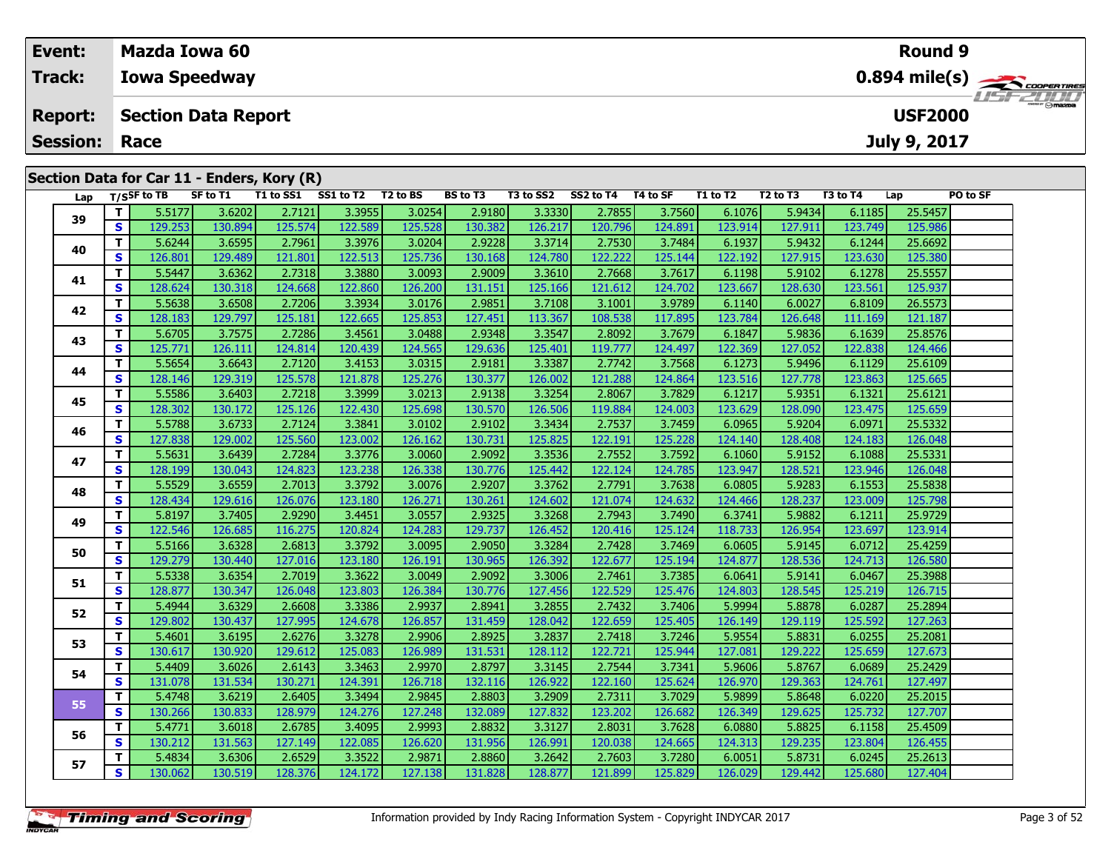| Event:          |   |                  | <b>Mazda Iowa 60</b>                       |           |           |          |                 |           |           |          |          |          |          | <b>Round 9</b> |          |                                                       |
|-----------------|---|------------------|--------------------------------------------|-----------|-----------|----------|-----------------|-----------|-----------|----------|----------|----------|----------|----------------|----------|-------------------------------------------------------|
| <b>Track:</b>   |   |                  | <b>Iowa Speedway</b>                       |           |           |          |                 |           |           |          |          |          |          |                |          | $0.894$ mile(s) $\overbrace{\hspace{2cm}}$ codenances |
| <b>Report:</b>  |   |                  | <b>Section Data Report</b>                 |           |           |          |                 |           |           |          |          |          |          | <b>USF2000</b> |          | $H = -H$                                              |
| <b>Session:</b> |   | Race             |                                            |           |           |          |                 |           |           |          |          |          |          | July 9, 2017   |          |                                                       |
|                 |   |                  | Section Data for Car 11 - Enders, Kory (R) |           |           |          |                 |           |           |          |          |          |          |                |          |                                                       |
| Lap             |   | T/SSF to TB      | SF to T1                                   | T1 to SS1 | SS1 to T2 | T2 to BS | <b>BS to T3</b> | T3 to SS2 | SS2 to T4 | T4 to SF | T1 to T2 | T2 to T3 | T3 to T4 | Lap            | PO to SF |                                                       |
| 39              |   | 5.5177           | 3.6202                                     | 2.7121    | 3.3955    | 3.0254   | 2.9180          | 3.3330    | 2.7855    | 3.7560   | 6.1076   | 5.9434   | 6.11851  | 25.5457        |          |                                                       |
|                 | s | 129.253 <b>I</b> | 130.8941                                   | 125.574   | 122.589   | 125.528  | 130.382         | 126.217   | 120.796   | 124.891  | 123.914  | 127.911  | 123.749  | 125.986        |          |                                                       |

| 39 | <b>S</b>     | 129.253 | 130.894 | 125.574 | 122.589 | 125.528 | 130.382 | 126.217 | 120.796 | 124.891 | 123.914 | 127.911 | 123.749 | 125.986 |  |
|----|--------------|---------|---------|---------|---------|---------|---------|---------|---------|---------|---------|---------|---------|---------|--|
|    | т            | 5.6244  | 3.6595  | 2.7961  | 3.3976  | 3.0204  | 2.9228  | 3.3714  | 2.7530  | 3.7484  | 6.1937  | 5.9432  | 6.1244  | 25.6692 |  |
| 40 | <b>S</b>     | 126.801 | 129.489 | 121.801 | 122.513 | 125.736 | 130.168 | 124.780 | 122.222 | 125.144 | 122.192 | 127.915 | 123.630 | 125.380 |  |
|    | т            | 5.5447  | 3.6362  | 2.7318  | 3.3880  | 3.0093  | 2.9009  | 3.3610  | 2.7668  | 3.7617  | 6.1198  | 5.9102  | 6.1278  | 25.5557 |  |
| 41 | S            | 128.624 | 130.318 | 124.668 | 122.860 | 126.200 | 131.151 | 125.166 | 121.612 | 124.702 | 123.667 | 128.630 | 123.561 | 125.937 |  |
|    | т            | 5.5638  | 3.6508  | 2.7206  | 3.3934  | 3.0176  | 2.9851  | 3.7108  | 3.1001  | 3.9789  | 6.1140  | 6.0027  | 6.8109  | 26.5573 |  |
| 42 | S            | 128.183 | 129.797 | 125.181 | 122.665 | 125.853 | 127.451 | 113.367 | 108.538 | 117.895 | 123.784 | 126.648 | 111.169 | 121.187 |  |
|    | т            | 5.6705  | 3.7575  | 2.7286  | 3.4561  | 3.0488  | 2.9348  | 3.3547  | 2.8092  | 3.7679  | 6.1847  | 5.9836  | 6.1639  | 25.8576 |  |
| 43 | S            | 125.771 | 126.111 | 124.814 | 120.439 | 124.565 | 129.636 | 125.401 | 119.777 | 124.497 | 122.369 | 127.052 | 122.838 | 124.466 |  |
|    | T.           | 5.5654  | 3.6643  | 2.7120  | 3.4153  | 3.0315  | 2.9181  | 3.3387  | 2.7742  | 3.7568  | 6.1273  | 5.9496  | 6.1129  | 25.6109 |  |
| 44 | S            | 128.146 | 129.319 | 125.578 | 121.878 | 125.276 | 130.377 | 126.002 | 121.288 | 124.864 | 123.516 | 127.778 | 123.863 | 125.665 |  |
|    | т            | 5.5586  | 3.6403  | 2.7218  | 3.3999  | 3.0213  | 2.9138  | 3.3254  | 2.8067  | 3.7829  | 6.1217  | 5.9351  | 6.1321  | 25.6121 |  |
| 45 | $\mathbf{s}$ | 128.302 | 130.172 | 125.126 | 122.430 | 125.698 | 130.570 | 126.506 | 119.884 | 124.003 | 123.629 | 128.090 | 123.475 | 125.659 |  |
|    | т            | 5.5788  | 3.6733  | 2.7124  | 3.3841  | 3.0102  | 2.9102  | 3.3434  | 2.7537  | 3.7459  | 6.0965  | 5.9204  | 6.0971  | 25.5332 |  |
| 46 | S            | 127.838 | 129.002 | 125.560 | 123.002 | 126.162 | 130.731 | 125.825 | 122.191 | 125.228 | 124.140 | 128.408 | 124.183 | 126.048 |  |
|    | т            | 5.5631  | 3.6439  | 2.7284  | 3.3776  | 3.0060  | 2.9092  | 3.3536  | 2.7552  | 3.7592  | 6.1060  | 5.9152  | 6.1088  | 25.5331 |  |
| 47 | S            | 128.199 | 130.043 | 124.823 | 123.238 | 126.338 | 130.776 | 125.442 | 122.124 | 124.785 | 123.947 | 128.521 | 123.946 | 126.048 |  |
| 48 | т            | 5.5529  | 3.6559  | 2.7013  | 3.3792  | 3.0076  | 2.9207  | 3.3762  | 2.7791  | 3.7638  | 6.0805  | 5.9283  | 6.1553  | 25.5838 |  |
|    | S            | 128.434 | 129.616 | 126.076 | 123.180 | 126.271 | 130.261 | 124.602 | 121.074 | 124.632 | 124.466 | 128.237 | 123.009 | 125.798 |  |
| 49 | т            | 5.8197  | 3.7405  | 2.9290  | 3.4451  | 3.0557  | 2.9325  | 3.3268  | 2.7943  | 3.7490  | 6.3741  | 5.9882  | 6.1211  | 25.9729 |  |
|    | S            | 122.546 | 126.685 | 116.275 | 120.824 | 124.283 | 129.737 | 126.452 | 120.416 | 125.124 | 118.733 | 126.954 | 123.697 | 123.914 |  |
| 50 | т            | 5.5166  | 3.6328  | 2.6813  | 3.3792  | 3.0095  | 2.9050  | 3.3284  | 2.7428  | 3.7469  | 6.0605  | 5.9145  | 6.0712  | 25.4259 |  |
|    | S            | 129.279 | 130.440 | 127.016 | 123.180 | 126.191 | 130.965 | 126.392 | 122.677 | 125.194 | 124.877 | 128.536 | 124.713 | 126.580 |  |
| 51 | т            | 5.5338  | 3.6354  | 2.7019  | 3.3622  | 3.0049  | 2.9092  | 3.3006  | 2.7461  | 3.7385  | 6.0641  | 5.9141  | 6.0467  | 25.3988 |  |
|    | S            | 128.877 | 130.347 | 126.048 | 123.803 | 126.384 | 130.776 | 127.456 | 122.529 | 125.476 | 124.803 | 128.545 | 125.219 | 126.715 |  |
| 52 | т            | 5.4944  | 3.6329  | 2.6608  | 3.3386  | 2.9937  | 2.8941  | 3.2855  | 2.7432  | 3.7406  | 5.9994  | 5.8878  | 6.0287  | 25.2894 |  |
|    | S            | 129.802 | 130.437 | 127.995 | 124.678 | 126.857 | 131.459 | 128.042 | 122.659 | 125.405 | 126.149 | 129.119 | 125.592 | 127.263 |  |
| 53 | T.           | 5.4601  | 3.6195  | 2.6276  | 3.3278  | 2.9906  | 2.8925  | 3.2837  | 2.7418  | 3.7246  | 5.9554  | 5.8831  | 6.0255  | 25.2081 |  |
|    | S            | 130.617 | 130.920 | 129.612 | 125.083 | 126.989 | 131.531 | 128.112 | 122.721 | 125.944 | 127.081 | 129.222 | 125.659 | 127.673 |  |
| 54 | Т            | 5.4409  | 3.6026  | 2.6143  | 3.3463  | 2.9970  | 2.8797  | 3.3145  | 2.7544  | 3.7341  | 5.9606  | 5.8767  | 6.0689  | 25.2429 |  |
|    | S            | 131.078 | 131.534 | 130.271 | 124.391 | 126.718 | 132.116 | 126.922 | 122.160 | 125.624 | 126.970 | 129.363 | 124.761 | 127.497 |  |
| 55 | T            | 5.4748  | 3.6219  | 2.6405  | 3.3494  | 2.9845  | 2.8803  | 3.2909  | 2.7311  | 3.7029  | 5.9899  | 5.8648  | 6.0220  | 25.2015 |  |
|    | <b>S</b>     | 130.266 | 130.833 | 128.979 | 124.276 | 127.248 | 132.089 | 127.832 | 123.202 | 126.682 | 126.349 | 129.625 | 125.732 | 127.707 |  |
| 56 | T            | 5.4771  | 3.6018  | 2.6785  | 3.4095  | 2.9993  | 2.8832  | 3.3127  | 2.8031  | 3.7628  | 6.0880  | 5.8825  | 6.1158  | 25.4509 |  |
|    | <b>S</b>     | 130.212 | 131.563 | 127.149 | 122.085 | 126.620 | 131.956 | 126.991 | 120.038 | 124.665 | 124.313 | 129.235 | 123.804 | 126.455 |  |
| 57 | T.           | 5.4834  | 3.6306  | 2.6529  | 3.3522  | 2.9871  | 2.8860  | 3.2642  | 2.7603  | 3.7280  | 6.0051  | 5.8731  | 6.0245  | 25.2613 |  |
|    | S            | 130.062 | 130.519 | 128.376 | 124.172 | 127.138 | 131.828 | 128.877 | 121.899 | 125.829 | 126.029 | 129.442 | 125.680 | 127.404 |  |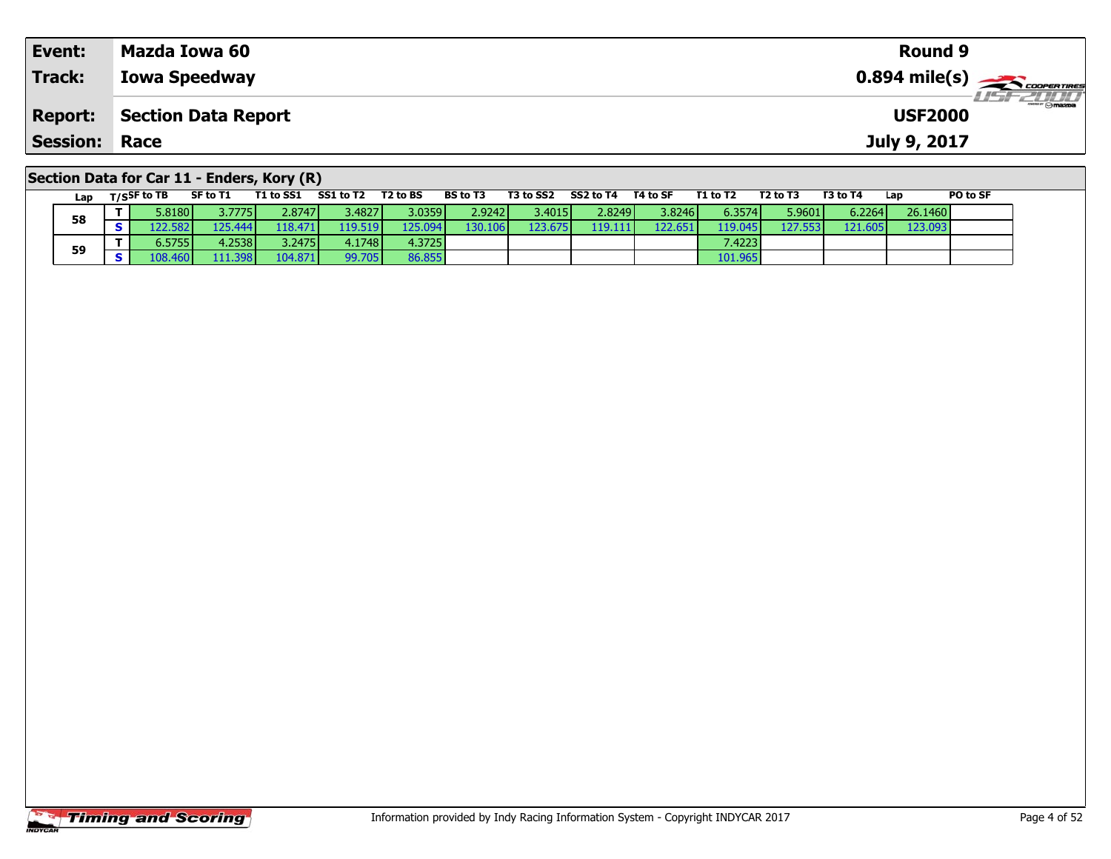| Event:               | Mazda Iowa 60                              | Round 9                                   |
|----------------------|--------------------------------------------|-------------------------------------------|
| Track:               | <b>Iowa Speedway</b>                       |                                           |
| <b>Report:</b>       | Section Data Report                        | <i><b>LISF 2000</b></i><br><b>USF2000</b> |
| <b>Session: Race</b> |                                            | July 9, 2017                              |
|                      | Section Data for Car 11 - Enders, Kory (R) |                                           |

| Lan | T/SSF to TB | SF to T1 | T1 to SS1 SS1 to T2 |         | T2 to BS | <b>BS to T3</b> | T3 to SS2 | SS2 to T4 | T4 to SF | T1 to T2 | T <sub>2</sub> to T <sub>3</sub> | T3 to T4 | Lap     | PO to SF |
|-----|-------------|----------|---------------------|---------|----------|-----------------|-----------|-----------|----------|----------|----------------------------------|----------|---------|----------|
|     | 5.8180      | 3.7775   | 2.8747              | 3.4827  | 3.0359   | 2.9242          | 3.4015    | 2.8249    | 3.8246   | 6.3574   | 5.9601                           | 6.2264   | 26.1460 |          |
| 58  | 122.582     | 125.444  | 118,471             | 119.519 | 125.094  | 130.106         | 123.675   | 119.111   | 122.651  | 119.045  | 127.553 <b>I</b>                 | 121.605  | 123.093 |          |
| 59  | 6.5755      | 4.2538   | 3.2475              | 4.1748  | 4.3725   |                 |           |           |          | 7.4223   |                                  |          |         |          |
|     | 108,460     | 111.398  | 104.871             | 99.705  | 86.855   |                 |           |           |          | 101.965  |                                  |          |         |          |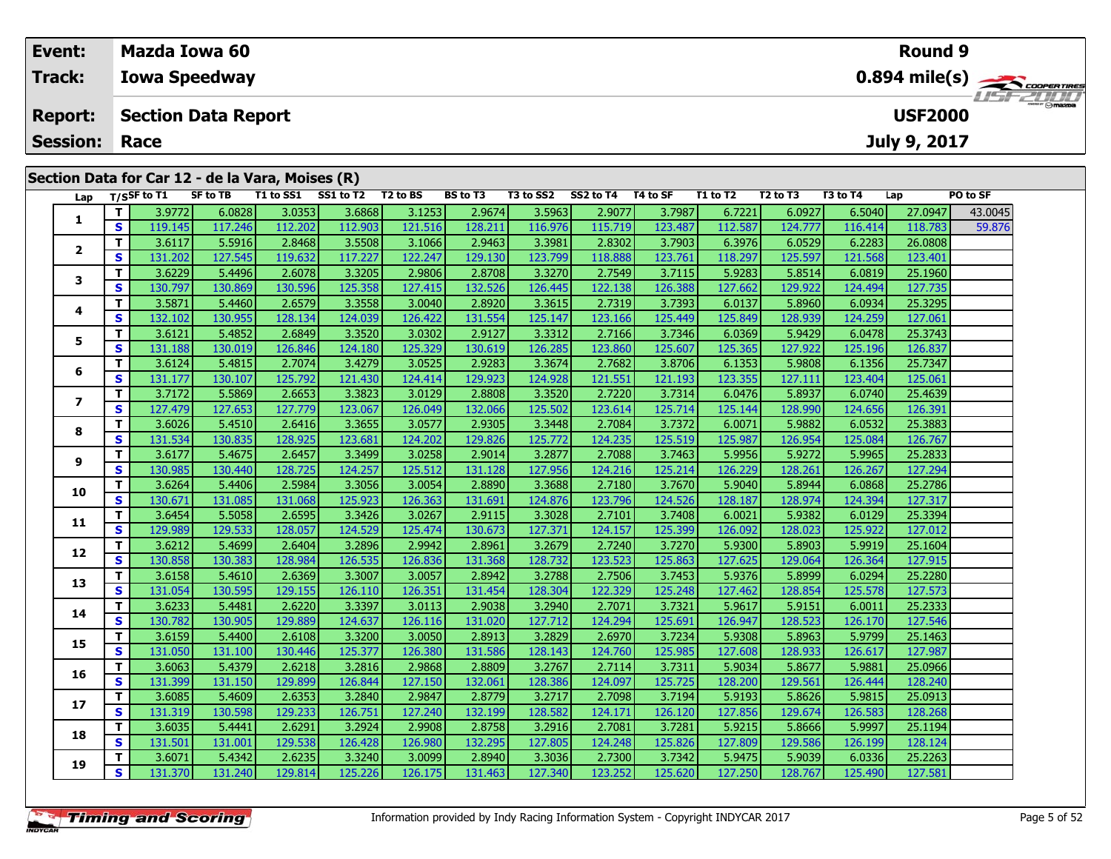| Event:                                           |                    | <b>Mazda Iowa 60</b>       |                              |                 |           |           |          |          |          |          |              | Round 9        |                         |
|--------------------------------------------------|--------------------|----------------------------|------------------------------|-----------------|-----------|-----------|----------|----------|----------|----------|--------------|----------------|-------------------------|
| Track:                                           |                    | <b>Iowa Speedway</b>       |                              |                 |           |           |          |          |          |          |              |                |                         |
| <b>Report:</b>                                   |                    | <b>Section Data Report</b> |                              |                 |           |           |          |          |          |          |              | <b>USF2000</b> | <i><b>LISF 2000</b></i> |
| <b>Session: Race</b>                             |                    |                            |                              |                 |           |           |          |          |          |          | July 9, 2017 |                |                         |
|                                                  |                    |                            |                              |                 |           |           |          |          |          |          |              |                |                         |
| Section Data for Car 12 - de la Vara, Moises (R) |                    |                            |                              |                 |           |           |          |          |          |          |              |                |                         |
|                                                  | Lap $T/S$ SF to T1 | SF to TB                   | T1 to SS1 SS1 to T2 T2 to BS | <b>BS to T3</b> | T3 to SS2 | SS2 to T4 | T4 to SF | T1 to T2 | T2 to T3 | T3 to T4 | Lap          | PO to SF       |                         |

| Lap            |              | T/SSF to 11       | SF TO THE         | 11 TO 551         | <b>SSI TO 12</b>  | 1 Z TO BS         | BS TO 13          | 13 TO 552         | 552 TO 14         | 14 to SF          | 1 1 TO 1 2        | 12 TO 13          | <b>13 το 14</b>   | Lap                | PU TO SF |
|----------------|--------------|-------------------|-------------------|-------------------|-------------------|-------------------|-------------------|-------------------|-------------------|-------------------|-------------------|-------------------|-------------------|--------------------|----------|
|                | T.           | 3.9772            | 6.0828            | 3.0353            | 3.6868            | 3.1253            | 2.9674            | 3.5963            | 2.9077            | 3.7987            | 6.7221            | 6.0927            | 6.5040            | 27.0947            | 43.0045  |
| 1              | S            | 119.145           | 117.246           | 112.202           | 112.903           | 121.516           | 128.211           | 116.976           | 115.719           | 123.487           | 112.587           | 124.777           | 116.414           | 118.783            | 59.876   |
|                | T.           | 3.6117            | 5.5916            | 2.8468            | 3.5508            | 3.1066            | 2.9463            | 3.3981            | 2.8302            | 3.7903            | 6.3976            | 6.0529            | 6.2283            | 26.0808            |          |
| $\mathbf{2}$   | $\mathbf{s}$ | 131.202           | 127.545           | 119.632           | 117.227           | 122.247           | 129.130           | 123.799           | 118.888           | 123.761           | 118.297           | 125.597           | 121.568           | 123.401            |          |
| 3              | T.           | 3.6229            | 5.4496            | 2.6078            | 3.3205            | 2.9806            | 2.8708            | 3.3270            | 2.7549            | 3.7115            | 5.9283            | 5.8514            | 6.0819            | 25.1960            |          |
|                | $\mathbf{s}$ | 130.797           | 130.869           | 130.596           | 125.358           | 127.415           | 132.526           | 126.445           | 122.138           | 126.388           | 127.662           | 129.922           | 124.494           | 127.735            |          |
| 4              | T.           | 3.5871            | 5.4460            | 2.6579            | 3.3558            | 3.0040            | 2.8920            | 3.3615            | 2.7319            | 3.7393            | 6.0137            | 5.8960            | 6.0934            | 25.3295            |          |
|                | S            | 132.102           | 130.955           | 128.134           | 124.039           | 126.422           | 131.554           | 125.147           | 123.166           | 125.449           | 125.849           | 128.939           | 124.259           | 127.061            |          |
| 5              | T.           | 3.6121            | 5.4852            | 2.6849            | 3.3520            | 3.0302            | 2.9127            | 3.3312            | 2.7166            | 3.7346            | 6.0369            | 5.9429            | 6.0478            | 25.3743            |          |
|                | S            | 131.188           | 130.019           | 126.846           | 124.180           | 125.329           | 130.619           | 126.285           | 123.860           | 125.607           | 125.365           | 127.922           | 125.196           | 126.837            |          |
| 6              | T.           | 3.6124            | 5.4815            | 2.7074            | 3.4279            | 3.0525            | 2.9283            | 3.3674            | 2.7682            | 3.8706            | 6.1353            | 5.9808            | 6.1356            | 25.7347            |          |
|                | $\mathbf{s}$ | 131.177           | 130.107           | 125.792           | 121.430           | 124.414           | 129.923           | 124.928           | 121.551           | 121.193           | 123.355           | 127.111           | 123.404           | 125.061            |          |
| $\overline{ }$ | T.           | 3.7172            | 5.5869            | 2.6653            | 3.3823            | 3.0129            | 2.8808            | 3.3520            | 2.7220            | 3.7314            | 6.0476            | 5.8937            | 6.0740            | 25.4639            |          |
|                | S            | 127.479           | 127.653           | 127.779           | 123.067           | 126.049           | 132.066           | 125.502           | 123.614           | 125.714           | 125.144           | 128.990           | 124.656           | 126.391            |          |
| 8              | T.           | 3.6026            | 5.4510            | 2.6416            | 3.3655            | 3.0577            | 2.9305            | 3.3448            | 2.7084            | 3.7372            | 6.0071            | 5.9882            | 6.0532            | 25.3883            |          |
|                | S            | 131.534           | 130.835           | 128.925           | 123.681           | 124.202           | 129.826           | 125.772           | 124.235           | 125.519           | 125.987           | 126.954           | 125.084           | 126.767            |          |
| 9              | T.           | 3.6177            | 5.4675            | 2.6457            | 3.3499            | 3.0258            | 2.9014            | 3.2877            | 2.7088            | 3.7463            | 5.9956            | 5.9272            | 5.9965            | 25.2833            |          |
|                | $\mathbf{s}$ | 130.985           | 130.440           | 128.725           | 124.257           | 125.512           | 131.128           | 127.956           | 124.216           | 125.214           | 126.229           | 128.261           | 126.267           | 127.294            |          |
| 10             | T.           | 3.6264            | 5.4406            | 2.5984            | 3.3056            | 3.0054            | 2.8890            | 3.3688            | 2.7180            | 3.7670            | 5.9040            | 5.8944            | 6.0868            | 25.2786            |          |
|                | $\mathbf{s}$ | 130.671           | 131.085           | 131.068           | 125.923           | 126.363           | 131.691           | 124.876           | 123.796           | 124.526           | 128.187           | 128.974           | 124.394           | 127.317            |          |
| 11             | T.           | 3.6454            | 5.5058            | 2.6595            | 3.3426            | 3.0267            | 2.9115            | 3.3028            | 2.7101            | 3.7408            | 6.0021            | 5.9382            | 6.0129            | 25.3394            |          |
|                | S            | 129.989           | 129.533           | 128.057           | 124.529           | 125.474           | 130.673           | 127.371           | 124.157           | 125.399           | 126.092           | 128.023           | 125.922           | 127.012            |          |
| 12             | T.           | 3.6212            | 5.4699            | 2.6404            | 3.2896            | 2.9942            | 2.8961            | 3.2679            | 2.7240            | 3.7270            | 5.9300            | 5.8903            | 5.9919            | 25.1604            |          |
|                | $\mathbf{s}$ | 130.858           | 130.383           | 128.984           | 126.535           | 126.836           | 131.368           | 128.732           | 123.523           | 125.863           | 127.625           | 129.064           | 126.364           | 127.915            |          |
| 13             | T.           | 3.6158            | 5.4610            | 2.6369            | 3.3007            | 3.0057            | 2.8942            | 3.2788            | 2.7506            | 3.7453            | 5.9376            | 5.8999            | 6.0294            | 25.2280            |          |
|                | $\mathbf{s}$ | 131.054           | 130.595           | 129.155           | 126.110           | 126.351           | 131.454           | 128.304           | 122.329           | 125.248           | 127.462           | 128.854           | 125.578           | 127.573            |          |
| 14             | T.           | 3.6233            | 5.4481            | 2.6220            | 3.3397            | 3.0113            | 2.9038            | 3.2940            | 2.7071            | 3.7321            | 5.9617            | 5.9151            | 6.0011            | 25.2333            |          |
|                | S            | 130.782           | 130.905           | 129.889           | 124.637           | 126.116           | 131.020           | 127.712           | 124.294           | 125.691           | 126.947           | 128.523           | 126.170           | 127.546            |          |
| 15             | T.           | 3.6159            | 5.4400            | 2.6108            | 3.3200            | 3.0050            | 2.8913            | 3.2829            | 2.6970            | 3.7234            | 5.9308            | 5.8963            | 5.9799            | 25.1463            |          |
|                | S            | 131.050           | 131.100           | 130.446           | 125.377           | 126.380           | 131.586           | 128.143           | 124.760           | 125.985           | 127.608           | 128.933           | 126.617           | 127.987            |          |
| 16             | T.<br>S      | 3.6063            | 5.4379            | 2.6218            | 3.2816            | 2.9868            | 2.8809            | 3.2767            | 2.7114            | 3.7311            | 5.9034            | 5.8677            | 5.9881            | 25.0966<br>128,240 |          |
|                | T.           | 131.399<br>3.6085 | 131.150           | 129.899<br>2.6353 | 126.844           | 127.150           | 132.061<br>2.8779 | 128.386<br>3.2717 | 124.097<br>2.7098 | 125.725<br>3.7194 | 128.200<br>5.9193 | 129.561<br>5.8626 | 126.444<br>5.9815 | 25.0913            |          |
| 17             | S            |                   | 5.4609            |                   | 3.2840            | 2.9847            |                   |                   |                   |                   |                   |                   |                   |                    |          |
|                | T.           | 131.319<br>3.6035 | 130.598           | 129.233<br>2.6291 | 126.751<br>3.2924 | 127.240           | 132.199<br>2.8758 | 128.582           | 124.171<br>2.7081 | 126.120<br>3.7281 | 127.856           | 129.674<br>5.8666 | 126.583<br>5.9997 | 128.268<br>25.1194 |          |
| 18             | S            | 131.501           | 5.4441            | 129.538           | 126.428           | 2.9908            | 132.295           | 3.2916<br>127.805 |                   | 125.826           | 5.9215            |                   | 126.199           | 128.124            |          |
|                | T.           | 3.6071            | 131.001<br>5.4342 | 2.6235            | 3.3240            | 126.980<br>3.0099 | 2.8940            | 3.3036            | 124.248<br>2.7300 | 3.7342            | 127.809<br>5.9475 | 129.586<br>5.9039 | 6.0336            | 25.2263            |          |
| 19             | S            |                   |                   |                   |                   |                   |                   |                   |                   |                   |                   |                   |                   |                    |          |
|                |              | 131.370           | 131.240           | 129.814           | 125.226           | 126.175           | 131.463           | 127.340           | 123.252           | 125.620           | 127.250           | 128.767           | 125.490           | 127.581            |          |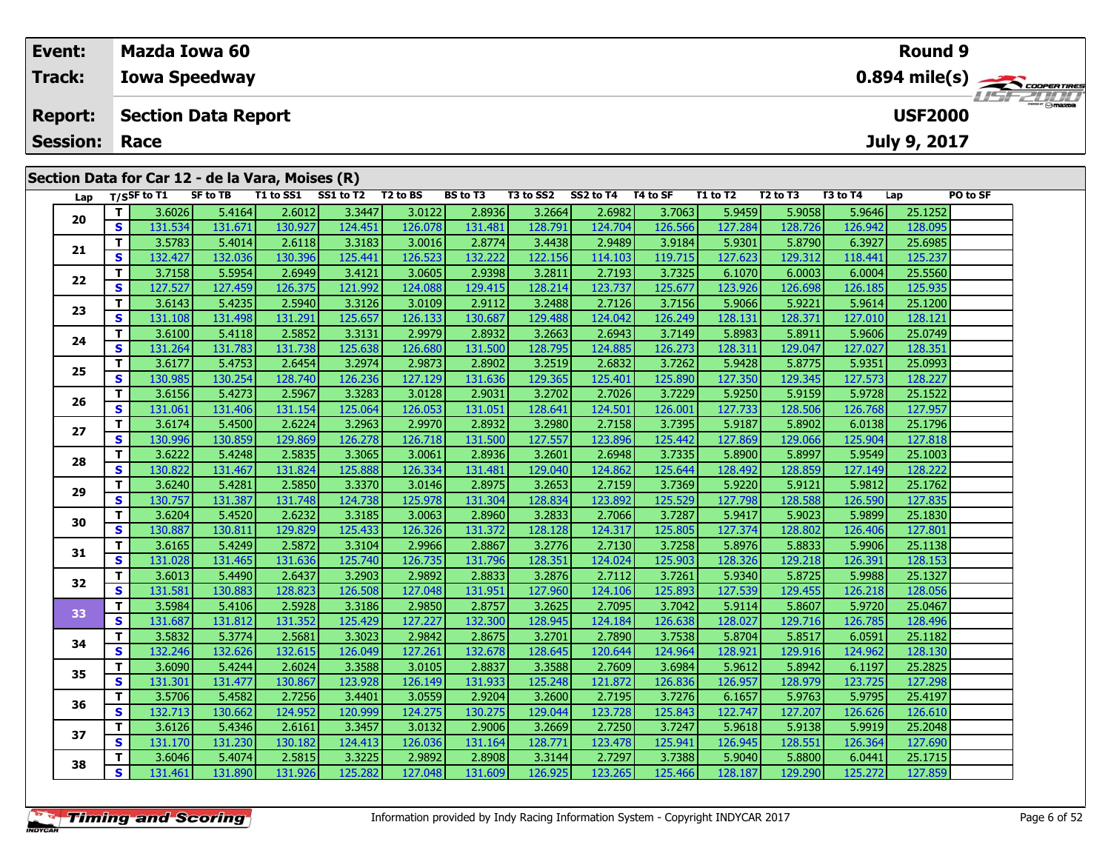| Event:                                           | <b>Mazda Iowa 60</b>       |          |                              |                 |           |           |          |          |          |          |              | <b>Round 9</b> |                          |
|--------------------------------------------------|----------------------------|----------|------------------------------|-----------------|-----------|-----------|----------|----------|----------|----------|--------------|----------------|--------------------------|
| Track:                                           | <b>Iowa Speedway</b>       |          |                              |                 |           |           |          |          |          |          |              |                |                          |
| <b>Report:</b>                                   | <b>Section Data Report</b> |          |                              |                 |           |           |          |          |          |          |              | <b>USF2000</b> | <i><b>LISFED DID</b></i> |
| <b>Session: Race</b>                             |                            |          |                              |                 |           |           |          |          |          |          | July 9, 2017 |                |                          |
|                                                  |                            |          |                              |                 |           |           |          |          |          |          |              |                |                          |
| Section Data for Car 12 - de la Vara, Moises (R) |                            |          |                              |                 |           |           |          |          |          |          |              |                |                          |
|                                                  | Lap $T/S$ SF to T1         | SF to TB | T1 to SS1 SS1 to T2 T2 to BS | <b>BS to T3</b> | T3 to SS2 | SS2 to T4 | T4 to SF | T1 to T2 | T2 to T3 | T3 to T4 | Lap          | PO to SF       |                          |

| Lap |              | T/SSF to $T1$ | SF to TB | T1 to SS1 SS1 to T2 |         | T2 to BS | BS to T3 | T3 to SS2 | SS2 to T4 | T4 to SF | T1 to T2 | T2 to T3 | T3 to T4 | Lap     | PO to SF |
|-----|--------------|---------------|----------|---------------------|---------|----------|----------|-----------|-----------|----------|----------|----------|----------|---------|----------|
| 20  | T.           | 3.6026        | 5.4164   | 2.6012              | 3.3447  | 3.0122   | 2.8936   | 3.2664    | 2.6982    | 3.7063   | 5.9459   | 5.9058   | 5.9646   | 25.1252 |          |
|     | S            | 131.534       | 131.671  | 130.927             | 124.451 | 126.078  | 131.481  | 128.791   | 124.704   | 126.566  | 127.284  | 128.726  | 126.942  | 128.095 |          |
|     | T            | 3.5783        | 5.4014   | 2.6118              | 3.3183  | 3.0016   | 2.8774   | 3.4438    | 2.9489    | 3.9184   | 5.9301   | 5.8790   | 6.3927   | 25.6985 |          |
| 21  | <b>S</b>     | 132.427       | 132.036  | 130.396             | 125.441 | 126.523  | 132.222  | 122.156   | 114.103   | 119.715  | 127.623  | 129.312  | 118.441  | 125.237 |          |
| 22  | T            | 3.7158        | 5.5954   | 2.6949              | 3.4121  | 3.0605   | 2.9398   | 3.2811    | 2.7193    | 3.7325   | 6.1070   | 6.0003   | 6.0004   | 25.5560 |          |
|     | S            | 127.527       | 127.459  | 126.375             | 121.992 | 124.088  | 129.415  | 128.214   | 123.737   | 125.677  | 123.926  | 126.698  | 126.185  | 125.935 |          |
| 23  | T.           | 3.6143        | 5.4235   | 2.5940              | 3.3126  | 3.0109   | 2.9112   | 3.2488    | 2.7126    | 3.7156   | 5.9066   | 5.9221   | 5.9614   | 25.1200 |          |
|     | S            | 131.108       | 131.498  | 131.291             | 125.657 | 126.133  | 130.687  | 129.488   | 124.042   | 126.249  | 128.131  | 128.371  | 127.010  | 128.121 |          |
| 24  | $\mathbf{T}$ | 3.6100        | 5.4118   | 2.5852              | 3.3131  | 2.9979   | 2.8932   | 3.2663    | 2.6943    | 3.7149   | 5.8983   | 5.8911   | 5.9606   | 25.0749 |          |
|     | S            | 131.264       | 131.783  | 131.738             | 125.638 | 126.680  | 131.500  | 128.795   | 124.885   | 126.273  | 128.311  | 129.047  | 127.027  | 128.351 |          |
| 25  | $\mathbf{T}$ | 3.6177        | 5.4753   | 2.6454              | 3.2974  | 2.9873   | 2.8902   | 3.2519    | 2.6832    | 3.7262   | 5.9428   | 5.8775   | 5.9351   | 25.0993 |          |
|     | S            | 130.985       | 130.254  | 128.740             | 126.236 | 127.129  | 131.636  | 129.365   | 125.401   | 125.890  | 127.350  | 129.345  | 127.573  | 128.227 |          |
| 26  | T.           | 3.6156        | 5.4273   | 2.5967              | 3.3283  | 3.0128   | 2.9031   | 3.2702    | 2.7026    | 3.7229   | 5.9250   | 5.9159   | 5.9728   | 25.1522 |          |
|     | S            | 131.061       | 131.406  | 131.154             | 125.064 | 126.053  | 131.051  | 128.641   | 124.501   | 126.001  | 127.733  | 128.506  | 126.768  | 127.957 |          |
| 27  | $\mathbf{T}$ | 3.6174        | 5.4500   | 2.6224              | 3.2963  | 2.9970   | 2.8932   | 3.2980    | 2.7158    | 3.7395   | 5.9187   | 5.8902   | 6.0138   | 25.1796 |          |
|     | S            | 130.996       | 130.859  | 129.869             | 126.278 | 126.718  | 131.500  | 127.557   | 123.896   | 125.442  | 127.869  | 129.066  | 125.904  | 127.818 |          |
| 28  | T            | 3.6222        | 5.4248   | 2.5835              | 3.3065  | 3.0061   | 2.8936   | 3.2601    | 2.6948    | 3.7335   | 5.8900   | 5.8997   | 5.9549   | 25.1003 |          |
|     | S            | 130.822       | 131.467  | 131.824             | 125.888 | 126.334  | 131.481  | 129.040   | 124.862   | 125.644  | 128.492  | 128.859  | 127.149  | 128.222 |          |
| 29  | T            | 3.6240        | 5.4281   | 2.5850              | 3.3370  | 3.0146   | 2.8975   | 3.2653    | 2.7159    | 3.7369   | 5.9220   | 5.9121   | 5.9812   | 25.1762 |          |
|     | S            | 130.757       | 131.387  | 131.748             | 124.738 | 125.978  | 131.304  | 128.834   | 123.892   | 125.529  | 127.798  | 128.588  | 126.590  | 127.835 |          |
| 30  | $\mathbf{T}$ | 3.6204        | 5.4520   | 2.6232              | 3.3185  | 3.0063   | 2.8960   | 3.2833    | 2.7066    | 3.7287   | 5.9417   | 5.9023   | 5.9899   | 25.1830 |          |
|     | S            | 130.887       | 130.811  | 129.829             | 125.433 | 126.326  | 131.372  | 128.128   | 124.317   | 125.805  | 127.374  | 128.802  | 126.406  | 127.801 |          |
| 31  | T.           | 3.6165        | 5.4249   | 2.5872              | 3.3104  | 2.9966   | 2.8867   | 3.2776    | 2.7130    | 3.7258   | 5.8976   | 5.8833   | 5.9906   | 25.1138 |          |
|     | S            | 131.028       | 131.465  | 131.636             | 125.740 | 126.735  | 131.796  | 128.351   | 124.024   | 125.903  | 128.326  | 129.218  | 126.391  | 128.153 |          |
| 32  | T.           | 3.6013        | 5.4490   | 2.6437              | 3.2903  | 2.9892   | 2.8833   | 3.2876    | 2.7112    | 3.7261   | 5.9340   | 5.8725   | 5.9988   | 25.1327 |          |
|     | S            | 131.581       | 130.883  | 128.823             | 126.508 | 127.048  | 131.951  | 127.960   | 124.106   | 125.893  | 127.539  | 129.455  | 126.218  | 128.056 |          |
| 33  | T            | 3.5984        | 5.4106   | 2.5928              | 3.3186  | 2.9850   | 2.8757   | 3.2625    | 2.7095    | 3.7042   | 5.9114   | 5.8607   | 5.9720   | 25.0467 |          |
|     | S            | 131.687       | 131.812  | 131.352             | 125.429 | 127.227  | 132.300  | 128.945   | 124.184   | 126.638  | 128.027  | 129.716  | 126.785  | 128.496 |          |
| 34  | T.           | 3.5832        | 5.3774   | 2.5681              | 3.3023  | 2.9842   | 2.8675   | 3.2701    | 2.7890    | 3.7538   | 5.8704   | 5.8517   | 6.0591   | 25.1182 |          |
|     | S            | 132.246       | 132.626  | 132.615             | 126.049 | 127.261  | 132.678  | 128.645   | 120.644   | 124.964  | 128.921  | 129.916  | 124.962  | 128.130 |          |
| 35  | T.           | 3.6090        | 5.4244   | 2.6024              | 3.3588  | 3.0105   | 2.8837   | 3.3588    | 2.7609    | 3.6984   | 5.9612   | 5.8942   | 6.1197   | 25.2825 |          |
|     | S            | 131.301       | 131.477  | 130.867             | 123.928 | 126.149  | 131.933  | 125.248   | 121.872   | 126.836  | 126.957  | 128.979  | 123.725  | 127.298 |          |
| 36  | $\mathbf{T}$ | 3.5706        | 5.4582   | 2.7256              | 3.4401  | 3.0559   | 2.9204   | 3.2600    | 2.7195    | 3.7276   | 6.1657   | 5.9763   | 5.9795   | 25.4197 |          |
|     | <b>S</b>     | 132.713       | 130.662  | 124.952             | 120.999 | 124.275  | 130.275  | 129.044   | 123.728   | 125.843  | 122.747  | 127.207  | 126.626  | 126.610 |          |
| 37  | $\mathbf{T}$ | 3.6126        | 5.4346   | 2.6161              | 3.3457  | 3.0132   | 2.9006   | 3.2669    | 2.7250    | 3.7247   | 5.9618   | 5.9138   | 5.9919   | 25.2048 |          |
|     | S            | 131.170       | 131.230  | 130.182             | 124.413 | 126.036  | 131.164  | 128.771   | 123.478   | 125.941  | 126.945  | 128.551  | 126.364  | 127.690 |          |
| 38  | T.           | 3.6046        | 5.4074   | 2.5815              | 3.3225  | 2.9892   | 2.8908   | 3.3144    | 2.7297    | 3.7388   | 5.9040   | 5.8800   | 6.0441   | 25.1715 |          |
|     | S.           | 131.461       | 131.890  | 131.926             | 125.282 | 127.048  | 131.609  | 126.925   | 123.265   | 125.466  | 128.187  | 129.290  | 125.272  | 127.859 |          |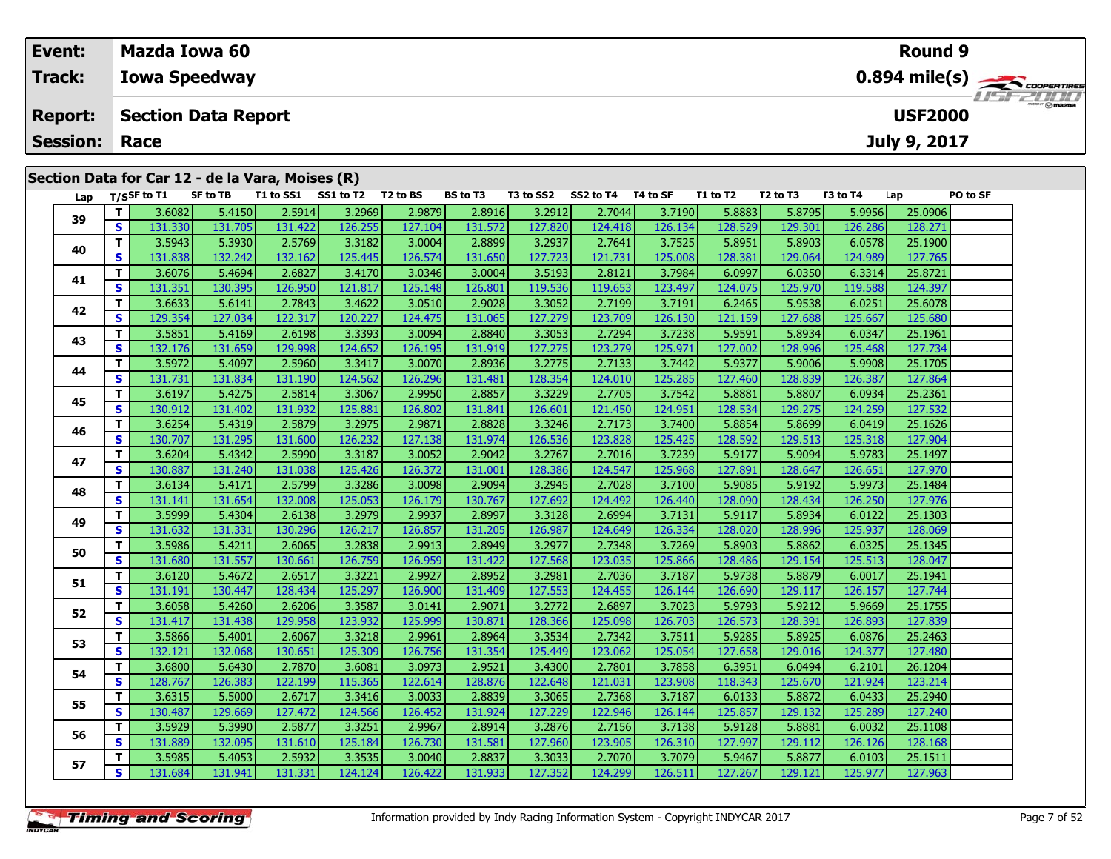| Event:                                           | <b>Mazda Iowa 60</b>       |          |                              |  |          |           |                    |          |          |                | <b>Round 9</b> |          |               |
|--------------------------------------------------|----------------------------|----------|------------------------------|--|----------|-----------|--------------------|----------|----------|----------------|----------------|----------|---------------|
| Track:                                           | <b>Iowa Speedway</b>       |          |                              |  |          |           |                    |          |          |                |                |          | 0.894 mile(s) |
| <b>Report:</b>                                   | <b>Section Data Report</b> |          |                              |  |          |           |                    |          |          | <b>USF2000</b> |                |          |               |
| <b>Session: Race</b>                             |                            |          |                              |  |          |           |                    |          |          |                | July 9, 2017   |          |               |
|                                                  |                            |          |                              |  |          |           |                    |          |          |                |                |          |               |
| Section Data for Car 12 - de la Vara, Moises (R) |                            |          |                              |  |          |           |                    |          |          |                |                |          |               |
|                                                  | Lap T/SSF to T1            | SF to TB | T1 to SS1 SS1 to T2 T2 to BS |  | BS to T3 | T3 to SS2 | SS2 to T4 T4 to SF | T1 to T2 | T2 to T3 | T3 to T4       | Lap            | PO to SF |               |

| Lap |              | T/SSF to 11 | SF TO TH | 11 TO 551 | <b>551 TO 12</b> | 1 Z TO BS | BS TO 13 | 13 TO 552 | 552 TO 14 | 14 TO SF | 11 TO 12 | 12 TO 13 | 13 TO 14 | Lap     | PU TO SF |
|-----|--------------|-------------|----------|-----------|------------------|-----------|----------|-----------|-----------|----------|----------|----------|----------|---------|----------|
|     | T.           | 3.6082      | 5.4150   | 2.5914    | 3.2969           | 2.9879    | 2.8916   | 3.2912    | 2.7044    | 3.7190   | 5.8883   | 5.8795   | 5.9956   | 25,0906 |          |
| 39  | S            | 131.330     | 131.705  | 131.422   | 126.255          | 127.104   | 131.572  | 127.820   | 124.418   | 126.134  | 128.529  | 129.301  | 126.286  | 128.271 |          |
|     | T.           | 3.5943      | 5.3930   | 2.5769    | 3.3182           | 3.0004    | 2.8899   | 3.2937    | 2.7641    | 3.7525   | 5.8951   | 5.8903   | 6.0578   | 25.1900 |          |
| 40  | S            | 131.838     | 132.242  | 132.162   | 125.445          | 126.574   | 131.650  | 127.723   | 121.731   | 125.008  | 128.381  | 129.064  | 124.989  | 127.765 |          |
|     | T            | 3.6076      | 5.4694   | 2.6827    | 3.4170           | 3.0346    | 3.0004   | 3.5193    | 2.8121    | 3.7984   | 6.0997   | 6.0350   | 6.3314   | 25.8721 |          |
| 41  | $\mathbf{s}$ | 131.351     | 130.395  | 126.950   | 121.817          | 125.148   | 126.801  | 119.536   | 119.653   | 123.497  | 124.075  | 125.970  | 119.588  | 124.397 |          |
|     | T.           | 3.6633      | 5.6141   | 2.7843    | 3.4622           | 3.0510    | 2.9028   | 3.3052    | 2.7199    | 3.7191   | 6.2465   | 5.9538   | 6.0251   | 25.6078 |          |
| 42  | S            | 129.354     | 127.034  | 122.317   | 120.227          | 124.475   | 131.065  | 127.279   | 123.709   | 126.130  | 121.159  | 127.688  | 125.667  | 125.680 |          |
| 43  | T.           | 3.5851      | 5.4169   | 2.6198    | 3.3393           | 3.0094    | 2.8840   | 3.3053    | 2.7294    | 3.7238   | 5.9591   | 5.8934   | 6.0347   | 25.1961 |          |
|     | S            | 132.176     | 131.659  | 129.998   | 124.652          | 126.195   | 131.919  | 127.275   | 123.279   | 125.971  | 127.002  | 128.996  | 125.468  | 127.734 |          |
| 44  | T            | 3.5972      | 5.4097   | 2.5960    | 3.3417           | 3.0070    | 2.8936   | 3.2775    | 2.7133    | 3.7442   | 5.9377   | 5.9006   | 5.9908   | 25.1705 |          |
|     | S            | 131.731     | 131.834  | 131.190   | 124.562          | 126.296   | 131.481  | 128.354   | 124.010   | 125.285  | 127.460  | 128.839  | 126.387  | 127.864 |          |
| 45  | T.           | 3.6197      | 5.4275   | 2.5814    | 3.3067           | 2.9950    | 2.8857   | 3.3229    | 2.7705    | 3.7542   | 5.8881   | 5.8807   | 6.0934   | 25.2361 |          |
|     | S            | 130.912     | 131.402  | 131.932   | 125.881          | 126.802   | 131.841  | 126.601   | 121.450   | 124.951  | 128.534  | 129.275  | 124.259  | 127.532 |          |
| 46  | T.           | 3.6254      | 5.4319   | 2.5879    | 3.2975           | 2.9871    | 2.8828   | 3.3246    | 2.7173    | 3.7400   | 5.8854   | 5.8699   | 6.0419   | 25.1626 |          |
|     | S.           | 130.707     | 131.295  | 131.600   | 126.232          | 127.138   | 131.974  | 126.536   | 123.828   | 125.425  | 128.592  | 129.513  | 125.318  | 127.904 |          |
| 47  | T.           | 3.6204      | 5.4342   | 2.5990    | 3.3187           | 3.0052    | 2.9042   | 3.2767    | 2.7016    | 3.7239   | 5.9177   | 5.9094   | 5.9783   | 25.1497 |          |
|     | S            | 130.887     | 131.240  | 131.038   | 125.426          | 126.372   | 131.001  | 128.386   | 124.547   | 125.968  | 127.891  | 128.647  | 126.651  | 127.970 |          |
| 48  | T.           | 3.6134      | 5.4171   | 2.5799    | 3.3286           | 3.0098    | 2.9094   | 3.2945    | 2.7028    | 3.7100   | 5.9085   | 5.9192   | 5.9973   | 25.1484 |          |
|     | S            | 131.141     | 131.654  | 132.008   | 125.053          | 126.179   | 130.767  | 127.692   | 124.492   | 126.440  | 128.090  | 128.434  | 126.250  | 127.976 |          |
| 49  | T.           | 3.5999      | 5.4304   | 2.6138    | 3.2979           | 2.9937    | 2.8997   | 3.3128    | 2.6994    | 3.7131   | 5.9117   | 5.8934   | 6.0122   | 25.1303 |          |
|     | $\mathbf{s}$ | 131.632     | 131.331  | 130.296   | 126.217          | 126.857   | 131.205  | 126.987   | 124.649   | 126.334  | 128.020  | 128.996  | 125.937  | 128.069 |          |
| 50  | T.           | 3.5986      | 5.4211   | 2.6065    | 3.2838           | 2.9913    | 2.8949   | 3.2977    | 2.7348    | 3.7269   | 5.8903   | 5.8862   | 6.0325   | 25.1345 |          |
|     | S            | 131.680     | 131.557  | 130.661   | 126.759          | 126.959   | 131.422  | 127.568   | 123.035   | 125.866  | 128.486  | 129.154  | 125.513  | 128.047 |          |
| 51  | T.           | 3.6120      | 5.4672   | 2.6517    | 3.3221           | 2.9927    | 2.8952   | 3.2981    | 2.7036    | 3.7187   | 5.9738   | 5.8879   | 6.0017   | 25.1941 |          |
|     | $\mathbf{s}$ | 131.191     | 130.447  | 128.434   | 125.297          | 126.900   | 131.409  | 127.553   | 124.455   | 126.144  | 126.690  | 129.117  | 126.157  | 127.744 |          |
| 52  | T.           | 3.6058      | 5.4260   | 2.6206    | 3.3587           | 3.0141    | 2.9071   | 3.2772    | 2.6897    | 3.7023   | 5.9793   | 5.9212   | 5.9669   | 25.1755 |          |
|     | S            | 131.417     | 131.438  | 129.958   | 123.932          | 125.999   | 130.871  | 128.366   | 125.098   | 126.703  | 126.573  | 128.391  | 126.893  | 127.839 |          |
| 53  | T.           | 3.5866      | 5.4001   | 2.6067    | 3.3218           | 2.9961    | 2.8964   | 3.3534    | 2.7342    | 3.7511   | 5.9285   | 5.8925   | 6.0876   | 25.2463 |          |
|     | S            | 132.121     | 132.068  | 130.651   | 125.309          | 126.756   | 131.354  | 125.449   | 123.062   | 125.054  | 127.658  | 129.016  | 124.377  | 127.480 |          |
| 54  | T.           | 3.6800      | 5.6430   | 2.7870    | 3.6081           | 3.0973    | 2.9521   | 3.4300    | 2.7801    | 3.7858   | 6.3951   | 6.0494   | 6.2101   | 26.1204 |          |
|     | S            | 128.767     | 126.383  | 122.199   | 115.365          | 122.614   | 128.876  | 122.648   | 121.031   | 123.908  | 118.343  | 125.670  | 121.924  | 123.214 |          |
| 55  | T.           | 3.6315      | 5.5000   | 2.6717    | 3.3416           | 3.0033    | 2.8839   | 3.3065    | 2.7368    | 3.7187   | 6.0133   | 5.8872   | 6.0433   | 25.2940 |          |
|     | $\mathbf s$  | 130.487     | 129.669  | 127.472   | 124.566          | 126.452   | 131.924  | 127.229   | 122.946   | 126.144  | 125.857  | 129.132  | 125.289  | 127.240 |          |
| 56  | T.           | 3.5929      | 5.3990   | 2.5877    | 3.3251           | 2.9967    | 2.8914   | 3.2876    | 2.7156    | 3.7138   | 5.9128   | 5.8881   | 6.0032   | 25.1108 |          |
|     | S            | 131.889     | 132.095  | 131.610   | 125.184          | 126.730   | 131.581  | 127.960   | 123.905   | 126.310  | 127.997  | 129.112  | 126.126  | 128.168 |          |
| 57  | T.           | 3.5985      | 5.4053   | 2.5932    | 3.3535           | 3.0040    | 2.8837   | 3.3033    | 2.7070    | 3.7079   | 5.9467   | 5.8877   | 6.0103   | 25.1511 |          |
|     | S.           | 131.684     | 131.941  | 131.331   | 124.124          | 126.422   | 131.933  | 127.352   | 124.299   | 126.511  | 127.267  | 129.121  | 125.977  | 127.963 |          |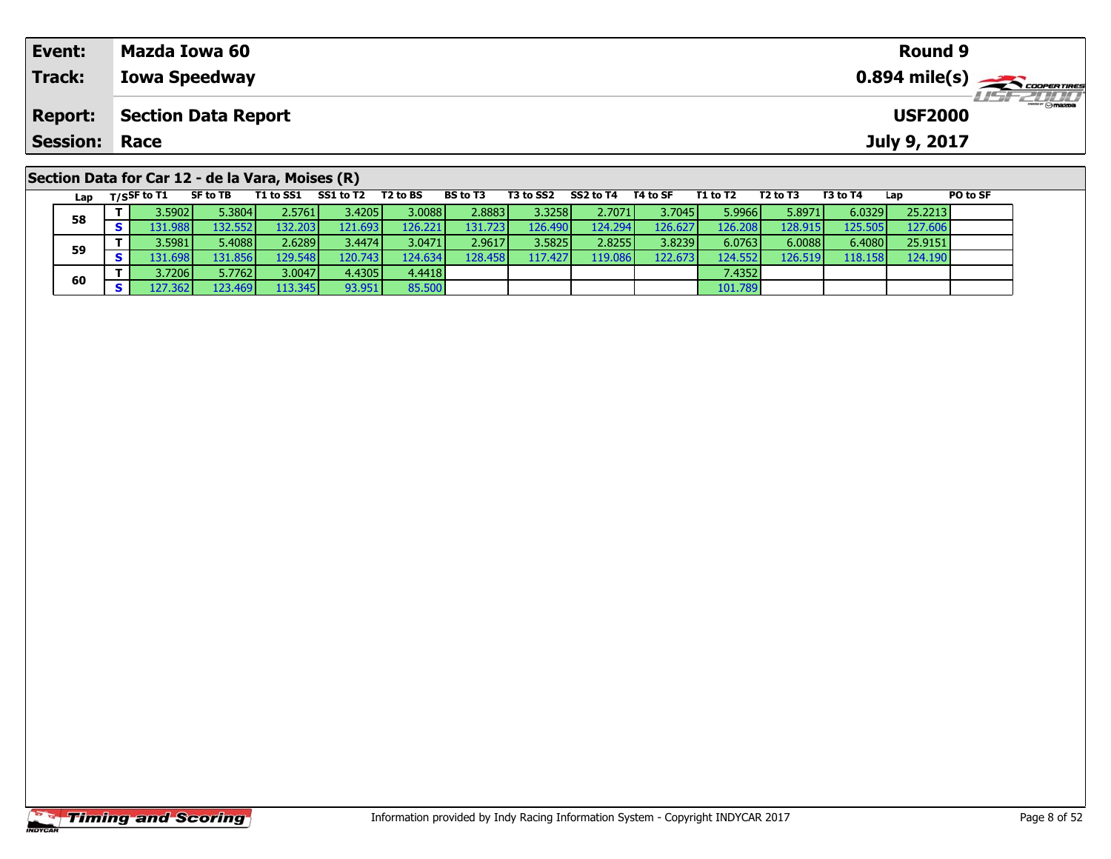| Event:               | Mazda Iowa 60                                    | <b>Round 9</b>                    |
|----------------------|--------------------------------------------------|-----------------------------------|
| Track:               | <b>Iowa Speedway</b>                             |                                   |
| <b>Report:</b>       | Section Data Report                              | <b>LISFZOOD</b><br><b>USF2000</b> |
| <b>Session: Race</b> |                                                  | July 9, 2017                      |
|                      | Section Data for Car 12 - de la Vara, Moises (R) |                                   |

Lap T/S<sup>SF</sup> to T1 SF to TB T1 to SS1 SS1 to T2 T2 to BS BS to T3 T3 to SS2 SS2 to T4 T4 to SF T1 to T2 T2 to T3 T3 to T4 Lap PO to SF

**<sup>T</sup>** 3.5902 5.3804 2.5761 3.4205 3.0088 2.8883 3.3258 2.7071 3.7045 5.9966 5.8971 6.0329 25.2213 **<sup>S</sup>** 131.988 132.552 132.203 121.693 126.221 131.723 126.490 124.294 126.627 126.208 128.915 125.505 127.606

**<sup>T</sup>** 3.5981 5.4088 2.6289 3.4474 3.0471 2.9617 3.5825 2.8255 3.8239 6.0763 6.0088 6.4080 25.9151 **<sup>S</sup>** 131.698 131.856 129.548 120.743 124.634 128.458 117.427 119.086 122.673 124.552 126.519 118.158 124.190

**<sup>T</sup>** 3.7206 5.7762 3.0047 4.4305 4.4418 7.4352 **<sup>S</sup>** 127.362 123.469 113.345 93.951 85.500 101.789

## **Timing and Scoring**

**58**

**59**

**60**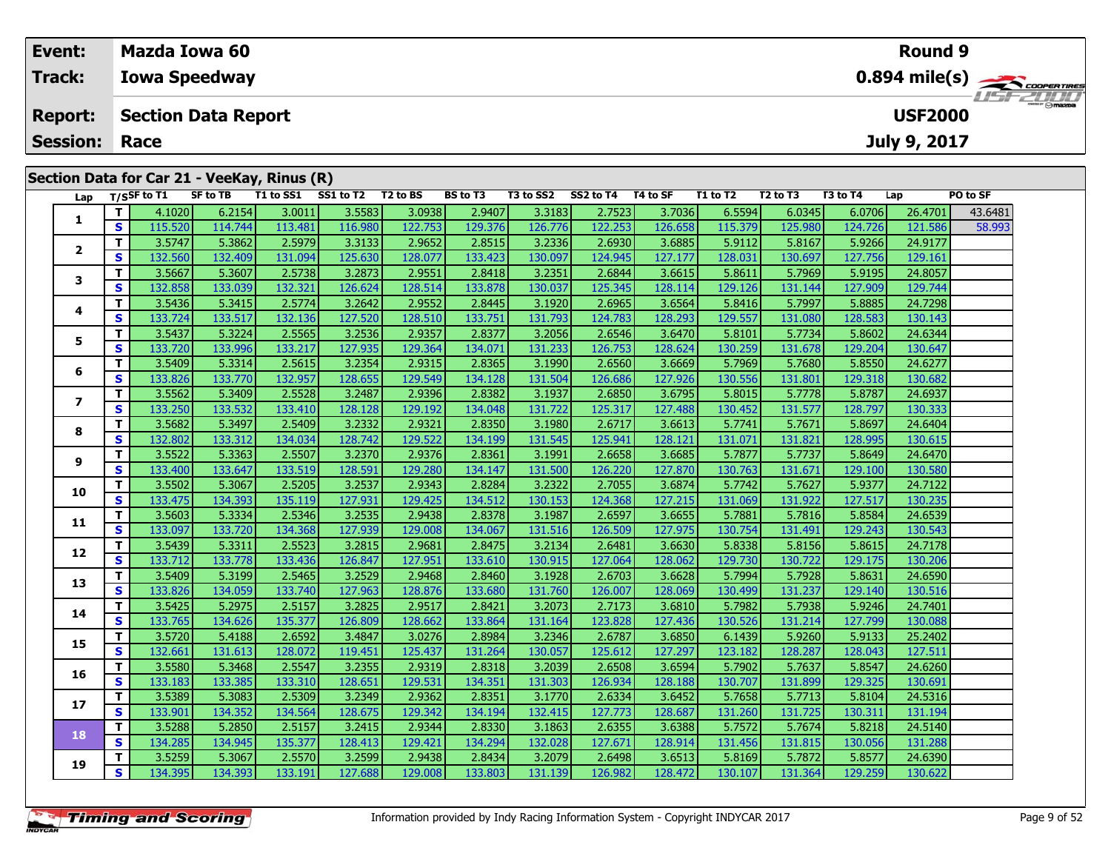| Event:         | Mazda Iowa 60                               |          |           |                    |        |                 |                                                                                                                                                                                                                                                                      |           |          |          |                     |                            |              | <b>Round 9</b>                                         |                 |
|----------------|---------------------------------------------|----------|-----------|--------------------|--------|-----------------|----------------------------------------------------------------------------------------------------------------------------------------------------------------------------------------------------------------------------------------------------------------------|-----------|----------|----------|---------------------|----------------------------|--------------|--------------------------------------------------------|-----------------|
| Track:         | <b>Iowa Speedway</b>                        |          |           |                    |        |                 |                                                                                                                                                                                                                                                                      |           |          |          |                     |                            |              | $0.894$ mile(s) $\overbrace{\hspace{2cm}}$ coderatines |                 |
| <b>Report:</b> | <b>Section Data Report</b>                  |          |           |                    |        |                 |                                                                                                                                                                                                                                                                      |           |          |          |                     |                            |              | <b>USF2000</b>                                         | <b>LISFZULL</b> |
|                | <b>Session: Race</b>                        |          |           |                    |        |                 |                                                                                                                                                                                                                                                                      |           |          |          |                     |                            | July 9, 2017 |                                                        |                 |
|                |                                             |          |           |                    |        |                 |                                                                                                                                                                                                                                                                      |           |          |          |                     |                            |              |                                                        |                 |
|                | Section Data for Car 21 - VeeKay, Rinus (R) |          |           |                    |        |                 |                                                                                                                                                                                                                                                                      |           |          |          |                     |                            |              |                                                        |                 |
|                | Lap $T/S$ SF to T1                          | SF to TB | T1 to SS1 | SS1 to T2 T2 to BS |        | <b>BS to T3</b> | T3 to SS2                                                                                                                                                                                                                                                            | SS2 to T4 | T4 to SF | T1 to T2 | T2 to T3            | T3 to T4                   | Lap          | <b>PO to SF</b>                                        |                 |
|                | $\tau$ 4.1020 6.2154 2.0011 2.55591         |          |           |                    | ാ റാവി |                 | $\sim$ 101031 $\sim$ 1025 $\sim$ 10261 $\sim$ 10361 $\sim$ 10361 $\sim$ 10361 $\sim$ 10361 $\sim$ 10361 $\sim$ 10361 $\sim$ 10361 $\sim$ 10361 $\sim$ 10361 $\sim$ 10361 $\sim$ 10361 $\sim$ 10361 $\sim$ 10361 $\sim$ 10361 $\sim$ 10361 $\sim$ 10361 $\sim$ 103761 |           |          |          | $\epsilon$ $\alpha$ | $\epsilon$ 0.70 $\epsilon$ |              | $26.4701$ $42.6491$                                    |                 |

| -u p         |    |         |         |         |         |         |         |         |         |         |         |         |         |         |         |
|--------------|----|---------|---------|---------|---------|---------|---------|---------|---------|---------|---------|---------|---------|---------|---------|
|              | т  | 4.1020  | 6.2154  | 3.0011  | 3.5583  | 3.0938  | 2.9407  | 3.3183  | 2.7523  | 3.7036  | 6.5594  | 6.0345  | 6.0706  | 26.4701 | 43.6481 |
| 1            | S  | 115.520 | 114.744 | 113.481 | 116.980 | 122.753 | 129.376 | 126.776 | 122.253 | 126.658 | 115.379 | 125.980 | 124.726 | 121.586 | 58.993  |
| $\mathbf{2}$ | т  | 3.5747  | 5.3862  | 2.5979  | 3.3133  | 2.9652  | 2.8515  | 3.2336  | 2.6930  | 3.6885  | 5.9112  | 5.8167  | 5.9266  | 24.9177 |         |
|              | S  | 132.560 | 132.409 | 131.094 | 125.630 | 128.077 | 133.423 | 130.097 | 124.945 | 127.177 | 128.031 | 130.697 | 127.756 | 129.161 |         |
| 3            | T. | 3.5667  | 5.3607  | 2.5738  | 3.2873  | 2.9551  | 2.8418  | 3.2351  | 2.6844  | 3.6615  | 5.8611  | 5.7969  | 5.9195  | 24.8057 |         |
|              | S  | 132.858 | 133.039 | 132.321 | 126.624 | 128.514 | 133.878 | 130.037 | 125.345 | 128.114 | 129.126 | 131.144 | 127.909 | 129.744 |         |
| 4            | т  | 3.5436  | 5.3415  | 2.5774  | 3.2642  | 2.9552  | 2.8445  | 3.1920  | 2.6965  | 3.6564  | 5.8416  | 5.7997  | 5.8885  | 24.7298 |         |
|              | S  | 133.724 | 133.517 | 132.136 | 127.520 | 128.510 | 133.751 | 131.793 | 124.783 | 128.293 | 129.557 | 131.080 | 128.583 | 130.143 |         |
| 5            | т  | 3.5437  | 5.3224  | 2.5565  | 3.2536  | 2.9357  | 2.8377  | 3.2056  | 2.6546  | 3.6470  | 5.8101  | 5.7734  | 5.8602  | 24.6344 |         |
|              | S  | 133.720 | 133.996 | 133.217 | 127.935 | 129.364 | 134.071 | 131.233 | 126.753 | 128.624 | 130.259 | 131.678 | 129.204 | 130.647 |         |
| 6            | т  | 3.5409  | 5.3314  | 2.5615  | 3.2354  | 2.9315  | 2.8365  | 3.1990  | 2.6560  | 3.6669  | 5.7969  | 5.7680  | 5.8550  | 24.6277 |         |
|              | S  | 133.826 | 133.770 | 132.957 | 128.655 | 129.549 | 134.128 | 131.504 | 126.686 | 127.926 | 130.556 | 131.801 | 129.318 | 130.682 |         |
| 7            | T  | 3.5562  | 5.3409  | 2.5528  | 3.2487  | 2.9396  | 2.8382  | 3.1937  | 2.6850  | 3.6795  | 5.8015  | 5.7778  | 5.8787  | 24.6937 |         |
|              | S  | 133.250 | 133.532 | 133.410 | 128.128 | 129.192 | 134.048 | 131.722 | 125.317 | 127.488 | 130.452 | 131.577 | 128.797 | 130.333 |         |
| 8            | T. | 3.5682  | 5.3497  | 2.5409  | 3.2332  | 2.9321  | 2.8350  | 3.1980  | 2.6717  | 3.6613  | 5.7741  | 5.7671  | 5.8697  | 24.6404 |         |
|              | S  | 132.802 | 133.312 | 134.034 | 128.742 | 129.522 | 134.199 | 131.545 | 125.941 | 128.121 | 131.071 | 131.821 | 128.995 | 130.615 |         |
| 9            | т  | 3.5522  | 5.3363  | 2.5507  | 3.2370  | 2.9376  | 2.8361  | 3.1991  | 2.6658  | 3.6685  | 5.7877  | 5.7737  | 5.8649  | 24.6470 |         |
|              | S  | 133.400 | 133.647 | 133.519 | 128.591 | 129.280 | 134.147 | 131.500 | 126.220 | 127.870 | 130.763 | 131.671 | 129.100 | 130.580 |         |
| 10           | т  | 3.5502  | 5.3067  | 2.5205  | 3.2537  | 2.9343  | 2.8284  | 3.2322  | 2.7055  | 3.6874  | 5.7742  | 5.7627  | 5.9377  | 24.7122 |         |
|              | S  | 133.475 | 134.393 | 135.119 | 127.931 | 129.425 | 134.512 | 130.153 | 124.368 | 127.215 | 131.069 | 131.922 | 127.517 | 130.235 |         |
| 11           | T. | 3.5603  | 5.3334  | 2.5346  | 3.2535  | 2.9438  | 2.8378  | 3.1987  | 2.6597  | 3.6655  | 5.7881  | 5.7816  | 5.8584  | 24.6539 |         |
|              | S  | 133.097 | 133.720 | 134.368 | 127.939 | 129.008 | 134.067 | 131.516 | 126.509 | 127.975 | 130.754 | 131.491 | 129.243 | 130.543 |         |
| 12           | т  | 3.5439  | 5.3311  | 2.5523  | 3.2815  | 2.9681  | 2.8475  | 3.2134  | 2.6481  | 3.6630  | 5.8338  | 5.8156  | 5.8615  | 24.7178 |         |
|              | S  | 133.712 | 133.778 | 133.436 | 126.847 | 127.951 | 133.610 | 130.915 | 127.064 | 128.062 | 129.730 | 130.722 | 129.175 | 130.206 |         |
| 13           | т  | 3.5409  | 5.3199  | 2.5465  | 3.2529  | 2.9468  | 2.8460  | 3.1928  | 2.6703  | 3.6628  | 5.7994  | 5.7928  | 5.8631  | 24.6590 |         |
|              | S  | 133.826 | 134.059 | 133.740 | 127.963 | 128.876 | 133.680 | 131.760 | 126.007 | 128.069 | 130.499 | 131.237 | 129.140 | 130.516 |         |
| 14           | т  | 3.5425  | 5.2975  | 2.5157  | 3.2825  | 2.9517  | 2.8421  | 3.2073  | 2.7173  | 3.6810  | 5.7982  | 5.7938  | 5.9246  | 24.7401 |         |
|              | S  | 133.765 | 134.626 | 135.377 | 126.809 | 128.662 | 133.864 | 131.164 | 123.828 | 127.436 | 130.526 | 131.214 | 127.799 | 130.088 |         |
| 15           | T. | 3.5720  | 5.4188  | 2.6592  | 3.4847  | 3.0276  | 2.8984  | 3.2346  | 2.6787  | 3.6850  | 6.1439  | 5.9260  | 5.9133  | 25.2402 |         |
|              | S  | 132.661 | 131.613 | 128.072 | 119.451 | 125.437 | 131.264 | 130.057 | 125.612 | 127.297 | 123.182 | 128.287 | 128.043 | 127.511 |         |
| 16           | T. | 3.5580  | 5.3468  | 2.5547  | 3.2355  | 2.9319  | 2.8318  | 3.2039  | 2.6508  | 3.6594  | 5.7902  | 5.7637  | 5.8547  | 24.6260 |         |
|              | S  | 133.183 | 133.385 | 133.310 | 128.651 | 129.531 | 134.351 | 131.303 | 126.934 | 128.188 | 130.707 | 131.899 | 129.325 | 130.691 |         |
| 17           | T  | 3.5389  | 5.3083  | 2.5309  | 3.2349  | 2.9362  | 2.8351  | 3.1770  | 2.6334  | 3.6452  | 5.7658  | 5.7713  | 5.8104  | 24.5316 |         |
|              | S  | 133.901 | 134.352 | 134.564 | 128.675 | 129.342 | 134.194 | 132.415 | 127.773 | 128.687 | 131.260 | 131.725 | 130.311 | 131.194 |         |
| 18           | T. | 3.5288  | 5.2850  | 2.5157  | 3.2415  | 2.9344  | 2.8330  | 3.1863  | 2.6355  | 3.6388  | 5.7572  | 5.7674  | 5.8218  | 24.5140 |         |
|              | S  | 134.285 | 134.945 | 135.377 | 128.413 | 129.421 | 134.294 | 132.028 | 127.671 | 128.914 | 131.456 | 131.815 | 130.056 | 131.288 |         |
| 19           | т  | 3.5259  | 5.3067  | 2.5570  | 3.2599  | 2.9438  | 2.8434  | 3.2079  | 2.6498  | 3.6513  | 5.8169  | 5.7872  | 5.8577  | 24.6390 |         |
|              | S  | 134.395 | 134.393 | 133.191 | 127.688 | 129.008 | 133.803 | 131.139 | 126.982 | 128.472 | 130.107 | 131.364 | 129.259 | 130.622 |         |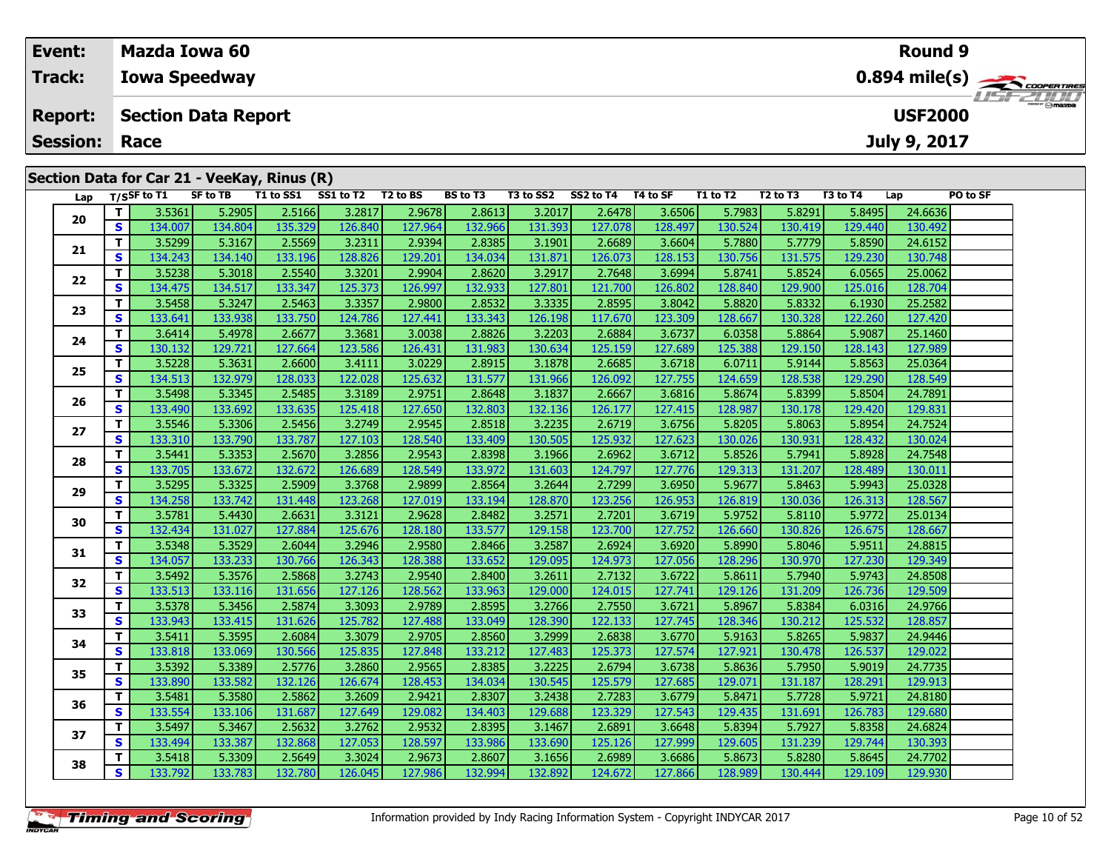| Event:         | Mazda Iowa 60                               |                 |           |                              |          |                                    |           |                                            |          |                 |          |                                           |                | Round 9         |                         |
|----------------|---------------------------------------------|-----------------|-----------|------------------------------|----------|------------------------------------|-----------|--------------------------------------------|----------|-----------------|----------|-------------------------------------------|----------------|-----------------|-------------------------|
| <b>Track:</b>  | <b>Iowa Speedway</b>                        |                 |           |                              |          |                                    |           |                                            |          |                 |          |                                           |                |                 |                         |
| <b>Report:</b> | <b>Section Data Report</b>                  |                 |           |                              |          |                                    |           |                                            |          |                 |          |                                           | <b>USF2000</b> |                 | <i><b>LISF 2000</b></i> |
|                | <b>Session: Race</b>                        |                 |           |                              |          |                                    |           |                                            |          |                 |          |                                           | July 9, 2017   |                 |                         |
|                |                                             |                 |           |                              |          |                                    |           |                                            |          |                 |          |                                           |                |                 |                         |
|                | Section Data for Car 21 - VeeKay, Rinus (R) |                 |           |                              |          |                                    |           |                                            |          |                 |          |                                           |                |                 |                         |
| Lap            | T/SSF to T1                                 | <b>SF to TB</b> | T1 to SS1 | SS1 to T2                    | T2 to BS | <b>BS</b> to T3                    | T3 to SS2 | SS2 to T4                                  | T4 to SF | <b>T1 to T2</b> | T2 to T3 | T3 to T4                                  | Lap            | <b>PO to SF</b> |                         |
|                | <u>— н</u><br>20000                         |                 |           | caesar artest agostal aperal |          | $\sim$ $\sim$ $\sim$ $\sim$ $\sim$ |           | $\sim$ 2017 $\sim$ 6470 $\sim$ 6500 $\sim$ |          | r zoool.        | $F$ 0201 | $\sim$ $\sim$ $\sim$ $\sim$ $\sim$ $\sim$ | 24002          |                 |                         |

| Lap |                         | 1/55F to 11       | SF LOID           | 1 1 10 3 5 1      | <b>331 to 12</b>  | 1 Z LO DS         | כו טו כם          | 15 to 552         | <b>334 to 14</b>  | 14 LO 31          | 1 J. LU 1 Z.      | 12 LO 13          | 15 LO 14          | ∟ap                | ru lu ər |
|-----|-------------------------|-------------------|-------------------|-------------------|-------------------|-------------------|-------------------|-------------------|-------------------|-------------------|-------------------|-------------------|-------------------|--------------------|----------|
|     | T.                      | 3.5361            | 5.2905            | 2.5166            | 3.2817            | 2.9678            | 2.8613            | 3.2017            | 2.6478            | 3.6506            | 5.7983            | 5.8291            | 5.8495            | 24.6636            |          |
| 20  | S                       | 134.007           | 134.804           | 135.329           | 126.840           | 127.964           | 132.966           | 131.393           | 127.078           | 128.497           | 130.524           | 130.419           | 129.440           | 130.492            |          |
|     | T.                      | 3.5299            | 5.3167            | 2.5569            | 3.2311            | 2.9394            | 2.8385            | 3.1901            | 2.6689            | 3.6604            | 5.7880            | 5.7779            | 5.8590            | 24.6152            |          |
| 21  | S                       | 134.243           | 134.140           | 133.196           | 128.826           | 129.201           | 134.034           | 131.871           | 126.073           | 128.153           | 130.756           | 131.575           | 129.230           | 130.748            |          |
| 22  | T.                      | 3.5238            | 5.3018            | 2.5540            | 3.3201            | 2.9904            | 2.8620            | 3.2917            | 2.7648            | 3.6994            | 5.8741            | 5.8524            | 6.0565            | 25.0062            |          |
|     | S                       | 134.475           | 134.517           | 133.347           | 125.373           | 126.997           | 132.933           | 127.801           | 121.700           | 126.802           | 128.840           | 129.900           | 125.016           | 128.704            |          |
| 23  | T.                      | 3.5458            | 5.3247            | 2.5463            | 3.3357            | 2.9800            | 2.8532            | 3.3335            | 2.8595            | 3.8042            | 5.8820            | 5.8332            | 6.1930            | 25.2582            |          |
|     | $\mathbf{s}$            | 133.641           | 133.938           | 133.750           | 124.786           | 127.441           | 133.343           | 126.198           | 117.670           | 123.309           | 128.667           | 130.328           | 122.260           | 127.420            |          |
| 24  | T.                      | 3.6414            | 5.4978            | 2.6677            | 3.3681            | 3.0038            | 2.8826            | 3.2203            | 2.6884            | 3.6737            | 6.0358            | 5.8864            | 5.9087            | 25.1460            |          |
|     | $\mathbf{s}$            | 130.132           | 129.721           | 127.664           | 123.586           | 126.431           | 131.983           | 130.634           | 125.159           | 127.689           | 125.388           | 129.150           | 128.143           | 127.989            |          |
| 25  | T                       | 3.5228            | 5.3631            | 2.6600            | 3.4111            | 3.0229            | 2.8915            | 3.1878            | 2.6685            | 3.6718            | 6.0711            | 5.9144            | 5.8563            | 25.0364            |          |
|     | $\overline{\mathbf{s}}$ | 134.513           | 132.979           | 128.033           | 122.028           | 125.632           | 131.577           | 131.966           | 126.092           | 127.755           | 124.659           | 128.538           | 129.290           | 128.549            |          |
| 26  | T.                      | 3.5498            | 5.3345            | 2.5485            | 3.3189            | 2.9751            | 2.8648            | 3.1837            | 2.6667            | 3.6816            | 5.8674            | 5.8399            | 5.8504            | 24.7891            |          |
|     | <b>S</b>                | 133.490           | 133.692           | 133.635           | 125.418           | 127.650           | 132.803           | 132.136           | 126.177           | 127.415           | 128.987           | 130.178           | 129.420           | 129.831            |          |
| 27  | T.                      | 3.5546            | 5.3306            | 2.5456            | 3.2749            | 2.9545            | 2.8518            | 3.2235            | 2.6719            | 3.6756            | 5.8205            | 5.8063            | 5.8954            | 24.7524            |          |
|     | S                       | 133.310           | 133.790           | 133.787           | 127.103           | 128.540           | 133.409           | 130.505           | 125.932           | 127.623           | 130.026           | 130.931           | 128.432           | 130.024            |          |
| 28  | T                       | 3.5441            | 5.3353            | 2.5670            | 3.2856            | 2.9543            | 2.8398            | 3.1966            | 2.6962            | 3.6712            | 5.8526            | 5.7941            | 5.8928            | 24.7548            |          |
|     | $\mathbf{s}$            | 133.705           | 133.672           | 132.672           | 126.689           | 128.549           | 133.972           | 131.603           | 124.797           | 127.776           | 129.313           | 131.207           | 128.489           | 130.011            |          |
| 29  | $\mathbf{T}$            | 3.5295            | 5.3325            | 2.5909            | 3.3768            | 2.9899            | 2.8564            | 3.2644            | 2.7299            | 3.6950            | 5.9677            | 5.8463            | 5.9943            | 25.0328            |          |
|     | S                       | 134.258           | 133.742           | 131.448           | 123.268           | 127.019           | 133.194           | 128.870           | 123.256           | 126.953           | 126.819           | 130.036           | 126.313           | 128.567            |          |
| 30  | T                       | 3.5781            | 5.4430            | 2.6631            | 3.3121            | 2.9628            | 2.8482            | 3.2571            | 2.7201            | 3.6719            | 5.9752            | 5.8110            | 5.9772            | 25.0134            |          |
|     | $\mathbf{s}$            | 132.434           | 131.027           | 127.884           | 125.676           | 128.180           | 133.577           | 129.158           | 123.700           | 127.752           | 126.660           | 130.826           | 126.675           | 128.667            |          |
| 31  | T                       | 3.5348            | 5.3529            | 2.6044            | 3.2946            | 2.9580            | 2.8466            | 3.2587            | 2.6924            | 3.6920            | 5.8990            | 5.8046            | 5.9511            | 24.8815            |          |
|     | S                       | 134.057           | 133.233           | 130.766           | 126.343           | 128.388           | 133.652           | 129.095           | 124.973           | 127.056           | 128.296           | 130.970           | 127.230           | 129.349            |          |
| 32  | T.<br>$\mathbf{s}$      | 3.5492<br>133.513 | 5.3576<br>133.116 | 2.5868<br>131.656 | 3.2743<br>127.126 | 2.9540<br>128.562 | 2.8400<br>133.963 | 3.2611<br>129.000 | 2.7132<br>124.015 | 3.6722<br>127.741 | 5.8611<br>129.126 | 5.7940<br>131.209 | 5.9743<br>126.736 | 24.8508<br>129.509 |          |
|     | T.                      | 3.5378            | 5.3456            | 2.5874            | 3.3093            | 2.9789            | 2.8595            | 3.2766            | 2.7550            | 3.6721            | 5.8967            | 5.8384            | 6.0316            | 24.9766            |          |
| 33  | S                       | 133.943           | 133.415           | 131.626           | 125.782           | 127.488           | 133.049           | 128.390           | 122.133           | 127.745           | 128.346           | 130.212           | 125.532           | 128.857            |          |
|     | T.                      | 3.5411            | 5.3595            | 2.6084            | 3.3079            | 2.9705            | 2.8560            | 3.2999            | 2.6838            | 3.6770            | 5.9163            | 5.8265            | 5.9837            | 24.9446            |          |
| 34  | $\mathbf{s}$            | 133.818           | 133.069           | 130.566           | 125.835           | 127.848           | 133.212           | 127.483           | 125.373           | 127.574           | 127.921           | 130.478           | 126.537           | 129.022            |          |
|     | T.                      | 3.5392            | 5.3389            | 2.5776            | 3.2860            | 2.9565            | 2.8385            | 3.2225            | 2.6794            | 3.6738            | 5.8636            | 5.7950            | 5.9019            | 24.7735            |          |
| 35  | $\mathbf{s}$            | 133.890           | 133.582           | 132.126           | 126.674           | 128.453           | 134.034           | 130.545           | 125.579           | 127.685           | 129.071           | 131.187           | 128.291           | 129.913            |          |
|     | T.                      | 3.5481            | 5.3580            | 2.5862            | 3.2609            | 2.9421            | 2.8307            | 3.2438            | 2.7283            | 3.6779            | 5.8471            | 5.7728            | 5.9721            | 24.8180            |          |
| 36  | S                       | 133.554           | 133.106           | 131.687           | 127.649           | 129.082           | 134.403           | 129.688           | 123.329           | 127.543           | 129.435           | 131.691           | 126.783           | 129.680            |          |
|     | $\mathbf{T}$            | 3.5497            | 5.3467            | 2.5632            | 3.2762            | 2.9532            | 2.8395            | 3.1467            | 2.6891            | 3.6648            | 5.8394            | 5.7927            | 5.8358            | 24.6824            |          |
| 37  | <b>S</b>                | 133.494           | 133.387           | 132.868           | 127.053           | 128.597           | 133.986           | 133.690           | 125.126           | 127.999           | 129.605           | 131.239           | 129.744           | 130.393            |          |
|     | T                       | 3.5418            | 5.3309            | 2.5649            | 3.3024            | 2.9673            | 2.8607            | 3.1656            | 2.6989            | 3.6686            | 5.8673            | 5.8280            | 5.8645            | 24.7702            |          |
| 38  | <b>S</b>                | 133.792           | 133.783           | 132.780           | 126.045           | 127.986           | 132.994           | 132.892           | 124.672           | 127.866           | 128.989           | 130.444           | 129.109           | 129.930            |          |
|     |                         |                   |                   |                   |                   |                   |                   |                   |                   |                   |                   |                   |                   |                    |          |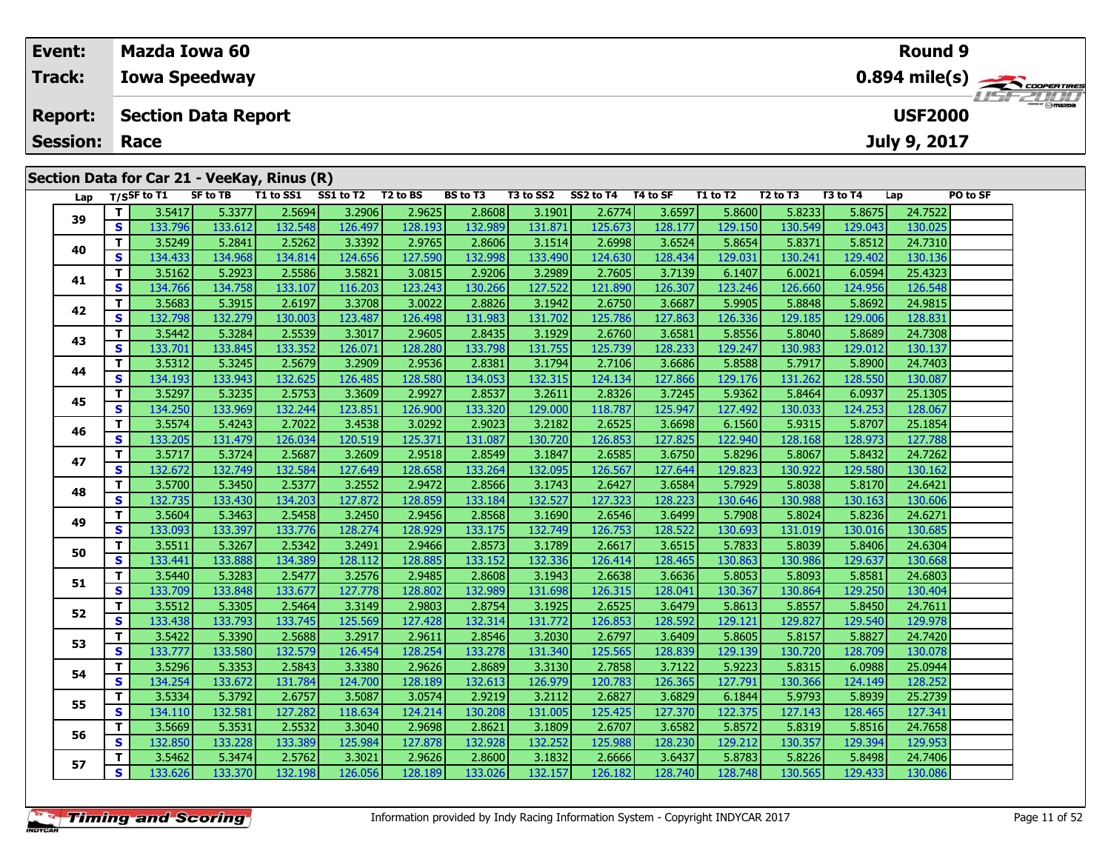| Event:               | Mazda Iowa 60                               |          |                |                    |                                           |                 |                                    |           |          |          |                      |          |                | Round 9                                                 |                  |
|----------------------|---------------------------------------------|----------|----------------|--------------------|-------------------------------------------|-----------------|------------------------------------|-----------|----------|----------|----------------------|----------|----------------|---------------------------------------------------------|------------------|
| Track:               | <b>Iowa Speedway</b>                        |          |                |                    |                                           |                 |                                    |           |          |          |                      |          |                | $0.894$ mile(s) $\overbrace{\hspace{2cm}}$ code ratings |                  |
| <b>Report:</b>       | <b>Section Data Report</b>                  |          |                |                    |                                           |                 |                                    |           |          |          |                      |          | <b>USF2000</b> |                                                         | <b>LIST 2000</b> |
| <b>Session: Race</b> |                                             |          |                |                    |                                           |                 |                                    |           |          |          |                      |          | July 9, 2017   |                                                         |                  |
|                      |                                             |          |                |                    |                                           |                 |                                    |           |          |          |                      |          |                |                                                         |                  |
|                      | Section Data for Car 21 - VeeKay, Rinus (R) |          |                |                    |                                           |                 |                                    |           |          |          |                      |          |                |                                                         |                  |
| Lap                  | T/SSF to T1                                 | SF to TB | T1 to SS1      | SS1 to T2          | T <sub>2</sub> to BS                      | <b>BS to T3</b> | T3 to SS2                          | SS2 to T4 | T4 to SF | T1 to T2 | T2 to T3             | T3 to T4 | Lap            | PO to SF                                                |                  |
|                      | <u>— н</u><br>20.011                        |          | $50271 - 2504$ | $\sim$ 2000 $\sim$ | $\sim$ $\sim$ $\sim$ $\sim$ $\sim$ $\sim$ |                 | $0.0000$ $0.1001$ $0.774$ $0.0000$ |           |          | r ocool  | $\sim$ regard $\sim$ | r oczni  | 24.7521        |                                                         |                  |

| Lap |              | 1/25 LO 11 | SF LO IB | 1 T TO 22 T | 331012  | 1 Z LO D. | נו טו כם | 15 to 552 | <b>334 to 14</b> | 14 W 31 | 1 1 1 1 1 <i>1 4</i> | 12 W 13 | 15 LO 14 | ∟ap<br>PU LU SF |
|-----|--------------|------------|----------|-------------|---------|-----------|----------|-----------|------------------|---------|----------------------|---------|----------|-----------------|
|     | T.           | 3.5417     | 5.3377   | 2.5694      | 3.2906  | 2.9625    | 2.8608   | 3.1901    | 2.6774           | 3.6597  | 5.8600               | 5.8233  | 5.8675   | 24.7522         |
| 39  | S            | 133.796    | 133.612  | 132.548     | 126.497 | 128.193   | 132.989  | 131.871   | 125.673          | 128.177 | 129.150              | 130.549 | 129.043  | 130.025         |
|     | T.           | 3.5249     | 5.2841   | 2.5262      | 3.3392  | 2.9765    | 2.8606   | 3.1514    | 2.6998           | 3.6524  | 5.8654               | 5.8371  | 5.8512   | 24.7310         |
| 40  | S            | 134.433    | 134.968  | 134.814     | 124.656 | 127.590   | 132.998  | 133.490   | 124.630          | 128.434 | 129.031              | 130.241 | 129.402  | 130.136         |
|     | T.           | 3.5162     | 5.2923   | 2.5586      | 3.5821  | 3.0815    | 2.9206   | 3.2989    | 2.7605           | 3.7139  | 6.1407               | 6.0021  | 6.0594   | 25.4323         |
| 41  | S            | 134.766    | 134.758  | 133.107     | 116.203 | 123.243   | 130.266  | 127.522   | 121.890          | 126.307 | 123.246              | 126.660 | 124.956  | 126.548         |
| 42  | T.           | 3.5683     | 5.3915   | 2.6197      | 3.3708  | 3.0022    | 2.8826   | 3.1942    | 2.6750           | 3.6687  | 5.9905               | 5.8848  | 5.8692   | 24.9815         |
|     | S            | 132.798    | 132.279  | 130.003     | 123.487 | 126.498   | 131.983  | 131.702   | 125.786          | 127.863 | 126.336              | 129.185 | 129.006  | 128.831         |
| 43  | T.           | 3.5442     | 5.3284   | 2.5539      | 3.3017  | 2.9605    | 2.8435   | 3.1929    | 2.6760           | 3.6581  | 5.8556               | 5.8040  | 5.8689   | 24.7308         |
|     | S            | 133.701    | 133.845  | 133.352     | 126.071 | 128.280   | 133.798  | 131.755   | 125.739          | 128.233 | 129.247              | 130.983 | 129.012  | 130.137         |
| 44  | T.           | 3.5312     | 5.3245   | 2.5679      | 3.2909  | 2.9536    | 2.8381   | 3.1794    | 2.7106           | 3.6686  | 5.8588               | 5.7917  | 5.8900   | 24.7403         |
|     | S            | 134.193    | 133.943  | 132.625     | 126.485 | 128.580   | 134.053  | 132.315   | 124.134          | 127.866 | 129.176              | 131.262 | 128.550  | 130.087         |
| 45  | T.           | 3.5297     | 5.3235   | 2.5753      | 3.3609  | 2.9927    | 2.8537   | 3.2611    | 2.8326           | 3.7245  | 5.9362               | 5.8464  | 6.0937   | 25.1305         |
|     | S            | 134.250    | 133.969  | 132.244     | 123.851 | 126.900   | 133.320  | 129.000   | 118.787          | 125.947 | 127.492              | 130.033 | 124.253  | 128.067         |
| 46  | т            | 3.5574     | 5.4243   | 2.7022      | 3.4538  | 3.0292    | 2.9023   | 3.2182    | 2.6525           | 3.6698  | 6.1560               | 5.9315  | 5.8707   | 25.1854         |
|     | S            | 133.205    | 131.479  | 126.034     | 120.519 | 125.371   | 131.087  | 130.720   | 126.853          | 127.825 | 122.940              | 128.168 | 128.973  | 127.788         |
| 47  | T.           | 3.5717     | 5.3724   | 2.5687      | 3.2609  | 2.9518    | 2.8549   | 3.1847    | 2.6585           | 3.6750  | 5.8296               | 5.8067  | 5.8432   | 24.7262         |
|     | S            | 132.672    | 132.749  | 132.584     | 127.649 | 128.658   | 133.264  | 132.095   | 126.567          | 127.644 | 129.823              | 130.922 | 129.580  | 130.162         |
| 48  | T.           | 3.5700     | 5.3450   | 2.5377      | 3.2552  | 2.9472    | 2.8566   | 3.1743    | 2.6427           | 3.6584  | 5.7929               | 5.8038  | 5.8170   | 24.6421         |
|     | S            | 132.735    | 133.430  | 134.203     | 127.872 | 128.859   | 133.184  | 132.527   | 127.323          | 128.223 | 130.646              | 130.988 | 130.163  | 130.606         |
| 49  | T.           | 3.5604     | 5.3463   | 2.5458      | 3.2450  | 2.9456    | 2.8568   | 3.1690    | 2.6546           | 3.6499  | 5.7908               | 5.8024  | 5.8236   | 24.6271         |
|     | S            | 133.093    | 133.397  | 133.776     | 128.274 | 128.929   | 133.175  | 132.749   | 126.753          | 128.522 | 130.693              | 131.019 | 130.016  | 130.685         |
| 50  | T.           | 3.5511     | 5.3267   | 2.5342      | 3.2491  | 2.9466    | 2.8573   | 3.1789    | 2.6617           | 3.6515  | 5.7833               | 5.8039  | 5.8406   | 24.6304         |
|     | S            | 133.441    | 133.888  | 134.389     | 128.112 | 128.885   | 133.152  | 132.336   | 126.414          | 128.465 | 130.863              | 130.986 | 129.637  | 130.668         |
| 51  | T.           | 3.5440     | 5.3283   | 2.5477      | 3.2576  | 2.9485    | 2.8608   | 3.1943    | 2.6638           | 3.6636  | 5.8053               | 5.8093  | 5.8581   | 24.6803         |
|     | S            | 133.709    | 133.848  | 133.677     | 127.778 | 128.802   | 132.989  | 131.698   | 126.315          | 128.041 | 130.367              | 130.864 | 129.250  | 130.404         |
| 52  | T.           | 3.5512     | 5.3305   | 2.5464      | 3.3149  | 2.9803    | 2.8754   | 3.1925    | 2.6525           | 3.6479  | 5.8613               | 5.8557  | 5.8450   | 24.7611         |
|     | S            | 133.438    | 133.793  | 133.745     | 125.569 | 127.428   | 132.314  | 131.772   | 126.853          | 128.592 | 129.121              | 129.827 | 129.540  | 129.978         |
| 53  | T.           | 3.5422     | 5.3390   | 2.5688      | 3.2917  | 2.9611    | 2.8546   | 3.2030    | 2.6797           | 3.6409  | 5.8605               | 5.8157  | 5.8827   | 24.7420         |
|     | $\mathbf{s}$ | 133.777    | 133.580  | 132.579     | 126.454 | 128.254   | 133.278  | 131.340   | 125.565          | 128.839 | 129.139              | 130.720 | 128.709  | 130.078         |
| 54  | т            | 3.5296     | 5.3353   | 2.5843      | 3.3380  | 2.9626    | 2.8689   | 3.3130    | 2.7858           | 3.7122  | 5.9223               | 5.8315  | 6.0988   | 25.0944         |
|     | S            | 134.254    | 133.672  | 131.784     | 124.700 | 128.189   | 132.613  | 126.979   | 120.783          | 126.365 | 127.791              | 130.366 | 124.149  | 128.252         |
| 55  | T.           | 3.5334     | 5.3792   | 2.6757      | 3.5087  | 3.0574    | 2.9219   | 3.2112    | 2.6827           | 3.6829  | 6.1844               | 5.9793  | 5.8939   | 25.2739         |
|     | S            | 134.110    | 132.581  | 127.282     | 118.634 | 124.214   | 130.208  | 131.005   | 125.425          | 127.370 | 122.375              | 127.143 | 128.465  | 127.341         |
| 56  | T.           | 3.5669     | 5.3531   | 2.5532      | 3.3040  | 2.9698    | 2.8621   | 3.1809    | 2.6707           | 3.6582  | 5.8572               | 5.8319  | 5.8516   | 24.7658         |
|     | S            | 132.850    | 133.228  | 133.389     | 125.984 | 127.878   | 132.928  | 132.252   | 125.988          | 128.230 | 129.212              | 130.357 | 129.394  | 129.953         |
| 57  | T.           | 3.5462     | 5.3474   | 2.5762      | 3.3021  | 2.9626    | 2.8600   | 3.1832    | 2.6666           | 3.6437  | 5.8783               | 5.8226  | 5.8498   | 24.7406         |
|     | S.           | 133.626    | 133.370  | 132.198     | 126.056 | 128.189   | 133.026  | 132.157   | 126.182          | 128.740 | 128.748              | 130.565 | 129.433  | 130.086         |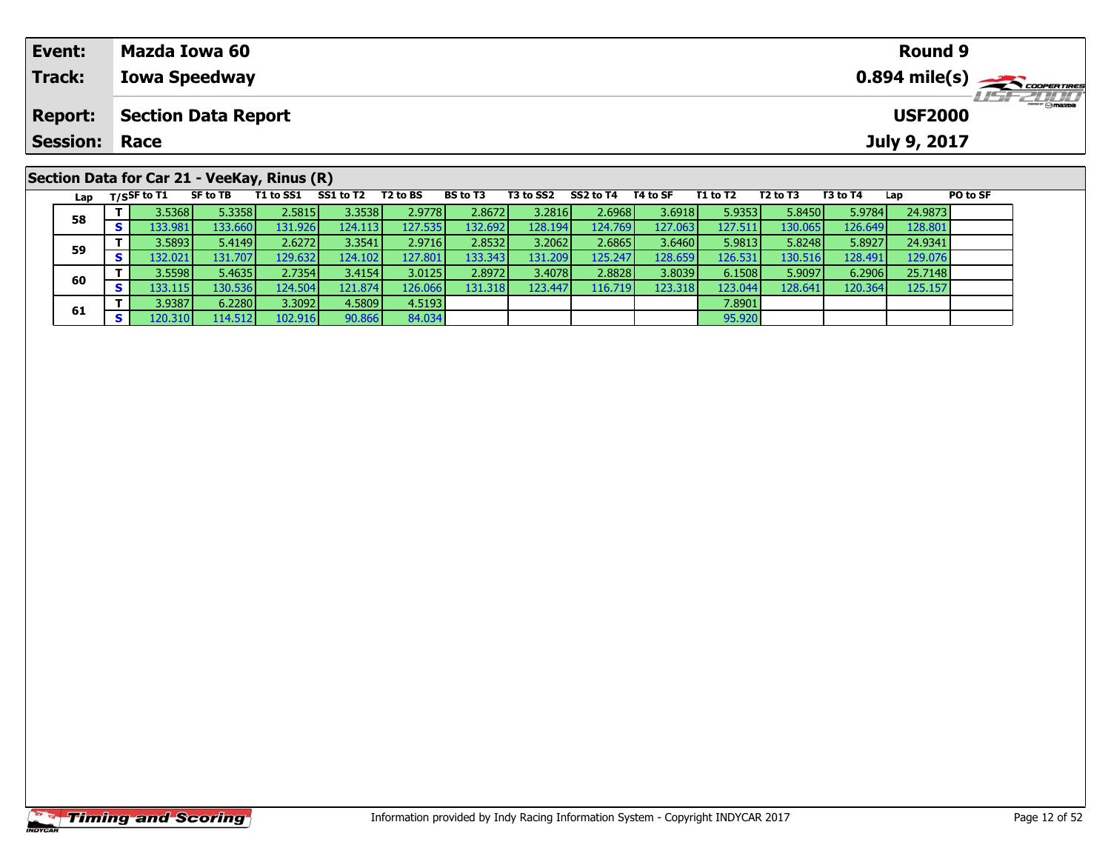| Event:               | Mazda Iowa 60                               | <b>Round 9</b> |
|----------------------|---------------------------------------------|----------------|
| <b>Track:</b>        | <b>Iowa Speedway</b>                        | 0.894 mile(s)  |
| <b>Report:</b>       | Section Data Report                         | <b>USF2000</b> |
| <b>Session: Race</b> |                                             | July 9, 2017   |
|                      |                                             |                |
|                      | Section Data for Car 21 - VeeKay, Rinus (R) |                |

| Lap |     | T/SSF to T1 | SF to TB  | T1 to SS1        | SS1 to T2        | T2 to BS  | BS to T3 | T3 to SS2 | SS2 to T4 | T4 to SF | T1 to T2 | T2 to T3 | T3 to T4 | Lap     | <b>PO to SF</b> |
|-----|-----|-------------|-----------|------------------|------------------|-----------|----------|-----------|-----------|----------|----------|----------|----------|---------|-----------------|
| 58  |     | 3.5368      | 5.3358    | 2.5815           | 3.3538           | 2.9778    | 2.8672   | 3.2816    | 2.6968    | 3.6918   | 5.9353   | 5.8450   | 5.9784   | 24.9873 |                 |
|     | S.  | 133.981     | 133.6601  | 131.926          | 124.113          | 127.535   | 132.692  | 128.194   | 124.769   | 127.063  | 127.511  | 130.065  | 126.6491 | 128.801 |                 |
| 59  |     | 3.5893      | 5.4149    | 2.6272           | 3.3541           | 2.9716    | 2.8532   | 3.2062    | 2.6865    | 3.6460   | 5.9813   | 5.8248   | 5.8927   | 24.9341 |                 |
|     | S.  | 132.021     | 131.7071  | L29.632 <b>I</b> | 124.102          | 127.801 l | 133.343  | 131.209   | 125.247   | 128.659  | 126.531  | 130.5161 | 128.491  | 129.076 |                 |
| 60  |     | 3.5598l     | 5.4635    | 2.7354           | 3.4154           | 3.0125    | 2.8972   | 3.4078    | 2.8828    | 3.8039   | 6.1508   | 5.9097   | 6.2906   | 25.7148 |                 |
|     | S.  | 133.115 I   | 130.536 l | 124.504          | 121.874 <b>1</b> | 126.066   | 131.318  | 123.447   | 116.719   | 123.318  | 123.044  | 128.641  | 120.364  | 125.157 |                 |
| 61  |     | 3.9387      | 6.2280    | 3.3092           | 4.5809           | 4.5193    |          |           |           |          | 7.8901   |          |          |         |                 |
|     | S I | 120.310     | 114.512   | 102.916          | 90.866           | 84.034    |          |           |           |          | 95.920   |          |          |         |                 |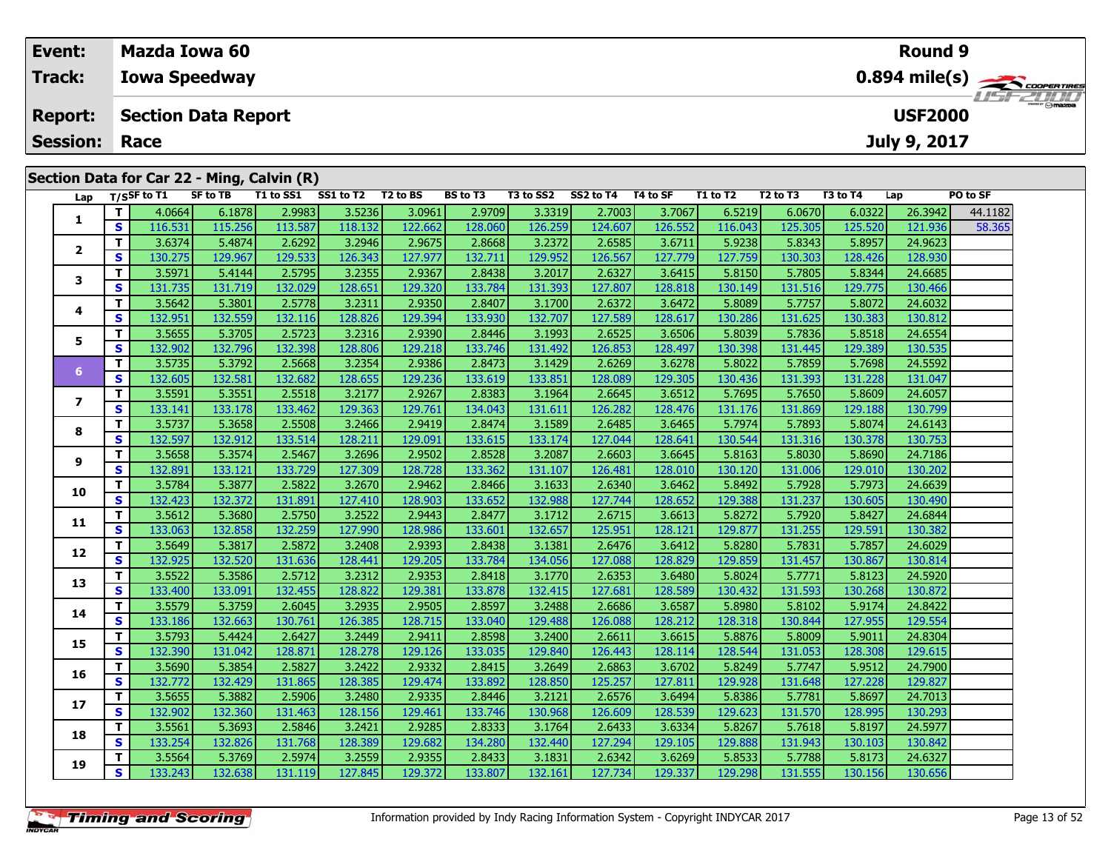| Event:          |                  | <b>Mazda Iowa 60</b>                       |           |                    |         |                 |           |           |          |          |                  |          | <b>Round 9</b> |                                            |          |
|-----------------|------------------|--------------------------------------------|-----------|--------------------|---------|-----------------|-----------|-----------|----------|----------|------------------|----------|----------------|--------------------------------------------|----------|
| Track:          |                  | <b>Iowa Speedway</b>                       |           |                    |         |                 |           |           |          |          |                  |          |                | $0.894$ mile(s) $\sum_{\text{cooretimes}}$ |          |
| <b>Report:</b>  |                  | <b>Section Data Report</b>                 |           |                    |         |                 |           |           |          |          |                  |          | <b>USF2000</b> |                                            | $H = -H$ |
| <b>Session:</b> | Race             |                                            |           |                    |         |                 |           |           |          |          |                  |          | July 9, 2017   |                                            |          |
|                 |                  | Section Data for Car 22 - Ming, Calvin (R) |           |                    |         |                 |           |           |          |          |                  |          |                |                                            |          |
| Lap             | T/SSF to T1      | SF to TB                                   | T1 to SS1 | SS1 to T2 T2 to BS |         | <b>BS</b> to T3 | T3 to SS2 | SS2 to T4 | T4 to SF | T1 to T2 | T2 to T3         | T3 to T4 | Lap            | <b>PO to SF</b>                            |          |
|                 | 4.0664           | 6.1878                                     | 2.9983    | 3.5236             | 3.0961  | 2.9709          | 3.3319    | 2.7003    | 3.7067   | 6.5219   | 6.0670           | 6.0322   | 26.3942        | 44.1182                                    |          |
|                 | 116.531 <b>I</b> | 115.256                                    | 113.587   | 118.132            | 122.662 | 128.060         | 126.259   | 124.607   | 126.552  | 116.043  | 125.305 <b>1</b> | 125.520  | 121.936        | 58.365                                     |          |

| 1            | Τ.           | 4.0664  | 6.1878  | 2.9983  | 3.5236  | 3.0961  | 2.9709  | 3.3319  | 2.7003  | 3.7067  | 6.5219  | 6.0670  | 6.0322  | 26.3942 | 44.1182 |
|--------------|--------------|---------|---------|---------|---------|---------|---------|---------|---------|---------|---------|---------|---------|---------|---------|
|              | S            | 116.531 | 115.256 | 113.587 | 118.132 | 122.662 | 128.060 | 126.259 | 124.607 | 126.552 | 116.043 | 125.305 | 125.520 | 121.936 | 58.365  |
|              | T.           | 3.6374  | 5.4874  | 2.6292  | 3.2946  | 2.9675  | 2.8668  | 3.2372  | 2.6585  | 3.6711  | 5.9238  | 5.8343  | 5.8957  | 24.9623 |         |
| $\mathbf{2}$ | S            | 130.275 | 129.967 | 129.533 | 126.343 | 127.977 | 132.711 | 129.952 | 126.567 | 127.779 | 127.759 | 130.303 | 128.426 | 128.930 |         |
|              | T.           | 3.5971  | 5.4144  | 2.5795  | 3.2355  | 2.9367  | 2.8438  | 3.2017  | 2.6327  | 3.6415  | 5.8150  | 5.7805  | 5.8344  | 24.6685 |         |
| з            | S            | 131.735 | 131.719 | 132.029 | 128.651 | 129.320 | 133.784 | 131.393 | 127.807 | 128.818 | 130.149 | 131.516 | 129.775 | 130.466 |         |
|              | т            | 3.5642  | 5.3801  | 2.5778  | 3.2311  | 2.9350  | 2.8407  | 3.1700  | 2.6372  | 3.6472  | 5.8089  | 5.7757  | 5.8072  | 24.6032 |         |
| 4            | S            | 132.951 | 132.559 | 132.116 | 128.826 | 129.394 | 133.930 | 132.707 | 127.589 | 128.617 | 130.286 | 131.625 | 130.383 | 130.812 |         |
| 5            | т            | 3.5655  | 5.3705  | 2.5723  | 3.2316  | 2.9390  | 2.8446  | 3.1993  | 2.6525  | 3.6506  | 5.8039  | 5.7836  | 5.8518  | 24.6554 |         |
|              | S            | 132.902 | 132.796 | 132.398 | 128.806 | 129.218 | 133.746 | 131.492 | 126.853 | 128.497 | 130.398 | 131.445 | 129.389 | 130.535 |         |
|              | T.           | 3.5735  | 5.3792  | 2.5668  | 3.2354  | 2.9386  | 2.8473  | 3.1429  | 2.6269  | 3.6278  | 5.8022  | 5.7859  | 5.7698  | 24.5592 |         |
| 6            | $\mathbf{s}$ | 132.605 | 132.581 | 132.682 | 128.655 | 129.236 | 133.619 | 133.851 | 128.089 | 129.305 | 130.436 | 131.393 | 131.228 | 131.047 |         |
|              | T.           | 3.5591  | 5.3551  | 2.5518  | 3.2177  | 2.9267  | 2.8383  | 3.1964  | 2.6645  | 3.6512  | 5.7695  | 5.7650  | 5.8609  | 24.6057 |         |
| 7            | $\mathbf s$  | 133.141 | 133.178 | 133.462 | 129.363 | 129.761 | 134.043 | 131.611 | 126.282 | 128.476 | 131.176 | 131.869 | 129.188 | 130.799 |         |
|              | T.           | 3.5737  | 5.3658  | 2.5508  | 3.2466  | 2.9419  | 2.8474  | 3.1589  | 2.6485  | 3.6465  | 5.7974  | 5.7893  | 5.8074  | 24.6143 |         |
| 8            | S            | 132.597 | 132.912 | 133.514 | 128.211 | 129.091 | 133.615 | 133.174 | 127.044 | 128.641 | 130.544 | 131.316 | 130.378 | 130.753 |         |
| 9            | T.           | 3.5658  | 5.3574  | 2.5467  | 3.2696  | 2.9502  | 2.8528  | 3.2087  | 2.6603  | 3.6645  | 5.8163  | 5.8030  | 5.8690  | 24.7186 |         |
|              | S            | 132.891 | 133.121 | 133.729 | 127.309 | 128.728 | 133.362 | 131.107 | 126.481 | 128.010 | 130.120 | 131.006 | 129.010 | 130.202 |         |
| 10           | т            | 3.5784  | 5.3877  | 2.5822  | 3.2670  | 2.9462  | 2.8466  | 3.1633  | 2.6340  | 3.6462  | 5.8492  | 5.7928  | 5.7973  | 24.6639 |         |
|              | S            | 132.423 | 132.372 | 131.891 | 127.410 | 128.903 | 133.652 | 132.988 | 127.744 | 128.652 | 129.388 | 131.237 | 130.605 | 130.490 |         |
| 11           | т            | 3.5612  | 5.3680  | 2.5750  | 3.2522  | 2.9443  | 2.8477  | 3.1712  | 2.6715  | 3.6613  | 5.8272  | 5.7920  | 5.8427  | 24.6844 |         |
|              | S            | 133.063 | 132.858 | 132.259 | 127.990 | 128.986 | 133.601 | 132.657 | 125.951 | 128.121 | 129.877 | 131.255 | 129.591 | 130.382 |         |
| 12           | т            | 3.5649  | 5.3817  | 2.5872  | 3.2408  | 2.9393  | 2.8438  | 3.1381  | 2.6476  | 3.6412  | 5.8280  | 5.7831  | 5.7857  | 24.6029 |         |
|              | S            | 132.925 | 132.520 | 131.636 | 128.441 | 129.205 | 133.784 | 134.056 | 127.088 | 128.829 | 129.859 | 131.457 | 130.867 | 130.814 |         |
| 13           | т            | 3.5522  | 5.3586  | 2.5712  | 3.2312  | 2.9353  | 2.8418  | 3.1770  | 2.6353  | 3.6480  | 5.8024  | 5.7771  | 5.8123  | 24.5920 |         |
|              | S            | 133.400 | 133.091 | 132.455 | 128.822 | 129.381 | 133.878 | 132.415 | 127.681 | 128.589 | 130.432 | 131.593 | 130.268 | 130.872 |         |
| 14           | т            | 3.5579  | 5.3759  | 2.6045  | 3.2935  | 2.9505  | 2.8597  | 3.2488  | 2.6686  | 3.6587  | 5.8980  | 5.8102  | 5.9174  | 24.8422 |         |
|              | S            | 133.186 | 132.663 | 130.761 | 126.385 | 128.715 | 133.040 | 129.488 | 126.088 | 128.212 | 128.318 | 130.844 | 127.955 | 129.554 |         |
| 15           | T.           | 3.5793  | 5.4424  | 2.6427  | 3.2449  | 2.9411  | 2.8598  | 3.2400  | 2.6611  | 3.6615  | 5.8876  | 5.8009  | 5.9011  | 24.8304 |         |
|              | S            | 132.390 | 131.042 | 128.871 | 128.278 | 129.126 | 133.035 | 129.840 | 126.443 | 128.114 | 128.544 | 131.053 | 128.308 | 129.615 |         |
| 16           | т            | 3.5690  | 5.3854  | 2.5827  | 3.2422  | 2.9332  | 2.8415  | 3.2649  | 2.6863  | 3.6702  | 5.8249  | 5.7747  | 5.9512  | 24.7900 |         |
|              | S            | 132.772 | 132.429 | 131.865 | 128.385 | 129.474 | 133.892 | 128.850 | 125.257 | 127.811 | 129.928 | 131.648 | 127.228 | 129.827 |         |
| 17           | T.           | 3.5655  | 5.3882  | 2.5906  | 3.2480  | 2.9335  | 2.8446  | 3.2121  | 2.6576  | 3.6494  | 5.8386  | 5.7781  | 5.8697  | 24.7013 |         |
|              | S            | 132.902 | 132.360 | 131.463 | 128.156 | 129.461 | 133.746 | 130.968 | 126.609 | 128.539 | 129.623 | 131.570 | 128.995 | 130.293 |         |
| 18           | T.           | 3.5561  | 5.3693  | 2.5846  | 3.2421  | 2.9285  | 2.8333  | 3.1764  | 2.6433  | 3.6334  | 5.8267  | 5.7618  | 5.8197  | 24.5977 |         |
|              | S            | 133.254 | 132.826 | 131.768 | 128.389 | 129.682 | 134.280 | 132.440 | 127.294 | 129.105 | 129.888 | 131.943 | 130.103 | 130.842 |         |
| 19           | T.           | 3.5564  | 5.3769  | 2.5974  | 3.2559  | 2.9355  | 2.8433  | 3.1831  | 2.6342  | 3.6269  | 5.8533  | 5.7788  | 5.8173  | 24.6327 |         |
|              | S            | 133.243 | 132.638 | 131.119 | 127.845 | 129.372 | 133.807 | 132.161 | 127.734 | 129.337 | 129.298 | 131.555 | 130.156 | 130.656 |         |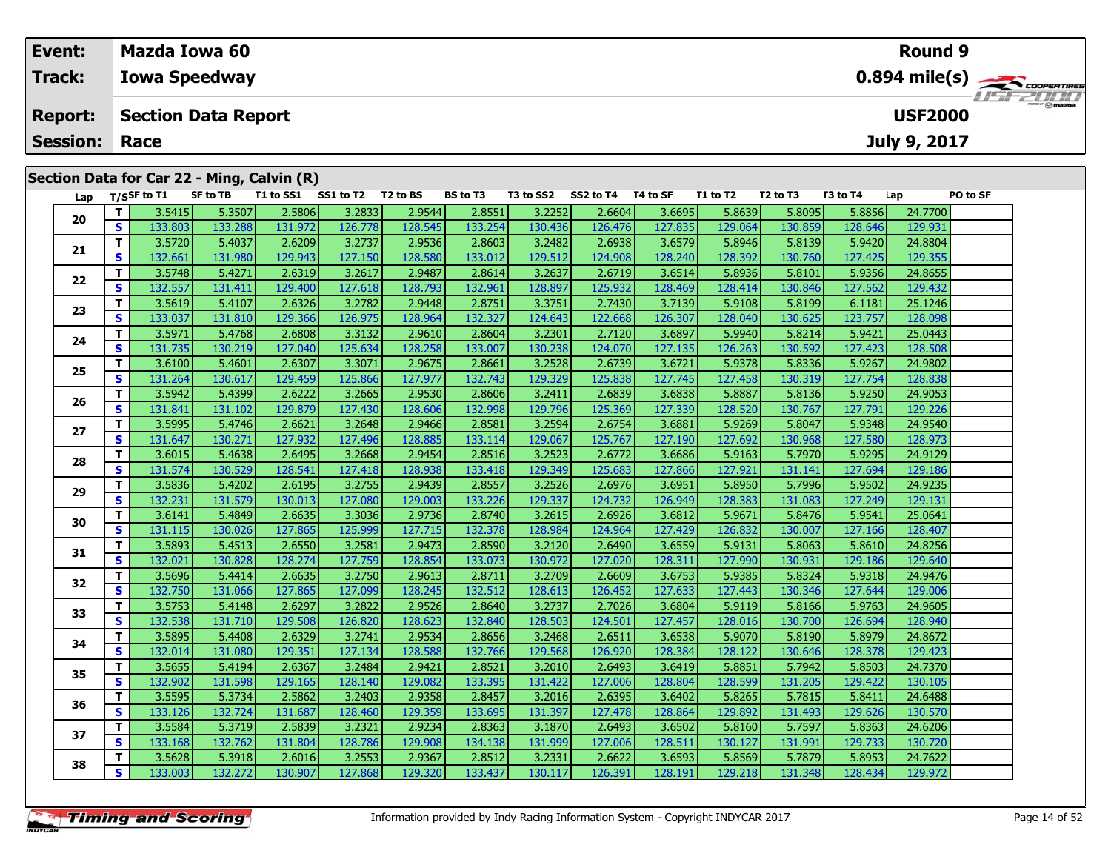|                                              | Event:               |   |                | <b>Mazda Iowa 60</b>                       |           |                    |         |                 |           |           |          |          |                |              | <b>Round 9</b> |          |                                                        |
|----------------------------------------------|----------------------|---|----------------|--------------------------------------------|-----------|--------------------|---------|-----------------|-----------|-----------|----------|----------|----------------|--------------|----------------|----------|--------------------------------------------------------|
|                                              | Track:               |   |                | <b>Iowa Speedway</b>                       |           |                    |         |                 |           |           |          |          |                |              |                |          | $0.894$ mile(s) $\overbrace{\hspace{2cm}}$ coderatings |
| <b>Section Data Report</b><br><b>Report:</b> |                      |   |                |                                            |           |                    |         |                 |           |           |          |          | <b>USF2000</b> |              | $\epsilon$     |          |                                                        |
|                                              | <b>Session: Race</b> |   |                |                                            |           |                    |         |                 |           |           |          |          |                | July 9, 2017 |                |          |                                                        |
|                                              |                      |   |                | Section Data for Car 22 - Ming, Calvin (R) |           |                    |         |                 |           |           |          |          |                |              |                |          |                                                        |
|                                              | Lap                  |   | $T/S$ SF to T1 | <b>SF to TB</b>                            | T1 to SS1 | SS1 to T2 T2 to BS |         | <b>BS to T3</b> | T3 to SS2 | SS2 to T4 | T4 to SF | T1 to T2 | T2 to T3       | T3 to T4     | Lap            | PO to SF |                                                        |
|                                              | 20                   |   | 3.5415         | 5.3507                                     | 2.5806    | 3.2833             | 2.9544  | 2.8551          | 3.2252    | 2.6604    | 3.6695   | 5.8639   | 5.8095         | 5.8856       | 24.7700        |          |                                                        |
|                                              |                      | S | 133.803        | 133.288                                    | 131.972   | 126.778            | 128.545 | 133.254         | 130.436   | 126.476   | 127.835  | 129.064  | 130.859        | 128.646      | 129.931        |          |                                                        |

**<sup>T</sup>** 3.5720 5.4037 2.6209 3.2737 2.9536 2.8603 3.2482 2.6938 3.6579 5.8946 5.8139 5.9420 24.8804 **<sup>S</sup>** 132.661 131.980 129.943 127.150 128.580 133.012 129.512 124.908 128.240 128.392 130.760 127.425 129.355

**<sup>T</sup>** 3.5748 5.4271 2.6319 3.2617 2.9487 2.8614 3.2637 2.6719 3.6514 5.8936 5.8101 5.9356 24.8655 **<sup>S</sup>** 132.557 131.411 129.400 127.618 128.793 132.961 128.897 125.932 128.469 128.414 130.846 127.562 129.432

**<sup>T</sup>** 3.5619 5.4107 2.6326 3.2782 2.9448 2.8751 3.3751 2.7430 3.7139 5.9108 5.8199 6.1181 25.1246 **<sup>S</sup>** 133.037 131.810 129.366 126.975 128.964 132.327 124.643 122.668 126.307 128.040 130.625 123.757 128.098

**<sup>T</sup>** 3.5971 5.4768 2.6808 3.3132 2.9610 2.8604 3.2301 2.7120 3.6897 5.9940 5.8214 5.9421 25.0443 **<sup>S</sup>** 131.735 130.219 127.040 125.634 128.258 133.007 130.238 124.070 127.135 126.263 130.592 127.423 128.508

**<sup>T</sup>** 3.6100 5.4601 2.6307 3.3071 2.9675 2.8661 3.2528 2.6739 3.6721 5.9378 5.8336 5.9267 24.9802 **<sup>S</sup>** 131.264 130.617 129.459 125.866 127.977 132.743 129.329 125.838 127.745 127.458 130.319 127.754 128.838

**<sup>T</sup>** 3.5942 5.4399 2.6222 3.2665 2.9530 2.8606 3.2411 2.6839 3.6838 5.8887 5.8136 5.9250 24.9053 **<sup>S</sup>** 131.841 131.102 129.879 127.430 128.606 132.998 129.796 125.369 127.339 128.520 130.767 127.791 129.226

**<sup>T</sup>** 3.5995 5.4746 2.6621 3.2648 2.9466 2.8581 3.2594 2.6754 3.6881 5.9269 5.8047 5.9348 24.9540 **<sup>S</sup>** 131.647 130.271 127.932 127.496 128.885 133.114 129.067 125.767 127.190 127.692 130.968 127.580 128.973

**<sup>T</sup>** 3.6015 5.4638 2.6495 3.2668 2.9454 2.8516 3.2523 2.6772 3.6686 5.9163 5.7970 5.9295 24.9129 **<sup>S</sup>** 131.574 130.529 128.541 127.418 128.938 133.418 129.349 125.683 127.866 127.921 131.141 127.694 129.186

**<sup>T</sup>** 3.5836 5.4202 2.6195 3.2755 2.9439 2.8557 3.2526 2.6976 3.6951 5.8950 5.7996 5.9502 24.9235 **<sup>S</sup>** 132.231 131.579 130.013 127.080 129.003 133.226 129.337 124.732 126.949 128.383 131.083 127.249 129.131

**<sup>T</sup>** 3.6141 5.4849 2.6635 3.3036 2.9736 2.8740 3.2615 2.6926 3.6812 5.9671 5.8476 5.9541 25.0641 **<sup>S</sup>** 131.115 130.026 127.865 125.999 127.715 132.378 128.984 124.964 127.429 126.832 130.007 127.166 128.407

**<sup>T</sup>** 3.5893 5.4513 2.6550 3.2581 2.9473 2.8590 3.2120 2.6490 3.6559 5.9131 5.8063 5.8610 24.8256 **<sup>S</sup>** 132.021 130.828 128.274 127.759 128.854 133.073 130.972 127.020 128.311 127.990 130.931 129.186 129.640

**<sup>T</sup>** 3.5696 5.4414 2.6635 3.2750 2.9613 2.8711 3.2709 2.6609 3.6753 5.9385 5.8324 5.9318 24.9476 **<sup>S</sup>** 132.750 131.066 127.865 127.099 128.245 132.512 128.613 126.452 127.633 127.443 130.346 127.644 129.006

**<sup>T</sup>** 3.5753 5.4148 2.6297 3.2822 2.9526 2.8640 3.2737 2.7026 3.6804 5.9119 5.8166 5.9763 24.9605 **<sup>S</sup>** 132.538 131.710 129.508 126.820 128.623 132.840 128.503 124.501 127.457 128.016 130.700 126.694 128.940

| 34 |    | 3.5895   | 5.4408  | 2.6329  | 3.2741  | 2.9534  | 2.8656  | 3.2468           | 2.6511  | 3.6538  | 5.9070   | 5.8190  | 5.8979  | 24.8672 |
|----|----|----------|---------|---------|---------|---------|---------|------------------|---------|---------|----------|---------|---------|---------|
|    | S. | 132.014  | 131.080 | 129.351 | 127.134 | 128.588 | 132.766 | 129.568          | 126.920 | 128.384 | 128.122  | 130.646 | 128.378 | 129.423 |
| 35 |    | 3.5655   | 5.4194  | 2.6367  | 3.2484  | 2.9421  | 2.8521  | 3.2010           | 2.6493  | 3.6419  | 5.8851   | 5.7942  | 5.8503  | 24.7370 |
|    | э. | 132.9021 | 131.598 | 129.165 | 128.140 | 129.082 | 133.395 | 131.422          | 127.006 | 128.804 | 128.599  | 131.205 | 129.422 | 130.105 |
|    |    | 3.5595   | 5.3734  | 2.5862  | 3.2403  | 2.9358  | 2.8457  | 3.2016           | 2.6395  | 3.6402  | 5.8265   | 5.7815  | 5.8411  | 24.6488 |
| 36 | э. | 133.126  | 132.724 | 131.687 | 128.460 | 129.359 | 133.695 | 131.397          | 127.478 | 128.864 | 129.8921 | 131.493 | 129.626 | 130.570 |
| 37 |    | 3.5584   | 5.3719  | 2.5839  | 3.2321  | 2.9234  | 2.8363  | 3.1870           | 2.6493  | 3.6502  | 5.8160   | 5.7597  | 5.8363  | 24.6206 |
|    | ъ. | 133.168  | 132.762 | 131.804 | 128.786 | 129.908 | 134.138 | 131.999 <b> </b> | 127.006 | 128.511 | 130.127  | 131.991 | 129.733 | 130.720 |
| 38 |    | 3.5628   | 5.3918  | 2.6016  | 3.2553  | 2.9367  | 2.8512  | 3.2331           | 2.6622  | 3.6593  | 5.8569   | 5.7879  | 5.8953  | 24.7622 |
|    |    | 133.0031 | 132.272 | 130.907 | 127.868 | 129.320 | 133.437 | 130.117          | 126.391 | 128.191 | 129.218  | 131.348 | 128.434 | 129.972 |
|    |    |          |         |         |         |         |         |                  |         |         |          |         |         |         |
|    |    |          |         |         |         |         |         |                  |         |         |          |         |         |         |

**21**

**22**

**23**

**24**

**25**

**26**

**27**

**28**

**29**

**30**

**31**

**32**

**33**

128.09

129.186

129.640

128.940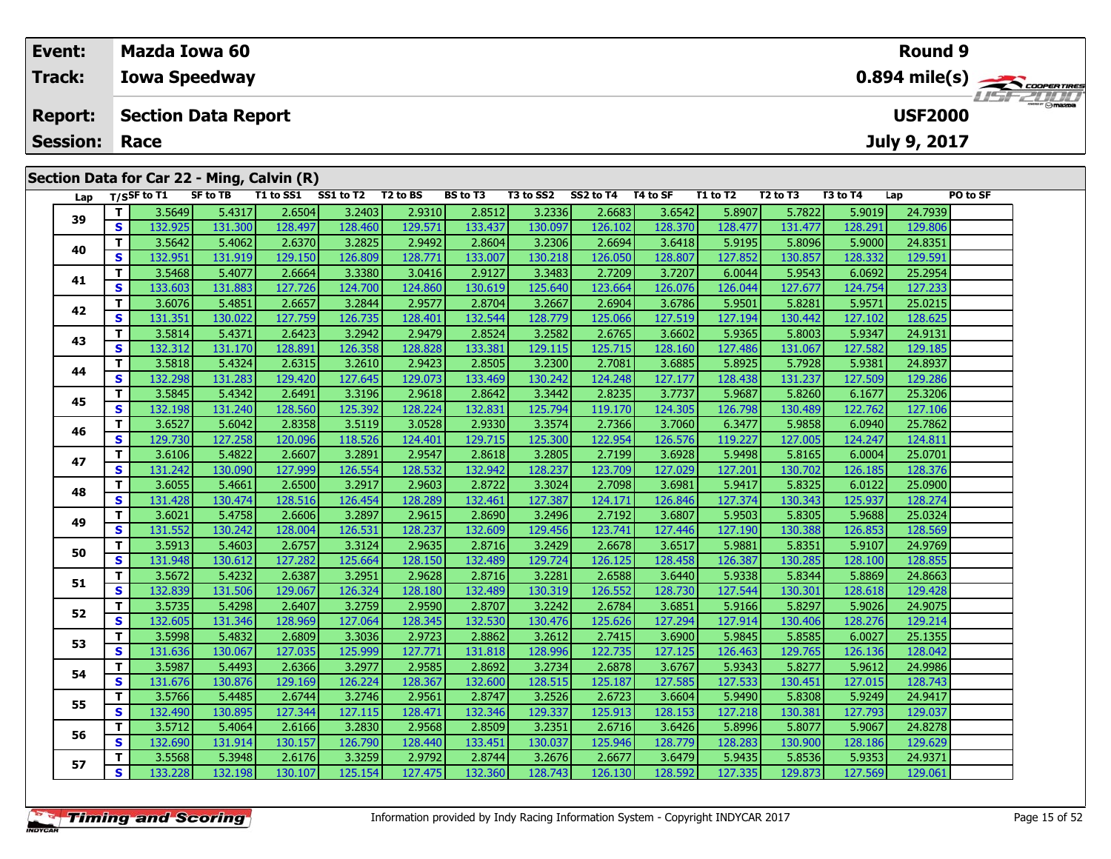| Event:          |             | <b>Mazda Iowa 60</b>                       |           |           |          |                 |           |           |          |          |          |          | <b>Round 9</b> |          |                                                        |
|-----------------|-------------|--------------------------------------------|-----------|-----------|----------|-----------------|-----------|-----------|----------|----------|----------|----------|----------------|----------|--------------------------------------------------------|
| <b>Track:</b>   |             | <b>Iowa Speedway</b>                       |           |           |          |                 |           |           |          |          |          |          |                |          | $0.894$ mile(s) $\overbrace{\hspace{2cm}}$ coderatines |
| <b>Report:</b>  |             | <b>Section Data Report</b>                 |           |           |          |                 |           |           |          |          |          |          | <b>USF2000</b> |          | $H = -H H T$                                           |
| <b>Session:</b> | Race        |                                            |           |           |          |                 |           |           |          |          |          |          | July 9, 2017   |          |                                                        |
|                 |             | Section Data for Car 22 - Ming, Calvin (R) |           |           |          |                 |           |           |          |          |          |          |                |          |                                                        |
| Lap             | T/SSF to T1 | SF to TB                                   | T1 to SS1 | SS1 to T2 | T2 to BS | <b>BS</b> to T3 | T3 to SS2 | SS2 to T4 | T4 to SF | T1 to T2 | T2 to T3 | T3 to T4 | Lap            | PO to SF |                                                        |
| 39              | 3.5649      | 5.4317                                     | 2.6504    | 3.2403    | 2.9310   | 2.8512          | 3.2336    | 2.6683    | 3.6542   | 5.8907   | 5.7822   | 5.9019   | 24.7939        |          |                                                        |
|                 | 132.9251    | 131.300                                    | 128,497   | 128,460   | 129.571  | 133.437         | 130.0971  | 126.102   | 128.370  | 128,477  | 131.477  | 128.291  | 129,806        |          |                                                        |

**<sup>T</sup>** 3.5642 5.4062 2.6370 3.2825 2.9492 2.8604 3.2306 2.6694 3.6418 5.9195 5.8096 5.9000 24.8351 **<sup>S</sup>** 132.951 131.919 129.150 126.809 128.771 133.007 130.218 126.050 128.807 127.852 130.857 128.332 129.591

| 41 | т            | 3.5468  | 5.4077  | 2.6664  | 3.3380  | 3.0416  | 2.9127  | 3.3483  | 2.7209  | 3.7207  | 6.0044  | 5.9543  | 6.0692  | 25.2954 |  |
|----|--------------|---------|---------|---------|---------|---------|---------|---------|---------|---------|---------|---------|---------|---------|--|
|    | S            | 133.603 | 131.883 | 127.726 | 124.700 | 124.860 | 130.619 | 125.640 | 123.664 | 126.076 | 126.044 | 127.677 | 124.754 | 127.233 |  |
| 42 | т            | 3.6076  | 5.4851  | 2.6657  | 3.2844  | 2.9577  | 2.8704  | 3.2667  | 2.6904  | 3.6786  | 5.9501  | 5.8281  | 5.9571  | 25.0215 |  |
|    | S.           | 131.351 | 130.022 | 127.759 | 126.735 | 128.401 | 132.544 | 128.779 | 125.066 | 127.519 | 127.194 | 130.442 | 127.102 | 128.625 |  |
| 43 | T            | 3.5814  | 5.4371  | 2.6423  | 3.2942  | 2.9479  | 2.8524  | 3.2582  | 2.6765  | 3.6602  | 5.9365  | 5.8003  | 5.9347  | 24.9131 |  |
|    | S            | 132.312 | 131.170 | 128.891 | 126.358 | 128.828 | 133.381 | 129.115 | 125.715 | 128.160 | 127.486 | 131.067 | 127.582 | 129.185 |  |
| 44 | T            | 3.5818  | 5.4324  | 2.6315  | 3.2610  | 2.9423  | 2.8505  | 3.2300  | 2.7081  | 3.6885  | 5.8925  | 5.7928  | 5.9381  | 24.8937 |  |
|    | S            | 132.298 | 131.283 | 129.420 | 127.645 | 129.073 | 133.469 | 130.242 | 124.248 | 127.177 | 128.438 | 131.237 | 127.509 | 129.286 |  |
| 45 | T            | 3.5845  | 5.4342  | 2.6491  | 3.3196  | 2.9618  | 2.8642  | 3.3442  | 2.8235  | 3.7737  | 5.9687  | 5.8260  | 6.1677  | 25.3206 |  |
|    | S            | 132.198 | 131.240 | 128.560 | 125.392 | 128.224 | 132.831 | 125.794 | 119.170 | 124.305 | 126.798 | 130.489 | 122.762 | 127.106 |  |
| 46 | T.           | 3.6527  | 5.6042  | 2.8358  | 3.5119  | 3.0528  | 2.9330  | 3.3574  | 2.7366  | 3.7060  | 6.3477  | 5.9858  | 6.0940  | 25.7862 |  |
|    | S            | 129.730 | 127.258 | 120.096 | 118.526 | 124.401 | 129.715 | 125.300 | 122.954 | 126.576 | 119.227 | 127.005 | 124.247 | 124.811 |  |
| 47 | T.           | 3.6106  | 5.4822  | 2.6607  | 3.2891  | 2.9547  | 2.8618  | 3.2805  | 2.7199  | 3.6928  | 5.9498  | 5.8165  | 6.0004  | 25.0701 |  |
|    | S            | 131.242 | 130.090 | 127.999 | 126.554 | 128.532 | 132.942 | 128.237 | 123.709 | 127.029 | 127.201 | 130.702 | 126.185 | 128.376 |  |
| 48 | T.           | 3.6055  | 5.4661  | 2.6500  | 3.2917  | 2.9603  | 2.8722  | 3.3024  | 2.7098  | 3.6981  | 5.9417  | 5.8325  | 6.0122  | 25.0900 |  |
|    | S            | 131.428 | 130.474 | 128.516 | 126.454 | 128.289 | 132.461 | 127.387 | 124.171 | 126.846 | 127.374 | 130.343 | 125.937 | 128.274 |  |
| 49 | T.           | 3.6021  | 5.4758  | 2.6606  | 3.2897  | 2.9615  | 2.8690  | 3.2496  | 2.7192  | 3.6807  | 5.9503  | 5.8305  | 5.9688  | 25.0324 |  |
|    | $\mathbf{s}$ | 131.552 | 130.242 | 128.004 | 126.531 | 128.237 | 132.609 | 129.456 | 123.741 | 127.446 | 127.190 | 130.388 | 126.853 | 128.569 |  |
| 50 | T            | 3.5913  | 5.4603  | 2.6757  | 3.3124  | 2.9635  | 2.8716  | 3.2429  | 2.6678  | 3.6517  | 5.9881  | 5.8351  | 5.9107  | 24.9769 |  |
|    | $\mathbf{s}$ | 131.948 | 130.612 | 127.282 | 125.664 | 128.150 | 132.489 | 129.724 | 126.125 | 128.458 | 126.387 | 130.285 | 128.100 | 128.855 |  |
| 51 | T            | 3.5672  | 5.4232  | 2.6387  | 3.2951  | 2.9628  | 2.8716  | 3.2281  | 2.6588  | 3.6440  | 5.9338  | 5.8344  | 5.8869  | 24.8663 |  |
|    | S            | 132.839 | 131.506 | 129.067 | 126.324 | 128.180 | 132.489 | 130.319 | 126.552 | 128.730 | 127.544 | 130.301 | 128.618 | 129.428 |  |
| 52 | T.           | 3.5735  | 5.4298  | 2.6407  | 3.2759  | 2.9590  | 2.8707  | 3.2242  | 2.6784  | 3.6851  | 5.9166  | 5.8297  | 5.9026  | 24.9075 |  |
|    | S.           | 132.605 | 131.346 | 128.969 | 127.064 | 128.345 | 132.530 | 130.476 | 125.626 | 127.294 | 127.914 | 130.406 | 128.276 | 129.214 |  |
| 53 | T.           | 3.5998  | 5.4832  | 2.6809  | 3.3036  | 2.9723  | 2.8862  | 3.2612  | 2.7415  | 3.6900  | 5.9845  | 5.8585  | 6.0027  | 25.1355 |  |
|    | $\mathbf{s}$ | 131.636 | 130.067 | 127.035 | 125.999 | 127.771 | 131.818 | 128.996 | 122.735 | 127.125 | 126.463 | 129.765 | 126.136 | 128.042 |  |
| 54 | т            | 3.5987  | 5.4493  | 2.6366  | 3.2977  | 2.9585  | 2.8692  | 3.2734  | 2.6878  | 3.6767  | 5.9343  | 5.8277  | 5.9612  | 24.9986 |  |
|    | S            | 131.676 | 130.876 | 129.169 | 126.224 | 128.367 | 132.600 | 128.515 | 125.187 | 127.585 | 127.533 | 130.451 | 127.015 | 128.743 |  |
| 55 | T            | 3.5766  | 5.4485  | 2.6744  | 3.2746  | 2.9561  | 2.8747  | 3.2526  | 2.6723  | 3.6604  | 5.9490  | 5.8308  | 5.9249  | 24.9417 |  |
|    | S.           | 132.490 | 130.895 | 127.344 | 127.115 | 128.471 | 132.346 | 129.337 | 125.913 | 128.153 | 127.218 | 130.381 | 127.793 | 129.037 |  |
| 56 | T.           | 3.5712  | 5.4064  | 2.6166  | 3.2830  | 2.9568  | 2.8509  | 3.2351  | 2.6716  | 3.6426  | 5.8996  | 5.8077  | 5.9067  | 24.8278 |  |
|    | S            | 132.690 | 131.914 | 130.157 | 126.790 | 128.440 | 133.451 | 130.037 | 125.946 | 128.779 | 128.283 | 130.900 | 128.186 | 129.629 |  |
| 57 | T.           | 3.5568  | 5.3948  | 2.6176  | 3.3259  | 2.9792  | 2.8744  | 3.2676  | 2.6677  | 3.6479  | 5.9435  | 5.8536  | 5.9353  | 24.9371 |  |
|    | S            | 133.228 | 132.198 | 130.107 | 125.154 | 127.475 | 132.360 | 128.743 | 126.130 | 128.592 | 127.335 | 129.873 | 127.569 | 129.061 |  |
|    |              |         |         |         |         |         |         |         |         |         |         |         |         |         |  |

**40**

24.8351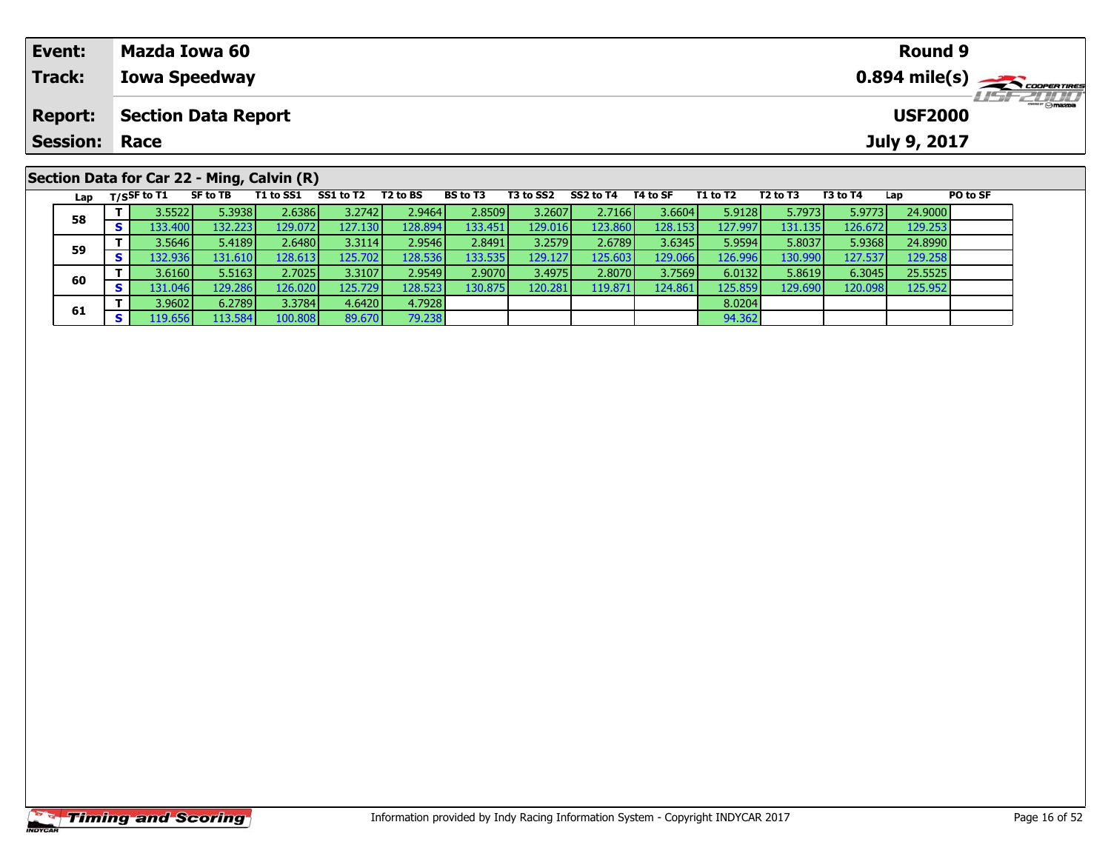| Event:               | Mazda Iowa 60                              |                              |  |          |           |           |          |          |          |          | <b>Round 9</b> |                                                              |
|----------------------|--------------------------------------------|------------------------------|--|----------|-----------|-----------|----------|----------|----------|----------|----------------|--------------------------------------------------------------|
| <b>Track:</b>        | <b>Iowa Speedway</b>                       |                              |  |          |           |           |          |          |          |          |                | $0.894$ mile(s) $\overbrace{\hspace{2.5cm}}^{3}$ coorentment |
| <b>Report:</b>       | <b>Section Data Report</b>                 |                              |  |          |           |           |          |          |          |          | <b>USF2000</b> | <b>LISF 2000</b>                                             |
| <b>Session: Race</b> |                                            |                              |  |          |           |           |          |          |          |          | July 9, 2017   |                                                              |
|                      |                                            |                              |  |          |           |           |          |          |          |          |                |                                                              |
|                      | Section Data for Car 22 - Ming, Calvin (R) |                              |  |          |           |           |          |          |          |          |                |                                                              |
| Lap                  | T/SSF to T1<br>SF to TB                    | T1 to SS1 SS1 to T2 T2 to BS |  | BS to T3 | T3 to SS2 | SS2 to T4 | T4 to SF | T1 to T2 | T2 to T3 | T3 to T4 | Lap            | <b>PO to SF</b>                                              |

| ra p | $\cdots$ |         |         |         |         |         |         |         |         |          |         |         | ---     | . |
|------|----------|---------|---------|---------|---------|---------|---------|---------|---------|----------|---------|---------|---------|---|
|      | 3.5522   | 5.3938  | 2.6386  | 3.2742  | 2.9464  | 2.8509  | 3.2607  | 2.7166  | 3.6604  | 5.9128   | 5.7973  | 5.9773  | 24.9000 |   |
| 58   | 133.400  | 132.223 | 129.072 | 127.130 | 128.894 | 133.451 | 129.016 | 123.860 | 128.153 | 127.9971 | 131.135 | 126.672 | 129.253 |   |
| 59   | 3.5646   | 5.4189  | 2.6480  | 3.3114  | 2.9546  | 2.8491  | 3.2579  | 2.6789  | 3.6345  | 5.9594   | 5.8037  | 5.9368  | 24.8990 |   |
|      | 132.936  | 131.610 | 128.613 | 125.702 | 128.536 | 33.535  | 129.127 | 125.603 | 129.066 | 126.996  | 130.990 | 127.537 | 129.258 |   |
| 60   | 3.6160   | 5.5163  | 2.7025  | 3.3107  | 2.9549  | 2.9070  | 3.4975  | 2.8070  | 3.7569  | 6.0132   | 5.8619  | 6.3045  | 25.5525 |   |
|      | 131.046  | 129.286 | 126.020 | 125.729 | 128.523 | .30.875 | 120.281 | 119.871 | 124.861 | 125.859  | 129.690 | 120.098 | 125.952 |   |
| 61   | 3.9602   | 6.2789  | 3.3784  | 4.6420  | 4.7928  |         |         |         |         | 8.0204   |         |         |         |   |
|      | 19.656   | 113.584 | 100.808 | 89.670  | 79.238  |         |         |         |         | 94.362   |         |         |         |   |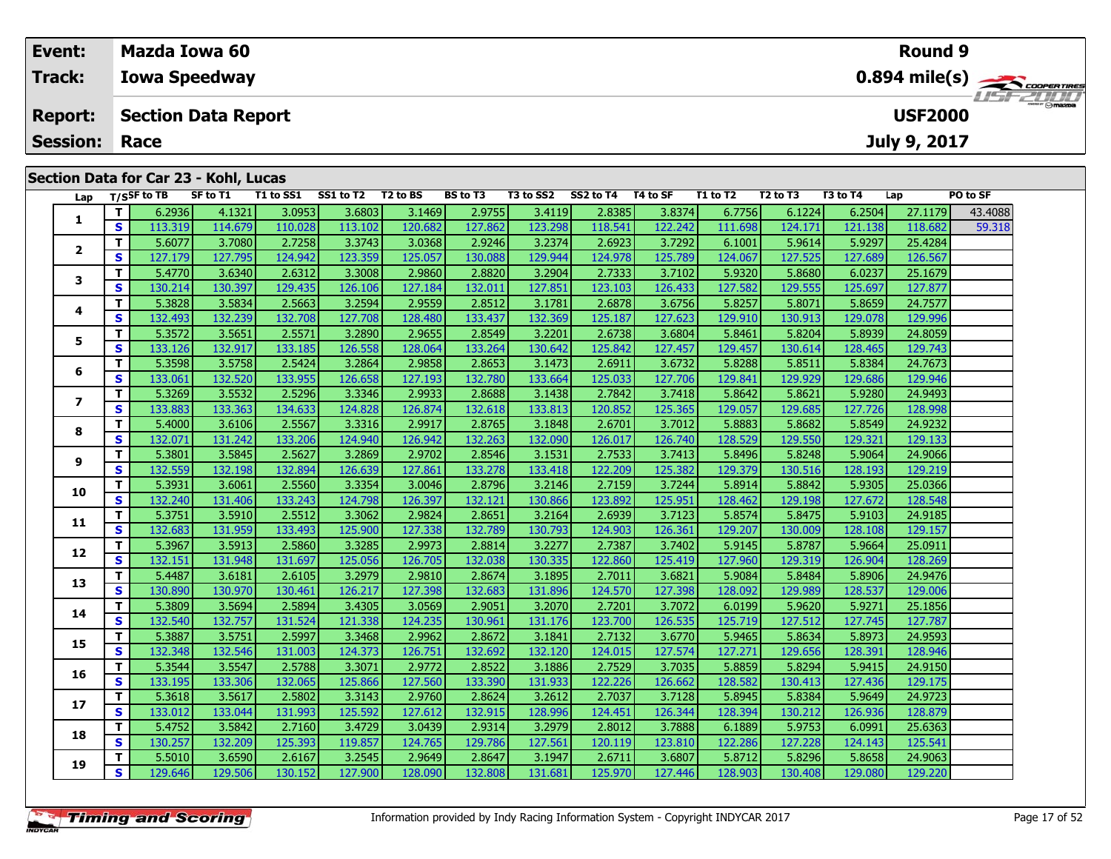| Event:               |                                       | <b>Mazda Iowa 60</b>       |           |                    |                 |           |           |          |          |          |          | Round 9        |                                                                                 |                                                                            |
|----------------------|---------------------------------------|----------------------------|-----------|--------------------|-----------------|-----------|-----------|----------|----------|----------|----------|----------------|---------------------------------------------------------------------------------|----------------------------------------------------------------------------|
| Track:               |                                       | <b>Iowa Speedway</b>       |           |                    |                 |           |           |          |          |          |          |                |                                                                                 | $0.894$ mile(s) $\overbrace{\hspace{2cm}}$ coder these<br><b>HEIFELIND</b> |
| <b>Report:</b>       |                                       | <b>Section Data Report</b> |           |                    |                 |           |           |          |          |          |          | <b>USF2000</b> |                                                                                 |                                                                            |
| <b>Session: Race</b> |                                       |                            |           |                    |                 |           |           |          |          |          |          | July 9, 2017   |                                                                                 |                                                                            |
|                      |                                       |                            |           |                    |                 |           |           |          |          |          |          |                |                                                                                 |                                                                            |
|                      | Section Data for Car 23 - Kohl, Lucas |                            |           |                    |                 |           |           |          |          |          |          |                |                                                                                 |                                                                            |
|                      | Lap $T/S$ SF to TB                    | SF to T1                   | T1 to SS1 | SS1 to T2 T2 to BS | <b>BS</b> to T3 | T3 to SS2 | SS2 to T4 | T4 to SF | T1 to T2 | T2 to T3 | T3 to T4 | Lap            | <b>PO to SF</b>                                                                 |                                                                            |
|                      |                                       |                            |           |                    |                 |           |           |          |          |          |          |                | the contract of the contract of the contract of the contract of the contract of |                                                                            |

| Lαμ            | ,,,,,        | $\sim \cdot$ | --<br>$\sim$ |         |         |         | . .     |         | ື້      | ື້      |         |         | .       |         |         |
|----------------|--------------|--------------|--------------|---------|---------|---------|---------|---------|---------|---------|---------|---------|---------|---------|---------|
|                | T            | 6.2936       | 4.1321       | 3.0953  | 3.6803  | 3.1469  | 2.9755  | 3.4119  | 2.8385  | 3.8374  | 6.7756  | 6.1224  | 6.2504  | 27.1179 | 43.4088 |
| 1              | $\mathbf{s}$ | 113.319      | 114.679      | 110.028 | 113.102 | 120.682 | 127.862 | 123.298 | 118.541 | 122.242 | 111.698 | 124.171 | 121.138 | 118,682 | 59.318  |
|                | T            | 5.6077       | 3.7080       | 2.7258  | 3.3743  | 3.0368  | 2.9246  | 3.2374  | 2.6923  | 3.7292  | 6.1001  | 5.9614  | 5.9297  | 25.4284 |         |
| $\mathbf{2}$   | S            | 127.179      | 127.795      | 124.942 | 123.359 | 125.057 | 130.088 | 129.944 | 124.978 | 125.789 | 124.067 | 127.525 | 127.689 | 126.567 |         |
| 3              | T            | 5.4770       | 3.6340       | 2.6312  | 3.3008  | 2.9860  | 2.8820  | 3.2904  | 2.7333  | 3.7102  | 5.9320  | 5.8680  | 6.0237  | 25.1679 |         |
|                | S            | 130.214      | 130.397      | 129.435 | 126.106 | 127.184 | 132.011 | 127.851 | 123.103 | 126.433 | 127.582 | 129.555 | 125.697 | 127.877 |         |
| 4              | T            | 5.3828       | 3.5834       | 2.5663  | 3.2594  | 2.9559  | 2.8512  | 3.1781  | 2.6878  | 3.6756  | 5.8257  | 5.8071  | 5.8659  | 24.7577 |         |
|                | S            | 132.493      | 132.239      | 132.708 | 127.708 | 128.480 | 133.437 | 132.369 | 125.187 | 127.623 | 129.910 | 130.913 | 129.078 | 129.996 |         |
| 5              | T.           | 5.3572       | 3.5651       | 2.5571  | 3.2890  | 2.9655  | 2.8549  | 3.2201  | 2.6738  | 3.6804  | 5.8461  | 5.8204  | 5.8939  | 24.8059 |         |
|                | $\mathbf{s}$ | 133.126      | 132.917      | 133.185 | 126.558 | 128.064 | 133.264 | 130.642 | 125.842 | 127.457 | 129.457 | 130.614 | 128.465 | 129.743 |         |
| 6              | T            | 5.3598       | 3.5758       | 2.5424  | 3.2864  | 2.9858  | 2.8653  | 3.1473  | 2.6911  | 3.6732  | 5.8288  | 5.8511  | 5.8384  | 24.7673 |         |
|                | S            | 133.061      | 132.520      | 133.955 | 126.658 | 127.193 | 132.780 | 133.664 | 125.033 | 127.706 | 129.841 | 129.929 | 129.686 | 129.946 |         |
| $\overline{ }$ | T            | 5.3269       | 3.5532       | 2.5296  | 3.3346  | 2.9933  | 2.8688  | 3.1438  | 2.7842  | 3.7418  | 5.8642  | 5.8621  | 5.9280  | 24.9493 |         |
|                | S            | 133.883      | 133.363      | 134.633 | 124.828 | 126.874 | 132.618 | 133.813 | 120.852 | 125.365 | 129.057 | 129.685 | 127.726 | 128.998 |         |
| 8              | T            | 5.4000       | 3.6106       | 2.5567  | 3.3316  | 2.9917  | 2.8765  | 3.1848  | 2.6701  | 3.7012  | 5.8883  | 5.8682  | 5.8549  | 24.9232 |         |
|                | S            | 132.071      | 131.242      | 133.206 | 124.940 | 126.942 | 132.263 | 132.090 | 126.017 | 126.740 | 128.529 | 129.550 | 129.321 | 129.133 |         |
| 9              | T            | 5.3801       | 3.5845       | 2.5627  | 3.2869  | 2.9702  | 2.8546  | 3.1531  | 2.7533  | 3.7413  | 5.8496  | 5.8248  | 5.9064  | 24.9066 |         |
|                | S            | 132.559      | 132.198      | 132.894 | 126.639 | 127.861 | 133.278 | 133.418 | 122.209 | 125.382 | 129.379 | 130.516 | 128.193 | 129.219 |         |
| 10             | T.           | 5.3931       | 3.6061       | 2.5560  | 3.3354  | 3.0046  | 2.8796  | 3.2146  | 2.7159  | 3.7244  | 5.8914  | 5.8842  | 5.9305  | 25.0366 |         |
|                | $\mathbf{s}$ | 132.240      | 131.406      | 133.243 | 124.798 | 126.397 | 132.121 | 130.866 | 123.892 | 125.951 | 128.462 | 129.198 | 127.672 | 128.548 |         |
| 11             | T.           | 5.3751       | 3.5910       | 2.5512  | 3.3062  | 2.9824  | 2.8651  | 3.2164  | 2.6939  | 3.7123  | 5.8574  | 5.8475  | 5.9103  | 24.9185 |         |
|                | $\mathbf s$  | 132.683      | 131.959      | 133.493 | 125.900 | 127.338 | 132.789 | 130.793 | 124.903 | 126.361 | 129.207 | 130.009 | 128.108 | 129.157 |         |
| 12             | T            | 5.3967       | 3.5913       | 2.5860  | 3.3285  | 2.9973  | 2.8814  | 3.2277  | 2.7387  | 3.7402  | 5.9145  | 5.8787  | 5.9664  | 25.0911 |         |
|                | $\mathbf{s}$ | 132.151      | 131.948      | 131.697 | 125.056 | 126.705 | 132.038 | 130.335 | 122.860 | 125.419 | 127.960 | 129.319 | 126.904 | 128.269 |         |
| 13             | T.           | 5.4487       | 3.6181       | 2.6105  | 3.2979  | 2.9810  | 2.8674  | 3.1895  | 2.7011  | 3.6821  | 5.9084  | 5.8484  | 5.8906  | 24.9476 |         |
|                | $\mathbf s$  | 130.890      | 130.970      | 130.461 | 126.217 | 127.398 | 132.683 | 131.896 | 124.570 | 127.398 | 128.092 | 129.989 | 128.537 | 129.006 |         |
| 14             | T            | 5.3809       | 3.5694       | 2.5894  | 3.4305  | 3.0569  | 2.9051  | 3.2070  | 2.7201  | 3.7072  | 6.0199  | 5.9620  | 5.9271  | 25.1856 |         |
|                | S            | 132.540      | 132.757      | 131.524 | 121.338 | 124.235 | 130.961 | 131.176 | 123.700 | 126.535 | 125.719 | 127.512 | 127.745 | 127.787 |         |
| 15             | T            | 5.3887       | 3.5751       | 2.5997  | 3.3468  | 2.9962  | 2.8672  | 3.1841  | 2.7132  | 3.6770  | 5.9465  | 5.8634  | 5.8973  | 24.9593 |         |
|                | $\mathbf{s}$ | 132.348      | 132.546      | 131.003 | 124.373 | 126.751 | 132.692 | 132.120 | 124.015 | 127.574 | 127.271 | 129.656 | 128.391 | 128.946 |         |
| 16             | T            | 5.3544       | 3.5547       | 2.5788  | 3.3071  | 2.9772  | 2.8522  | 3.1886  | 2.7529  | 3.7035  | 5.8859  | 5.8294  | 5.9415  | 24.9150 |         |
|                | $\mathbf s$  | 133.195      | 133.306      | 132.065 | 125.866 | 127.560 | 133.390 | 131.933 | 122.226 | 126.662 | 128.582 | 130.413 | 127.436 | 129.175 |         |
| 17             | T.           | 5.3618       | 3.5617       | 2.5802  | 3.3143  | 2.9760  | 2.8624  | 3.2612  | 2.7037  | 3.7128  | 5.8945  | 5.8384  | 5.9649  | 24.9723 |         |
|                | S            | 133.012      | 133.044      | 131.993 | 125.592 | 127.612 | 132.915 | 128.996 | 124.451 | 126.344 | 128.394 | 130.212 | 126.936 | 128.879 |         |
| 18             | T            | 5.4752       | 3.5842       | 2.7160  | 3.4729  | 3.0439  | 2.9314  | 3.2979  | 2.8012  | 3.7888  | 6.1889  | 5.9753  | 6.0991  | 25.6363 |         |
|                | S            | 130.257      | 132.209      | 125.393 | 119.857 | 124.765 | 129.786 | 127.561 | 120.119 | 123.810 | 122.286 | 127.228 | 124.143 | 125.541 |         |
| 19             | T            | 5.5010       | 3.6590       | 2.6167  | 3.2545  | 2.9649  | 2.8647  | 3.1947  | 2.6711  | 3.6807  | 5.8712  | 5.8296  | 5.8658  | 24.9063 |         |
|                | S            | 129.646      | 129.506      | 130.152 | 127.900 | 128.090 | 132.808 | 131.681 | 125.970 | 127.446 | 128.903 | 130.408 | 129.080 | 129.220 |         |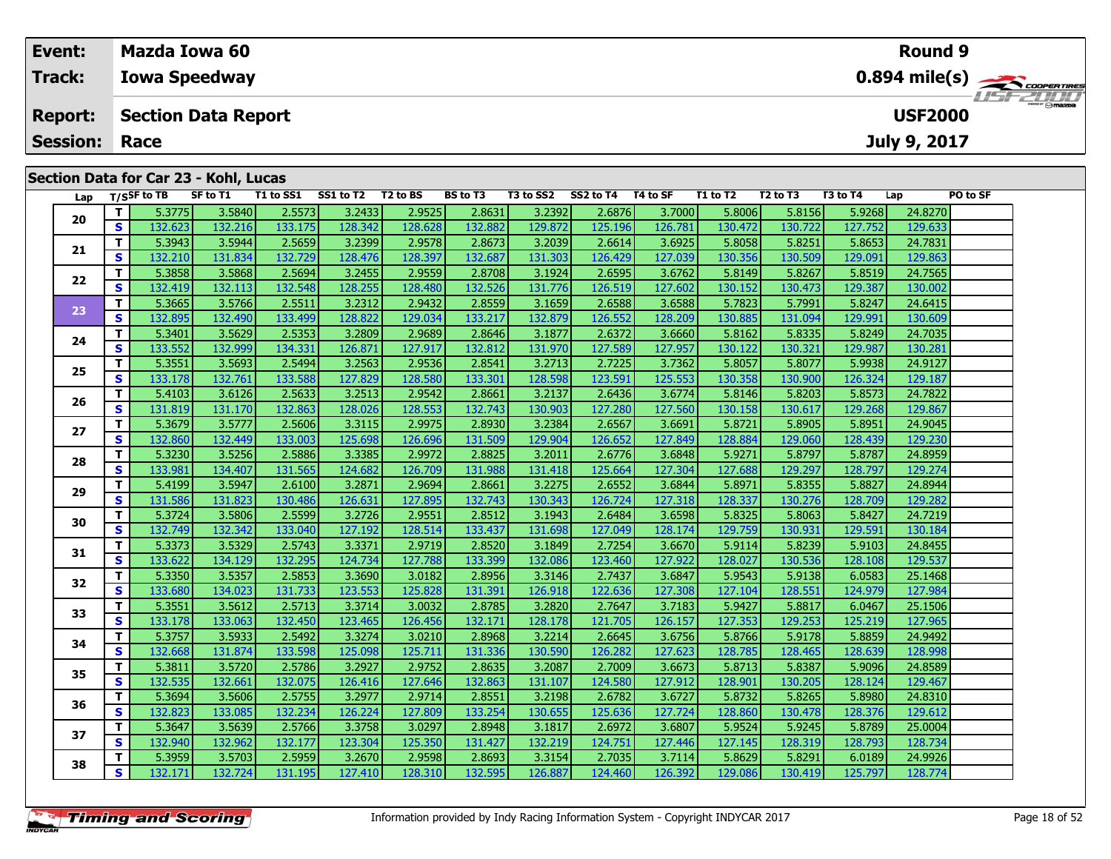| Event:         | Mazda Iowa 60                         |          |           |                                               |                 |           |                                                          |          |                |          |              |              | Round 9         |                                                        |
|----------------|---------------------------------------|----------|-----------|-----------------------------------------------|-----------------|-----------|----------------------------------------------------------|----------|----------------|----------|--------------|--------------|-----------------|--------------------------------------------------------|
| Track:         | <b>Iowa Speedway</b>                  |          |           |                                               |                 |           |                                                          |          |                |          |              |              |                 | $0.894$ mile(s) $\overbrace{\hspace{2cm}}$ COOPERTIRES |
| <b>Report:</b> | <b>Section Data Report</b>            |          |           |                                               |                 |           |                                                          |          |                |          |              |              | <b>USF2000</b>  | <b>USF 2000</b>                                        |
|                | <b>Session: Race</b>                  |          |           |                                               |                 |           |                                                          |          |                |          |              | July 9, 2017 |                 |                                                        |
|                |                                       |          |           |                                               |                 |           |                                                          |          |                |          |              |              |                 |                                                        |
|                | Section Data for Car 23 - Kohl, Lucas |          |           |                                               |                 |           |                                                          |          |                |          |              |              |                 |                                                        |
|                | Lap T/S <sup>SF</sup> to TB           | SF to T1 | T1 to SS1 | SS1 to T2 T2 to BS                            | <b>BS to T3</b> | T3 to SS2 | SS2 to T4                                                | T4 to SF | T1 to T2       | T2 to T3 | T3 to T4     | Lap          | <b>PO to SF</b> |                                                        |
|                | r oppel i<br>т I                      |          |           | $\sim$ 15040 $\sim$ 15572 $\sim$ 16575 $\sim$ |                 |           | $\sim$ 10621 $\sim$ 10026 $\sim$ 1000 $\sim$ 1000 $\sim$ |          | <b>E</b> POOCL |          | EQIEC EQOCOL | ാചാചി        |                 |                                                        |

| Lap |              | T/SSF tO IB | <b>SLIOIT</b> | 1 TO 22 T | <b>SSI TO 12</b> | 1 Z TO BS | <b>BS 10 13</b> | 13 TO 332 | <b>552 TO 14</b> | 14 TO SF | 1 J. TO 1 Z | 12 TO 13 | 15 TO 14 | Lap     | PU TO SF |
|-----|--------------|-------------|---------------|-----------|------------------|-----------|-----------------|-----------|------------------|----------|-------------|----------|----------|---------|----------|
|     | Τ.           | 5.3775      | 3.5840        | 2.5573    | 3.2433           | 2.9525    | 2.8631          | 3.2392    | 2.6876           | 3.7000   | 5.8006      | 5.8156   | 5.9268   | 24.8270 |          |
| 20  | S            | 132.623     | 132.216       | 133.175   | 128.342          | 128.628   | 132.882         | 129.872   | 125.196          | 126.781  | 130.472     | 130.722  | 127.752  | 129.633 |          |
|     | T.           | 5.3943      | 3.5944        | 2.5659    | 3.2399           | 2.9578    | 2.8673          | 3.2039    | 2.6614           | 3.6925   | 5.8058      | 5.8251   | 5.8653   | 24.7831 |          |
| 21  | S            | 132.210     | 131.834       | 132.729   | 128.476          | 128.397   | 132.687         | 131.303   | 126.429          | 127.039  | 130.356     | 130.509  | 129.091  | 129.863 |          |
| 22  | T.           | 5.3858      | 3.5868        | 2.5694    | 3.2455           | 2.9559    | 2.8708          | 3.1924    | 2.6595           | 3.6762   | 5.8149      | 5.8267   | 5.8519   | 24.7565 |          |
|     | S            | 132.419     | 132.113       | 132.548   | 128.255          | 128.480   | 132.526         | 131.776   | 126.519          | 127.602  | 130.152     | 130.473  | 129.387  | 130.002 |          |
| 23  | T.           | 5.3665      | 3.5766        | 2.5511    | 3.2312           | 2.9432    | 2.8559          | 3.1659    | 2.6588           | 3.6588   | 5.7823      | 5.7991   | 5.8247   | 24.6415 |          |
|     | S            | 132.895     | 132.490       | 133.499   | 128.822          | 129.034   | 133.217         | 132.879   | 126.552          | 128.209  | 130.885     | 131.094  | 129.991  | 130.609 |          |
| 24  | T.           | 5.3401      | 3.5629        | 2.5353    | 3.2809           | 2.9689    | 2.8646          | 3.1877    | 2.6372           | 3.6660   | 5.8162      | 5.8335   | 5.8249   | 24.7035 |          |
|     | S            | 133.552     | 132.999       | 134.331   | 126.871          | 127.917   | 132.812         | 131.970   | 127.589          | 127.957  | 130.122     | 130.321  | 129.987  | 130.281 |          |
| 25  | T.           | 5.3551      | 3.5693        | 2.5494    | 3.2563           | 2.9536    | 2.8541          | 3.2713    | 2.7225           | 3.7362   | 5.8057      | 5.8077   | 5.9938   | 24.9127 |          |
|     | S            | 133.178     | 132.761       | 133.588   | 127.829          | 128.580   | 133.301         | 128.598   | 123.591          | 125.553  | 130.358     | 130.900  | 126.324  | 129.187 |          |
| 26  | T.           | 5.4103      | 3.6126        | 2.5633    | 3.2513           | 2.9542    | 2.8661          | 3.2137    | 2.6436           | 3.6774   | 5.8146      | 5.8203   | 5.8573   | 24.7822 |          |
|     | S.           | 131.819     | 131.170       | 132.863   | 128.026          | 128.553   | 132.743         | 130.903   | 127.280          | 127.560  | 130.158     | 130.617  | 129.268  | 129.867 |          |
| 27  | T.           | 5.3679      | 3.5777        | 2.5606    | 3.3115           | 2.9975    | 2.8930          | 3.2384    | 2.6567           | 3.6691   | 5.8721      | 5.8905   | 5.8951   | 24.9045 |          |
|     | S            | 132.860     | 132.449       | 133.003   | 125.698          | 126.696   | 131.509         | 129.904   | 126.652          | 127.849  | 128.884     | 129.060  | 128.439  | 129.230 |          |
| 28  | T.           | 5.3230      | 3.5256        | 2.5886    | 3.3385           | 2.9972    | 2.8825          | 3.2011    | 2.6776           | 3.6848   | 5.9271      | 5.8797   | 5.8787   | 24.8959 |          |
|     | S            | 133.981     | 134.407       | 131.565   | 124.682          | 126.709   | 131.988         | 131.418   | 125.664          | 127.304  | 127.688     | 129.297  | 128.797  | 129.274 |          |
| 29  | T.           | 5.4199      | 3.5947        | 2.6100    | 3.2871           | 2.9694    | 2.8661          | 3.2275    | 2.6552           | 3.6844   | 5.8971      | 5.8355   | 5.8827   | 24.8944 |          |
|     | S            | 131.586     | 131.823       | 130.486   | 126.631          | 127.895   | 132.743         | 130.343   | 126.724          | 127.318  | 128.337     | 130.276  | 128.709  | 129.282 |          |
| 30  | T.           | 5.3724      | 3.5806        | 2.5599    | 3.2726           | 2.9551    | 2.8512          | 3.1943    | 2.6484           | 3.6598   | 5.8325      | 5.8063   | 5.8427   | 24.7219 |          |
|     | S            | 132.749     | 132.342       | 133.040   | 127.192          | 128.514   | 133.437         | 131.698   | 127.049          | 128.174  | 129.759     | 130.931  | 129.591  | 130.184 |          |
| 31  | T.           | 5.3373      | 3.5329        | 2.5743    | 3.3371           | 2.9719    | 2.8520          | 3.1849    | 2.7254           | 3.6670   | 5.9114      | 5.8239   | 5.9103   | 24.8455 |          |
|     | S            | 133.622     | 134.129       | 132.295   | 124.734          | 127.788   | 133.399         | 132.086   | 123.460          | 127.922  | 128.027     | 130.536  | 128.108  | 129.537 |          |
| 32  | T.           | 5.3350      | 3.5357        | 2.5853    | 3.3690           | 3.0182    | 2.8956          | 3.3146    | 2.7437           | 3.6847   | 5.9543      | 5.9138   | 6.0583   | 25.1468 |          |
|     | S            | 133.680     | 134.023       | 131.733   | 123.553          | 125.828   | 131.391         | 126.918   | 122.636          | 127.308  | 127.104     | 128.551  | 124.979  | 127.984 |          |
| 33  | T.           | 5.3551      | 3.5612        | 2.5713    | 3.3714           | 3.0032    | 2.8785          | 3.2820    | 2.7647           | 3.7183   | 5.9427      | 5.8817   | 6.0467   | 25.1506 |          |
|     | S            | 133.178     | 133.063       | 132.450   | 123.465          | 126.456   | 132.171         | 128.178   | 121.705          | 126.157  | 127.353     | 129.253  | 125.219  | 127.965 |          |
| 34  | T.           | 5.3757      | 3.5933        | 2.5492    | 3.3274           | 3.0210    | 2.8968          | 3.2214    | 2.6645           | 3.6756   | 5.8766      | 5.9178   | 5.8859   | 24.9492 |          |
|     | S            | 132.668     | 131.874       | 133.598   | 125.098          | 125.711   | 131.336         | 130.590   | 126.282          | 127.623  | 128.785     | 128.465  | 128.639  | 128.998 |          |
| 35  | T.           | 5.3811      | 3.5720        | 2.5786    | 3.2927           | 2.9752    | 2.8635          | 3.2087    | 2.7009           | 3.6673   | 5.8713      | 5.8387   | 5.9096   | 24.8589 |          |
|     | S            | 132.535     | 132.661       | 132.075   | 126.416          | 127.646   | 132.863         | 131.107   | 124.580          | 127.912  | 128.901     | 130.205  | 128.124  | 129.467 |          |
| 36  | T.           | 5.3694      | 3.5606        | 2.5755    | 3.2977           | 2.9714    | 2.8551          | 3.2198    | 2.6782           | 3.6727   | 5.8732      | 5.8265   | 5.8980   | 24.8310 |          |
|     | S.           | 132.823     | 133.085       | 132.234   | 126.224          | 127.809   | 133.254         | 130.655   | 125.636          | 127.724  | 128.860     | 130.478  | 128.376  | 129.612 |          |
| 37  | T.           | 5.3647      | 3.5639        | 2.5766    | 3.3758           | 3.0297    | 2.8948          | 3.1817    | 2.6972           | 3.6807   | 5.9524      | 5.9245   | 5.8789   | 25.0004 |          |
|     | S            | 132.940     | 132.962       | 132.177   | 123.304          | 125.350   | 131.427         | 132.219   | 124.751          | 127.446  | 127.145     | 128.319  | 128.793  | 128.734 |          |
| 38  | Τ.           | 5.3959      | 3.5703        | 2.5959    | 3.2670           | 2.9598    | 2.8693          | 3.3154    | 2.7035           | 3.7114   | 5.8629      | 5.8291   | 6.0189   | 24.9926 |          |
|     | $\mathbf{s}$ | 132.171     | 132.724       | 131.195   | 127.410          | 128.310   | 132.595         | 126.887   | 124.460          | 126.392  | 129.086     | 130.419  | 125.797  | 128.774 |          |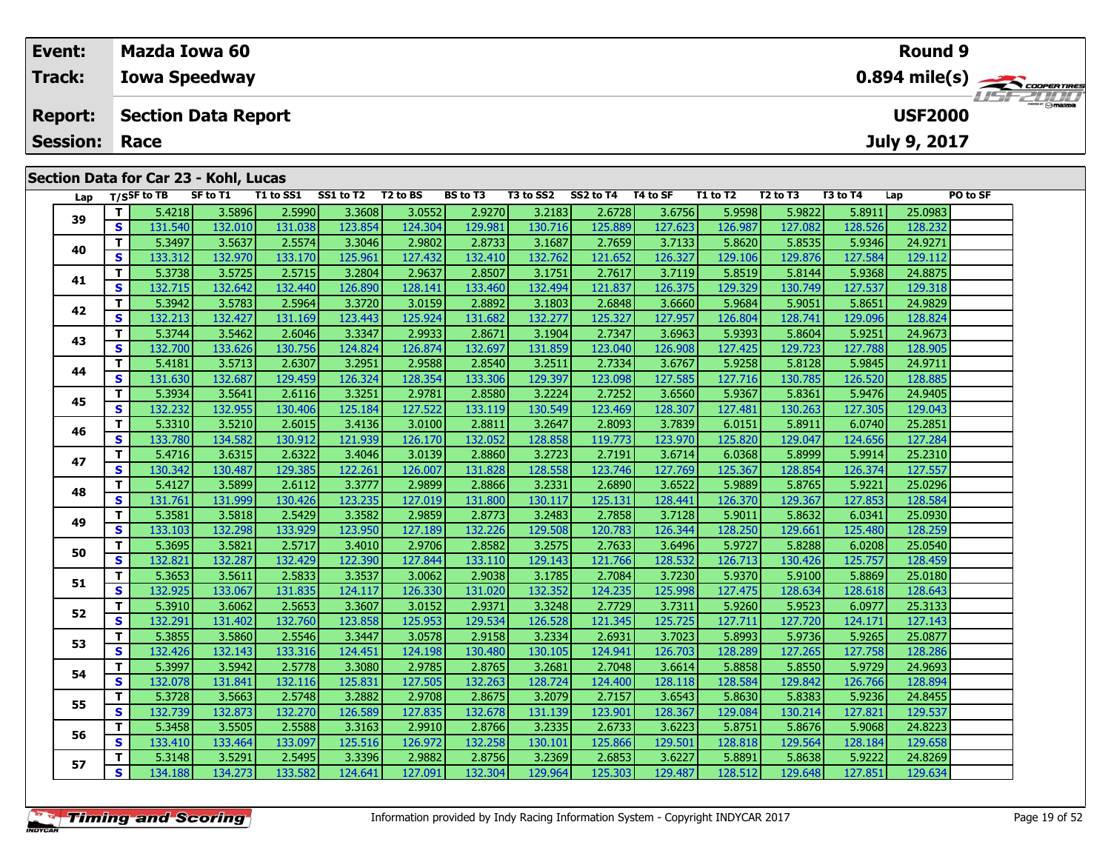| Event: |                | Mazda Iowa 60                                                                                        |          |           |                    |                 |           |                    |          |          |          |                | Round 9                 |  |
|--------|----------------|------------------------------------------------------------------------------------------------------|----------|-----------|--------------------|-----------------|-----------|--------------------|----------|----------|----------|----------------|-------------------------|--|
| Track: |                | <b>Iowa Speedway</b>                                                                                 |          |           |                    |                 |           |                    |          |          |          |                | $0.894 \text{ mile(s)}$ |  |
|        | <b>Report:</b> | <b>Section Data Report</b>                                                                           |          |           |                    |                 |           |                    |          |          |          | <b>USF2000</b> |                         |  |
|        |                | <b>Session: Race</b>                                                                                 |          |           |                    |                 |           |                    |          |          |          | July 9, 2017   |                         |  |
|        |                |                                                                                                      |          |           |                    |                 |           |                    |          |          |          |                |                         |  |
|        |                | Section Data for Car 23 - Kohl, Lucas                                                                |          |           |                    |                 |           |                    |          |          |          |                |                         |  |
|        | Lap            | $T/S$ SF to TB                                                                                       | SF to T1 | T1 to SS1 | SS1 to T2 T2 to BS | <b>BS to T3</b> | T3 to SS2 | SS2 to T4 T4 to SF | T1 to T2 | T2 to T3 | T3 to T4 | Lap            | PO to SF                |  |
|        |                | المتحدث الرزمين المتمرين المسرين المسري المسرين المستوي المسرين المسرين المسرين المسرين المسرين البر |          |           |                    |                 |           |                    |          |          |          |                |                         |  |

| Lap | ,,,,,        |         |         |         |         |         | . .     |         | ື້      | ື້      |         |         |         |         | . |
|-----|--------------|---------|---------|---------|---------|---------|---------|---------|---------|---------|---------|---------|---------|---------|---|
|     | т            | 5.4218  | 3.5896  | 2.5990  | 3.3608  | 3.0552  | 2.9270  | 3.2183  | 2.6728  | 3.6756  | 5.9598  | 5.9822  | 5.8911  | 25.0983 |   |
| 39  | S            | 131.540 | 132.010 | 131.038 | 123.854 | 124.304 | 129.981 | 130.716 | 125.889 | 127.623 | 126.987 | 127.082 | 128.526 | 128.232 |   |
|     | T.           | 5.3497  | 3.5637  | 2.5574  | 3.3046  | 2.9802  | 2.8733  | 3.1687  | 2.7659  | 3.7133  | 5.8620  | 5.8535  | 5.9346  | 24.9271 |   |
| 40  | S            | 133.312 | 132.970 | 133.170 | 125.961 | 127.432 | 132.410 | 132.762 | 121.652 | 126.327 | 129.106 | 129.876 | 127.584 | 129.112 |   |
| 41  | т            | 5.3738  | 3.5725  | 2.5715  | 3.2804  | 2.9637  | 2.8507  | 3.1751  | 2.7617  | 3.7119  | 5.8519  | 5.8144  | 5.9368  | 24.8875 |   |
|     | S            | 132.715 | 132.642 | 132.440 | 126.890 | 128.141 | 133.460 | 132.494 | 121.837 | 126.375 | 129.329 | 130.749 | 127.537 | 129.318 |   |
| 42  | T.           | 5.3942  | 3.5783  | 2.5964  | 3.3720  | 3.0159  | 2.8892  | 3.1803  | 2.6848  | 3.6660  | 5.9684  | 5.9051  | 5.8651  | 24.9829 |   |
|     | S            | 132.213 | 132.427 | 131.169 | 123.443 | 125.924 | 131.682 | 132.277 | 125.327 | 127.957 | 126.804 | 128.741 | 129.096 | 128.824 |   |
| 43  | T            | 5.3744  | 3.5462  | 2.6046  | 3.3347  | 2.9933  | 2.8671  | 3.1904  | 2.7347  | 3.6963  | 5.9393  | 5.8604  | 5.9251  | 24.9673 |   |
|     | S            | 132.700 | 133.626 | 130.756 | 124.824 | 126.874 | 132.697 | 131.859 | 123.040 | 126.908 | 127.425 | 129.723 | 127.788 | 128.905 |   |
| 44  | T.           | 5.4181  | 3.5713  | 2.6307  | 3.2951  | 2.9588  | 2.8540  | 3.2511  | 2.7334  | 3.6767  | 5.9258  | 5.8128  | 5.9845  | 24.9711 |   |
|     | S            | 131.630 | 132.687 | 129.459 | 126.324 | 128.354 | 133.306 | 129.397 | 123.098 | 127.585 | 127.716 | 130.785 | 126.520 | 128.885 |   |
| 45  | T            | 5.3934  | 3.5641  | 2.6116  | 3.3251  | 2.9781  | 2.8580  | 3.2224  | 2.7252  | 3.6560  | 5.9367  | 5.8361  | 5.9476  | 24.9405 |   |
|     | S            | 132.232 | 132.955 | 130.406 | 125.184 | 127.522 | 133.119 | 130.549 | 123.469 | 128.307 | 127.481 | 130.263 | 127.305 | 129.043 |   |
| 46  | T            | 5.3310  | 3.5210  | 2.6015  | 3.4136  | 3.0100  | 2.8811  | 3.2647  | 2.8093  | 3.7839  | 6.0151  | 5.8911  | 6.0740  | 25.2851 |   |
|     | S            | 133.780 | 134.582 | 130.912 | 121.939 | 126.170 | 132.052 | 128.858 | 119.773 | 123.970 | 125.820 | 129.047 | 124.656 | 127.284 |   |
| 47  | т            | 5.4716  | 3.6315  | 2.6322  | 3.4046  | 3.0139  | 2.8860  | 3.2723  | 2.7191  | 3.6714  | 6.0368  | 5.8999  | 5.9914  | 25.2310 |   |
|     | S            | 130.342 | 130.487 | 129.385 | 122.261 | 126.007 | 131.828 | 128.558 | 123.746 | 127.769 | 125.367 | 128.854 | 126.374 | 127.557 |   |
| 48  | T            | 5.4127  | 3.5899  | 2.6112  | 3.3777  | 2.9899  | 2.8866  | 3.2331  | 2.6890  | 3.6522  | 5.9889  | 5.8765  | 5.9221  | 25.0296 |   |
|     | S            | 131.761 | 131.999 | 130.426 | 123.235 | 127.019 | 131.800 | 130.117 | 125.131 | 128.441 | 126.370 | 129.367 | 127.853 | 128.584 |   |
| 49  | т            | 5.3581  | 3.5818  | 2.5429  | 3.3582  | 2.9859  | 2.8773  | 3.2483  | 2.7858  | 3.7128  | 5.9011  | 5.8632  | 6.0341  | 25.0930 |   |
|     | S            | 133.103 | 132.298 | 133.929 | 123.950 | 127.189 | 132.226 | 129.508 | 120.783 | 126.344 | 128.250 | 129.661 | 125.480 | 128.259 |   |
| 50  | T            | 5.3695  | 3.5821  | 2.5717  | 3.4010  | 2.9706  | 2.8582  | 3.2575  | 2.7633  | 3.6496  | 5.9727  | 5.8288  | 6.0208  | 25.0540 |   |
|     | $\mathbf{s}$ | 132.821 | 132.287 | 132.429 | 122.390 | 127.844 | 133.110 | 129.143 | 121.766 | 128.532 | 126.713 | 130.426 | 125.757 | 128.459 |   |
| 51  | т            | 5.3653  | 3.5611  | 2.5833  | 3.3537  | 3.0062  | 2.9038  | 3.1785  | 2.7084  | 3.7230  | 5.9370  | 5.9100  | 5.8869  | 25.0180 |   |
|     | S            | 132.925 | 133.067 | 131.835 | 124.117 | 126.330 | 131.020 | 132.352 | 124.235 | 125.998 | 127.475 | 128.634 | 128.618 | 128.643 |   |
| 52  | T            | 5.3910  | 3.6062  | 2.5653  | 3.3607  | 3.0152  | 2.9371  | 3.3248  | 2.7729  | 3.7311  | 5.9260  | 5.9523  | 6.0977  | 25.3133 |   |
|     | S            | 132.291 | 131.402 | 132.760 | 123.858 | 125.953 | 129.534 | 126.528 | 121.345 | 125.725 | 127.711 | 127.720 | 124.171 | 127.143 |   |
| 53  | т            | 5.3855  | 3.5860  | 2.5546  | 3.3447  | 3.0578  | 2.9158  | 3.2334  | 2.6931  | 3.7023  | 5.8993  | 5.9736  | 5.9265  | 25.0877 |   |
|     | S            | 132.426 | 132.143 | 133.316 | 124.451 | 124.198 | 130.480 | 130.105 | 124.941 | 126.703 | 128.289 | 127.265 | 127.758 | 128.286 |   |
| 54  | T            | 5.3997  | 3.5942  | 2.5778  | 3.3080  | 2.9785  | 2.8765  | 3.2681  | 2.7048  | 3.6614  | 5.8858  | 5.8550  | 5.9729  | 24.9693 |   |
|     | S            | 132.078 | 131.841 | 132.116 | 125.831 | 127.505 | 132.263 | 128.724 | 124.400 | 128.118 | 128.584 | 129.842 | 126.766 | 128.894 |   |
| 55  | т            | 5.3728  | 3.5663  | 2.5748  | 3.2882  | 2.9708  | 2.8675  | 3.2079  | 2.7157  | 3.6543  | 5.8630  | 5.8383  | 5.9236  | 24.8455 |   |
|     | S            | 132.739 | 132.873 | 132.270 | 126.589 | 127.835 | 132.678 | 131.139 | 123.901 | 128.367 | 129.084 | 130.214 | 127.821 | 129.537 |   |
| 56  | T.           | 5.3458  | 3.5505  | 2.5588  | 3.3163  | 2.9910  | 2.8766  | 3.2335  | 2.6733  | 3.6223  | 5.8751  | 5.8676  | 5.9068  | 24.8223 |   |
|     | S            | 133.410 | 133.464 | 133.097 | 125.516 | 126.972 | 132.258 | 130.101 | 125.866 | 129.501 | 128.818 | 129.564 | 128.184 | 129.658 |   |
| 57  | т            | 5.3148  | 3.5291  | 2.5495  | 3.3396  | 2.9882  | 2.8756  | 3.2369  | 2.6853  | 3.6227  | 5.8891  | 5.8638  | 5.9222  | 24.8269 |   |
|     | S.           | 134.188 | 134.273 | 133.582 | 124.641 | 127.091 | 132.304 | 129.964 | 125.303 | 129.487 | 128.512 | 129.648 | 127.851 | 129.634 |   |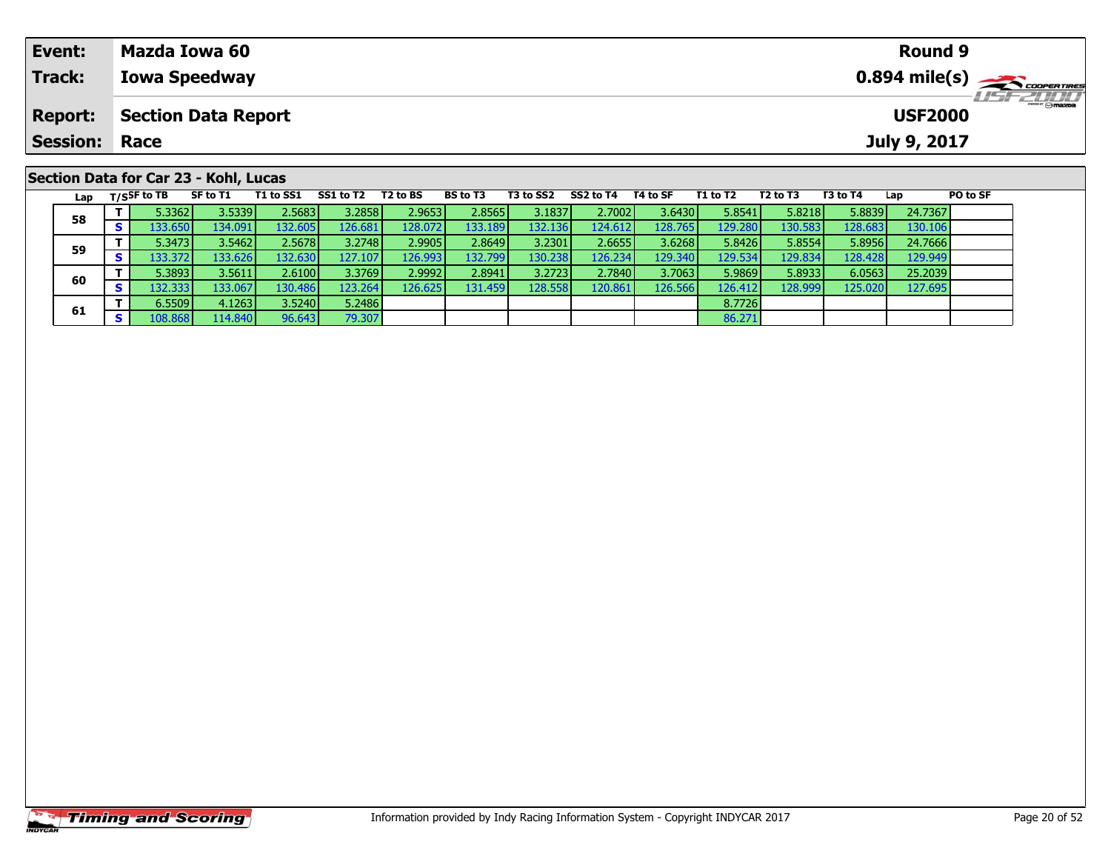| Event:                                | Mazda Iowa 60              |          |           |                    |          |           |           |          |          |          |          | Round 9        |                 |                                                        |
|---------------------------------------|----------------------------|----------|-----------|--------------------|----------|-----------|-----------|----------|----------|----------|----------|----------------|-----------------|--------------------------------------------------------|
| <b>Track:</b>                         | <b>Iowa Speedway</b>       |          |           |                    |          |           |           |          |          |          |          |                |                 | $0.894$ mile(s) $\overbrace{\hspace{2cm}}$ coorentines |
| <b>Report:</b>                        | <b>Section Data Report</b> |          |           |                    |          |           |           |          |          |          |          | <b>USF2000</b> |                 | <b>LISF 2000</b>                                       |
| <b>Session: Race</b>                  |                            |          |           |                    |          |           |           |          |          |          |          | July 9, 2017   |                 |                                                        |
|                                       |                            |          |           |                    |          |           |           |          |          |          |          |                |                 |                                                        |
| Section Data for Car 23 - Kohl, Lucas |                            |          |           |                    |          |           |           |          |          |          |          |                |                 |                                                        |
| Lap                                   | T/SSF to TB                | SF to T1 | T1 to SS1 | SS1 to T2 T2 to BS | BS to T3 | T3 to SS2 | SS2 to T4 | T4 to SF | T1 to T2 | T2 to T3 | T3 to T4 | Lap            | <b>PO to SF</b> |                                                        |

| -- r | . |                  |          |         |         |                  |                  |                  |         |         |          |                   |         |         |  |
|------|---|------------------|----------|---------|---------|------------------|------------------|------------------|---------|---------|----------|-------------------|---------|---------|--|
| 58   |   | 5.33621          | 3.5339   | 2.56831 | 3.2858  | 2.9653           | 2.8565           | 3.1837           | 2.7002  | 3.6430  | 5.8541   | 5.8218            | 5.8839  | 24.7367 |  |
|      | - | 133.650 <b>I</b> | 134.091  | I32.605 | 126.681 | 128.072 <b>1</b> | .33.189 <b>I</b> | 132.136          | 124.612 | 128.765 | 129.280  | 130.583           | 128.683 | 130.106 |  |
| 59   |   | 5.3473           | 3.5462   | 2.5678  | 3.2748  | 2.9905           | 2.8649           | 3.2301           | 2.6655  | 3.6268  | 5.8426   | 5.8554            | 5.8956  | 24.7666 |  |
|      | P | 133.3721         | 133.626  | 132.630 | 127.107 | 126.993          | 132.799          | 130.238          | 126.234 | 129.340 | 129.534  | L29.834           | 128.428 | 129.949 |  |
| 60   |   | 5.3893           | 3.5611   | 2.6100  | 3.3769  | 2.9992           | 2.8941           | 3.2723           | 2.7840  | 3.7063  | 5.9869   | 5.8933            | 6.0563  | 25.2039 |  |
|      |   | 132.333 <b>I</b> | 133.0671 | 130.486 | 123.264 | 126.6251         | 131.459          | 128.558 <b>I</b> | 120.861 | 126.566 | 126.4121 | l <b>28.999 l</b> | 125.020 | 127.695 |  |
|      |   | 6.5509           | 4.1263   | 3.5240  | 5.2486  |                  |                  |                  |         |         | 8.7726   |                   |         |         |  |
| 61   |   | 108.868 <b> </b> | 14.840   | 96.643  | 79.307  |                  |                  |                  |         |         | 86.271   |                   |         |         |  |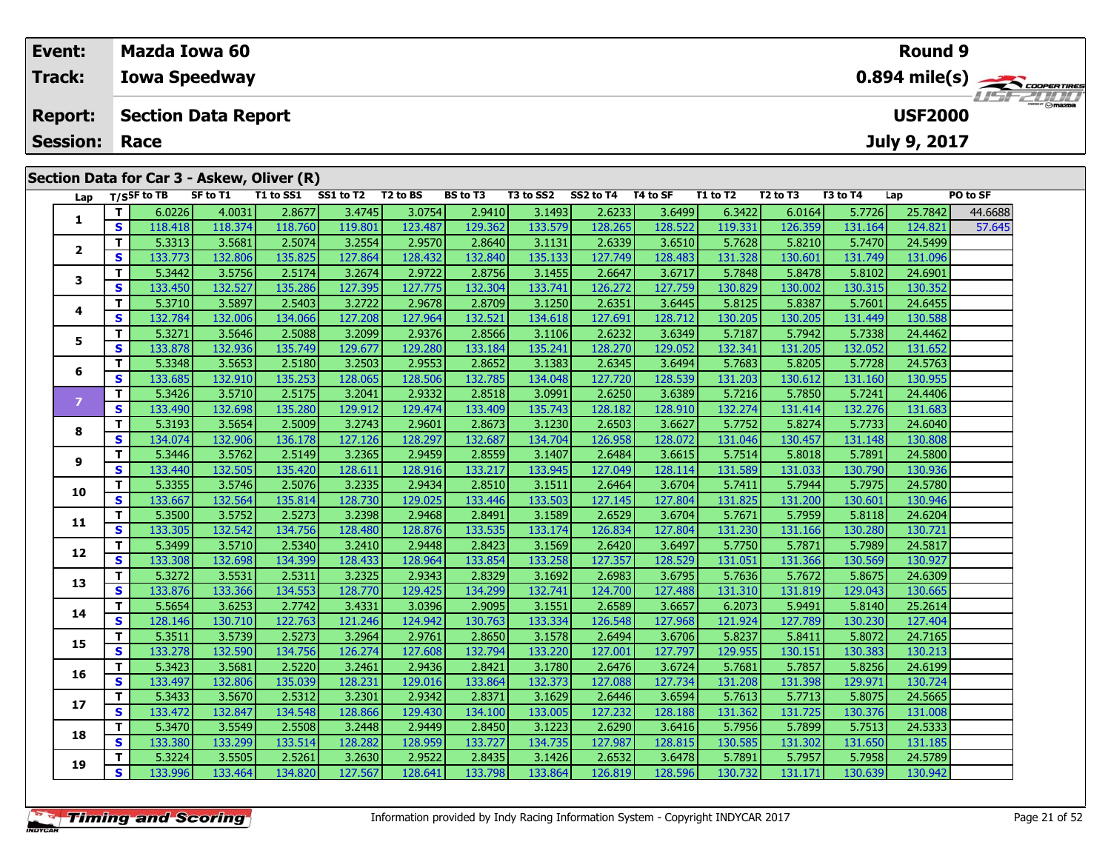| Event:               |    |                 | <b>Mazda Iowa 60</b>       |                                            |           |          |                 |           |           |          |                 |          |          | Round 9        |          |                                                         |
|----------------------|----|-----------------|----------------------------|--------------------------------------------|-----------|----------|-----------------|-----------|-----------|----------|-----------------|----------|----------|----------------|----------|---------------------------------------------------------|
| <b>Track:</b>        |    |                 | <b>Iowa Speedway</b>       |                                            |           |          |                 |           |           |          |                 |          |          |                |          | $0.894$ mile(s) $\overbrace{\hspace{2cm}}$ coorer TIRES |
| <b>Report:</b>       |    |                 | <b>Section Data Report</b> |                                            |           |          |                 |           |           |          |                 |          |          | <b>USF2000</b> |          | <b>HSFZULLI</b>                                         |
| <b>Session: Race</b> |    |                 |                            |                                            |           |          |                 |           |           |          |                 |          |          | July 9, 2017   |          |                                                         |
|                      |    |                 |                            |                                            |           |          |                 |           |           |          |                 |          |          |                |          |                                                         |
|                      |    |                 |                            | Section Data for Car 3 - Askew, Oliver (R) |           |          |                 |           |           |          |                 |          |          |                |          |                                                         |
|                      |    | Lap T/SSF to TB | SF to T1                   | T1 to SS1                                  | SS1 to T2 | T2 to BS | <b>BS to T3</b> | T3 to SS2 | SS2 to T4 | T4 to SF | <b>T1 to T2</b> | T2 to T3 | T3 to T4 | Lap            | PO to SF |                                                         |
|                      |    | 6.0226          | 4.0031                     | 2.8677                                     | 3.4745    | 3.0754   | 2.9410          | 3.1493    | 2.6233    | 3.6499   | 6.3422          | 6.0164   | 5.7726   | 25.7842        | 44.6688  |                                                         |
|                      | S. | 118.418         | 118.374                    | 118,760                                    | 119.801   | 123.487  | 129.362         | 133.579   | 128.265   | 128.522  | 119.331         | 126.359  | 131.1641 | 124.821        | 57.645   |                                                         |
|                      |    |                 |                            |                                            |           |          |                 |           |           |          |                 |          |          |                |          |                                                         |

| 119.801<br>126.359<br>131.164<br>124.821<br>57.645<br>T.<br>5.3313<br>3.5681<br>2.5074<br>3.2554<br>2.9570<br>2.8640<br>3.6510<br>5.7628<br>5.7470<br>24.5499<br>3.1131<br>2.6339<br>5.8210<br>2<br>S<br>133.773<br>132.806<br>135.825<br>128.432<br>132.840<br>135.133<br>127.749<br>131.328<br>131.749<br>131.096<br>127.864<br>128.483<br>130.601<br>T.<br>5.3442<br>5.7848<br>3.5756<br>2.5174<br>3.2674<br>2.9722<br>2.8756<br>3.1455<br>2.6647<br>3.6717<br>5.8478<br>5.8102<br>24.6901<br>3<br>S<br>132.527<br>127.775<br>126.272<br>133.450<br>135.286<br>127.395<br>132.304<br>133.741<br>127.759<br>130.829<br>130.315<br>130.352<br>130.002<br>T.<br>3.5897<br>2.5403<br>3.2722<br>2.9678<br>3.1250<br>3.6445<br>5.8125<br>5.7601<br>24.6455<br>5.3710<br>2.8709<br>2.6351<br>5.8387<br>4<br>$\mathbf{s}$<br>132.006<br>134.066<br>127.964<br>132.521<br>127.691<br>131.449<br>130.588<br>132.784<br>127.208<br>134.618<br>128.712<br>130.205<br>130.205<br>T.<br>5.3271<br>3.5646<br>2.5088<br>3.2099<br>2.9376<br>2.8566<br>3.1106<br>2.6232<br>3.6349<br>5.7187<br>5.7942<br>5.7338<br>24.4462<br>5<br>S<br>132.052<br>133.878<br>132.936<br>135.749<br>129.677<br>129.280<br>133.184<br>135.241<br>128.270<br>129.052<br>132.341<br>131.205<br>131.652<br>T.<br>3.5653<br>2.9553<br>3.6494<br>5.7683<br>5.8205<br>5.3348<br>2.5180<br>3.2503<br>2.8652<br>3.1383<br>2.6345<br>5.7728<br>24.5763<br>6<br>S<br>132.910<br>135.253<br>128.506<br>127.720<br>131.203<br>131.160<br>130.955<br>133.685<br>128.065<br>132.785<br>134.048<br>128.539<br>130.612<br>$\mathbf{T}$<br>3.5710<br>2.5175<br>3.2041<br>2.9332<br>3.0991<br>2.6250<br>5.7216<br>5.7241<br>5.3426<br>2.8518<br>3.6389<br>5.7850<br>24.4406<br>$\overline{z}$<br>S<br>132.698<br>129.474<br>132.274<br>132.276<br>133.490<br>135.280<br>129.912<br>133.409<br>135.743<br>128.182<br>128.910<br>131.683<br>131.414<br>3.5654<br>5.7733<br>$\mathbf{T}$<br>5.3193<br>2.5009<br>3.2743<br>2.9601<br>2.8673<br>3.1230<br>3.6627<br>5.7752<br>24.6040<br>2.6503<br>5.8274<br>8<br>S<br>134.074<br>132.906<br>136.178<br>127.126<br>128.297<br>132.687<br>134.704<br>126.958<br>128.072<br>131.046<br>131.148<br>130.808<br>130.457<br>5.7891<br>$\mathbf{T}$<br>5.3446<br>3.5762<br>2.5149<br>3.2365<br>2.9459<br>2.8559<br>3.1407<br>3.6615<br>5.7514<br>24.5800<br>2.6484<br>5.8018<br>9<br>S<br>133.440<br>132.505<br>135.420<br>128.916<br>133.217<br>133.945<br>127.049<br>131.589<br>130.790<br>130.936<br>128.611<br>128.114<br>131.033<br>T.<br>3.5746<br>2.5076<br>3.2335<br>2.9434<br>3.1511<br>5.7411<br>5.7975<br>24.5780<br>5.3355<br>2.8510<br>2.6464<br>3.6704<br>5.7944<br>10<br>S<br>132.564<br>135.814<br>127.145<br>133.667<br>128.730<br>129.025<br>133.446<br>133.503<br>127.804<br>131.825<br>130.601<br>130.946<br>131.200<br>T.<br>5.3500<br>3.5752<br>2.5273<br>3.2398<br>2.9468<br>2.8491<br>3.1589<br>2.6529<br>3.6704<br>5.7671<br>5.7959<br>5.8118<br>24.6204<br>11<br>$\mathbf{s}$<br>134.756<br>133.305<br>132.542<br>128.876<br>133.174<br>126.834<br>131.230<br>130.280<br>130.721<br>128.480<br>133.535<br>127.804<br>131.166<br>T.<br>5.7989<br>5.3499<br>3.5710<br>2.5340<br>3.2410<br>2.9448<br>3.1569<br>3.6497<br>5.7750<br>24.5817<br>2.8423<br>2.6420<br>5.7871<br>12<br>S<br>132.698<br>134.399<br>128.964<br>133.854<br>133.258<br>127.357<br>128.529<br>130.569<br>130.927<br>133.308<br>128.433<br>131.051<br>131.366<br>T.<br>5.3272<br>3.5531<br>2.5311<br>3.2325<br>2.9343<br>3.1692<br>3.6795<br>5.7636<br>5.8675<br>24.6309<br>2.8329<br>2.6983<br>5.7672<br>13<br>$\overline{\mathbf{s}}$<br>129.425<br>133.876<br>133.366<br>134.553<br>128.770<br>134.299<br>132.741<br>124.700<br>127.488<br>131.310<br>131.819<br>129.043<br>130.665<br>T<br>5.5654<br>3.6253<br>2.7742<br>3.4331<br>3.0396<br>2.9095<br>3.1551<br>2.6589<br>3.6657<br>6.2073<br>5.9491<br>5.8140<br>25.2614<br>14<br>$\mathbf{s}$<br>130.710<br>122.763<br>124.942<br>133.334<br>126.548<br>121.924<br>130.230<br>127.404<br>128.146<br>121.246<br>130.763<br>127.968<br>127.789<br>T.<br>3.5739<br>5.8237<br>5.8072<br>5.3511<br>2.5273<br>3.2964<br>2.9761<br>3.1578<br>24.7165<br>2.8650<br>2.6494<br>3.6706<br>5.8411<br>15<br>$\overline{\mathbf{s}}$<br>132.590<br>129.955<br>133.278<br>134.756<br>126.274<br>127.608<br>133.220<br>127.001<br>127.797<br>130.383<br>130.213<br>132.794<br>130.151<br>T.<br>5.3423<br>3.5681<br>2.9436<br>5.7681<br>5.8256<br>2.5220<br>3.2461<br>2.8421<br>3.1780<br>2.6476<br>3.6724<br>5.7857<br>24.6199<br>16<br>S<br>133.497<br>132.806<br>135.039<br>128.231<br>129.016<br>133.864<br>132.373<br>127.088<br>131.208<br>129.971<br>127.734<br>131.398<br>130.724<br>$\mathbf{T}$<br>5.3433<br>3.5670<br>2.5312<br>3.2301<br>2.9342<br>3.1629<br>3.6594<br>5.7613<br>5.8075<br>24.5665<br>2.8371<br>2.6446<br>5.7713<br>17<br>S<br>133.472<br>132.847<br>134.548<br>128.866<br>129.430<br>133.005<br>127.232<br>131.362<br>131.725<br>130.376<br>131.008<br>134.100<br>128.188<br>T.<br>5.7513<br>5.3470<br>3.5549<br>2.5508<br>3.2448<br>2.9449<br>2.8450<br>3.1223<br>2.6290<br>3.6416<br>5.7956<br>5.7899<br>24.5333<br>18<br>S<br>133.380<br>133.299<br>133.514<br>128.282<br>128.959<br>133.727<br>134.735<br>127.987<br>128.815<br>130.585<br>131.302<br>131.650<br>131.185<br>T<br>2.9522<br>3.1426<br>5.7958<br>5.3224<br>3.5505<br>2.5261<br>3.2630<br>2.8435<br>2.6532<br>3.6478<br>5.7891<br>5.7957<br>24.5789<br>19<br>S<br>130.639<br>133.996<br>134.820<br>128.641<br>133.864<br>128.596<br>130.942<br>133.464<br>127.567<br>133.798<br>126.819<br>130.732<br>131.171 | 1 | T. | 6.0226  | 4.0031  | 2.86/7  | 3.4/45 | 3.0/54  | 2.9410  | 3.1493  | 2.6233  | 3.6499  | 6.3422  | 6.0164 | 3.7726 | 25.7842 | 44.6688 |
|----------------------------------------------------------------------------------------------------------------------------------------------------------------------------------------------------------------------------------------------------------------------------------------------------------------------------------------------------------------------------------------------------------------------------------------------------------------------------------------------------------------------------------------------------------------------------------------------------------------------------------------------------------------------------------------------------------------------------------------------------------------------------------------------------------------------------------------------------------------------------------------------------------------------------------------------------------------------------------------------------------------------------------------------------------------------------------------------------------------------------------------------------------------------------------------------------------------------------------------------------------------------------------------------------------------------------------------------------------------------------------------------------------------------------------------------------------------------------------------------------------------------------------------------------------------------------------------------------------------------------------------------------------------------------------------------------------------------------------------------------------------------------------------------------------------------------------------------------------------------------------------------------------------------------------------------------------------------------------------------------------------------------------------------------------------------------------------------------------------------------------------------------------------------------------------------------------------------------------------------------------------------------------------------------------------------------------------------------------------------------------------------------------------------------------------------------------------------------------------------------------------------------------------------------------------------------------------------------------------------------------------------------------------------------------------------------------------------------------------------------------------------------------------------------------------------------------------------------------------------------------------------------------------------------------------------------------------------------------------------------------------------------------------------------------------------------------------------------------------------------------------------------------------------------------------------------------------------------------------------------------------------------------------------------------------------------------------------------------------------------------------------------------------------------------------------------------------------------------------------------------------------------------------------------------------------------------------------------------------------------------------------------------------------------------------------------------------------------------------------------------------------------------------------------------------------------------------------------------------------------------------------------------------------------------------------------------------------------------------------------------------------------------------------------------------------------------------------------------------------------------------------------------------------------------------------------------------------------------------------------------------------------------------------------------------------------------------------------------------------------------------------------------------------------------------------------------------------------------------------------------------------------------------------------------------------------------------------------------------------------------------------------------------------------------------------------------------------------------------------------------------------------------------------------------------------------------------------------------------------------------------------------------------------------------------------------------------------------------------------------------------------------------------------------------------------------------------------------------------------------------------------------------------------------------------------------------------------------------------------------------------------------------------------------------------------------------------------------------------------------------------------------------------------------------------------------------------------------------------------------------------------------------------------------------------------------------------------------------------------------------|---|----|---------|---------|---------|--------|---------|---------|---------|---------|---------|---------|--------|--------|---------|---------|
|                                                                                                                                                                                                                                                                                                                                                                                                                                                                                                                                                                                                                                                                                                                                                                                                                                                                                                                                                                                                                                                                                                                                                                                                                                                                                                                                                                                                                                                                                                                                                                                                                                                                                                                                                                                                                                                                                                                                                                                                                                                                                                                                                                                                                                                                                                                                                                                                                                                                                                                                                                                                                                                                                                                                                                                                                                                                                                                                                                                                                                                                                                                                                                                                                                                                                                                                                                                                                                                                                                                                                                                                                                                                                                                                                                                                                                                                                                                                                                                                                                                                                                                                                                                                                                                                                                                                                                                                                                                                                                                                                                                                                                                                                                                                                                                                                                                                                                                                                                                                                                                                                                                                                                                                                                                                                                                                                                                                                                                                                                                                                                                                                                  |   | S  | 118.418 | 118.374 | 118.760 |        | 123.487 | 129.362 | 133.579 | 128.265 | 128.522 | 119.331 |        |        |         |         |
|                                                                                                                                                                                                                                                                                                                                                                                                                                                                                                                                                                                                                                                                                                                                                                                                                                                                                                                                                                                                                                                                                                                                                                                                                                                                                                                                                                                                                                                                                                                                                                                                                                                                                                                                                                                                                                                                                                                                                                                                                                                                                                                                                                                                                                                                                                                                                                                                                                                                                                                                                                                                                                                                                                                                                                                                                                                                                                                                                                                                                                                                                                                                                                                                                                                                                                                                                                                                                                                                                                                                                                                                                                                                                                                                                                                                                                                                                                                                                                                                                                                                                                                                                                                                                                                                                                                                                                                                                                                                                                                                                                                                                                                                                                                                                                                                                                                                                                                                                                                                                                                                                                                                                                                                                                                                                                                                                                                                                                                                                                                                                                                                                                  |   |    |         |         |         |        |         |         |         |         |         |         |        |        |         |         |
|                                                                                                                                                                                                                                                                                                                                                                                                                                                                                                                                                                                                                                                                                                                                                                                                                                                                                                                                                                                                                                                                                                                                                                                                                                                                                                                                                                                                                                                                                                                                                                                                                                                                                                                                                                                                                                                                                                                                                                                                                                                                                                                                                                                                                                                                                                                                                                                                                                                                                                                                                                                                                                                                                                                                                                                                                                                                                                                                                                                                                                                                                                                                                                                                                                                                                                                                                                                                                                                                                                                                                                                                                                                                                                                                                                                                                                                                                                                                                                                                                                                                                                                                                                                                                                                                                                                                                                                                                                                                                                                                                                                                                                                                                                                                                                                                                                                                                                                                                                                                                                                                                                                                                                                                                                                                                                                                                                                                                                                                                                                                                                                                                                  |   |    |         |         |         |        |         |         |         |         |         |         |        |        |         |         |
|                                                                                                                                                                                                                                                                                                                                                                                                                                                                                                                                                                                                                                                                                                                                                                                                                                                                                                                                                                                                                                                                                                                                                                                                                                                                                                                                                                                                                                                                                                                                                                                                                                                                                                                                                                                                                                                                                                                                                                                                                                                                                                                                                                                                                                                                                                                                                                                                                                                                                                                                                                                                                                                                                                                                                                                                                                                                                                                                                                                                                                                                                                                                                                                                                                                                                                                                                                                                                                                                                                                                                                                                                                                                                                                                                                                                                                                                                                                                                                                                                                                                                                                                                                                                                                                                                                                                                                                                                                                                                                                                                                                                                                                                                                                                                                                                                                                                                                                                                                                                                                                                                                                                                                                                                                                                                                                                                                                                                                                                                                                                                                                                                                  |   |    |         |         |         |        |         |         |         |         |         |         |        |        |         |         |
|                                                                                                                                                                                                                                                                                                                                                                                                                                                                                                                                                                                                                                                                                                                                                                                                                                                                                                                                                                                                                                                                                                                                                                                                                                                                                                                                                                                                                                                                                                                                                                                                                                                                                                                                                                                                                                                                                                                                                                                                                                                                                                                                                                                                                                                                                                                                                                                                                                                                                                                                                                                                                                                                                                                                                                                                                                                                                                                                                                                                                                                                                                                                                                                                                                                                                                                                                                                                                                                                                                                                                                                                                                                                                                                                                                                                                                                                                                                                                                                                                                                                                                                                                                                                                                                                                                                                                                                                                                                                                                                                                                                                                                                                                                                                                                                                                                                                                                                                                                                                                                                                                                                                                                                                                                                                                                                                                                                                                                                                                                                                                                                                                                  |   |    |         |         |         |        |         |         |         |         |         |         |        |        |         |         |
|                                                                                                                                                                                                                                                                                                                                                                                                                                                                                                                                                                                                                                                                                                                                                                                                                                                                                                                                                                                                                                                                                                                                                                                                                                                                                                                                                                                                                                                                                                                                                                                                                                                                                                                                                                                                                                                                                                                                                                                                                                                                                                                                                                                                                                                                                                                                                                                                                                                                                                                                                                                                                                                                                                                                                                                                                                                                                                                                                                                                                                                                                                                                                                                                                                                                                                                                                                                                                                                                                                                                                                                                                                                                                                                                                                                                                                                                                                                                                                                                                                                                                                                                                                                                                                                                                                                                                                                                                                                                                                                                                                                                                                                                                                                                                                                                                                                                                                                                                                                                                                                                                                                                                                                                                                                                                                                                                                                                                                                                                                                                                                                                                                  |   |    |         |         |         |        |         |         |         |         |         |         |        |        |         |         |
|                                                                                                                                                                                                                                                                                                                                                                                                                                                                                                                                                                                                                                                                                                                                                                                                                                                                                                                                                                                                                                                                                                                                                                                                                                                                                                                                                                                                                                                                                                                                                                                                                                                                                                                                                                                                                                                                                                                                                                                                                                                                                                                                                                                                                                                                                                                                                                                                                                                                                                                                                                                                                                                                                                                                                                                                                                                                                                                                                                                                                                                                                                                                                                                                                                                                                                                                                                                                                                                                                                                                                                                                                                                                                                                                                                                                                                                                                                                                                                                                                                                                                                                                                                                                                                                                                                                                                                                                                                                                                                                                                                                                                                                                                                                                                                                                                                                                                                                                                                                                                                                                                                                                                                                                                                                                                                                                                                                                                                                                                                                                                                                                                                  |   |    |         |         |         |        |         |         |         |         |         |         |        |        |         |         |
|                                                                                                                                                                                                                                                                                                                                                                                                                                                                                                                                                                                                                                                                                                                                                                                                                                                                                                                                                                                                                                                                                                                                                                                                                                                                                                                                                                                                                                                                                                                                                                                                                                                                                                                                                                                                                                                                                                                                                                                                                                                                                                                                                                                                                                                                                                                                                                                                                                                                                                                                                                                                                                                                                                                                                                                                                                                                                                                                                                                                                                                                                                                                                                                                                                                                                                                                                                                                                                                                                                                                                                                                                                                                                                                                                                                                                                                                                                                                                                                                                                                                                                                                                                                                                                                                                                                                                                                                                                                                                                                                                                                                                                                                                                                                                                                                                                                                                                                                                                                                                                                                                                                                                                                                                                                                                                                                                                                                                                                                                                                                                                                                                                  |   |    |         |         |         |        |         |         |         |         |         |         |        |        |         |         |
|                                                                                                                                                                                                                                                                                                                                                                                                                                                                                                                                                                                                                                                                                                                                                                                                                                                                                                                                                                                                                                                                                                                                                                                                                                                                                                                                                                                                                                                                                                                                                                                                                                                                                                                                                                                                                                                                                                                                                                                                                                                                                                                                                                                                                                                                                                                                                                                                                                                                                                                                                                                                                                                                                                                                                                                                                                                                                                                                                                                                                                                                                                                                                                                                                                                                                                                                                                                                                                                                                                                                                                                                                                                                                                                                                                                                                                                                                                                                                                                                                                                                                                                                                                                                                                                                                                                                                                                                                                                                                                                                                                                                                                                                                                                                                                                                                                                                                                                                                                                                                                                                                                                                                                                                                                                                                                                                                                                                                                                                                                                                                                                                                                  |   |    |         |         |         |        |         |         |         |         |         |         |        |        |         |         |
|                                                                                                                                                                                                                                                                                                                                                                                                                                                                                                                                                                                                                                                                                                                                                                                                                                                                                                                                                                                                                                                                                                                                                                                                                                                                                                                                                                                                                                                                                                                                                                                                                                                                                                                                                                                                                                                                                                                                                                                                                                                                                                                                                                                                                                                                                                                                                                                                                                                                                                                                                                                                                                                                                                                                                                                                                                                                                                                                                                                                                                                                                                                                                                                                                                                                                                                                                                                                                                                                                                                                                                                                                                                                                                                                                                                                                                                                                                                                                                                                                                                                                                                                                                                                                                                                                                                                                                                                                                                                                                                                                                                                                                                                                                                                                                                                                                                                                                                                                                                                                                                                                                                                                                                                                                                                                                                                                                                                                                                                                                                                                                                                                                  |   |    |         |         |         |        |         |         |         |         |         |         |        |        |         |         |
|                                                                                                                                                                                                                                                                                                                                                                                                                                                                                                                                                                                                                                                                                                                                                                                                                                                                                                                                                                                                                                                                                                                                                                                                                                                                                                                                                                                                                                                                                                                                                                                                                                                                                                                                                                                                                                                                                                                                                                                                                                                                                                                                                                                                                                                                                                                                                                                                                                                                                                                                                                                                                                                                                                                                                                                                                                                                                                                                                                                                                                                                                                                                                                                                                                                                                                                                                                                                                                                                                                                                                                                                                                                                                                                                                                                                                                                                                                                                                                                                                                                                                                                                                                                                                                                                                                                                                                                                                                                                                                                                                                                                                                                                                                                                                                                                                                                                                                                                                                                                                                                                                                                                                                                                                                                                                                                                                                                                                                                                                                                                                                                                                                  |   |    |         |         |         |        |         |         |         |         |         |         |        |        |         |         |
|                                                                                                                                                                                                                                                                                                                                                                                                                                                                                                                                                                                                                                                                                                                                                                                                                                                                                                                                                                                                                                                                                                                                                                                                                                                                                                                                                                                                                                                                                                                                                                                                                                                                                                                                                                                                                                                                                                                                                                                                                                                                                                                                                                                                                                                                                                                                                                                                                                                                                                                                                                                                                                                                                                                                                                                                                                                                                                                                                                                                                                                                                                                                                                                                                                                                                                                                                                                                                                                                                                                                                                                                                                                                                                                                                                                                                                                                                                                                                                                                                                                                                                                                                                                                                                                                                                                                                                                                                                                                                                                                                                                                                                                                                                                                                                                                                                                                                                                                                                                                                                                                                                                                                                                                                                                                                                                                                                                                                                                                                                                                                                                                                                  |   |    |         |         |         |        |         |         |         |         |         |         |        |        |         |         |
|                                                                                                                                                                                                                                                                                                                                                                                                                                                                                                                                                                                                                                                                                                                                                                                                                                                                                                                                                                                                                                                                                                                                                                                                                                                                                                                                                                                                                                                                                                                                                                                                                                                                                                                                                                                                                                                                                                                                                                                                                                                                                                                                                                                                                                                                                                                                                                                                                                                                                                                                                                                                                                                                                                                                                                                                                                                                                                                                                                                                                                                                                                                                                                                                                                                                                                                                                                                                                                                                                                                                                                                                                                                                                                                                                                                                                                                                                                                                                                                                                                                                                                                                                                                                                                                                                                                                                                                                                                                                                                                                                                                                                                                                                                                                                                                                                                                                                                                                                                                                                                                                                                                                                                                                                                                                                                                                                                                                                                                                                                                                                                                                                                  |   |    |         |         |         |        |         |         |         |         |         |         |        |        |         |         |
|                                                                                                                                                                                                                                                                                                                                                                                                                                                                                                                                                                                                                                                                                                                                                                                                                                                                                                                                                                                                                                                                                                                                                                                                                                                                                                                                                                                                                                                                                                                                                                                                                                                                                                                                                                                                                                                                                                                                                                                                                                                                                                                                                                                                                                                                                                                                                                                                                                                                                                                                                                                                                                                                                                                                                                                                                                                                                                                                                                                                                                                                                                                                                                                                                                                                                                                                                                                                                                                                                                                                                                                                                                                                                                                                                                                                                                                                                                                                                                                                                                                                                                                                                                                                                                                                                                                                                                                                                                                                                                                                                                                                                                                                                                                                                                                                                                                                                                                                                                                                                                                                                                                                                                                                                                                                                                                                                                                                                                                                                                                                                                                                                                  |   |    |         |         |         |        |         |         |         |         |         |         |        |        |         |         |
|                                                                                                                                                                                                                                                                                                                                                                                                                                                                                                                                                                                                                                                                                                                                                                                                                                                                                                                                                                                                                                                                                                                                                                                                                                                                                                                                                                                                                                                                                                                                                                                                                                                                                                                                                                                                                                                                                                                                                                                                                                                                                                                                                                                                                                                                                                                                                                                                                                                                                                                                                                                                                                                                                                                                                                                                                                                                                                                                                                                                                                                                                                                                                                                                                                                                                                                                                                                                                                                                                                                                                                                                                                                                                                                                                                                                                                                                                                                                                                                                                                                                                                                                                                                                                                                                                                                                                                                                                                                                                                                                                                                                                                                                                                                                                                                                                                                                                                                                                                                                                                                                                                                                                                                                                                                                                                                                                                                                                                                                                                                                                                                                                                  |   |    |         |         |         |        |         |         |         |         |         |         |        |        |         |         |
|                                                                                                                                                                                                                                                                                                                                                                                                                                                                                                                                                                                                                                                                                                                                                                                                                                                                                                                                                                                                                                                                                                                                                                                                                                                                                                                                                                                                                                                                                                                                                                                                                                                                                                                                                                                                                                                                                                                                                                                                                                                                                                                                                                                                                                                                                                                                                                                                                                                                                                                                                                                                                                                                                                                                                                                                                                                                                                                                                                                                                                                                                                                                                                                                                                                                                                                                                                                                                                                                                                                                                                                                                                                                                                                                                                                                                                                                                                                                                                                                                                                                                                                                                                                                                                                                                                                                                                                                                                                                                                                                                                                                                                                                                                                                                                                                                                                                                                                                                                                                                                                                                                                                                                                                                                                                                                                                                                                                                                                                                                                                                                                                                                  |   |    |         |         |         |        |         |         |         |         |         |         |        |        |         |         |
|                                                                                                                                                                                                                                                                                                                                                                                                                                                                                                                                                                                                                                                                                                                                                                                                                                                                                                                                                                                                                                                                                                                                                                                                                                                                                                                                                                                                                                                                                                                                                                                                                                                                                                                                                                                                                                                                                                                                                                                                                                                                                                                                                                                                                                                                                                                                                                                                                                                                                                                                                                                                                                                                                                                                                                                                                                                                                                                                                                                                                                                                                                                                                                                                                                                                                                                                                                                                                                                                                                                                                                                                                                                                                                                                                                                                                                                                                                                                                                                                                                                                                                                                                                                                                                                                                                                                                                                                                                                                                                                                                                                                                                                                                                                                                                                                                                                                                                                                                                                                                                                                                                                                                                                                                                                                                                                                                                                                                                                                                                                                                                                                                                  |   |    |         |         |         |        |         |         |         |         |         |         |        |        |         |         |
|                                                                                                                                                                                                                                                                                                                                                                                                                                                                                                                                                                                                                                                                                                                                                                                                                                                                                                                                                                                                                                                                                                                                                                                                                                                                                                                                                                                                                                                                                                                                                                                                                                                                                                                                                                                                                                                                                                                                                                                                                                                                                                                                                                                                                                                                                                                                                                                                                                                                                                                                                                                                                                                                                                                                                                                                                                                                                                                                                                                                                                                                                                                                                                                                                                                                                                                                                                                                                                                                                                                                                                                                                                                                                                                                                                                                                                                                                                                                                                                                                                                                                                                                                                                                                                                                                                                                                                                                                                                                                                                                                                                                                                                                                                                                                                                                                                                                                                                                                                                                                                                                                                                                                                                                                                                                                                                                                                                                                                                                                                                                                                                                                                  |   |    |         |         |         |        |         |         |         |         |         |         |        |        |         |         |
|                                                                                                                                                                                                                                                                                                                                                                                                                                                                                                                                                                                                                                                                                                                                                                                                                                                                                                                                                                                                                                                                                                                                                                                                                                                                                                                                                                                                                                                                                                                                                                                                                                                                                                                                                                                                                                                                                                                                                                                                                                                                                                                                                                                                                                                                                                                                                                                                                                                                                                                                                                                                                                                                                                                                                                                                                                                                                                                                                                                                                                                                                                                                                                                                                                                                                                                                                                                                                                                                                                                                                                                                                                                                                                                                                                                                                                                                                                                                                                                                                                                                                                                                                                                                                                                                                                                                                                                                                                                                                                                                                                                                                                                                                                                                                                                                                                                                                                                                                                                                                                                                                                                                                                                                                                                                                                                                                                                                                                                                                                                                                                                                                                  |   |    |         |         |         |        |         |         |         |         |         |         |        |        |         |         |
|                                                                                                                                                                                                                                                                                                                                                                                                                                                                                                                                                                                                                                                                                                                                                                                                                                                                                                                                                                                                                                                                                                                                                                                                                                                                                                                                                                                                                                                                                                                                                                                                                                                                                                                                                                                                                                                                                                                                                                                                                                                                                                                                                                                                                                                                                                                                                                                                                                                                                                                                                                                                                                                                                                                                                                                                                                                                                                                                                                                                                                                                                                                                                                                                                                                                                                                                                                                                                                                                                                                                                                                                                                                                                                                                                                                                                                                                                                                                                                                                                                                                                                                                                                                                                                                                                                                                                                                                                                                                                                                                                                                                                                                                                                                                                                                                                                                                                                                                                                                                                                                                                                                                                                                                                                                                                                                                                                                                                                                                                                                                                                                                                                  |   |    |         |         |         |        |         |         |         |         |         |         |        |        |         |         |
|                                                                                                                                                                                                                                                                                                                                                                                                                                                                                                                                                                                                                                                                                                                                                                                                                                                                                                                                                                                                                                                                                                                                                                                                                                                                                                                                                                                                                                                                                                                                                                                                                                                                                                                                                                                                                                                                                                                                                                                                                                                                                                                                                                                                                                                                                                                                                                                                                                                                                                                                                                                                                                                                                                                                                                                                                                                                                                                                                                                                                                                                                                                                                                                                                                                                                                                                                                                                                                                                                                                                                                                                                                                                                                                                                                                                                                                                                                                                                                                                                                                                                                                                                                                                                                                                                                                                                                                                                                                                                                                                                                                                                                                                                                                                                                                                                                                                                                                                                                                                                                                                                                                                                                                                                                                                                                                                                                                                                                                                                                                                                                                                                                  |   |    |         |         |         |        |         |         |         |         |         |         |        |        |         |         |
|                                                                                                                                                                                                                                                                                                                                                                                                                                                                                                                                                                                                                                                                                                                                                                                                                                                                                                                                                                                                                                                                                                                                                                                                                                                                                                                                                                                                                                                                                                                                                                                                                                                                                                                                                                                                                                                                                                                                                                                                                                                                                                                                                                                                                                                                                                                                                                                                                                                                                                                                                                                                                                                                                                                                                                                                                                                                                                                                                                                                                                                                                                                                                                                                                                                                                                                                                                                                                                                                                                                                                                                                                                                                                                                                                                                                                                                                                                                                                                                                                                                                                                                                                                                                                                                                                                                                                                                                                                                                                                                                                                                                                                                                                                                                                                                                                                                                                                                                                                                                                                                                                                                                                                                                                                                                                                                                                                                                                                                                                                                                                                                                                                  |   |    |         |         |         |        |         |         |         |         |         |         |        |        |         |         |
|                                                                                                                                                                                                                                                                                                                                                                                                                                                                                                                                                                                                                                                                                                                                                                                                                                                                                                                                                                                                                                                                                                                                                                                                                                                                                                                                                                                                                                                                                                                                                                                                                                                                                                                                                                                                                                                                                                                                                                                                                                                                                                                                                                                                                                                                                                                                                                                                                                                                                                                                                                                                                                                                                                                                                                                                                                                                                                                                                                                                                                                                                                                                                                                                                                                                                                                                                                                                                                                                                                                                                                                                                                                                                                                                                                                                                                                                                                                                                                                                                                                                                                                                                                                                                                                                                                                                                                                                                                                                                                                                                                                                                                                                                                                                                                                                                                                                                                                                                                                                                                                                                                                                                                                                                                                                                                                                                                                                                                                                                                                                                                                                                                  |   |    |         |         |         |        |         |         |         |         |         |         |        |        |         |         |
|                                                                                                                                                                                                                                                                                                                                                                                                                                                                                                                                                                                                                                                                                                                                                                                                                                                                                                                                                                                                                                                                                                                                                                                                                                                                                                                                                                                                                                                                                                                                                                                                                                                                                                                                                                                                                                                                                                                                                                                                                                                                                                                                                                                                                                                                                                                                                                                                                                                                                                                                                                                                                                                                                                                                                                                                                                                                                                                                                                                                                                                                                                                                                                                                                                                                                                                                                                                                                                                                                                                                                                                                                                                                                                                                                                                                                                                                                                                                                                                                                                                                                                                                                                                                                                                                                                                                                                                                                                                                                                                                                                                                                                                                                                                                                                                                                                                                                                                                                                                                                                                                                                                                                                                                                                                                                                                                                                                                                                                                                                                                                                                                                                  |   |    |         |         |         |        |         |         |         |         |         |         |        |        |         |         |
|                                                                                                                                                                                                                                                                                                                                                                                                                                                                                                                                                                                                                                                                                                                                                                                                                                                                                                                                                                                                                                                                                                                                                                                                                                                                                                                                                                                                                                                                                                                                                                                                                                                                                                                                                                                                                                                                                                                                                                                                                                                                                                                                                                                                                                                                                                                                                                                                                                                                                                                                                                                                                                                                                                                                                                                                                                                                                                                                                                                                                                                                                                                                                                                                                                                                                                                                                                                                                                                                                                                                                                                                                                                                                                                                                                                                                                                                                                                                                                                                                                                                                                                                                                                                                                                                                                                                                                                                                                                                                                                                                                                                                                                                                                                                                                                                                                                                                                                                                                                                                                                                                                                                                                                                                                                                                                                                                                                                                                                                                                                                                                                                                                  |   |    |         |         |         |        |         |         |         |         |         |         |        |        |         |         |
|                                                                                                                                                                                                                                                                                                                                                                                                                                                                                                                                                                                                                                                                                                                                                                                                                                                                                                                                                                                                                                                                                                                                                                                                                                                                                                                                                                                                                                                                                                                                                                                                                                                                                                                                                                                                                                                                                                                                                                                                                                                                                                                                                                                                                                                                                                                                                                                                                                                                                                                                                                                                                                                                                                                                                                                                                                                                                                                                                                                                                                                                                                                                                                                                                                                                                                                                                                                                                                                                                                                                                                                                                                                                                                                                                                                                                                                                                                                                                                                                                                                                                                                                                                                                                                                                                                                                                                                                                                                                                                                                                                                                                                                                                                                                                                                                                                                                                                                                                                                                                                                                                                                                                                                                                                                                                                                                                                                                                                                                                                                                                                                                                                  |   |    |         |         |         |        |         |         |         |         |         |         |        |        |         |         |
|                                                                                                                                                                                                                                                                                                                                                                                                                                                                                                                                                                                                                                                                                                                                                                                                                                                                                                                                                                                                                                                                                                                                                                                                                                                                                                                                                                                                                                                                                                                                                                                                                                                                                                                                                                                                                                                                                                                                                                                                                                                                                                                                                                                                                                                                                                                                                                                                                                                                                                                                                                                                                                                                                                                                                                                                                                                                                                                                                                                                                                                                                                                                                                                                                                                                                                                                                                                                                                                                                                                                                                                                                                                                                                                                                                                                                                                                                                                                                                                                                                                                                                                                                                                                                                                                                                                                                                                                                                                                                                                                                                                                                                                                                                                                                                                                                                                                                                                                                                                                                                                                                                                                                                                                                                                                                                                                                                                                                                                                                                                                                                                                                                  |   |    |         |         |         |        |         |         |         |         |         |         |        |        |         |         |
|                                                                                                                                                                                                                                                                                                                                                                                                                                                                                                                                                                                                                                                                                                                                                                                                                                                                                                                                                                                                                                                                                                                                                                                                                                                                                                                                                                                                                                                                                                                                                                                                                                                                                                                                                                                                                                                                                                                                                                                                                                                                                                                                                                                                                                                                                                                                                                                                                                                                                                                                                                                                                                                                                                                                                                                                                                                                                                                                                                                                                                                                                                                                                                                                                                                                                                                                                                                                                                                                                                                                                                                                                                                                                                                                                                                                                                                                                                                                                                                                                                                                                                                                                                                                                                                                                                                                                                                                                                                                                                                                                                                                                                                                                                                                                                                                                                                                                                                                                                                                                                                                                                                                                                                                                                                                                                                                                                                                                                                                                                                                                                                                                                  |   |    |         |         |         |        |         |         |         |         |         |         |        |        |         |         |
|                                                                                                                                                                                                                                                                                                                                                                                                                                                                                                                                                                                                                                                                                                                                                                                                                                                                                                                                                                                                                                                                                                                                                                                                                                                                                                                                                                                                                                                                                                                                                                                                                                                                                                                                                                                                                                                                                                                                                                                                                                                                                                                                                                                                                                                                                                                                                                                                                                                                                                                                                                                                                                                                                                                                                                                                                                                                                                                                                                                                                                                                                                                                                                                                                                                                                                                                                                                                                                                                                                                                                                                                                                                                                                                                                                                                                                                                                                                                                                                                                                                                                                                                                                                                                                                                                                                                                                                                                                                                                                                                                                                                                                                                                                                                                                                                                                                                                                                                                                                                                                                                                                                                                                                                                                                                                                                                                                                                                                                                                                                                                                                                                                  |   |    |         |         |         |        |         |         |         |         |         |         |        |        |         |         |
|                                                                                                                                                                                                                                                                                                                                                                                                                                                                                                                                                                                                                                                                                                                                                                                                                                                                                                                                                                                                                                                                                                                                                                                                                                                                                                                                                                                                                                                                                                                                                                                                                                                                                                                                                                                                                                                                                                                                                                                                                                                                                                                                                                                                                                                                                                                                                                                                                                                                                                                                                                                                                                                                                                                                                                                                                                                                                                                                                                                                                                                                                                                                                                                                                                                                                                                                                                                                                                                                                                                                                                                                                                                                                                                                                                                                                                                                                                                                                                                                                                                                                                                                                                                                                                                                                                                                                                                                                                                                                                                                                                                                                                                                                                                                                                                                                                                                                                                                                                                                                                                                                                                                                                                                                                                                                                                                                                                                                                                                                                                                                                                                                                  |   |    |         |         |         |        |         |         |         |         |         |         |        |        |         |         |
|                                                                                                                                                                                                                                                                                                                                                                                                                                                                                                                                                                                                                                                                                                                                                                                                                                                                                                                                                                                                                                                                                                                                                                                                                                                                                                                                                                                                                                                                                                                                                                                                                                                                                                                                                                                                                                                                                                                                                                                                                                                                                                                                                                                                                                                                                                                                                                                                                                                                                                                                                                                                                                                                                                                                                                                                                                                                                                                                                                                                                                                                                                                                                                                                                                                                                                                                                                                                                                                                                                                                                                                                                                                                                                                                                                                                                                                                                                                                                                                                                                                                                                                                                                                                                                                                                                                                                                                                                                                                                                                                                                                                                                                                                                                                                                                                                                                                                                                                                                                                                                                                                                                                                                                                                                                                                                                                                                                                                                                                                                                                                                                                                                  |   |    |         |         |         |        |         |         |         |         |         |         |        |        |         |         |
|                                                                                                                                                                                                                                                                                                                                                                                                                                                                                                                                                                                                                                                                                                                                                                                                                                                                                                                                                                                                                                                                                                                                                                                                                                                                                                                                                                                                                                                                                                                                                                                                                                                                                                                                                                                                                                                                                                                                                                                                                                                                                                                                                                                                                                                                                                                                                                                                                                                                                                                                                                                                                                                                                                                                                                                                                                                                                                                                                                                                                                                                                                                                                                                                                                                                                                                                                                                                                                                                                                                                                                                                                                                                                                                                                                                                                                                                                                                                                                                                                                                                                                                                                                                                                                                                                                                                                                                                                                                                                                                                                                                                                                                                                                                                                                                                                                                                                                                                                                                                                                                                                                                                                                                                                                                                                                                                                                                                                                                                                                                                                                                                                                  |   |    |         |         |         |        |         |         |         |         |         |         |        |        |         |         |
|                                                                                                                                                                                                                                                                                                                                                                                                                                                                                                                                                                                                                                                                                                                                                                                                                                                                                                                                                                                                                                                                                                                                                                                                                                                                                                                                                                                                                                                                                                                                                                                                                                                                                                                                                                                                                                                                                                                                                                                                                                                                                                                                                                                                                                                                                                                                                                                                                                                                                                                                                                                                                                                                                                                                                                                                                                                                                                                                                                                                                                                                                                                                                                                                                                                                                                                                                                                                                                                                                                                                                                                                                                                                                                                                                                                                                                                                                                                                                                                                                                                                                                                                                                                                                                                                                                                                                                                                                                                                                                                                                                                                                                                                                                                                                                                                                                                                                                                                                                                                                                                                                                                                                                                                                                                                                                                                                                                                                                                                                                                                                                                                                                  |   |    |         |         |         |        |         |         |         |         |         |         |        |        |         |         |
|                                                                                                                                                                                                                                                                                                                                                                                                                                                                                                                                                                                                                                                                                                                                                                                                                                                                                                                                                                                                                                                                                                                                                                                                                                                                                                                                                                                                                                                                                                                                                                                                                                                                                                                                                                                                                                                                                                                                                                                                                                                                                                                                                                                                                                                                                                                                                                                                                                                                                                                                                                                                                                                                                                                                                                                                                                                                                                                                                                                                                                                                                                                                                                                                                                                                                                                                                                                                                                                                                                                                                                                                                                                                                                                                                                                                                                                                                                                                                                                                                                                                                                                                                                                                                                                                                                                                                                                                                                                                                                                                                                                                                                                                                                                                                                                                                                                                                                                                                                                                                                                                                                                                                                                                                                                                                                                                                                                                                                                                                                                                                                                                                                  |   |    |         |         |         |        |         |         |         |         |         |         |        |        |         |         |
|                                                                                                                                                                                                                                                                                                                                                                                                                                                                                                                                                                                                                                                                                                                                                                                                                                                                                                                                                                                                                                                                                                                                                                                                                                                                                                                                                                                                                                                                                                                                                                                                                                                                                                                                                                                                                                                                                                                                                                                                                                                                                                                                                                                                                                                                                                                                                                                                                                                                                                                                                                                                                                                                                                                                                                                                                                                                                                                                                                                                                                                                                                                                                                                                                                                                                                                                                                                                                                                                                                                                                                                                                                                                                                                                                                                                                                                                                                                                                                                                                                                                                                                                                                                                                                                                                                                                                                                                                                                                                                                                                                                                                                                                                                                                                                                                                                                                                                                                                                                                                                                                                                                                                                                                                                                                                                                                                                                                                                                                                                                                                                                                                                  |   |    |         |         |         |        |         |         |         |         |         |         |        |        |         |         |
|                                                                                                                                                                                                                                                                                                                                                                                                                                                                                                                                                                                                                                                                                                                                                                                                                                                                                                                                                                                                                                                                                                                                                                                                                                                                                                                                                                                                                                                                                                                                                                                                                                                                                                                                                                                                                                                                                                                                                                                                                                                                                                                                                                                                                                                                                                                                                                                                                                                                                                                                                                                                                                                                                                                                                                                                                                                                                                                                                                                                                                                                                                                                                                                                                                                                                                                                                                                                                                                                                                                                                                                                                                                                                                                                                                                                                                                                                                                                                                                                                                                                                                                                                                                                                                                                                                                                                                                                                                                                                                                                                                                                                                                                                                                                                                                                                                                                                                                                                                                                                                                                                                                                                                                                                                                                                                                                                                                                                                                                                                                                                                                                                                  |   |    |         |         |         |        |         |         |         |         |         |         |        |        |         |         |
|                                                                                                                                                                                                                                                                                                                                                                                                                                                                                                                                                                                                                                                                                                                                                                                                                                                                                                                                                                                                                                                                                                                                                                                                                                                                                                                                                                                                                                                                                                                                                                                                                                                                                                                                                                                                                                                                                                                                                                                                                                                                                                                                                                                                                                                                                                                                                                                                                                                                                                                                                                                                                                                                                                                                                                                                                                                                                                                                                                                                                                                                                                                                                                                                                                                                                                                                                                                                                                                                                                                                                                                                                                                                                                                                                                                                                                                                                                                                                                                                                                                                                                                                                                                                                                                                                                                                                                                                                                                                                                                                                                                                                                                                                                                                                                                                                                                                                                                                                                                                                                                                                                                                                                                                                                                                                                                                                                                                                                                                                                                                                                                                                                  |   |    |         |         |         |        |         |         |         |         |         |         |        |        |         |         |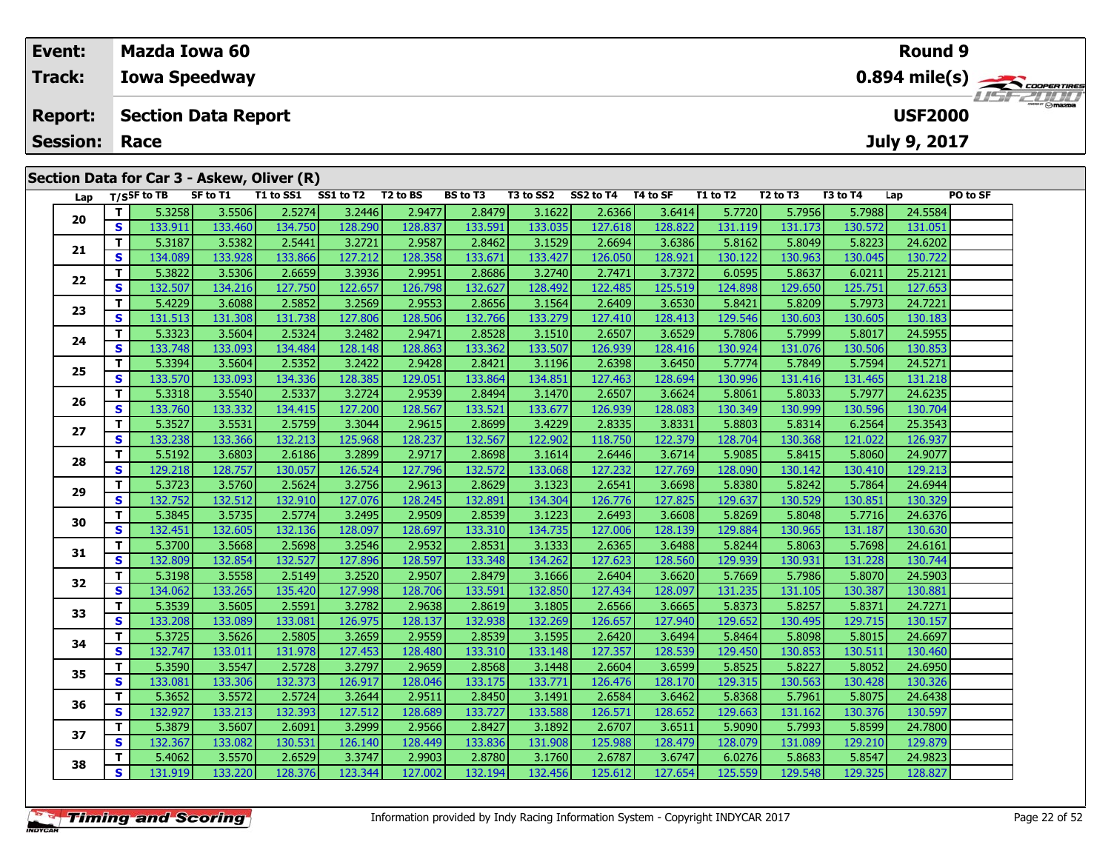| Event:               |    |                    | <b>Mazda Iowa 60</b>                       |           |           |          |                 |           |           |          |                 |          |          | Round 9        |          |                 |
|----------------------|----|--------------------|--------------------------------------------|-----------|-----------|----------|-----------------|-----------|-----------|----------|-----------------|----------|----------|----------------|----------|-----------------|
| <b>Track:</b>        |    |                    | <b>Iowa Speedway</b>                       |           |           |          |                 |           |           |          |                 |          |          |                |          |                 |
| <b>Report:</b>       |    |                    | <b>Section Data Report</b>                 |           |           |          |                 |           |           |          |                 |          |          | <b>USF2000</b> |          | <b>HSFZULLI</b> |
| <b>Session: Race</b> |    |                    |                                            |           |           |          |                 |           |           |          |                 |          |          | July 9, 2017   |          |                 |
|                      |    |                    |                                            |           |           |          |                 |           |           |          |                 |          |          |                |          |                 |
|                      |    |                    | Section Data for Car 3 - Askew, Oliver (R) |           |           |          |                 |           |           |          |                 |          |          |                |          |                 |
|                      |    | Lap $T/S$ SF to TB | SF to T1                                   | T1 to SS1 | SS1 to T2 | T2 to BS | <b>BS to T3</b> | T3 to SS2 | SS2 to T4 | T4 to SF | <b>T1 to T2</b> | T2 to T3 | T3 to T4 | Lap            | PO to SF |                 |
| 20                   |    | 5.3258             | 3.5506                                     | 2.5274    | 3.2446    | 2.9477   | 2.8479          | 3.1622    | 2.6366    | 3.6414   | 5.7720          | 5.7956   | 5.7988   | 24.5584        |          |                 |
|                      | S. | 133.911            | 133.460                                    | 134.750   | 128.290   | 128.837  | 133.591         | 133.035   | 127.618   | 128.822  | 131.119         | 131.173  | 130.5721 | 131.051        |          |                 |
|                      |    |                    |                                            |           |           |          |                 |           |           | .        |                 |          |          |                |          |                 |

| S<br>128.837<br>133.911<br>133.460<br>134.750<br>128.290<br>133.591<br>133.035<br>127.618<br>128.822<br>131.119<br>131.173<br>131.051<br>130.572<br>T.<br>5.3187<br>3.5382<br>2.5441<br>3.2721<br>2.9587<br>3.1529<br>2.6694<br>3.6386<br>5.8162<br>5.8223<br>24.6202<br>2.8462<br>5.8049<br>21<br>S<br>133.928<br>133.866<br>127.212<br>128.358<br>133.671<br>133.427<br>126.050<br>128.921<br>130.122<br>130.963<br>130.722<br>134.089<br>130.045<br>$\mathbf{T}$<br>5.3822<br>3.5306<br>2.6659<br>3.3936<br>2.9951<br>2.8686<br>3.2740<br>2.7471<br>3.7372<br>6.0595<br>5.8637<br>6.0211<br>25.2121<br>22<br>S<br>127.653<br>132.507<br>134.216<br>127.750<br>122.657<br>126.798<br>132.627<br>128.492<br>122.485<br>125.519<br>124.898<br>129.650<br>125.751<br>$\mathbf{T}$<br>2.5852<br>2.9553<br>24.7221<br>5.4229<br>3.6088<br>3.2569<br>2.8656<br>3.1564<br>2.6409<br>3.6530<br>5.8421<br>5.8209<br>5.7973<br>23<br>S<br>131.513<br>128.506<br>133.279<br>129.546<br>130.183<br>131.308<br>131.738<br>127.806<br>132.766<br>127.410<br>128.413<br>130.603<br>130.605<br>$\mathbf{T}$<br>5.3323<br>3.5604<br>2.5324<br>2.9471<br>2.6507<br>5.7806<br>24.5955<br>3.2482<br>2.8528<br>3.1510<br>3.6529<br>5.7999<br>5.8017<br>24<br>S<br>133.748<br>133.093<br>134.484<br>128.863<br>133.507<br>126.939<br>130.924<br>130.853<br>128.148<br>133.362<br>128.416<br>131.076<br>130.506<br>$\mathbf{T}$<br>2.9428<br>5.3394<br>3.5604<br>2.5352<br>3.2422<br>2.8421<br>2.6398<br>3.6450<br>5.7774<br>5.7849<br>5.7594<br>24.5271<br>3.1196<br>25<br>S<br>133.570<br>133.093<br>134.336<br>133.864<br>127.463<br>130.996<br>131.416<br>131.218<br>128.385<br>129.051<br>134.851<br>128.694<br>131.465<br>T.<br>24.6235<br>5.3318<br>3.5540<br>2.5337<br>2.9539<br>2.8494<br>2.6507<br>5.8061<br>5.7977<br>3.2724<br>3.1470<br>3.6624<br>5.8033<br>26<br>S<br>133.332<br>133.760<br>134.415<br>127.200<br>128.567<br>133.521<br>133.677<br>126.939<br>128.083<br>130.349<br>130.999<br>130.596<br>130.704<br>T.<br>2.8335<br>5.3527<br>3.5531<br>2.5759<br>3.3044<br>2.9615<br>2.8699<br>3.4229<br>3.8331<br>5.8803<br>5.8314<br>6.2564<br>25.3543<br>27<br>S<br>132.213<br>132.567<br>133.238<br>133.366<br>125.968<br>128.237<br>122.902<br>118.750<br>122.379<br>128.704<br>130.368<br>121.022<br>126.937<br>T.<br>5.5192<br>2.9717<br>5.9085<br>24.9077<br>3.6803<br>2.6186<br>3.2899<br>2.8698<br>2.6446<br>5.8415<br>5.8060<br>3.1614<br>3.6714<br>28<br>S<br>129.213<br>129.218<br>128.757<br>130.057<br>127.796<br>132.572<br>127.232<br>128.090<br>126.524<br>133.068<br>127.769<br>130.142<br>130.410<br>T.<br>24.6944<br>5.3723<br>2.5624<br>3.2756<br>2.9613<br>2.8629<br>3.1323<br>2.6541<br>5.8380<br>5.8242<br>3.5760<br>3.6698<br>5.7864<br>29<br>S<br>132.512<br>132.910<br>128.245<br>132.891<br>130.329<br>132.752<br>134.304<br>126.776<br>127.825<br>129.637<br>130.529<br>130.851<br>127.076<br>T.<br>5.8269<br>24.6376<br>5.3845<br>3.5735<br>2.5774<br>3.2495<br>2.9509<br>2.8539<br>3.1223<br>2.6493<br>3.6608<br>5.8048<br>5.7716<br>30<br>S<br>132.451<br>132.605<br>132.136<br>128.697<br>133.310<br>134.735<br>129.884<br>130.630<br>128.097<br>127.006<br>128.139<br>130.965<br>131.187<br>T.<br>5.3700<br>3.5668<br>2.5698<br>2.9532<br>2.8531<br>3.1333<br>2.6365<br>5.8244<br>5.8063<br>24.6161<br>3.2546<br>3.6488<br>5.7698<br>31<br>S.<br>132.809<br>132.854<br>132.527<br>127.896<br>128.597<br>133.348<br>134.262<br>127.623<br>128.560<br>129.939<br>130.931<br>131.228<br>130.744<br>T.<br>5.3198<br>2.5149<br>24.5903<br>3.5558<br>3.2520<br>2.9507<br>2.8479<br>3.1666<br>2.6404<br>3.6620<br>5.7669<br>5.7986<br>5.8070<br>32<br>$\mathbf{s}$<br>133.265<br>133.591<br>131.235<br>130.881<br>134.062<br>135.420<br>127.998<br>128.706<br>132.850<br>127.434<br>128.097<br>131.105<br>130.387<br>T.<br>5.3539<br>2.5591<br>2.9638<br>2.6566<br>5.8373<br>24.7271<br>3.5605<br>3.2782<br>2.8619<br>3.1805<br>3.6665<br>5.8257<br>5.8371<br>33<br>S<br>129.652<br>133.208<br>133.089<br>133.081<br>132.938<br>126.657<br>130.157<br>126.975<br>128.137<br>132.269<br>127.940<br>130.495<br>129.715<br>$\mathbf{T}$<br>2.5805<br>2.9559<br>24.6697<br>5.3725<br>3.5626<br>3.2659<br>2.8539<br>3.1595<br>2.6420<br>3.6494<br>5.8464<br>5.8098<br>5.8015<br>34<br>S<br>132.747<br>133.011<br>131.978<br>127.453<br>128.480<br>133.310<br>133.148<br>127.357<br>128.539<br>129.450<br>130.853<br>130.460<br>130.511<br>T.<br>5.3590<br>3.5547<br>2.5728<br>2.9659<br>2.8568<br>2.6604<br>3.6599<br>5.8525<br>24.6950<br>3.2797<br>3.1448<br>5.8227<br>5.8052<br>35<br>S<br>133.081<br>133.306<br>132.373<br>126.917<br>133.175<br>133.771<br>126.476<br>129.315<br>130.563<br>130.326<br>128.046<br>128.170<br>130.428<br>T.<br>5.3652<br>3.5572<br>2.5724<br>3.2644<br>2.9511<br>2.8450<br>3.1491<br>2.6584<br>3.6462<br>5.8368<br>5.7961<br>5.8075<br>24.6438<br>36<br>S<br>132.927<br>133.213<br>133.727<br>129.663<br>130.597<br>132.393<br>127.512<br>128.689<br>133.588<br>126.571<br>128.652<br>131.162<br>130.376<br>T.<br>5.3879<br>3.2999<br>2.9566<br>2.8427<br>2.6707<br>5.9090<br>5.8599<br>24.7800<br>3.5607<br>2.6091<br>3.1892<br>3.6511<br>5.7993<br>37<br>S<br>129.879<br>132.367<br>133.082<br>130.531<br>126.140<br>128.449<br>133.836<br>131.908<br>125.988<br>128.479<br>128.079<br>131.089<br>129.210<br>T.<br>3.5570<br>2.6529<br>3.3747<br>2.9903<br>2.6787<br>6.0276<br>24.9823<br>5.4062<br>2.8780<br>3.1760<br>3.6747<br>5.8683<br>5.8547<br>38<br>S<br>128.827<br>131.919<br>133.220<br>128.376<br>123.344<br>127.002<br>132.194<br>132.456<br>125.612<br>127.654<br>125.559<br>129.548<br>129.325 | 20 | סכ∠כ.כ | סטככ.כ | 2.5274 | <b>D.Z440</b> | 2.94/7 | 2.0479 | <b>2.107Y</b> | OOCO. 2 | 9.0414 | 3.7720 | <b>printing</b> | <b>POR</b> / 1 | <b>24.3304</b> |  |
|----------------------------------------------------------------------------------------------------------------------------------------------------------------------------------------------------------------------------------------------------------------------------------------------------------------------------------------------------------------------------------------------------------------------------------------------------------------------------------------------------------------------------------------------------------------------------------------------------------------------------------------------------------------------------------------------------------------------------------------------------------------------------------------------------------------------------------------------------------------------------------------------------------------------------------------------------------------------------------------------------------------------------------------------------------------------------------------------------------------------------------------------------------------------------------------------------------------------------------------------------------------------------------------------------------------------------------------------------------------------------------------------------------------------------------------------------------------------------------------------------------------------------------------------------------------------------------------------------------------------------------------------------------------------------------------------------------------------------------------------------------------------------------------------------------------------------------------------------------------------------------------------------------------------------------------------------------------------------------------------------------------------------------------------------------------------------------------------------------------------------------------------------------------------------------------------------------------------------------------------------------------------------------------------------------------------------------------------------------------------------------------------------------------------------------------------------------------------------------------------------------------------------------------------------------------------------------------------------------------------------------------------------------------------------------------------------------------------------------------------------------------------------------------------------------------------------------------------------------------------------------------------------------------------------------------------------------------------------------------------------------------------------------------------------------------------------------------------------------------------------------------------------------------------------------------------------------------------------------------------------------------------------------------------------------------------------------------------------------------------------------------------------------------------------------------------------------------------------------------------------------------------------------------------------------------------------------------------------------------------------------------------------------------------------------------------------------------------------------------------------------------------------------------------------------------------------------------------------------------------------------------------------------------------------------------------------------------------------------------------------------------------------------------------------------------------------------------------------------------------------------------------------------------------------------------------------------------------------------------------------------------------------------------------------------------------------------------------------------------------------------------------------------------------------------------------------------------------------------------------------------------------------------------------------------------------------------------------------------------------------------------------------------------------------------------------------------------------------------------------------------------------------------------------------------------------------------------------------------------------------------------------------------------------------------------------------------------------------------------------------------------------------------------------------------------------------------------------------------------------------------------------------------------------------------------------------------------------------------------------------------------------------------------------------------------------------------------------------------------------------------------------------------------------------------------------------------------------------------------------------------------------------------------------------------------------------------------------------------------------------------------------------------------------|----|--------|--------|--------|---------------|--------|--------|---------------|---------|--------|--------|-----------------|----------------|----------------|--|
|                                                                                                                                                                                                                                                                                                                                                                                                                                                                                                                                                                                                                                                                                                                                                                                                                                                                                                                                                                                                                                                                                                                                                                                                                                                                                                                                                                                                                                                                                                                                                                                                                                                                                                                                                                                                                                                                                                                                                                                                                                                                                                                                                                                                                                                                                                                                                                                                                                                                                                                                                                                                                                                                                                                                                                                                                                                                                                                                                                                                                                                                                                                                                                                                                                                                                                                                                                                                                                                                                                                                                                                                                                                                                                                                                                                                                                                                                                                                                                                                                                                                                                                                                                                                                                                                                                                                                                                                                                                                                                                                                                                                                                                                                                                                                                                                                                                                                                                                                                                                                                                                                                                                                                                                                                                                                                                                                                                                                                                                                                                                                                                                                                                                      |    |        |        |        |               |        |        |               |         |        |        |                 |                |                |  |
|                                                                                                                                                                                                                                                                                                                                                                                                                                                                                                                                                                                                                                                                                                                                                                                                                                                                                                                                                                                                                                                                                                                                                                                                                                                                                                                                                                                                                                                                                                                                                                                                                                                                                                                                                                                                                                                                                                                                                                                                                                                                                                                                                                                                                                                                                                                                                                                                                                                                                                                                                                                                                                                                                                                                                                                                                                                                                                                                                                                                                                                                                                                                                                                                                                                                                                                                                                                                                                                                                                                                                                                                                                                                                                                                                                                                                                                                                                                                                                                                                                                                                                                                                                                                                                                                                                                                                                                                                                                                                                                                                                                                                                                                                                                                                                                                                                                                                                                                                                                                                                                                                                                                                                                                                                                                                                                                                                                                                                                                                                                                                                                                                                                                      |    |        |        |        |               |        |        |               |         |        |        |                 |                |                |  |
|                                                                                                                                                                                                                                                                                                                                                                                                                                                                                                                                                                                                                                                                                                                                                                                                                                                                                                                                                                                                                                                                                                                                                                                                                                                                                                                                                                                                                                                                                                                                                                                                                                                                                                                                                                                                                                                                                                                                                                                                                                                                                                                                                                                                                                                                                                                                                                                                                                                                                                                                                                                                                                                                                                                                                                                                                                                                                                                                                                                                                                                                                                                                                                                                                                                                                                                                                                                                                                                                                                                                                                                                                                                                                                                                                                                                                                                                                                                                                                                                                                                                                                                                                                                                                                                                                                                                                                                                                                                                                                                                                                                                                                                                                                                                                                                                                                                                                                                                                                                                                                                                                                                                                                                                                                                                                                                                                                                                                                                                                                                                                                                                                                                                      |    |        |        |        |               |        |        |               |         |        |        |                 |                |                |  |
|                                                                                                                                                                                                                                                                                                                                                                                                                                                                                                                                                                                                                                                                                                                                                                                                                                                                                                                                                                                                                                                                                                                                                                                                                                                                                                                                                                                                                                                                                                                                                                                                                                                                                                                                                                                                                                                                                                                                                                                                                                                                                                                                                                                                                                                                                                                                                                                                                                                                                                                                                                                                                                                                                                                                                                                                                                                                                                                                                                                                                                                                                                                                                                                                                                                                                                                                                                                                                                                                                                                                                                                                                                                                                                                                                                                                                                                                                                                                                                                                                                                                                                                                                                                                                                                                                                                                                                                                                                                                                                                                                                                                                                                                                                                                                                                                                                                                                                                                                                                                                                                                                                                                                                                                                                                                                                                                                                                                                                                                                                                                                                                                                                                                      |    |        |        |        |               |        |        |               |         |        |        |                 |                |                |  |
|                                                                                                                                                                                                                                                                                                                                                                                                                                                                                                                                                                                                                                                                                                                                                                                                                                                                                                                                                                                                                                                                                                                                                                                                                                                                                                                                                                                                                                                                                                                                                                                                                                                                                                                                                                                                                                                                                                                                                                                                                                                                                                                                                                                                                                                                                                                                                                                                                                                                                                                                                                                                                                                                                                                                                                                                                                                                                                                                                                                                                                                                                                                                                                                                                                                                                                                                                                                                                                                                                                                                                                                                                                                                                                                                                                                                                                                                                                                                                                                                                                                                                                                                                                                                                                                                                                                                                                                                                                                                                                                                                                                                                                                                                                                                                                                                                                                                                                                                                                                                                                                                                                                                                                                                                                                                                                                                                                                                                                                                                                                                                                                                                                                                      |    |        |        |        |               |        |        |               |         |        |        |                 |                |                |  |
|                                                                                                                                                                                                                                                                                                                                                                                                                                                                                                                                                                                                                                                                                                                                                                                                                                                                                                                                                                                                                                                                                                                                                                                                                                                                                                                                                                                                                                                                                                                                                                                                                                                                                                                                                                                                                                                                                                                                                                                                                                                                                                                                                                                                                                                                                                                                                                                                                                                                                                                                                                                                                                                                                                                                                                                                                                                                                                                                                                                                                                                                                                                                                                                                                                                                                                                                                                                                                                                                                                                                                                                                                                                                                                                                                                                                                                                                                                                                                                                                                                                                                                                                                                                                                                                                                                                                                                                                                                                                                                                                                                                                                                                                                                                                                                                                                                                                                                                                                                                                                                                                                                                                                                                                                                                                                                                                                                                                                                                                                                                                                                                                                                                                      |    |        |        |        |               |        |        |               |         |        |        |                 |                |                |  |
|                                                                                                                                                                                                                                                                                                                                                                                                                                                                                                                                                                                                                                                                                                                                                                                                                                                                                                                                                                                                                                                                                                                                                                                                                                                                                                                                                                                                                                                                                                                                                                                                                                                                                                                                                                                                                                                                                                                                                                                                                                                                                                                                                                                                                                                                                                                                                                                                                                                                                                                                                                                                                                                                                                                                                                                                                                                                                                                                                                                                                                                                                                                                                                                                                                                                                                                                                                                                                                                                                                                                                                                                                                                                                                                                                                                                                                                                                                                                                                                                                                                                                                                                                                                                                                                                                                                                                                                                                                                                                                                                                                                                                                                                                                                                                                                                                                                                                                                                                                                                                                                                                                                                                                                                                                                                                                                                                                                                                                                                                                                                                                                                                                                                      |    |        |        |        |               |        |        |               |         |        |        |                 |                |                |  |
|                                                                                                                                                                                                                                                                                                                                                                                                                                                                                                                                                                                                                                                                                                                                                                                                                                                                                                                                                                                                                                                                                                                                                                                                                                                                                                                                                                                                                                                                                                                                                                                                                                                                                                                                                                                                                                                                                                                                                                                                                                                                                                                                                                                                                                                                                                                                                                                                                                                                                                                                                                                                                                                                                                                                                                                                                                                                                                                                                                                                                                                                                                                                                                                                                                                                                                                                                                                                                                                                                                                                                                                                                                                                                                                                                                                                                                                                                                                                                                                                                                                                                                                                                                                                                                                                                                                                                                                                                                                                                                                                                                                                                                                                                                                                                                                                                                                                                                                                                                                                                                                                                                                                                                                                                                                                                                                                                                                                                                                                                                                                                                                                                                                                      |    |        |        |        |               |        |        |               |         |        |        |                 |                |                |  |
|                                                                                                                                                                                                                                                                                                                                                                                                                                                                                                                                                                                                                                                                                                                                                                                                                                                                                                                                                                                                                                                                                                                                                                                                                                                                                                                                                                                                                                                                                                                                                                                                                                                                                                                                                                                                                                                                                                                                                                                                                                                                                                                                                                                                                                                                                                                                                                                                                                                                                                                                                                                                                                                                                                                                                                                                                                                                                                                                                                                                                                                                                                                                                                                                                                                                                                                                                                                                                                                                                                                                                                                                                                                                                                                                                                                                                                                                                                                                                                                                                                                                                                                                                                                                                                                                                                                                                                                                                                                                                                                                                                                                                                                                                                                                                                                                                                                                                                                                                                                                                                                                                                                                                                                                                                                                                                                                                                                                                                                                                                                                                                                                                                                                      |    |        |        |        |               |        |        |               |         |        |        |                 |                |                |  |
|                                                                                                                                                                                                                                                                                                                                                                                                                                                                                                                                                                                                                                                                                                                                                                                                                                                                                                                                                                                                                                                                                                                                                                                                                                                                                                                                                                                                                                                                                                                                                                                                                                                                                                                                                                                                                                                                                                                                                                                                                                                                                                                                                                                                                                                                                                                                                                                                                                                                                                                                                                                                                                                                                                                                                                                                                                                                                                                                                                                                                                                                                                                                                                                                                                                                                                                                                                                                                                                                                                                                                                                                                                                                                                                                                                                                                                                                                                                                                                                                                                                                                                                                                                                                                                                                                                                                                                                                                                                                                                                                                                                                                                                                                                                                                                                                                                                                                                                                                                                                                                                                                                                                                                                                                                                                                                                                                                                                                                                                                                                                                                                                                                                                      |    |        |        |        |               |        |        |               |         |        |        |                 |                |                |  |
|                                                                                                                                                                                                                                                                                                                                                                                                                                                                                                                                                                                                                                                                                                                                                                                                                                                                                                                                                                                                                                                                                                                                                                                                                                                                                                                                                                                                                                                                                                                                                                                                                                                                                                                                                                                                                                                                                                                                                                                                                                                                                                                                                                                                                                                                                                                                                                                                                                                                                                                                                                                                                                                                                                                                                                                                                                                                                                                                                                                                                                                                                                                                                                                                                                                                                                                                                                                                                                                                                                                                                                                                                                                                                                                                                                                                                                                                                                                                                                                                                                                                                                                                                                                                                                                                                                                                                                                                                                                                                                                                                                                                                                                                                                                                                                                                                                                                                                                                                                                                                                                                                                                                                                                                                                                                                                                                                                                                                                                                                                                                                                                                                                                                      |    |        |        |        |               |        |        |               |         |        |        |                 |                |                |  |
|                                                                                                                                                                                                                                                                                                                                                                                                                                                                                                                                                                                                                                                                                                                                                                                                                                                                                                                                                                                                                                                                                                                                                                                                                                                                                                                                                                                                                                                                                                                                                                                                                                                                                                                                                                                                                                                                                                                                                                                                                                                                                                                                                                                                                                                                                                                                                                                                                                                                                                                                                                                                                                                                                                                                                                                                                                                                                                                                                                                                                                                                                                                                                                                                                                                                                                                                                                                                                                                                                                                                                                                                                                                                                                                                                                                                                                                                                                                                                                                                                                                                                                                                                                                                                                                                                                                                                                                                                                                                                                                                                                                                                                                                                                                                                                                                                                                                                                                                                                                                                                                                                                                                                                                                                                                                                                                                                                                                                                                                                                                                                                                                                                                                      |    |        |        |        |               |        |        |               |         |        |        |                 |                |                |  |
|                                                                                                                                                                                                                                                                                                                                                                                                                                                                                                                                                                                                                                                                                                                                                                                                                                                                                                                                                                                                                                                                                                                                                                                                                                                                                                                                                                                                                                                                                                                                                                                                                                                                                                                                                                                                                                                                                                                                                                                                                                                                                                                                                                                                                                                                                                                                                                                                                                                                                                                                                                                                                                                                                                                                                                                                                                                                                                                                                                                                                                                                                                                                                                                                                                                                                                                                                                                                                                                                                                                                                                                                                                                                                                                                                                                                                                                                                                                                                                                                                                                                                                                                                                                                                                                                                                                                                                                                                                                                                                                                                                                                                                                                                                                                                                                                                                                                                                                                                                                                                                                                                                                                                                                                                                                                                                                                                                                                                                                                                                                                                                                                                                                                      |    |        |        |        |               |        |        |               |         |        |        |                 |                |                |  |
|                                                                                                                                                                                                                                                                                                                                                                                                                                                                                                                                                                                                                                                                                                                                                                                                                                                                                                                                                                                                                                                                                                                                                                                                                                                                                                                                                                                                                                                                                                                                                                                                                                                                                                                                                                                                                                                                                                                                                                                                                                                                                                                                                                                                                                                                                                                                                                                                                                                                                                                                                                                                                                                                                                                                                                                                                                                                                                                                                                                                                                                                                                                                                                                                                                                                                                                                                                                                                                                                                                                                                                                                                                                                                                                                                                                                                                                                                                                                                                                                                                                                                                                                                                                                                                                                                                                                                                                                                                                                                                                                                                                                                                                                                                                                                                                                                                                                                                                                                                                                                                                                                                                                                                                                                                                                                                                                                                                                                                                                                                                                                                                                                                                                      |    |        |        |        |               |        |        |               |         |        |        |                 |                |                |  |
|                                                                                                                                                                                                                                                                                                                                                                                                                                                                                                                                                                                                                                                                                                                                                                                                                                                                                                                                                                                                                                                                                                                                                                                                                                                                                                                                                                                                                                                                                                                                                                                                                                                                                                                                                                                                                                                                                                                                                                                                                                                                                                                                                                                                                                                                                                                                                                                                                                                                                                                                                                                                                                                                                                                                                                                                                                                                                                                                                                                                                                                                                                                                                                                                                                                                                                                                                                                                                                                                                                                                                                                                                                                                                                                                                                                                                                                                                                                                                                                                                                                                                                                                                                                                                                                                                                                                                                                                                                                                                                                                                                                                                                                                                                                                                                                                                                                                                                                                                                                                                                                                                                                                                                                                                                                                                                                                                                                                                                                                                                                                                                                                                                                                      |    |        |        |        |               |        |        |               |         |        |        |                 |                |                |  |
|                                                                                                                                                                                                                                                                                                                                                                                                                                                                                                                                                                                                                                                                                                                                                                                                                                                                                                                                                                                                                                                                                                                                                                                                                                                                                                                                                                                                                                                                                                                                                                                                                                                                                                                                                                                                                                                                                                                                                                                                                                                                                                                                                                                                                                                                                                                                                                                                                                                                                                                                                                                                                                                                                                                                                                                                                                                                                                                                                                                                                                                                                                                                                                                                                                                                                                                                                                                                                                                                                                                                                                                                                                                                                                                                                                                                                                                                                                                                                                                                                                                                                                                                                                                                                                                                                                                                                                                                                                                                                                                                                                                                                                                                                                                                                                                                                                                                                                                                                                                                                                                                                                                                                                                                                                                                                                                                                                                                                                                                                                                                                                                                                                                                      |    |        |        |        |               |        |        |               |         |        |        |                 |                |                |  |
|                                                                                                                                                                                                                                                                                                                                                                                                                                                                                                                                                                                                                                                                                                                                                                                                                                                                                                                                                                                                                                                                                                                                                                                                                                                                                                                                                                                                                                                                                                                                                                                                                                                                                                                                                                                                                                                                                                                                                                                                                                                                                                                                                                                                                                                                                                                                                                                                                                                                                                                                                                                                                                                                                                                                                                                                                                                                                                                                                                                                                                                                                                                                                                                                                                                                                                                                                                                                                                                                                                                                                                                                                                                                                                                                                                                                                                                                                                                                                                                                                                                                                                                                                                                                                                                                                                                                                                                                                                                                                                                                                                                                                                                                                                                                                                                                                                                                                                                                                                                                                                                                                                                                                                                                                                                                                                                                                                                                                                                                                                                                                                                                                                                                      |    |        |        |        |               |        |        |               |         |        |        |                 |                |                |  |
|                                                                                                                                                                                                                                                                                                                                                                                                                                                                                                                                                                                                                                                                                                                                                                                                                                                                                                                                                                                                                                                                                                                                                                                                                                                                                                                                                                                                                                                                                                                                                                                                                                                                                                                                                                                                                                                                                                                                                                                                                                                                                                                                                                                                                                                                                                                                                                                                                                                                                                                                                                                                                                                                                                                                                                                                                                                                                                                                                                                                                                                                                                                                                                                                                                                                                                                                                                                                                                                                                                                                                                                                                                                                                                                                                                                                                                                                                                                                                                                                                                                                                                                                                                                                                                                                                                                                                                                                                                                                                                                                                                                                                                                                                                                                                                                                                                                                                                                                                                                                                                                                                                                                                                                                                                                                                                                                                                                                                                                                                                                                                                                                                                                                      |    |        |        |        |               |        |        |               |         |        |        |                 |                |                |  |
|                                                                                                                                                                                                                                                                                                                                                                                                                                                                                                                                                                                                                                                                                                                                                                                                                                                                                                                                                                                                                                                                                                                                                                                                                                                                                                                                                                                                                                                                                                                                                                                                                                                                                                                                                                                                                                                                                                                                                                                                                                                                                                                                                                                                                                                                                                                                                                                                                                                                                                                                                                                                                                                                                                                                                                                                                                                                                                                                                                                                                                                                                                                                                                                                                                                                                                                                                                                                                                                                                                                                                                                                                                                                                                                                                                                                                                                                                                                                                                                                                                                                                                                                                                                                                                                                                                                                                                                                                                                                                                                                                                                                                                                                                                                                                                                                                                                                                                                                                                                                                                                                                                                                                                                                                                                                                                                                                                                                                                                                                                                                                                                                                                                                      |    |        |        |        |               |        |        |               |         |        |        |                 |                |                |  |
|                                                                                                                                                                                                                                                                                                                                                                                                                                                                                                                                                                                                                                                                                                                                                                                                                                                                                                                                                                                                                                                                                                                                                                                                                                                                                                                                                                                                                                                                                                                                                                                                                                                                                                                                                                                                                                                                                                                                                                                                                                                                                                                                                                                                                                                                                                                                                                                                                                                                                                                                                                                                                                                                                                                                                                                                                                                                                                                                                                                                                                                                                                                                                                                                                                                                                                                                                                                                                                                                                                                                                                                                                                                                                                                                                                                                                                                                                                                                                                                                                                                                                                                                                                                                                                                                                                                                                                                                                                                                                                                                                                                                                                                                                                                                                                                                                                                                                                                                                                                                                                                                                                                                                                                                                                                                                                                                                                                                                                                                                                                                                                                                                                                                      |    |        |        |        |               |        |        |               |         |        |        |                 |                |                |  |
|                                                                                                                                                                                                                                                                                                                                                                                                                                                                                                                                                                                                                                                                                                                                                                                                                                                                                                                                                                                                                                                                                                                                                                                                                                                                                                                                                                                                                                                                                                                                                                                                                                                                                                                                                                                                                                                                                                                                                                                                                                                                                                                                                                                                                                                                                                                                                                                                                                                                                                                                                                                                                                                                                                                                                                                                                                                                                                                                                                                                                                                                                                                                                                                                                                                                                                                                                                                                                                                                                                                                                                                                                                                                                                                                                                                                                                                                                                                                                                                                                                                                                                                                                                                                                                                                                                                                                                                                                                                                                                                                                                                                                                                                                                                                                                                                                                                                                                                                                                                                                                                                                                                                                                                                                                                                                                                                                                                                                                                                                                                                                                                                                                                                      |    |        |        |        |               |        |        |               |         |        |        |                 |                |                |  |
|                                                                                                                                                                                                                                                                                                                                                                                                                                                                                                                                                                                                                                                                                                                                                                                                                                                                                                                                                                                                                                                                                                                                                                                                                                                                                                                                                                                                                                                                                                                                                                                                                                                                                                                                                                                                                                                                                                                                                                                                                                                                                                                                                                                                                                                                                                                                                                                                                                                                                                                                                                                                                                                                                                                                                                                                                                                                                                                                                                                                                                                                                                                                                                                                                                                                                                                                                                                                                                                                                                                                                                                                                                                                                                                                                                                                                                                                                                                                                                                                                                                                                                                                                                                                                                                                                                                                                                                                                                                                                                                                                                                                                                                                                                                                                                                                                                                                                                                                                                                                                                                                                                                                                                                                                                                                                                                                                                                                                                                                                                                                                                                                                                                                      |    |        |        |        |               |        |        |               |         |        |        |                 |                |                |  |
|                                                                                                                                                                                                                                                                                                                                                                                                                                                                                                                                                                                                                                                                                                                                                                                                                                                                                                                                                                                                                                                                                                                                                                                                                                                                                                                                                                                                                                                                                                                                                                                                                                                                                                                                                                                                                                                                                                                                                                                                                                                                                                                                                                                                                                                                                                                                                                                                                                                                                                                                                                                                                                                                                                                                                                                                                                                                                                                                                                                                                                                                                                                                                                                                                                                                                                                                                                                                                                                                                                                                                                                                                                                                                                                                                                                                                                                                                                                                                                                                                                                                                                                                                                                                                                                                                                                                                                                                                                                                                                                                                                                                                                                                                                                                                                                                                                                                                                                                                                                                                                                                                                                                                                                                                                                                                                                                                                                                                                                                                                                                                                                                                                                                      |    |        |        |        |               |        |        |               |         |        |        |                 |                |                |  |
|                                                                                                                                                                                                                                                                                                                                                                                                                                                                                                                                                                                                                                                                                                                                                                                                                                                                                                                                                                                                                                                                                                                                                                                                                                                                                                                                                                                                                                                                                                                                                                                                                                                                                                                                                                                                                                                                                                                                                                                                                                                                                                                                                                                                                                                                                                                                                                                                                                                                                                                                                                                                                                                                                                                                                                                                                                                                                                                                                                                                                                                                                                                                                                                                                                                                                                                                                                                                                                                                                                                                                                                                                                                                                                                                                                                                                                                                                                                                                                                                                                                                                                                                                                                                                                                                                                                                                                                                                                                                                                                                                                                                                                                                                                                                                                                                                                                                                                                                                                                                                                                                                                                                                                                                                                                                                                                                                                                                                                                                                                                                                                                                                                                                      |    |        |        |        |               |        |        |               |         |        |        |                 |                |                |  |
|                                                                                                                                                                                                                                                                                                                                                                                                                                                                                                                                                                                                                                                                                                                                                                                                                                                                                                                                                                                                                                                                                                                                                                                                                                                                                                                                                                                                                                                                                                                                                                                                                                                                                                                                                                                                                                                                                                                                                                                                                                                                                                                                                                                                                                                                                                                                                                                                                                                                                                                                                                                                                                                                                                                                                                                                                                                                                                                                                                                                                                                                                                                                                                                                                                                                                                                                                                                                                                                                                                                                                                                                                                                                                                                                                                                                                                                                                                                                                                                                                                                                                                                                                                                                                                                                                                                                                                                                                                                                                                                                                                                                                                                                                                                                                                                                                                                                                                                                                                                                                                                                                                                                                                                                                                                                                                                                                                                                                                                                                                                                                                                                                                                                      |    |        |        |        |               |        |        |               |         |        |        |                 |                |                |  |
|                                                                                                                                                                                                                                                                                                                                                                                                                                                                                                                                                                                                                                                                                                                                                                                                                                                                                                                                                                                                                                                                                                                                                                                                                                                                                                                                                                                                                                                                                                                                                                                                                                                                                                                                                                                                                                                                                                                                                                                                                                                                                                                                                                                                                                                                                                                                                                                                                                                                                                                                                                                                                                                                                                                                                                                                                                                                                                                                                                                                                                                                                                                                                                                                                                                                                                                                                                                                                                                                                                                                                                                                                                                                                                                                                                                                                                                                                                                                                                                                                                                                                                                                                                                                                                                                                                                                                                                                                                                                                                                                                                                                                                                                                                                                                                                                                                                                                                                                                                                                                                                                                                                                                                                                                                                                                                                                                                                                                                                                                                                                                                                                                                                                      |    |        |        |        |               |        |        |               |         |        |        |                 |                |                |  |
|                                                                                                                                                                                                                                                                                                                                                                                                                                                                                                                                                                                                                                                                                                                                                                                                                                                                                                                                                                                                                                                                                                                                                                                                                                                                                                                                                                                                                                                                                                                                                                                                                                                                                                                                                                                                                                                                                                                                                                                                                                                                                                                                                                                                                                                                                                                                                                                                                                                                                                                                                                                                                                                                                                                                                                                                                                                                                                                                                                                                                                                                                                                                                                                                                                                                                                                                                                                                                                                                                                                                                                                                                                                                                                                                                                                                                                                                                                                                                                                                                                                                                                                                                                                                                                                                                                                                                                                                                                                                                                                                                                                                                                                                                                                                                                                                                                                                                                                                                                                                                                                                                                                                                                                                                                                                                                                                                                                                                                                                                                                                                                                                                                                                      |    |        |        |        |               |        |        |               |         |        |        |                 |                |                |  |
|                                                                                                                                                                                                                                                                                                                                                                                                                                                                                                                                                                                                                                                                                                                                                                                                                                                                                                                                                                                                                                                                                                                                                                                                                                                                                                                                                                                                                                                                                                                                                                                                                                                                                                                                                                                                                                                                                                                                                                                                                                                                                                                                                                                                                                                                                                                                                                                                                                                                                                                                                                                                                                                                                                                                                                                                                                                                                                                                                                                                                                                                                                                                                                                                                                                                                                                                                                                                                                                                                                                                                                                                                                                                                                                                                                                                                                                                                                                                                                                                                                                                                                                                                                                                                                                                                                                                                                                                                                                                                                                                                                                                                                                                                                                                                                                                                                                                                                                                                                                                                                                                                                                                                                                                                                                                                                                                                                                                                                                                                                                                                                                                                                                                      |    |        |        |        |               |        |        |               |         |        |        |                 |                |                |  |
|                                                                                                                                                                                                                                                                                                                                                                                                                                                                                                                                                                                                                                                                                                                                                                                                                                                                                                                                                                                                                                                                                                                                                                                                                                                                                                                                                                                                                                                                                                                                                                                                                                                                                                                                                                                                                                                                                                                                                                                                                                                                                                                                                                                                                                                                                                                                                                                                                                                                                                                                                                                                                                                                                                                                                                                                                                                                                                                                                                                                                                                                                                                                                                                                                                                                                                                                                                                                                                                                                                                                                                                                                                                                                                                                                                                                                                                                                                                                                                                                                                                                                                                                                                                                                                                                                                                                                                                                                                                                                                                                                                                                                                                                                                                                                                                                                                                                                                                                                                                                                                                                                                                                                                                                                                                                                                                                                                                                                                                                                                                                                                                                                                                                      |    |        |        |        |               |        |        |               |         |        |        |                 |                |                |  |
|                                                                                                                                                                                                                                                                                                                                                                                                                                                                                                                                                                                                                                                                                                                                                                                                                                                                                                                                                                                                                                                                                                                                                                                                                                                                                                                                                                                                                                                                                                                                                                                                                                                                                                                                                                                                                                                                                                                                                                                                                                                                                                                                                                                                                                                                                                                                                                                                                                                                                                                                                                                                                                                                                                                                                                                                                                                                                                                                                                                                                                                                                                                                                                                                                                                                                                                                                                                                                                                                                                                                                                                                                                                                                                                                                                                                                                                                                                                                                                                                                                                                                                                                                                                                                                                                                                                                                                                                                                                                                                                                                                                                                                                                                                                                                                                                                                                                                                                                                                                                                                                                                                                                                                                                                                                                                                                                                                                                                                                                                                                                                                                                                                                                      |    |        |        |        |               |        |        |               |         |        |        |                 |                |                |  |
|                                                                                                                                                                                                                                                                                                                                                                                                                                                                                                                                                                                                                                                                                                                                                                                                                                                                                                                                                                                                                                                                                                                                                                                                                                                                                                                                                                                                                                                                                                                                                                                                                                                                                                                                                                                                                                                                                                                                                                                                                                                                                                                                                                                                                                                                                                                                                                                                                                                                                                                                                                                                                                                                                                                                                                                                                                                                                                                                                                                                                                                                                                                                                                                                                                                                                                                                                                                                                                                                                                                                                                                                                                                                                                                                                                                                                                                                                                                                                                                                                                                                                                                                                                                                                                                                                                                                                                                                                                                                                                                                                                                                                                                                                                                                                                                                                                                                                                                                                                                                                                                                                                                                                                                                                                                                                                                                                                                                                                                                                                                                                                                                                                                                      |    |        |        |        |               |        |        |               |         |        |        |                 |                |                |  |
|                                                                                                                                                                                                                                                                                                                                                                                                                                                                                                                                                                                                                                                                                                                                                                                                                                                                                                                                                                                                                                                                                                                                                                                                                                                                                                                                                                                                                                                                                                                                                                                                                                                                                                                                                                                                                                                                                                                                                                                                                                                                                                                                                                                                                                                                                                                                                                                                                                                                                                                                                                                                                                                                                                                                                                                                                                                                                                                                                                                                                                                                                                                                                                                                                                                                                                                                                                                                                                                                                                                                                                                                                                                                                                                                                                                                                                                                                                                                                                                                                                                                                                                                                                                                                                                                                                                                                                                                                                                                                                                                                                                                                                                                                                                                                                                                                                                                                                                                                                                                                                                                                                                                                                                                                                                                                                                                                                                                                                                                                                                                                                                                                                                                      |    |        |        |        |               |        |        |               |         |        |        |                 |                |                |  |
|                                                                                                                                                                                                                                                                                                                                                                                                                                                                                                                                                                                                                                                                                                                                                                                                                                                                                                                                                                                                                                                                                                                                                                                                                                                                                                                                                                                                                                                                                                                                                                                                                                                                                                                                                                                                                                                                                                                                                                                                                                                                                                                                                                                                                                                                                                                                                                                                                                                                                                                                                                                                                                                                                                                                                                                                                                                                                                                                                                                                                                                                                                                                                                                                                                                                                                                                                                                                                                                                                                                                                                                                                                                                                                                                                                                                                                                                                                                                                                                                                                                                                                                                                                                                                                                                                                                                                                                                                                                                                                                                                                                                                                                                                                                                                                                                                                                                                                                                                                                                                                                                                                                                                                                                                                                                                                                                                                                                                                                                                                                                                                                                                                                                      |    |        |        |        |               |        |        |               |         |        |        |                 |                |                |  |
|                                                                                                                                                                                                                                                                                                                                                                                                                                                                                                                                                                                                                                                                                                                                                                                                                                                                                                                                                                                                                                                                                                                                                                                                                                                                                                                                                                                                                                                                                                                                                                                                                                                                                                                                                                                                                                                                                                                                                                                                                                                                                                                                                                                                                                                                                                                                                                                                                                                                                                                                                                                                                                                                                                                                                                                                                                                                                                                                                                                                                                                                                                                                                                                                                                                                                                                                                                                                                                                                                                                                                                                                                                                                                                                                                                                                                                                                                                                                                                                                                                                                                                                                                                                                                                                                                                                                                                                                                                                                                                                                                                                                                                                                                                                                                                                                                                                                                                                                                                                                                                                                                                                                                                                                                                                                                                                                                                                                                                                                                                                                                                                                                                                                      |    |        |        |        |               |        |        |               |         |        |        |                 |                |                |  |
|                                                                                                                                                                                                                                                                                                                                                                                                                                                                                                                                                                                                                                                                                                                                                                                                                                                                                                                                                                                                                                                                                                                                                                                                                                                                                                                                                                                                                                                                                                                                                                                                                                                                                                                                                                                                                                                                                                                                                                                                                                                                                                                                                                                                                                                                                                                                                                                                                                                                                                                                                                                                                                                                                                                                                                                                                                                                                                                                                                                                                                                                                                                                                                                                                                                                                                                                                                                                                                                                                                                                                                                                                                                                                                                                                                                                                                                                                                                                                                                                                                                                                                                                                                                                                                                                                                                                                                                                                                                                                                                                                                                                                                                                                                                                                                                                                                                                                                                                                                                                                                                                                                                                                                                                                                                                                                                                                                                                                                                                                                                                                                                                                                                                      |    |        |        |        |               |        |        |               |         |        |        |                 |                |                |  |
|                                                                                                                                                                                                                                                                                                                                                                                                                                                                                                                                                                                                                                                                                                                                                                                                                                                                                                                                                                                                                                                                                                                                                                                                                                                                                                                                                                                                                                                                                                                                                                                                                                                                                                                                                                                                                                                                                                                                                                                                                                                                                                                                                                                                                                                                                                                                                                                                                                                                                                                                                                                                                                                                                                                                                                                                                                                                                                                                                                                                                                                                                                                                                                                                                                                                                                                                                                                                                                                                                                                                                                                                                                                                                                                                                                                                                                                                                                                                                                                                                                                                                                                                                                                                                                                                                                                                                                                                                                                                                                                                                                                                                                                                                                                                                                                                                                                                                                                                                                                                                                                                                                                                                                                                                                                                                                                                                                                                                                                                                                                                                                                                                                                                      |    |        |        |        |               |        |        |               |         |        |        |                 |                |                |  |
|                                                                                                                                                                                                                                                                                                                                                                                                                                                                                                                                                                                                                                                                                                                                                                                                                                                                                                                                                                                                                                                                                                                                                                                                                                                                                                                                                                                                                                                                                                                                                                                                                                                                                                                                                                                                                                                                                                                                                                                                                                                                                                                                                                                                                                                                                                                                                                                                                                                                                                                                                                                                                                                                                                                                                                                                                                                                                                                                                                                                                                                                                                                                                                                                                                                                                                                                                                                                                                                                                                                                                                                                                                                                                                                                                                                                                                                                                                                                                                                                                                                                                                                                                                                                                                                                                                                                                                                                                                                                                                                                                                                                                                                                                                                                                                                                                                                                                                                                                                                                                                                                                                                                                                                                                                                                                                                                                                                                                                                                                                                                                                                                                                                                      |    |        |        |        |               |        |        |               |         |        |        |                 |                |                |  |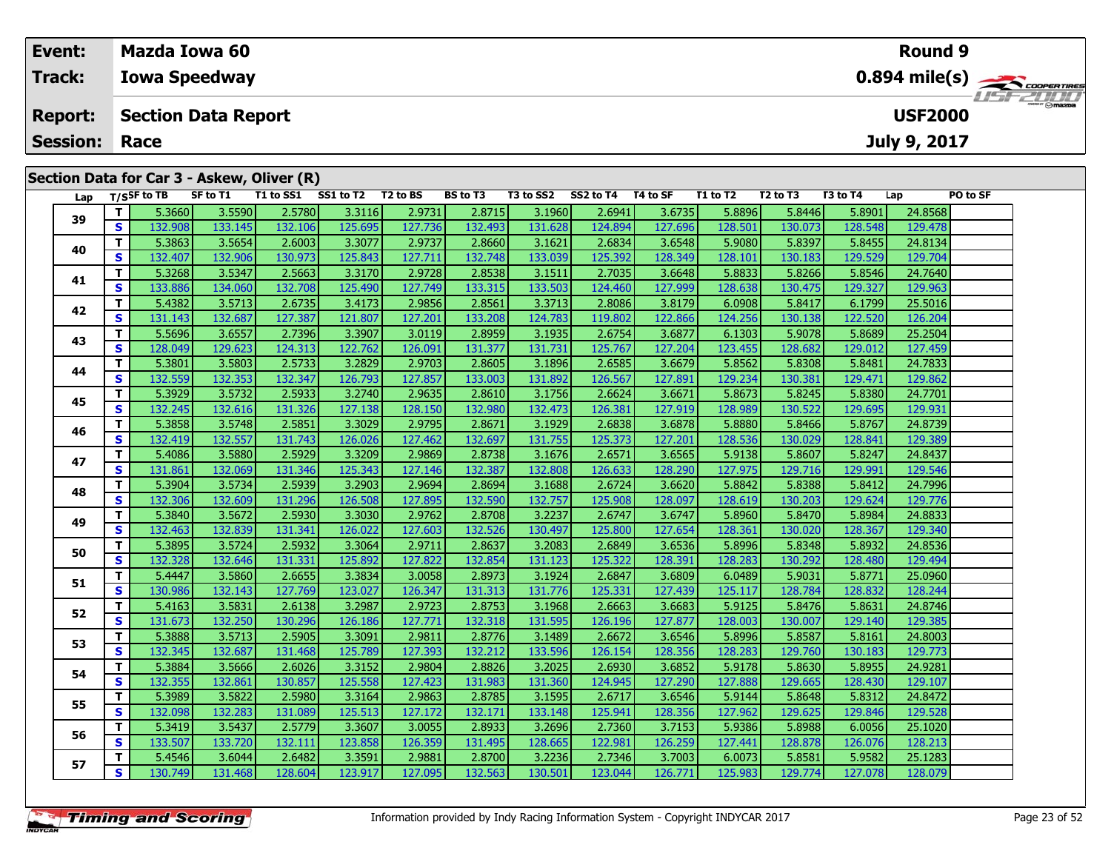|                 | <b>Mazda Iowa 60</b><br><b>Round 9</b><br>$0.894$ mile(s) $\overbrace{\hspace{2cm}}$ coorer TIRES<br><b>Iowa Speedway</b><br><b>USF2000</b><br><b>Section Data Report</b><br>July 9, 2017<br>Race |             |                                            |           |           |          |                 |           |           |               |           |              |            |                |          |  |
|-----------------|---------------------------------------------------------------------------------------------------------------------------------------------------------------------------------------------------|-------------|--------------------------------------------|-----------|-----------|----------|-----------------|-----------|-----------|---------------|-----------|--------------|------------|----------------|----------|--|
| Event:          |                                                                                                                                                                                                   |             |                                            |           |           |          |                 |           |           |               |           |              |            |                |          |  |
| Track:          |                                                                                                                                                                                                   |             |                                            |           |           |          |                 |           |           |               |           |              |            |                |          |  |
| <b>Report:</b>  |                                                                                                                                                                                                   |             |                                            |           |           |          |                 |           |           |               |           |              |            | <b>HSFZDDD</b> |          |  |
| <b>Session:</b> |                                                                                                                                                                                                   |             |                                            |           |           |          |                 |           |           |               |           |              |            |                |          |  |
|                 |                                                                                                                                                                                                   |             |                                            |           |           |          |                 |           |           |               |           |              |            |                |          |  |
|                 |                                                                                                                                                                                                   |             | Section Data for Car 3 - Askew, Oliver (R) |           |           |          |                 |           |           |               |           |              |            |                |          |  |
| Lap             |                                                                                                                                                                                                   | T/SSF to TB | SF to T1                                   | T1 to SS1 | SS1 to T2 | T2 to BS | <b>BS</b> to T3 | T3 to SS2 | SS2 to T4 | T4 to SF      | T1 to T2  | T2 to T3     | T3 to T4   | Lap            | PO to SF |  |
| 39              |                                                                                                                                                                                                   | 5.3660      | 3.5590                                     | 2.5780    | 3.3116    | 2.9731   | 2.8715          | 3.1960    | 2.6941    | 3.6735        | 5.8896    | 5.8446       | 5.8901     | 24.8568        |          |  |
|                 | S.                                                                                                                                                                                                | 132.908     | 133.145                                    | 132.106   | 125.695   | 127.736  | 132.493         | 131.628   | 124.894   | 127.696       | 128.501   | 130.073      | 128.548    | 129.478        |          |  |
|                 | $\sim$                                                                                                                                                                                            | r occol     | $\sim$ = $\sim$ = $\sim$ 1                 | 2000      | 0.2221    | 2222     | 2000            | a seast   | 2001      | $\sim$ cried. | $F$ coool | $F \sim 221$ | $F \cap F$ | 240424         |          |  |

| 39<br>S.<br>132.908<br>132.493<br>133.145<br>132.106<br>125.695<br>127.736<br>131.628<br>124.894<br>127.696<br>128.501<br>130.073<br>128.548<br>129.478<br>T.<br>5.3863<br>2.6003<br>2.9737<br>2.8660<br>2.6834<br>3.6548<br>5.9080<br>5.8397<br>24.8134<br>3.5654<br>3.3077<br>3.1621<br>5.8455<br>40<br>132.407<br>S.<br>132.906<br>130.973<br>125.843<br>127.711<br>132.748<br>133.039<br>125.392<br>128.101<br>129.529<br>129.704<br>128.349<br>130.183<br>T.<br>5.3268<br>3.5347<br>2.5663<br>3.3170<br>2.9728<br>2.8538<br>3.1511<br>2.7035<br>3.6648<br>5.8833<br>5.8266<br>5.8546<br>24.7640<br>41<br>S.<br>127.749<br>128.638<br>133.886<br>134.060<br>132.708<br>125.490<br>133.315<br>133.503<br>124.460<br>127.999<br>130.475<br>129.327<br>129.963<br>T.<br>2.6735<br>25.5016<br>5.4382<br>3.4173<br>2.9856<br>2.8561<br>2.8086<br>3.8179<br>6.0908<br>5.8417<br>6.1799<br>3.5713<br>3.3713<br>42<br>S.<br>131.143<br>132.687<br>127.387<br>127.201<br>133.208<br>122.866<br>124.256<br>122.520<br>126.204<br>121.807<br>124.783<br>119.802<br>130.138<br>T.<br>25.2504<br>5.5696<br>2.7396<br>3.3907<br>2.8959<br>2.6754<br>3.6877<br>6.1303<br>5.8689<br>3.6557<br>3.0119<br>3.1935<br>5.9078<br>43<br>S.<br>128.049<br>124.313<br>122.762<br>126.091<br>131.377<br>125.767<br>123.455<br>128.682<br>127.459<br>129.623<br>131.731<br>127.204<br>129.012<br>T.<br>2.5733<br>3.2829<br>2.6585<br>5.8562<br>24.7833<br>5.3801<br>3.5803<br>2.9703<br>2.8605<br>3.1896<br>3.6679<br>5.8308<br>5.8481<br>44<br>S<br>132.559<br>132.353<br>132.347<br>127.857<br>133.003<br>126.567<br>129.234<br>129.862<br>126.793<br>131.892<br>127.891<br>130.381<br>129.471<br>T.<br>5.3929<br>3.5732<br>2.5933<br>3.2740<br>2.9635<br>2.8610<br>3.1756<br>2.6624<br>3.6671<br>5.8673<br>5.8245<br>5.8380<br>24.7701<br>45<br>S<br>132.245<br>132.616<br>131.326<br>127.138<br>128.150<br>132.980<br>132.473<br>126.381<br>127.919<br>128.989<br>130.522<br>129.695<br>129.931<br>T.<br>5.3858<br>3.5748<br>2.5851<br>3.3029<br>2.9795<br>2.8671<br>3.1929<br>2.6838<br>3.6878<br>5.8880<br>5.8767<br>24.8739<br>5.8466<br>46<br>S.<br>132.419<br>132.557<br>127.462<br>132.697<br>125.373<br>128.536<br>129.389<br>131.743<br>126.026<br>131.755<br>127.201<br>130.029<br>128.841<br>T.<br>2.5929<br>2.6571<br>5.9138<br>24.8437<br>5.4086<br>3.5880<br>3.3209<br>2.9869<br>2.8738<br>3.1676<br>3.6565<br>5.8607<br>5.8247<br>47<br>S<br>131.861<br>131.346<br>127.146<br>132.387<br>127.975<br>129.546<br>132.069<br>125.343<br>132.808<br>126.633<br>128.290<br>129.716<br>129.991 |
|--------------------------------------------------------------------------------------------------------------------------------------------------------------------------------------------------------------------------------------------------------------------------------------------------------------------------------------------------------------------------------------------------------------------------------------------------------------------------------------------------------------------------------------------------------------------------------------------------------------------------------------------------------------------------------------------------------------------------------------------------------------------------------------------------------------------------------------------------------------------------------------------------------------------------------------------------------------------------------------------------------------------------------------------------------------------------------------------------------------------------------------------------------------------------------------------------------------------------------------------------------------------------------------------------------------------------------------------------------------------------------------------------------------------------------------------------------------------------------------------------------------------------------------------------------------------------------------------------------------------------------------------------------------------------------------------------------------------------------------------------------------------------------------------------------------------------------------------------------------------------------------------------------------------------------------------------------------------------------------------------------------------------------------------------------------------------------------------------------------------------------------------------------------------------------------------------------------------------------------------------------------------------------------------------------------------------------------------------------------------------------------------------------------------------------------------------------------------------------------------------------------------------------------------------------------------------------------|
|                                                                                                                                                                                                                                                                                                                                                                                                                                                                                                                                                                                                                                                                                                                                                                                                                                                                                                                                                                                                                                                                                                                                                                                                                                                                                                                                                                                                                                                                                                                                                                                                                                                                                                                                                                                                                                                                                                                                                                                                                                                                                                                                                                                                                                                                                                                                                                                                                                                                                                                                                                                      |
|                                                                                                                                                                                                                                                                                                                                                                                                                                                                                                                                                                                                                                                                                                                                                                                                                                                                                                                                                                                                                                                                                                                                                                                                                                                                                                                                                                                                                                                                                                                                                                                                                                                                                                                                                                                                                                                                                                                                                                                                                                                                                                                                                                                                                                                                                                                                                                                                                                                                                                                                                                                      |
|                                                                                                                                                                                                                                                                                                                                                                                                                                                                                                                                                                                                                                                                                                                                                                                                                                                                                                                                                                                                                                                                                                                                                                                                                                                                                                                                                                                                                                                                                                                                                                                                                                                                                                                                                                                                                                                                                                                                                                                                                                                                                                                                                                                                                                                                                                                                                                                                                                                                                                                                                                                      |
|                                                                                                                                                                                                                                                                                                                                                                                                                                                                                                                                                                                                                                                                                                                                                                                                                                                                                                                                                                                                                                                                                                                                                                                                                                                                                                                                                                                                                                                                                                                                                                                                                                                                                                                                                                                                                                                                                                                                                                                                                                                                                                                                                                                                                                                                                                                                                                                                                                                                                                                                                                                      |
|                                                                                                                                                                                                                                                                                                                                                                                                                                                                                                                                                                                                                                                                                                                                                                                                                                                                                                                                                                                                                                                                                                                                                                                                                                                                                                                                                                                                                                                                                                                                                                                                                                                                                                                                                                                                                                                                                                                                                                                                                                                                                                                                                                                                                                                                                                                                                                                                                                                                                                                                                                                      |
|                                                                                                                                                                                                                                                                                                                                                                                                                                                                                                                                                                                                                                                                                                                                                                                                                                                                                                                                                                                                                                                                                                                                                                                                                                                                                                                                                                                                                                                                                                                                                                                                                                                                                                                                                                                                                                                                                                                                                                                                                                                                                                                                                                                                                                                                                                                                                                                                                                                                                                                                                                                      |
|                                                                                                                                                                                                                                                                                                                                                                                                                                                                                                                                                                                                                                                                                                                                                                                                                                                                                                                                                                                                                                                                                                                                                                                                                                                                                                                                                                                                                                                                                                                                                                                                                                                                                                                                                                                                                                                                                                                                                                                                                                                                                                                                                                                                                                                                                                                                                                                                                                                                                                                                                                                      |
|                                                                                                                                                                                                                                                                                                                                                                                                                                                                                                                                                                                                                                                                                                                                                                                                                                                                                                                                                                                                                                                                                                                                                                                                                                                                                                                                                                                                                                                                                                                                                                                                                                                                                                                                                                                                                                                                                                                                                                                                                                                                                                                                                                                                                                                                                                                                                                                                                                                                                                                                                                                      |
|                                                                                                                                                                                                                                                                                                                                                                                                                                                                                                                                                                                                                                                                                                                                                                                                                                                                                                                                                                                                                                                                                                                                                                                                                                                                                                                                                                                                                                                                                                                                                                                                                                                                                                                                                                                                                                                                                                                                                                                                                                                                                                                                                                                                                                                                                                                                                                                                                                                                                                                                                                                      |
|                                                                                                                                                                                                                                                                                                                                                                                                                                                                                                                                                                                                                                                                                                                                                                                                                                                                                                                                                                                                                                                                                                                                                                                                                                                                                                                                                                                                                                                                                                                                                                                                                                                                                                                                                                                                                                                                                                                                                                                                                                                                                                                                                                                                                                                                                                                                                                                                                                                                                                                                                                                      |
|                                                                                                                                                                                                                                                                                                                                                                                                                                                                                                                                                                                                                                                                                                                                                                                                                                                                                                                                                                                                                                                                                                                                                                                                                                                                                                                                                                                                                                                                                                                                                                                                                                                                                                                                                                                                                                                                                                                                                                                                                                                                                                                                                                                                                                                                                                                                                                                                                                                                                                                                                                                      |
|                                                                                                                                                                                                                                                                                                                                                                                                                                                                                                                                                                                                                                                                                                                                                                                                                                                                                                                                                                                                                                                                                                                                                                                                                                                                                                                                                                                                                                                                                                                                                                                                                                                                                                                                                                                                                                                                                                                                                                                                                                                                                                                                                                                                                                                                                                                                                                                                                                                                                                                                                                                      |
|                                                                                                                                                                                                                                                                                                                                                                                                                                                                                                                                                                                                                                                                                                                                                                                                                                                                                                                                                                                                                                                                                                                                                                                                                                                                                                                                                                                                                                                                                                                                                                                                                                                                                                                                                                                                                                                                                                                                                                                                                                                                                                                                                                                                                                                                                                                                                                                                                                                                                                                                                                                      |
|                                                                                                                                                                                                                                                                                                                                                                                                                                                                                                                                                                                                                                                                                                                                                                                                                                                                                                                                                                                                                                                                                                                                                                                                                                                                                                                                                                                                                                                                                                                                                                                                                                                                                                                                                                                                                                                                                                                                                                                                                                                                                                                                                                                                                                                                                                                                                                                                                                                                                                                                                                                      |
|                                                                                                                                                                                                                                                                                                                                                                                                                                                                                                                                                                                                                                                                                                                                                                                                                                                                                                                                                                                                                                                                                                                                                                                                                                                                                                                                                                                                                                                                                                                                                                                                                                                                                                                                                                                                                                                                                                                                                                                                                                                                                                                                                                                                                                                                                                                                                                                                                                                                                                                                                                                      |
|                                                                                                                                                                                                                                                                                                                                                                                                                                                                                                                                                                                                                                                                                                                                                                                                                                                                                                                                                                                                                                                                                                                                                                                                                                                                                                                                                                                                                                                                                                                                                                                                                                                                                                                                                                                                                                                                                                                                                                                                                                                                                                                                                                                                                                                                                                                                                                                                                                                                                                                                                                                      |
|                                                                                                                                                                                                                                                                                                                                                                                                                                                                                                                                                                                                                                                                                                                                                                                                                                                                                                                                                                                                                                                                                                                                                                                                                                                                                                                                                                                                                                                                                                                                                                                                                                                                                                                                                                                                                                                                                                                                                                                                                                                                                                                                                                                                                                                                                                                                                                                                                                                                                                                                                                                      |
| T.<br>2.5939<br>24.7996<br>3.2903<br>2.9694<br>3.6620<br>5.8842<br>5.3904<br>3.5734<br>2.8694<br>3.1688<br>2.6724<br>5.8388<br>5.8412<br>48                                                                                                                                                                                                                                                                                                                                                                                                                                                                                                                                                                                                                                                                                                                                                                                                                                                                                                                                                                                                                                                                                                                                                                                                                                                                                                                                                                                                                                                                                                                                                                                                                                                                                                                                                                                                                                                                                                                                                                                                                                                                                                                                                                                                                                                                                                                                                                                                                                          |
| S.<br>132.306<br>131.296<br>127.895<br>132.590<br>125.908<br>128.619<br>129.776<br>132.609<br>126.508<br>132.757<br>128.097<br>130.203<br>129.624                                                                                                                                                                                                                                                                                                                                                                                                                                                                                                                                                                                                                                                                                                                                                                                                                                                                                                                                                                                                                                                                                                                                                                                                                                                                                                                                                                                                                                                                                                                                                                                                                                                                                                                                                                                                                                                                                                                                                                                                                                                                                                                                                                                                                                                                                                                                                                                                                                    |
| T.<br>5.8960<br>24.8833<br>5.3840<br>2.5930<br>2.9762<br>2.8708<br>2.6747<br>3.6747<br>3.5672<br>3.3030<br>3.2237<br>5.8470<br>5.8984<br>49                                                                                                                                                                                                                                                                                                                                                                                                                                                                                                                                                                                                                                                                                                                                                                                                                                                                                                                                                                                                                                                                                                                                                                                                                                                                                                                                                                                                                                                                                                                                                                                                                                                                                                                                                                                                                                                                                                                                                                                                                                                                                                                                                                                                                                                                                                                                                                                                                                          |
| S<br>132.463<br>132.839<br>131.341<br>127.603<br>132.526<br>125.800<br>126.022<br>130.497<br>127.654<br>128.361<br>130.020<br>128.367<br>129.340                                                                                                                                                                                                                                                                                                                                                                                                                                                                                                                                                                                                                                                                                                                                                                                                                                                                                                                                                                                                                                                                                                                                                                                                                                                                                                                                                                                                                                                                                                                                                                                                                                                                                                                                                                                                                                                                                                                                                                                                                                                                                                                                                                                                                                                                                                                                                                                                                                     |
| T.<br>5.3895<br>2.5932<br>2.9711<br>2.8637<br>2.6849<br>5.8996<br>24.8536<br>3.5724<br>3.3064<br>3.2083<br>3.6536<br>5.8348<br>5.8932<br>50                                                                                                                                                                                                                                                                                                                                                                                                                                                                                                                                                                                                                                                                                                                                                                                                                                                                                                                                                                                                                                                                                                                                                                                                                                                                                                                                                                                                                                                                                                                                                                                                                                                                                                                                                                                                                                                                                                                                                                                                                                                                                                                                                                                                                                                                                                                                                                                                                                          |
| S.<br>132.328<br>132.854<br>132.646<br>131.331<br>125.892<br>127.822<br>131.123<br>125.322<br>128.391<br>128.283<br>128.480<br>129.494<br>130.292                                                                                                                                                                                                                                                                                                                                                                                                                                                                                                                                                                                                                                                                                                                                                                                                                                                                                                                                                                                                                                                                                                                                                                                                                                                                                                                                                                                                                                                                                                                                                                                                                                                                                                                                                                                                                                                                                                                                                                                                                                                                                                                                                                                                                                                                                                                                                                                                                                    |
| T.<br>5.4447<br>3.5860<br>2.6655<br>3.3834<br>3.0058<br>2.8973<br>3.1924<br>2.6847<br>3.6809<br>6.0489<br>5.9031<br>5.8771<br>25.0960<br>51                                                                                                                                                                                                                                                                                                                                                                                                                                                                                                                                                                                                                                                                                                                                                                                                                                                                                                                                                                                                                                                                                                                                                                                                                                                                                                                                                                                                                                                                                                                                                                                                                                                                                                                                                                                                                                                                                                                                                                                                                                                                                                                                                                                                                                                                                                                                                                                                                                          |
| S.<br>130.986<br>127.769<br>128.244<br>132.143<br>123.027<br>126.347<br>131.313<br>131.776<br>125.331<br>127.439<br>125.117<br>128.784<br>128.832                                                                                                                                                                                                                                                                                                                                                                                                                                                                                                                                                                                                                                                                                                                                                                                                                                                                                                                                                                                                                                                                                                                                                                                                                                                                                                                                                                                                                                                                                                                                                                                                                                                                                                                                                                                                                                                                                                                                                                                                                                                                                                                                                                                                                                                                                                                                                                                                                                    |
| T.<br>2.9723<br>5.9125<br>24.8746<br>5.4163<br>3.5831<br>2.6138<br>3.2987<br>2.8753<br>3.1968<br>2.6663<br>3.6683<br>5.8631<br>5.8476<br>52                                                                                                                                                                                                                                                                                                                                                                                                                                                                                                                                                                                                                                                                                                                                                                                                                                                                                                                                                                                                                                                                                                                                                                                                                                                                                                                                                                                                                                                                                                                                                                                                                                                                                                                                                                                                                                                                                                                                                                                                                                                                                                                                                                                                                                                                                                                                                                                                                                          |
| S.<br>132.250<br>131.673<br>130.296<br>127.771<br>132.318<br>126.196<br>128.003<br>129.385<br>126.186<br>131.595<br>127.877<br>130.007<br>129.140                                                                                                                                                                                                                                                                                                                                                                                                                                                                                                                                                                                                                                                                                                                                                                                                                                                                                                                                                                                                                                                                                                                                                                                                                                                                                                                                                                                                                                                                                                                                                                                                                                                                                                                                                                                                                                                                                                                                                                                                                                                                                                                                                                                                                                                                                                                                                                                                                                    |
| T.<br>24.8003<br>5.3888<br>2.5905<br>2.9811<br>2.6672<br>5.8996<br>3.5713<br>3.3091<br>2.8776<br>3.1489<br>3.6546<br>5.8587<br>5.8161<br>53                                                                                                                                                                                                                                                                                                                                                                                                                                                                                                                                                                                                                                                                                                                                                                                                                                                                                                                                                                                                                                                                                                                                                                                                                                                                                                                                                                                                                                                                                                                                                                                                                                                                                                                                                                                                                                                                                                                                                                                                                                                                                                                                                                                                                                                                                                                                                                                                                                          |
| S.<br>132.345<br>127.393<br>132.212<br>129.773<br>132.687<br>131.468<br>125.789<br>133.596<br>126.154<br>128.356<br>128.283<br>129.760<br>130.183                                                                                                                                                                                                                                                                                                                                                                                                                                                                                                                                                                                                                                                                                                                                                                                                                                                                                                                                                                                                                                                                                                                                                                                                                                                                                                                                                                                                                                                                                                                                                                                                                                                                                                                                                                                                                                                                                                                                                                                                                                                                                                                                                                                                                                                                                                                                                                                                                                    |
| T.<br>2.9804<br>24.9281<br>5.3884<br>3.5666<br>2.6026<br>3.3152<br>2.8826<br>3.2025<br>2.6930<br>3.6852<br>5.9178<br>5.8630<br>5.8955<br>54                                                                                                                                                                                                                                                                                                                                                                                                                                                                                                                                                                                                                                                                                                                                                                                                                                                                                                                                                                                                                                                                                                                                                                                                                                                                                                                                                                                                                                                                                                                                                                                                                                                                                                                                                                                                                                                                                                                                                                                                                                                                                                                                                                                                                                                                                                                                                                                                                                          |
| S.<br>132.355<br>130.857<br>127.423<br>131.983<br>124.945<br>127.888<br>129.107<br>132.861<br>125.558<br>131.360<br>127.290<br>129.665<br>128.430                                                                                                                                                                                                                                                                                                                                                                                                                                                                                                                                                                                                                                                                                                                                                                                                                                                                                                                                                                                                                                                                                                                                                                                                                                                                                                                                                                                                                                                                                                                                                                                                                                                                                                                                                                                                                                                                                                                                                                                                                                                                                                                                                                                                                                                                                                                                                                                                                                    |
| Τ.<br>5.3989<br>3.5822<br>2.5980<br>2.9863<br>2.8785<br>3.1595<br>2.6717<br>3.6546<br>5.9144<br>5.8312<br>24.8472<br>3.3164<br>5.8648<br>55                                                                                                                                                                                                                                                                                                                                                                                                                                                                                                                                                                                                                                                                                                                                                                                                                                                                                                                                                                                                                                                                                                                                                                                                                                                                                                                                                                                                                                                                                                                                                                                                                                                                                                                                                                                                                                                                                                                                                                                                                                                                                                                                                                                                                                                                                                                                                                                                                                          |
| S.<br>132.098<br>132.283<br>131.089<br>125.513<br>127.172<br>132.171<br>133.148<br>125.941<br>128.356<br>127.962<br>129.625<br>129.846<br>129.528                                                                                                                                                                                                                                                                                                                                                                                                                                                                                                                                                                                                                                                                                                                                                                                                                                                                                                                                                                                                                                                                                                                                                                                                                                                                                                                                                                                                                                                                                                                                                                                                                                                                                                                                                                                                                                                                                                                                                                                                                                                                                                                                                                                                                                                                                                                                                                                                                                    |
| T.<br>2.5779<br>3.0055<br>5.3419<br>3.5437<br>3.3607<br>2.8933<br>3.2696<br>2.7360<br>3.7153<br>5.9386<br>5.8988<br>6.0056<br>25.1020<br>56                                                                                                                                                                                                                                                                                                                                                                                                                                                                                                                                                                                                                                                                                                                                                                                                                                                                                                                                                                                                                                                                                                                                                                                                                                                                                                                                                                                                                                                                                                                                                                                                                                                                                                                                                                                                                                                                                                                                                                                                                                                                                                                                                                                                                                                                                                                                                                                                                                          |
| S.<br>133.507<br>126.359<br>122.981<br>128.213<br>133.720<br>132.111<br>123.858<br>131.495<br>128.665<br>126.259<br>127.441<br>128.878<br>126.076                                                                                                                                                                                                                                                                                                                                                                                                                                                                                                                                                                                                                                                                                                                                                                                                                                                                                                                                                                                                                                                                                                                                                                                                                                                                                                                                                                                                                                                                                                                                                                                                                                                                                                                                                                                                                                                                                                                                                                                                                                                                                                                                                                                                                                                                                                                                                                                                                                    |
| Τ.<br>2.6482<br>2.9881<br>2.7346<br>25.1283<br>5.4546<br>3.6044<br>3.3591<br>2.8700<br>3.2236<br>3.7003<br>6.0073<br>5.8581<br>5.9582<br>57                                                                                                                                                                                                                                                                                                                                                                                                                                                                                                                                                                                                                                                                                                                                                                                                                                                                                                                                                                                                                                                                                                                                                                                                                                                                                                                                                                                                                                                                                                                                                                                                                                                                                                                                                                                                                                                                                                                                                                                                                                                                                                                                                                                                                                                                                                                                                                                                                                          |
| S.<br>125.983<br>130.749<br>128.604<br>123.917<br>127.095<br>132.563<br>130.501<br>123.044<br>129.774<br>127.078<br>128.079<br>131.468<br>126.771                                                                                                                                                                                                                                                                                                                                                                                                                                                                                                                                                                                                                                                                                                                                                                                                                                                                                                                                                                                                                                                                                                                                                                                                                                                                                                                                                                                                                                                                                                                                                                                                                                                                                                                                                                                                                                                                                                                                                                                                                                                                                                                                                                                                                                                                                                                                                                                                                                    |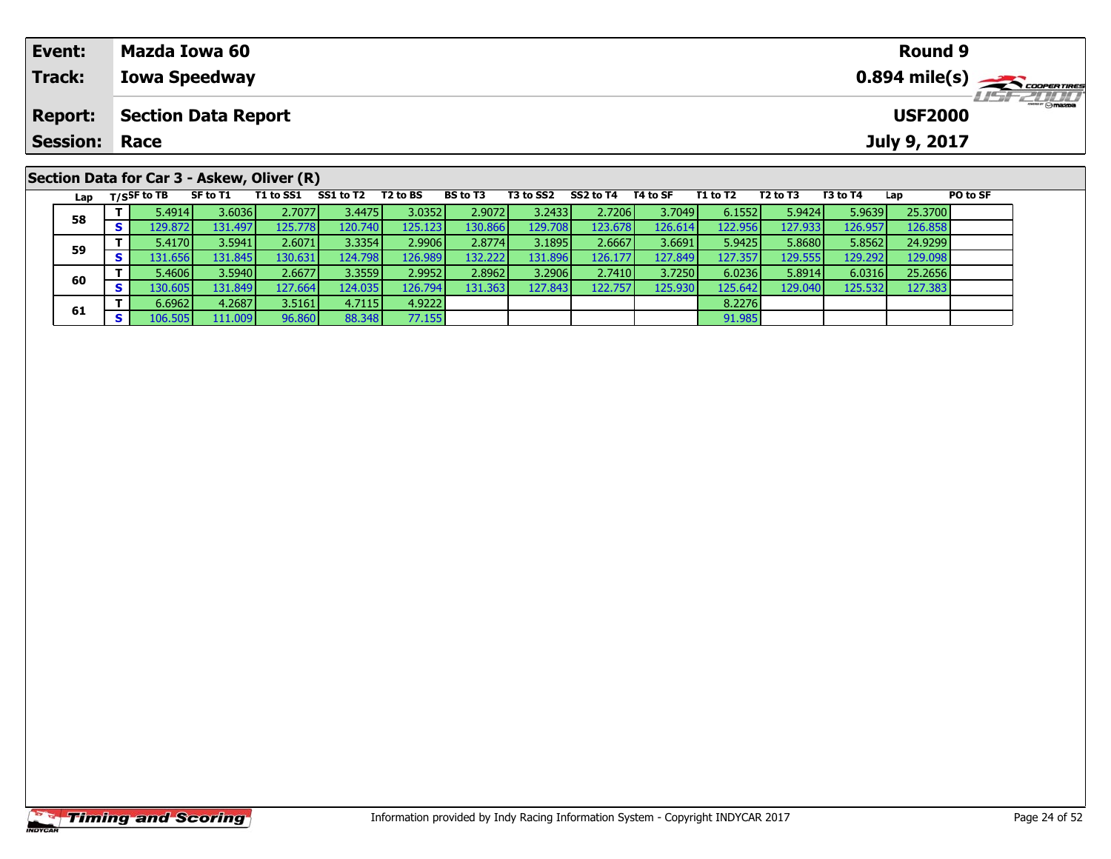| Event:               | Mazda Iowa 60                              |          |                              |                 |           |           |          |          |          |                |              | Round 9         |                                                         |
|----------------------|--------------------------------------------|----------|------------------------------|-----------------|-----------|-----------|----------|----------|----------|----------------|--------------|-----------------|---------------------------------------------------------|
| <b>Track:</b>        | <b>Iowa Speedway</b>                       |          |                              |                 |           |           |          |          |          |                |              |                 | $0.894$ mile(s) $\overbrace{\hspace{2cm}}$ coorer Times |
| <b>Report:</b>       | <b>Section Data Report</b>                 |          |                              |                 |           |           |          |          |          | <b>USF2000</b> |              | <b>USF 2000</b> |                                                         |
| <b>Session: Race</b> |                                            |          |                              |                 |           |           |          |          |          |                | July 9, 2017 |                 |                                                         |
|                      |                                            |          |                              |                 |           |           |          |          |          |                |              |                 |                                                         |
|                      | Section Data for Car 3 - Askew, Oliver (R) |          |                              |                 |           |           |          |          |          |                |              |                 |                                                         |
| Lap                  | T/SSF to TB                                | SF to T1 | T1 to SS1 SS1 to T2 T2 to BS | <b>BS to T3</b> | T3 to SS2 | SS2 to T4 | T4 to SF | T1 to T2 | T2 to T3 | T3 to T4       | Lap          | PO to SF        |                                                         |

| 5.9639<br>3.0352<br>3.2433<br>2.7206<br>3.6036<br>2.7077<br>3.7049<br>6.1552<br>25.3700<br>5.4914<br>3.4475<br>2.9072<br>5.9424<br>8<br>126.858<br>129.872<br>131.497  <br>125.778<br>120.740<br>130.866<br>129.708<br>123.678<br>126.614<br>122.956<br>126.957<br>125.123<br>127.933<br>Ð<br>3.3354<br>3.1895<br>5.9425<br>5.8680<br>5.4170<br>3.5941<br>2.6071<br>2.9906<br>2.8774<br>2.6667<br>3.6691<br>5.8562<br>24.9299<br>132.222<br>126.177<br>130.631<br>124.798<br>129.555<br>129.292<br>131.656<br>131.845<br>131.896<br>127.849<br>127.357<br>129.098<br>126.989<br>s<br>3.3559<br>3.2906<br>2.6677<br>2.9952<br>3.5940<br>2.8962<br>3.7250<br>2.7410<br>6.0236<br>5.4606<br>5.8914<br>25.2656<br>6.0316<br>O<br>125.532<br>127.383<br>130.605<br>L24.035<br>122.757<br>131.849<br>131.363<br>125.930<br>127.664<br>126.794<br>127.843<br>129.040<br>125.642<br>S<br>4.9222<br>4.2687<br>8.2276<br>6.6962<br>3.5161<br>4.7115<br>77.155<br>91.985<br>106.505<br>111.009<br>96.860<br>88.348<br>s |   |  |  |  |  |  |  |  |
|--------------------------------------------------------------------------------------------------------------------------------------------------------------------------------------------------------------------------------------------------------------------------------------------------------------------------------------------------------------------------------------------------------------------------------------------------------------------------------------------------------------------------------------------------------------------------------------------------------------------------------------------------------------------------------------------------------------------------------------------------------------------------------------------------------------------------------------------------------------------------------------------------------------------------------------------------------------------------------------------------------------|---|--|--|--|--|--|--|--|
|                                                                                                                                                                                                                                                                                                                                                                                                                                                                                                                                                                                                                                                                                                                                                                                                                                                                                                                                                                                                              |   |  |  |  |  |  |  |  |
|                                                                                                                                                                                                                                                                                                                                                                                                                                                                                                                                                                                                                                                                                                                                                                                                                                                                                                                                                                                                              |   |  |  |  |  |  |  |  |
|                                                                                                                                                                                                                                                                                                                                                                                                                                                                                                                                                                                                                                                                                                                                                                                                                                                                                                                                                                                                              | Q |  |  |  |  |  |  |  |
|                                                                                                                                                                                                                                                                                                                                                                                                                                                                                                                                                                                                                                                                                                                                                                                                                                                                                                                                                                                                              |   |  |  |  |  |  |  |  |
|                                                                                                                                                                                                                                                                                                                                                                                                                                                                                                                                                                                                                                                                                                                                                                                                                                                                                                                                                                                                              |   |  |  |  |  |  |  |  |
|                                                                                                                                                                                                                                                                                                                                                                                                                                                                                                                                                                                                                                                                                                                                                                                                                                                                                                                                                                                                              |   |  |  |  |  |  |  |  |
|                                                                                                                                                                                                                                                                                                                                                                                                                                                                                                                                                                                                                                                                                                                                                                                                                                                                                                                                                                                                              |   |  |  |  |  |  |  |  |
|                                                                                                                                                                                                                                                                                                                                                                                                                                                                                                                                                                                                                                                                                                                                                                                                                                                                                                                                                                                                              |   |  |  |  |  |  |  |  |
|                                                                                                                                                                                                                                                                                                                                                                                                                                                                                                                                                                                                                                                                                                                                                                                                                                                                                                                                                                                                              |   |  |  |  |  |  |  |  |

**58**

**59**

**60**

**61**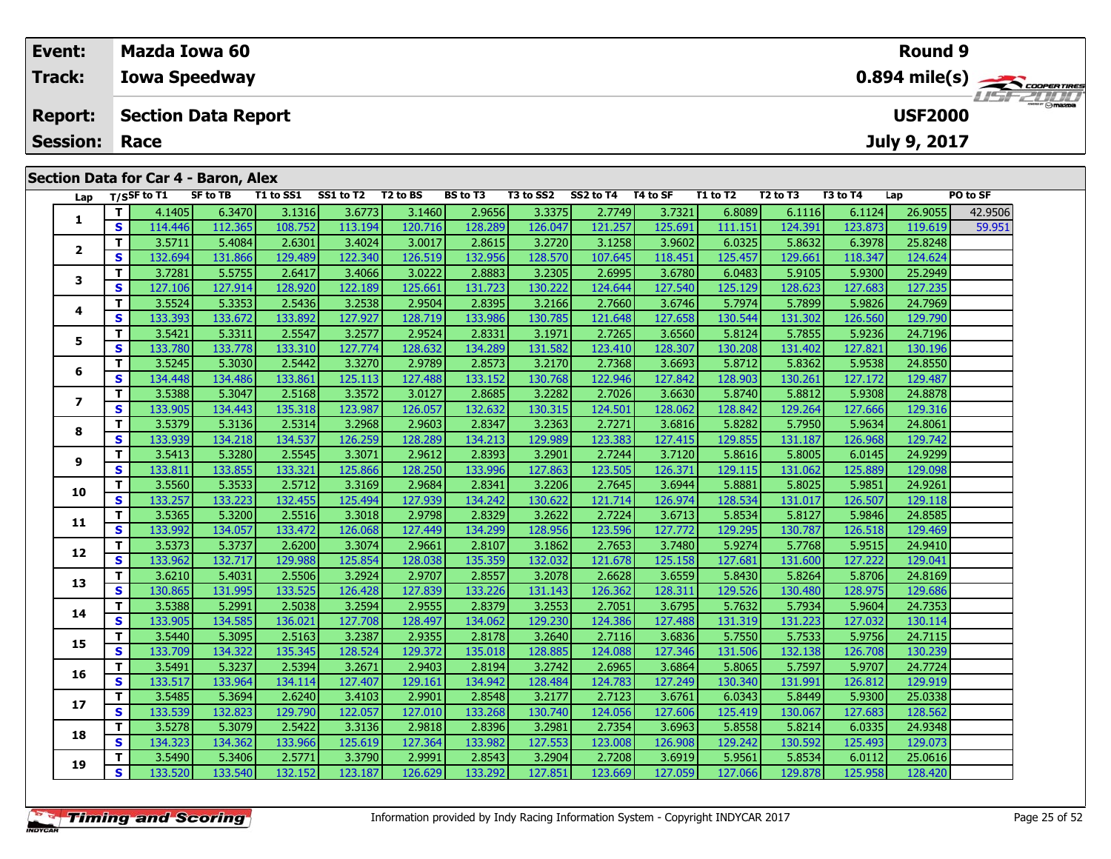| Event:                               | Mazda Iowa 60        |                                              |                              |  |  |          |           |           |          |          |          |          | <b>Round 9</b> |                 |                         |
|--------------------------------------|----------------------|----------------------------------------------|------------------------------|--|--|----------|-----------|-----------|----------|----------|----------|----------|----------------|-----------------|-------------------------|
| Track:                               | <b>Iowa Speedway</b> |                                              |                              |  |  |          |           |           |          |          |          |          |                |                 |                         |
| <b>Report:</b>                       |                      | <b>USF2000</b><br><b>Section Data Report</b> |                              |  |  |          |           |           |          |          |          |          |                |                 | <i><b>LISF 2000</b></i> |
| <b>Session: Race</b>                 |                      |                                              |                              |  |  |          |           |           |          |          |          |          | July 9, 2017   |                 |                         |
|                                      |                      |                                              |                              |  |  |          |           |           |          |          |          |          |                |                 |                         |
| Section Data for Car 4 - Baron, Alex |                      |                                              |                              |  |  |          |           |           |          |          |          |          |                |                 |                         |
|                                      | Lap T/SSF to T1      | SF to TB                                     | T1 to SS1 SS1 to T2 T2 to BS |  |  | BS to T3 | T3 to SS2 | SS2 to T4 | T4 to SF | T1 to T2 | T2 to T3 | T3 to T4 | Lap            | <b>PO to SF</b> |                         |

| Lap            |              | T/SSF to II | SF TO THE | 110351  | 551012  | 1 Z TO BS | <b>BS 10 13</b> | 13 TO 332 | <b>552 to 14</b> | 14 TO 5F | 1 T TO 1 Z | 12 TO 13 | 15 TO 14 | ∟ap     | PU TO SF |
|----------------|--------------|-------------|-----------|---------|---------|-----------|-----------------|-----------|------------------|----------|------------|----------|----------|---------|----------|
|                | T.           | 4.1405      | 6.3470    | 3.1316  | 3.6773  | 3.1460    | 2.9656          | 3.3375    | 2.7749           | 3.7321   | 6.8089     | 6.1116   | 6.1124   | 26.9055 | 42.9506  |
| 1              | S            | 114.446     | 112.365   | 108.752 | 113.194 | 120.716   | 128.289         | 126.047   | 121.257          | 125.691  | 111.151    | 124.391  | 123.873  | 119.619 | 59.951   |
|                | T.           | 3.5711      | 5.4084    | 2.6301  | 3.4024  | 3.0017    | 2.8615          | 3.2720    | 3.1258           | 3.9602   | 6.0325     | 5.8632   | 6.3978   | 25.8248 |          |
| $\mathbf{2}$   | S            | 132.694     | 131.866   | 129.489 | 122.340 | 126.519   | 132.956         | 128.570   | 107.645          | 118.451  | 125.457    | 129.661  | 118.347  | 124.624 |          |
|                | T.           | 3.7281      | 5.5755    | 2.6417  | 3.4066  | 3.0222    | 2.8883          | 3.2305    | 2.6995           | 3.6780   | 6.0483     | 5.9105   | 5.9300   | 25.2949 |          |
| 3              | S            | 127.106     | 127.914   | 128.920 | 122.189 | 125.661   | 131.723         | 130.222   | 124.644          | 127.540  | 125.129    | 128.623  | 127.683  | 127.235 |          |
|                | T.           | 3.5524      | 5.3353    | 2.5436  | 3.2538  | 2.9504    | 2.8395          | 3.2166    | 2.7660           | 3.6746   | 5.7974     | 5.7899   | 5.9826   | 24.7969 |          |
| 4              | S            | 133.393     | 133.672   | 133.892 | 127.927 | 128.719   | 133.986         | 130.785   | 121.648          | 127.658  | 130.544    | 131.302  | 126.560  | 129.790 |          |
| 5              | T.           | 3.5421      | 5.3311    | 2.5547  | 3.2577  | 2.9524    | 2.8331          | 3.1971    | 2.7265           | 3.6560   | 5.8124     | 5.7855   | 5.9236   | 24.7196 |          |
|                | S            | 133.780     | 133.778   | 133.310 | 127.774 | 128.632   | 134.289         | 131.582   | 123.410          | 128.307  | 130.208    | 131.402  | 127.821  | 130.196 |          |
| 6              | T.           | 3.5245      | 5.3030    | 2.5442  | 3.3270  | 2.9789    | 2.8573          | 3.2170    | 2.7368           | 3.6693   | 5.8712     | 5.8362   | 5.9538   | 24.8550 |          |
|                | $\mathbf{s}$ | 134.448     | 134.486   | 133.861 | 125.113 | 127.488   | 133.152         | 130.768   | 122.946          | 127.842  | 128.903    | 130.261  | 127.172  | 129.487 |          |
| $\overline{ }$ | T            | 3.5388      | 5.3047    | 2.5168  | 3.3572  | 3.0127    | 2.8685          | 3.2282    | 2.7026           | 3.6630   | 5.8740     | 5.8812   | 5.9308   | 24.8878 |          |
|                | S            | 133.905     | 134.443   | 135.318 | 123.987 | 126.057   | 132.632         | 130.315   | 124.501          | 128.062  | 128.842    | 129.264  | 127.666  | 129.316 |          |
| 8              | T            | 3.5379      | 5.3136    | 2.5314  | 3.2968  | 2.9603    | 2.8347          | 3.2363    | 2.7271           | 3.6816   | 5.8282     | 5.7950   | 5.9634   | 24.8061 |          |
|                | S            | 133.939     | 134.218   | 134.537 | 126.259 | 128.289   | 134.213         | 129.989   | 123.383          | 127.415  | 129.855    | 131.187  | 126.968  | 129.742 |          |
| 9              | т            | 3.5413      | 5.3280    | 2.5545  | 3.3071  | 2.9612    | 2.8393          | 3.2901    | 2.7244           | 3.7120   | 5.8616     | 5.8005   | 6.0145   | 24.9299 |          |
|                | S            | 133.811     | 133.855   | 133.321 | 125.866 | 128.250   | 133.996         | 127.863   | 123.505          | 126.371  | 129.115    | 131.062  | 125.889  | 129.098 |          |
| 10             | T.           | 3.5560      | 5.3533    | 2.5712  | 3.3169  | 2.9684    | 2.8341          | 3.2206    | 2.7645           | 3.6944   | 5.8881     | 5.8025   | 5.9851   | 24.9261 |          |
|                | S            | 133.257     | 133.223   | 132.455 | 125.494 | 127.939   | 134.242         | 130.622   | 121.714          | 126.974  | 128.534    | 131.017  | 126.507  | 129.118 |          |
| 11             | T            | 3.5365      | 5.3200    | 2.5516  | 3.3018  | 2.9798    | 2.8329          | 3.2622    | 2.7224           | 3.6713   | 5.8534     | 5.8127   | 5.9846   | 24.8585 |          |
|                | S            | 133.992     | 134.057   | 133.472 | 126.068 | 127.449   | 134.299         | 128.956   | 123.596          | 127.772  | 129.295    | 130.787  | 126.518  | 129.469 |          |
| 12             | T.           | 3.5373      | 5.3737    | 2.6200  | 3.3074  | 2.9661    | 2.8107          | 3.1862    | 2.7653           | 3.7480   | 5.9274     | 5.7768   | 5.9515   | 24.9410 |          |
|                | S            | 133.962     | 132.717   | 129.988 | 125.854 | 128.038   | 135.359         | 132.032   | 121.678          | 125.158  | 127.681    | 131.600  | 127.222  | 129.041 |          |
| 13             | T.           | 3.6210      | 5.4031    | 2.5506  | 3.2924  | 2.9707    | 2.8557          | 3.2078    | 2.6628           | 3.6559   | 5.8430     | 5.8264   | 5.8706   | 24.8169 |          |
|                | $\mathbf{s}$ | 130.865     | 131.995   | 133.525 | 126.428 | 127.839   | 133.226         | 131.143   | 126.362          | 128.311  | 129.526    | 130.480  | 128.975  | 129.686 |          |
| 14             | T            | 3.5388      | 5.2991    | 2.5038  | 3.2594  | 2.9555    | 2.8379          | 3.2553    | 2.7051           | 3.6795   | 5.7632     | 5.7934   | 5.9604   | 24.7353 |          |
|                | $\mathbf{s}$ | 133.905     | 134.585   | 136.021 | 127.708 | 128.497   | 134.062         | 129.230   | 124.386          | 127.488  | 131.319    | 131.223  | 127.032  | 130.114 |          |
| 15             | T            | 3.5440      | 5.3095    | 2.5163  | 3.2387  | 2.9355    | 2.8178          | 3.2640    | 2.7116           | 3.6836   | 5.7550     | 5.7533   | 5.9756   | 24.7115 |          |
|                | S            | 133.709     | 134.322   | 135.345 | 128.524 | 129.372   | 135.018         | 128.885   | 124.088          | 127.346  | 131.506    | 132.138  | 126.708  | 130.239 |          |
| 16             | T.           | 3.5491      | 5.3237    | 2.5394  | 3.2671  | 2.9403    | 2.8194          | 3.2742    | 2.6965           | 3.6864   | 5.8065     | 5.7597   | 5.9707   | 24.7724 |          |
|                | $\mathbf{s}$ | 133.517     | 133.964   | 134.114 | 127.407 | 129.161   | 134.942         | 128.484   | 124.783          | 127.249  | 130.340    | 131.991  | 126.812  | 129.919 |          |
| 17             | T            | 3.5485      | 5.3694    | 2.6240  | 3.4103  | 2.9901    | 2.8548          | 3.2177    | 2.7123           | 3.6761   | 6.0343     | 5.8449   | 5.9300   | 25.0338 |          |
|                | S            | 133.539     | 132.823   | 129.790 | 122.057 | 127.010   | 133.268         | 130.740   | 124.056          | 127.606  | 125.419    | 130.067  | 127.683  | 128.562 |          |
| 18             | $\mathbf{T}$ | 3.5278      | 5.3079    | 2.5422  | 3.3136  | 2.9818    | 2.8396          | 3.2981    | 2.7354           | 3.6963   | 5.8558     | 5.8214   | 6.0335   | 24.9348 |          |
|                | S            | 134.323     | 134.362   | 133.966 | 125.619 | 127.364   | 133.982         | 127.553   | 123.008          | 126.908  | 129.242    | 130.592  | 125.493  | 129.073 |          |
| 19             | $\mathbf{T}$ | 3.5490      | 5.3406    | 2.5771  | 3.3790  | 2.9991    | 2.8543          | 3.2904    | 2.7208           | 3.6919   | 5.9561     | 5.8534   | 6.0112   | 25.0616 |          |
|                | S            | 133.520     | 133.540   | 132.152 | 123.187 | 126.629   | 133.292         | 127.851   | 123.669          | 127.059  | 127.066    | 129.878  | 125.958  | 128.420 |          |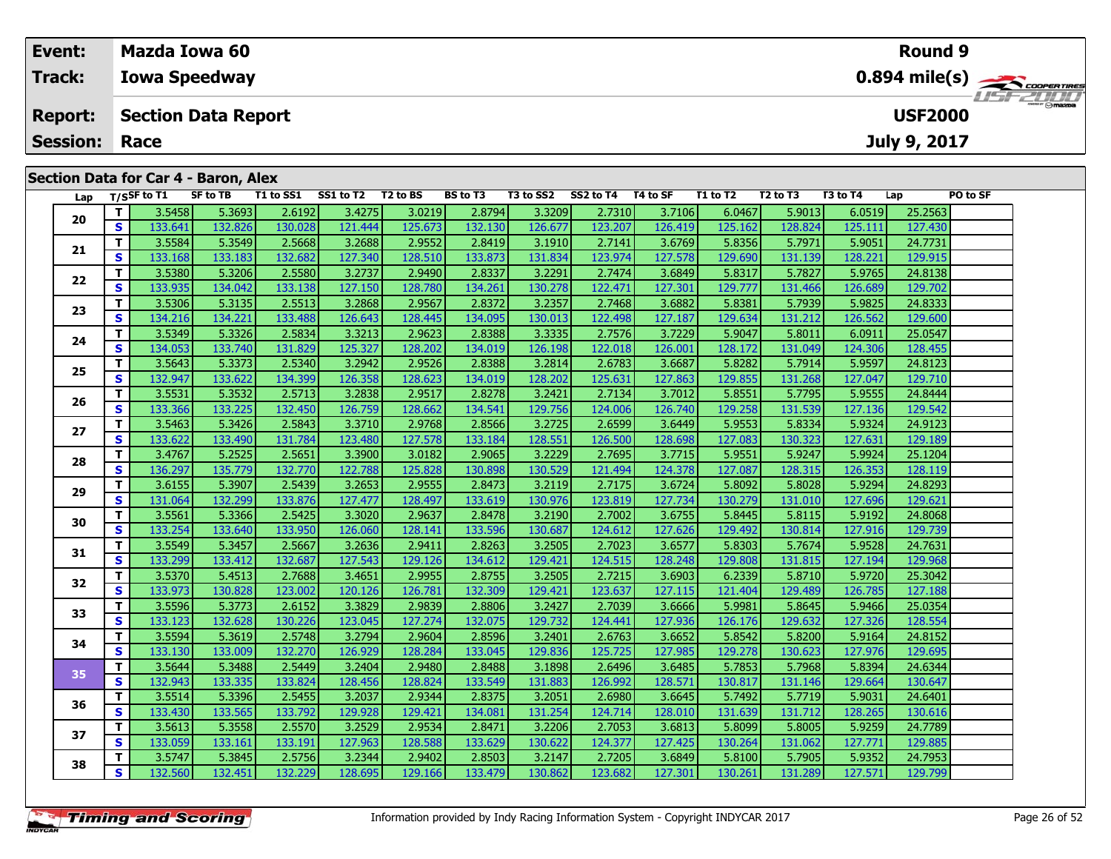| Event:                               | <b>Mazda Iowa 60</b>       |          |           |                    |                 |           |           |          |          |          |          |              | Round 9         |                         |
|--------------------------------------|----------------------------|----------|-----------|--------------------|-----------------|-----------|-----------|----------|----------|----------|----------|--------------|-----------------|-------------------------|
| Track:                               | <b>Iowa Speedway</b>       |          |           |                    |                 |           |           |          |          |          |          |              |                 |                         |
| <b>Report:</b>                       | <b>Section Data Report</b> |          |           |                    |                 |           |           |          |          |          |          |              | <b>USF2000</b>  | <i><b>LIST 2000</b></i> |
| <b>Session: Race</b>                 |                            |          |           |                    |                 |           |           |          |          |          |          | July 9, 2017 |                 |                         |
|                                      |                            |          |           |                    |                 |           |           |          |          |          |          |              |                 |                         |
| Section Data for Car 4 - Baron, Alex |                            |          |           |                    |                 |           |           |          |          |          |          |              |                 |                         |
|                                      | Lap $T/S$ SF to T1         | SF to TB | T1 to SS1 | SS1 to T2 T2 to BS | <b>BS to T3</b> | T3 to SS2 | SS2 to T4 | T4 to SF | T1 to T2 | T2 to T3 | T3 to T4 | Lap          | <b>PO to SF</b> |                         |

| Lαμ | ,,,,, | $\sim$ $\sim$ | --      | .       | -----   | .       |         | . .     | $-0.6$ to $-1$ | ື       | .       |         | w.      | ---     | ັບພາ |
|-----|-------|---------------|---------|---------|---------|---------|---------|---------|----------------|---------|---------|---------|---------|---------|------|
|     | T.    | 3.5458        | 5.3693  | 2.6192  | 3.4275  | 3.0219  | 2.8794  | 3.3209  | 2.7310         | 3.7106  | 6.0467  | 5.9013  | 6.0519  | 25.2563 |      |
| 20  | S     | 133.641       | 132.826 | 130.028 | 121.444 | 125.673 | 132.130 | 126.677 | 123.207        | 126.419 | 125.162 | 128.824 | 125.111 | 127.430 |      |
|     | T.    | 3.5584        | 5.3549  | 2.5668  | 3.2688  | 2.9552  | 2.8419  | 3.1910  | 2.7141         | 3.6769  | 5.8356  | 5.7971  | 5.9051  | 24.7731 |      |
| 21  | S     | 133.168       | 133.183 | 132.682 | 127.340 | 128.510 | 133.873 | 131.834 | 123.974        | 127.578 | 129.690 | 131.139 | 128.221 | 129.915 |      |
|     | T.    | 3.5380        | 5.3206  | 2.5580  | 3.2737  | 2.9490  | 2.8337  | 3.2291  | 2.7474         | 3.6849  | 5.8317  | 5.7827  | 5.9765  | 24.8138 |      |
| 22  | S     | 133.935       | 134.042 | 133.138 | 127.150 | 128.780 | 134.261 | 130.278 | 122.471        | 127.301 | 129.777 | 131.466 | 126.689 | 129.702 |      |
| 23  | T.    | 3.5306        | 5.3135  | 2.5513  | 3.2868  | 2.9567  | 2.8372  | 3.2357  | 2.7468         | 3.6882  | 5.8381  | 5.7939  | 5.9825  | 24.8333 |      |
|     | S     | 134.216       | 134.221 | 133.488 | 126.643 | 128.445 | 134.095 | 130.013 | 122.498        | 127.187 | 129.634 | 131.212 | 126.562 | 129.600 |      |
| 24  | T.    | 3.5349        | 5.3326  | 2.5834  | 3.3213  | 2.9623  | 2.8388  | 3.3335  | 2.7576         | 3.7229  | 5.9047  | 5.8011  | 6.0911  | 25.0547 |      |
|     | S     | 134.053       | 133.740 | 131.829 | 125.327 | 128.202 | 134.019 | 126.198 | 122.018        | 126.001 | 128.172 | 131.049 | 124.306 | 128.455 |      |
| 25  | т     | 3.5643        | 5.3373  | 2.5340  | 3.2942  | 2.9526  | 2.8388  | 3.2814  | 2.6783         | 3.6687  | 5.8282  | 5.7914  | 5.9597  | 24.8123 |      |
|     | S     | 132.947       | 133.622 | 134.399 | 126.358 | 128.623 | 134.019 | 128.202 | 125.631        | 127.863 | 129.855 | 131.268 | 127.047 | 129.710 |      |
| 26  | T.    | 3.5531        | 5.3532  | 2.5713  | 3.2838  | 2.9517  | 2.8278  | 3.2421  | 2.7134         | 3.7012  | 5.8551  | 5.7795  | 5.9555  | 24.8444 |      |
|     | S     | 133.366       | 133.225 | 132.450 | 126.759 | 128.662 | 134.541 | 129.756 | 124.006        | 126.740 | 129.258 | 131.539 | 127.136 | 129.542 |      |
| 27  | T.    | 3.5463        | 5.3426  | 2.5843  | 3.3710  | 2.9768  | 2.8566  | 3.2725  | 2.6599         | 3.6449  | 5.9553  | 5.8334  | 5.9324  | 24.9123 |      |
|     | S     | 133.622       | 133.490 | 131.784 | 123.480 | 127.578 | 133.184 | 128.551 | 126.500        | 128.698 | 127.083 | 130.323 | 127.631 | 129.189 |      |
| 28  | т     | 3.4767        | 5.2525  | 2.5651  | 3.3900  | 3.0182  | 2.9065  | 3.2229  | 2.7695         | 3.7715  | 5.9551  | 5.9247  | 5.9924  | 25.1204 |      |
|     | S     | 136.297       | 135.779 | 132.770 | 122.788 | 125.828 | 130.898 | 130.529 | 121.494        | 124.378 | 127.087 | 128.315 | 126.353 | 128.119 |      |
| 29  | T.    | 3.6155        | 5.3907  | 2.5439  | 3.2653  | 2.9555  | 2.8473  | 3.2119  | 2.7175         | 3.6724  | 5.8092  | 5.8028  | 5.9294  | 24.8293 |      |
|     | S     | 131.064       | 132.299 | 133.876 | 127.477 | 128.497 | 133.619 | 130.976 | 123.819        | 127.734 | 130.279 | 131.010 | 127.696 | 129.621 |      |
| 30  | T.    | 3.5561        | 5.3366  | 2.5425  | 3.3020  | 2.9637  | 2.8478  | 3.2190  | 2.7002         | 3.6755  | 5.8445  | 5.8115  | 5.9192  | 24.8068 |      |
|     | S     | 133.254       | 133.640 | 133.950 | 126.060 | 128.141 | 133.596 | 130.687 | 124.612        | 127.626 | 129.492 | 130.814 | 127.916 | 129.739 |      |
| 31  | T.    | 3.5549        | 5.3457  | 2.5667  | 3.2636  | 2.9411  | 2.8263  | 3.2505  | 2.7023         | 3.6577  | 5.8303  | 5.7674  | 5.9528  | 24.7631 |      |
|     | S     | 133.299       | 133.412 | 132.687 | 127.543 | 129.126 | 134.612 | 129.421 | 124.515        | 128.248 | 129.808 | 131.815 | 127.194 | 129.968 |      |
| 32  | T.    | 3.5370        | 5.4513  | 2.7688  | 3.4651  | 2.9955  | 2.8755  | 3.2505  | 2.7215         | 3.6903  | 6.2339  | 5.8710  | 5.9720  | 25.3042 |      |
|     | S     | 133.973       | 130.828 | 123.002 | 120.126 | 126.781 | 132.309 | 129.421 | 123.637        | 127.115 | 121.404 | 129.489 | 126.785 | 127.188 |      |
| 33  | T.    | 3.5596        | 5.3773  | 2.6152  | 3.3829  | 2.9839  | 2.8806  | 3.2427  | 2.7039         | 3.6666  | 5.9981  | 5.8645  | 5.9466  | 25.0354 |      |
|     | S     | 133.123       | 132.628 | 130.226 | 123.045 | 127.274 | 132.075 | 129.732 | 124.441        | 127.936 | 126.176 | 129.632 | 127.326 | 128.554 |      |
| 34  | т     | 3.5594        | 5.3619  | 2.5748  | 3.2794  | 2.9604  | 2.8596  | 3.2401  | 2.6763         | 3.6652  | 5.8542  | 5.8200  | 5.9164  | 24.8152 |      |
|     | S     | 133.130       | 133.009 | 132.270 | 126.929 | 128.284 | 133.045 | 129.836 | 125.725        | 127.985 | 129.278 | 130.623 | 127.976 | 129.695 |      |
| 35  | T.    | 3.5644        | 5.3488  | 2.5449  | 3.2404  | 2.9480  | 2.8488  | 3.1898  | 2.6496         | 3.6485  | 5.7853  | 5.7968  | 5.8394  | 24.6344 |      |
|     | S     | 132.943       | 133.335 | 133.824 | 128.456 | 128.824 | 133.549 | 131.883 | 126.992        | 128.571 | 130.817 | 131.146 | 129.664 | 130.647 |      |
| 36  | T.    | 3.5514        | 5.3396  | 2.5455  | 3.2037  | 2.9344  | 2.8375  | 3.2051  | 2.6980         | 3.6645  | 5.7492  | 5.7719  | 5.9031  | 24.6401 |      |
|     | S     | 133.430       | 133.565 | 133.792 | 129.928 | 129.421 | 134.081 | 131.254 | 124.714        | 128.010 | 131.639 | 131.712 | 128.265 | 130.616 |      |
| 37  | T.    | 3.5613        | 5.3558  | 2.5570  | 3.2529  | 2.9534  | 2.8471  | 3.2206  | 2.7053         | 3.6813  | 5.8099  | 5.8005  | 5.9259  | 24.7789 |      |
|     | S     | 133.059       | 133.161 | 133.191 | 127.963 | 128.588 | 133.629 | 130.622 | 124.377        | 127.425 | 130.264 | 131.062 | 127.771 | 129.885 |      |
| 38  | T.    | 3.5747        | 5.3845  | 2.5756  | 3.2344  | 2.9402  | 2.8503  | 3.2147  | 2.7205         | 3.6849  | 5.8100  | 5.7905  | 5.9352  | 24.7953 |      |
|     | S     | 132.560       | 132.451 | 132.229 | 128.695 | 129.166 | 133.479 | 130.862 | 123.682        | 127.301 | 130.261 | 131.289 | 127.571 | 129.799 |      |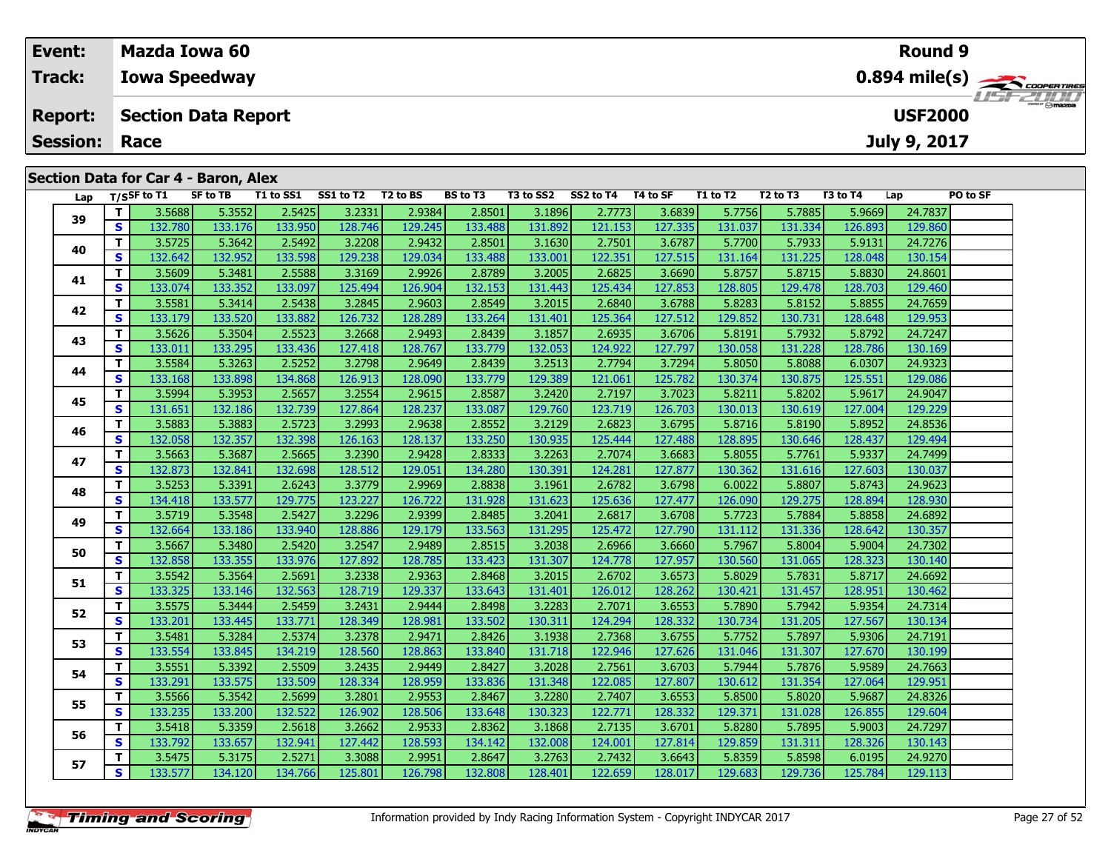| Event:                               | <b>Mazda Iowa 60</b>       |          |           |           |          |                 |           |           |          |          |          |          |              | Round 9                                                |                  |
|--------------------------------------|----------------------------|----------|-----------|-----------|----------|-----------------|-----------|-----------|----------|----------|----------|----------|--------------|--------------------------------------------------------|------------------|
| Track:                               | <b>Iowa Speedway</b>       |          |           |           |          |                 |           |           |          |          |          |          |              | $0.894$ mile(s) $\overbrace{\hspace{2cm}}$ COOPERTIRES |                  |
| <b>Report:</b>                       | <b>Section Data Report</b> |          |           |           |          |                 |           |           |          |          |          |          |              | <b>USF2000</b>                                         | <b>LIST 2000</b> |
| <b>Session: Race</b>                 |                            |          |           |           |          |                 |           |           |          |          |          |          | July 9, 2017 |                                                        |                  |
|                                      |                            |          |           |           |          |                 |           |           |          |          |          |          |              |                                                        |                  |
| Section Data for Car 4 - Baron, Alex |                            |          |           |           |          |                 |           |           |          |          |          |          |              |                                                        |                  |
| Lap                                  | T/SSF to T1                | SF to TB | T1 to SS1 | SS1 to T2 | T2 to BS | <b>BS to T3</b> | T3 to SS2 | SS2 to T4 | T4 to SF | T1 to T2 | T2 to T3 | T3 to T4 | Lap          | PO to SF                                               |                  |

|    | .,.          |         |         |         |         |         |         |         |         |         |         |         |         |         |  |
|----|--------------|---------|---------|---------|---------|---------|---------|---------|---------|---------|---------|---------|---------|---------|--|
|    | T.           | 3.5688  | 5.3552  | 2.5425  | 3.2331  | 2.9384  | 2.8501  | 3.1896  | 2.7773  | 3.6839  | 5.7756  | 5.7885  | 5.9669  | 24.7837 |  |
| 39 | S            | 132.780 | 133.176 | 133.950 | 128.746 | 129.245 | 133.488 | 131.892 | 121.153 | 127.335 | 131.037 | 131.334 | 126.893 | 129.860 |  |
|    | т            | 3.5725  | 5.3642  | 2.5492  | 3.2208  | 2.9432  | 2.8501  | 3.1630  | 2.7501  | 3.6787  | 5.7700  | 5.7933  | 5.9131  | 24.7276 |  |
| 40 | S            | 132.642 | 132.952 | 133.598 | 129.238 | 129.034 | 133.488 | 133.001 | 122.351 | 127.515 | 131.164 | 131.225 | 128.048 | 130.154 |  |
| 41 | т            | 3.5609  | 5.3481  | 2.5588  | 3.3169  | 2.9926  | 2.8789  | 3.2005  | 2.6825  | 3.6690  | 5.8757  | 5.8715  | 5.8830  | 24.8601 |  |
|    | S            | 133.074 | 133.352 | 133.097 | 125.494 | 126.904 | 132.153 | 131.443 | 125.434 | 127.853 | 128.805 | 129.478 | 128.703 | 129.460 |  |
| 42 | т            | 3.5581  | 5.3414  | 2.5438  | 3.2845  | 2.9603  | 2.8549  | 3.2015  | 2.6840  | 3.6788  | 5.8283  | 5.8152  | 5.8855  | 24.7659 |  |
|    | S            | 133.179 | 133.520 | 133.882 | 126.732 | 128.289 | 133.264 | 131.401 | 125.364 | 127.512 | 129.852 | 130.731 | 128.648 | 129.953 |  |
| 43 | T.           | 3.5626  | 5.3504  | 2.5523  | 3.2668  | 2.9493  | 2.8439  | 3.1857  | 2.6935  | 3.6706  | 5.8191  | 5.7932  | 5.8792  | 24.7247 |  |
|    | S.           | 133.011 | 133.295 | 133.436 | 127.418 | 128.767 | 133.779 | 132.053 | 124.922 | 127.797 | 130.058 | 131.228 | 128.786 | 130.169 |  |
| 44 | т            | 3.5584  | 5.3263  | 2.5252  | 3.2798  | 2.9649  | 2.8439  | 3.2513  | 2.7794  | 3.7294  | 5.8050  | 5.8088  | 6.0307  | 24.9323 |  |
|    | $\mathbf{s}$ | 133.168 | 133.898 | 134.868 | 126.913 | 128.090 | 133.779 | 129.389 | 121.061 | 125.782 | 130.374 | 130.875 | 125.551 | 129.086 |  |
| 45 | т            | 3.5994  | 5.3953  | 2.5657  | 3.2554  | 2.9615  | 2.8587  | 3.2420  | 2.7197  | 3.7023  | 5.8211  | 5.8202  | 5.9617  | 24.9047 |  |
|    | S            | 131.651 | 132.186 | 132.739 | 127.864 | 128.237 | 133.087 | 129.760 | 123.719 | 126.703 | 130.013 | 130.619 | 127.004 | 129.229 |  |
| 46 | т            | 3.5883  | 5.3883  | 2.5723  | 3.2993  | 2.9638  | 2.8552  | 3.2129  | 2.6823  | 3.6795  | 5.8716  | 5.8190  | 5.8952  | 24.8536 |  |
|    | S            | 132.058 | 132.357 | 132.398 | 126.163 | 128.137 | 133.250 | 130.935 | 125.444 | 127.488 | 128.895 | 130.646 | 128.437 | 129.494 |  |
| 47 | T.           | 3.5663  | 5.3687  | 2.5665  | 3.2390  | 2.9428  | 2.8333  | 3.2263  | 2.7074  | 3.6683  | 5.8055  | 5.7761  | 5.9337  | 24.7499 |  |
|    | S            | 132.873 | 132.841 | 132.698 | 128.512 | 129.051 | 134.280 | 130.391 | 124.281 | 127.877 | 130.362 | 131.616 | 127.603 | 130.037 |  |
| 48 | T.           | 3.5253  | 5.3391  | 2.6243  | 3.3779  | 2.9969  | 2.8838  | 3.1961  | 2.6782  | 3.6798  | 6.0022  | 5.8807  | 5.8743  | 24.9623 |  |
|    | S            | 134.418 | 133.577 | 129.775 | 123.227 | 126.722 | 131.928 | 131.623 | 125.636 | 127.477 | 126.090 | 129.275 | 128.894 | 128.930 |  |
| 49 | T.           | 3.5719  | 5.3548  | 2.5427  | 3.2296  | 2.9399  | 2.8485  | 3.2041  | 2.6817  | 3.6708  | 5.7723  | 5.7884  | 5.8858  | 24.6892 |  |
|    | S            | 132.664 | 133.186 | 133.940 | 128.886 | 129.179 | 133.563 | 131.295 | 125.472 | 127.790 | 131.112 | 131.336 | 128.642 | 130.357 |  |
| 50 | T.           | 3.5667  | 5.3480  | 2.5420  | 3.2547  | 2.9489  | 2.8515  | 3.2038  | 2.6966  | 3.6660  | 5.7967  | 5.8004  | 5.9004  | 24.7302 |  |
|    | S            | 132.858 | 133.355 | 133.976 | 127.892 | 128.785 | 133.423 | 131.307 | 124.778 | 127.957 | 130.560 | 131.065 | 128.323 | 130.140 |  |
| 51 | T.           | 3.5542  | 5.3564  | 2.5691  | 3.2338  | 2.9363  | 2.8468  | 3.2015  | 2.6702  | 3.6573  | 5.8029  | 5.7831  | 5.8717  | 24.6692 |  |
|    | S            | 133.325 | 133.146 | 132.563 | 128.719 | 129.337 | 133.643 | 131.401 | 126.012 | 128.262 | 130.421 | 131.457 | 128.951 | 130.462 |  |
| 52 | T.           | 3.5575  | 5.3444  | 2.5459  | 3.2431  | 2.9444  | 2.8498  | 3.2283  | 2.7071  | 3.6553  | 5.7890  | 5.7942  | 5.9354  | 24.7314 |  |
|    | S            | 133.201 | 133.445 | 133.771 | 128.349 | 128.981 | 133.502 | 130.311 | 124.294 | 128.332 | 130.734 | 131.205 | 127.567 | 130.134 |  |
| 53 | т            | 3.5481  | 5.3284  | 2.5374  | 3.2378  | 2.9471  | 2.8426  | 3.1938  | 2.7368  | 3.6755  | 5.7752  | 5.7897  | 5.9306  | 24.7191 |  |
|    | S            | 133.554 | 133.845 | 134.219 | 128.560 | 128.863 | 133.840 | 131.718 | 122.946 | 127.626 | 131.046 | 131.307 | 127.670 | 130.199 |  |
| 54 | T            | 3.5551  | 5.3392  | 2.5509  | 3.2435  | 2.9449  | 2.8427  | 3.2028  | 2.7561  | 3.6703  | 5.7944  | 5.7876  | 5.9589  | 24.7663 |  |
|    | S            | 133.291 | 133.575 | 133.509 | 128.334 | 128.959 | 133.836 | 131.348 | 122.085 | 127.807 | 130.612 | 131.354 | 127.064 | 129.951 |  |
| 55 | т            | 3.5566  | 5.3542  | 2.5699  | 3.2801  | 2.9553  | 2.8467  | 3.2280  | 2.7407  | 3.6553  | 5.8500  | 5.8020  | 5.9687  | 24.8326 |  |
|    | S            | 133.235 | 133.200 | 132.522 | 126.902 | 128.506 | 133.648 | 130.323 | 122.771 | 128.332 | 129.371 | 131.028 | 126.855 | 129.604 |  |
| 56 | T.           | 3.5418  | 5.3359  | 2.5618  | 3.2662  | 2.9533  | 2.8362  | 3.1868  | 2.7135  | 3.6701  | 5.8280  | 5.7895  | 5.9003  | 24.7297 |  |
|    | S            | 133.792 | 133.657 | 132.941 | 127.442 | 128.593 | 134.142 | 132.008 | 124.001 | 127.814 | 129.859 | 131.311 | 128.326 | 130.143 |  |
| 57 | T.           | 3.5475  | 5.3175  | 2.5271  | 3.3088  | 2.9951  | 2.8647  | 3.2763  | 2.7432  | 3.6643  | 5.8359  | 5.8598  | 6.0195  | 24.9270 |  |
|    | S.           | 133.577 | 134.120 | 134.766 | 125.801 | 126.798 | 132.808 | 128.401 | 122.659 | 128.017 | 129.683 | 129.736 | 125.784 | 129.113 |  |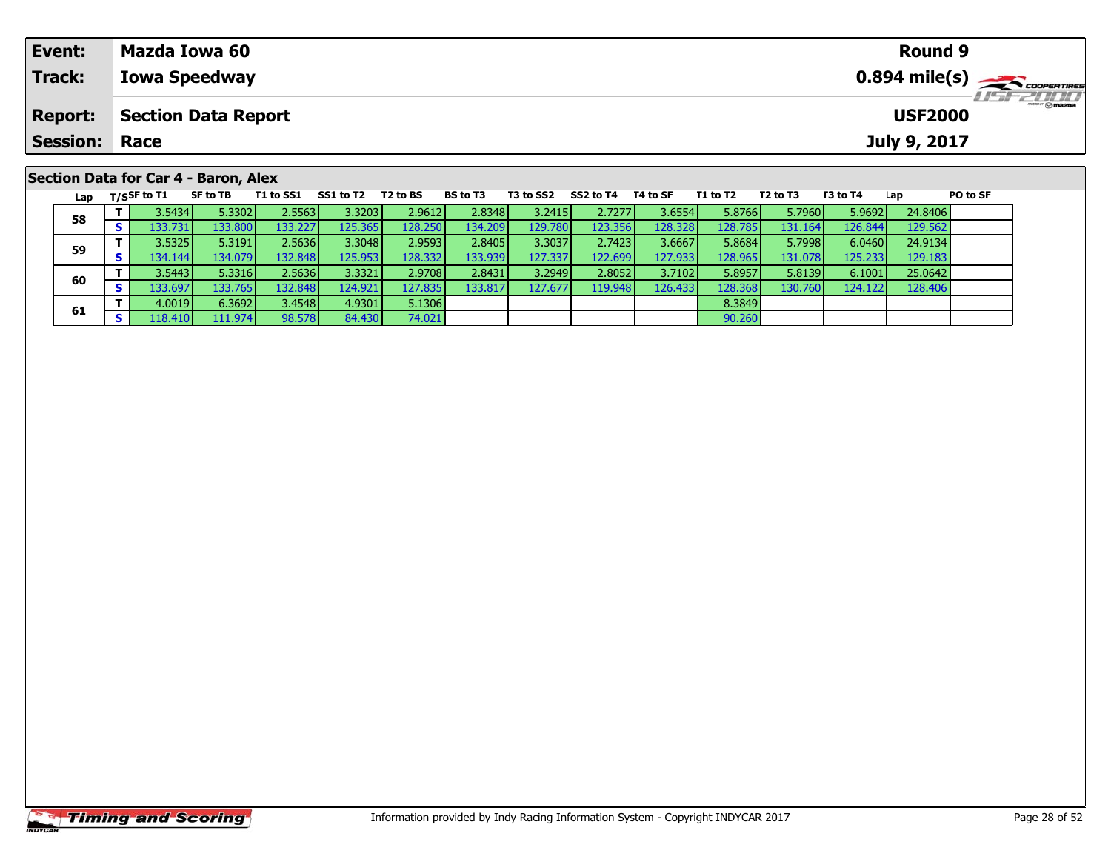| Event:               | Mazda Iowa 60                                                                                                                                                                                                                                                                                                                                                                                                                                                                              |  |          |           |                |                 |                 |                 |              | <b>Round 9</b>  |                                                        |
|----------------------|--------------------------------------------------------------------------------------------------------------------------------------------------------------------------------------------------------------------------------------------------------------------------------------------------------------------------------------------------------------------------------------------------------------------------------------------------------------------------------------------|--|----------|-----------|----------------|-----------------|-----------------|-----------------|--------------|-----------------|--------------------------------------------------------|
|                      |                                                                                                                                                                                                                                                                                                                                                                                                                                                                                            |  |          |           |                |                 |                 |                 |              |                 |                                                        |
| Track:               | <b>Iowa Speedway</b>                                                                                                                                                                                                                                                                                                                                                                                                                                                                       |  |          |           |                |                 |                 |                 |              |                 | $0.894$ mile(s) $\overbrace{\hspace{2cm}}$ coderatings |
|                      |                                                                                                                                                                                                                                                                                                                                                                                                                                                                                            |  |          |           |                |                 |                 |                 |              |                 | <b>LISFZOLO</b>                                        |
| <b>Report:</b>       | Section Data Report                                                                                                                                                                                                                                                                                                                                                                                                                                                                        |  |          |           |                |                 |                 |                 |              | <b>USF2000</b>  |                                                        |
| <b>Session: Race</b> |                                                                                                                                                                                                                                                                                                                                                                                                                                                                                            |  |          |           |                |                 |                 |                 | July 9, 2017 |                 |                                                        |
|                      |                                                                                                                                                                                                                                                                                                                                                                                                                                                                                            |  |          |           |                |                 |                 |                 |              |                 |                                                        |
|                      | Section Data for Car 4 - Baron, Alex                                                                                                                                                                                                                                                                                                                                                                                                                                                       |  |          |           |                |                 |                 |                 |              |                 |                                                        |
|                      | $\blacksquare$ $\blacksquare$ $\blacksquare$ $\blacksquare$ $\blacksquare$ $\blacksquare$ $\blacksquare$ $\blacksquare$ $\blacksquare$ $\blacksquare$ $\blacksquare$ $\blacksquare$ $\blacksquare$ $\blacksquare$ $\blacksquare$ $\blacksquare$ $\blacksquare$ $\blacksquare$ $\blacksquare$ $\blacksquare$ $\blacksquare$ $\blacksquare$ $\blacksquare$ $\blacksquare$ $\blacksquare$ $\blacksquare$ $\blacksquare$ $\blacksquare$ $\blacksquare$ $\blacksquare$ $\blacksquare$ $\blacks$ |  | DC to TO | TO LA CCO | CCBLATA TALACE | <b>T1 44 T3</b> | <b>ED 44 TO</b> | <b>FO 44 TA</b> | .            | <b>DO 14 CE</b> |                                                        |

| Lap |   | T/S5F to T1 | SF to TB | T1 to SS1 | SS1 to T2 | T2 to BS | <b>BS to T3</b> | T3 to SS2 | SS2 to T4        | T4 to SF | T1 to T2 | T2 to T3 | T3 to T4 | Lap     | <b>PO to SF</b> |
|-----|---|-------------|----------|-----------|-----------|----------|-----------------|-----------|------------------|----------|----------|----------|----------|---------|-----------------|
| 58  |   | 3.5434      | 5.3302   | 2.5563    | 3.3203    | 2.9612   | 2.8348          | 3.2415    | 2.7277           | 3.6554   | 5.8766   | 5.7960   | 5.9692   | 24.8406 |                 |
|     | s | 133.731     | 133.8001 | 133.227   | 125.365   | 128.2501 | 134.209         | 129.780   | 123.356 <b>I</b> | 128.328  | 128.785  | 131.164  | 126.844  | 129.562 |                 |
| 59  |   | 3.5325      | 5.3191   | 2.5636    | 3.3048    | 2.9593   | 2.8405          | 3.3037    | 2.7423           | 3.6667   | 5.8684   | 5.7998   | 6.0460   | 24.9134 |                 |
|     | s | 134.1441    | 134.079  | 132.848   | 125.953   | 128.3321 | 133.939         | 127.337   | 122.6991         | 127.933  | 128.965  | 131.078  | 125.233  | 129.183 |                 |
| 60  |   | 3.5443      | 5.3316   | 2.5636    | 3.3321    | 2.9708   | 2.8431          | 3.2949    | 2.8052           | 3.7102   | 5.8957   | 5.8139   | 6.1001   | 25.0642 |                 |
|     | s | 133.697     | 133.7651 | 132.848   | 124.921   | 127.835  | 133.817         | 127.677   | 119.948 <b> </b> | 126.433  | 128.368  | 130.760  | 124.1221 | 128.406 |                 |
| 61  |   | 4.0019      | 6.3692   | 3.4548    | 4.9301    | 5.1306   |                 |           |                  |          | 8.3849   |          |          |         |                 |
|     |   | 18.410      | 111.974  | 98.578    | 84.430    | 74.021   |                 |           |                  |          | 90.260   |          |          |         |                 |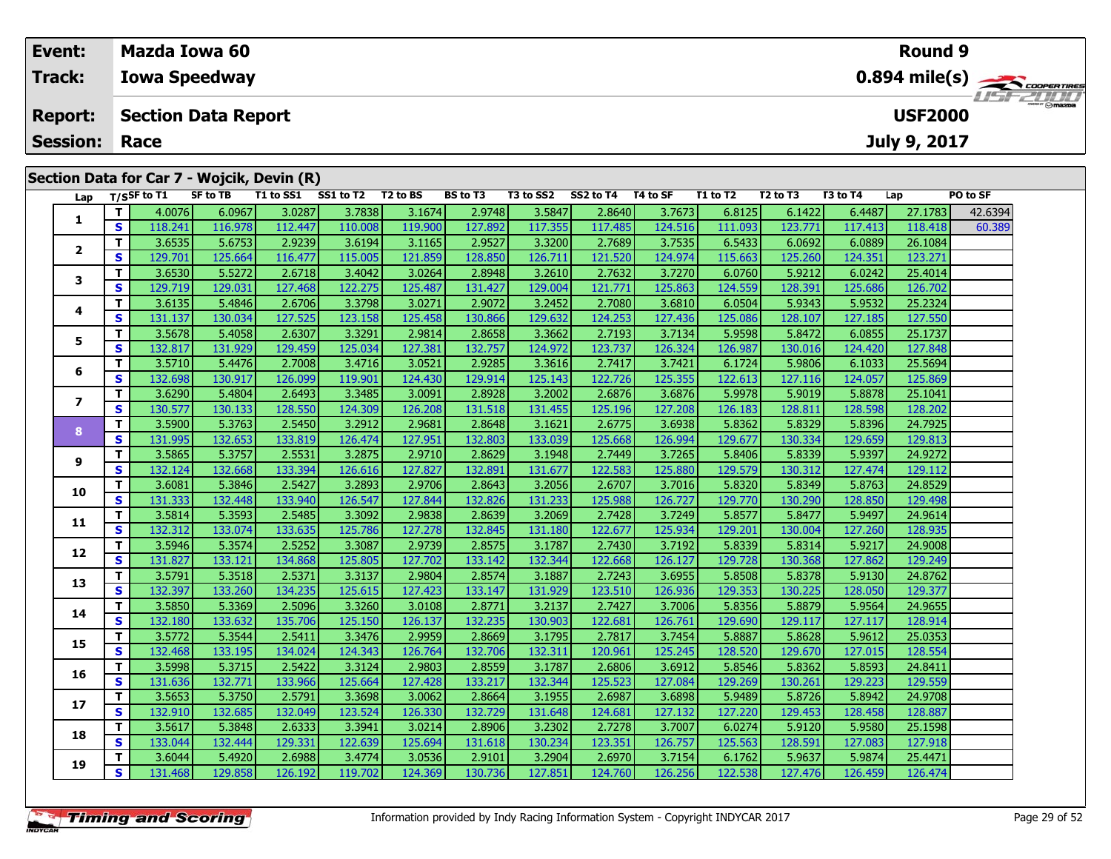| Event:               |             | <b>Mazda Iowa 60</b>                       |           |           |                          |                 |           |           |          |                 |          |          | <b>Round 9</b> |               |                                           |
|----------------------|-------------|--------------------------------------------|-----------|-----------|--------------------------|-----------------|-----------|-----------|----------|-----------------|----------|----------|----------------|---------------|-------------------------------------------|
| Track:               |             | <b>Iowa Speedway</b>                       |           |           |                          |                 |           |           |          |                 |          |          |                |               | $0.894$ mile(s) $\rightarrow$ Coorentment |
| <b>Report:</b>       |             | <b>Section Data Report</b>                 |           |           |                          |                 |           |           |          |                 |          |          | <b>USF2000</b> |               | <b>LISTELLIT</b>                          |
| <b>Session: Race</b> |             |                                            |           |           |                          |                 |           |           |          |                 |          |          | July 9, 2017   |               |                                           |
|                      |             | Section Data for Car 7 - Wojcik, Devin (R) |           |           |                          |                 |           |           |          |                 |          |          |                |               |                                           |
| Lap                  | T/SSF to T1 | SF to TB                                   | T1 to SS1 | SS1 to T2 | T2 to BS                 | <b>BS to T3</b> | T3 to SS2 | SS2 to T4 | T4 to SF | <b>T1 to T2</b> | T2 to T3 | T3 to T4 | Lap            | PO to SF      |                                           |
|                      | 4.0076      | 6.0967                                     | 3.0287    | 3.7838    | 3.1674                   | 2.9748          | 3.5847    | 2.8640    | 3.7673   | 6.8125          | 6.1422   | 6.4487   | 27.1783        | 42.6394       |                                           |
|                      | 118 741     | 116.078                                    | $112.447$ | 11000R    | $110$ and $\blacksquare$ | 127.892         | 117.355   | 117485    | 124516   | 111002          | 123771   | 117412   | 118418         | <b>60.380</b> |                                           |

| 1              | Τ. | 4.0076  | 6.0967  | 3.0287  | 3.7838  | 3.1674  | 2.9748  | 3.5847  | 2.8640  | 3.7673  | 6.8125  | 6.1422  | 6.4487  | 27.1783 | 42.6394 |
|----------------|----|---------|---------|---------|---------|---------|---------|---------|---------|---------|---------|---------|---------|---------|---------|
|                | S  | 118.241 | 116.978 | 112.447 | 110.008 | 119.900 | 127.892 | 117.355 | 117.485 | 124.516 | 111.093 | 123.771 | 117.413 | 118.418 | 60.389  |
| 2              | T. | 3.6535  | 5.6753  | 2.9239  | 3.6194  | 3.1165  | 2.9527  | 3.3200  | 2.7689  | 3.7535  | 6.5433  | 6.0692  | 6.0889  | 26.1084 |         |
|                | S  | 129.701 | 125.664 | 116.477 | 115.005 | 121.859 | 128.850 | 126.711 | 121.520 | 124.974 | 115.663 | 125.260 | 124.351 | 123.271 |         |
| 3              | T. | 3.6530  | 5.5272  | 2.6718  | 3.4042  | 3.0264  | 2.8948  | 3.2610  | 2.7632  | 3.7270  | 6.0760  | 5.9212  | 6.0242  | 25.4014 |         |
|                | S  | 129.719 | 129.031 | 127.468 | 122.275 | 125.487 | 131.427 | 129.004 | 121.771 | 125.863 | 124.559 | 128.391 | 125.686 | 126.702 |         |
| 4              | т  | 3.6135  | 5.4846  | 2.6706  | 3.3798  | 3.0271  | 2.9072  | 3.2452  | 2.7080  | 3.6810  | 6.0504  | 5.9343  | 5.9532  | 25.2324 |         |
|                | S  | 131.137 | 130.034 | 127.525 | 123.158 | 125.458 | 130.866 | 129.632 | 124.253 | 127.436 | 125.086 | 128.107 | 127.185 | 127.550 |         |
| 5              | T. | 3.5678  | 5.4058  | 2.6307  | 3.3291  | 2.9814  | 2.8658  | 3.3662  | 2.7193  | 3.7134  | 5.9598  | 5.8472  | 6.0855  | 25.1737 |         |
|                | S  | 132.817 | 131.929 | 129.459 | 125.034 | 127.381 | 132.757 | 124.972 | 123.737 | 126.324 | 126.987 | 130.016 | 124.420 | 127.848 |         |
| 6              | T. | 3.5710  | 5.4476  | 2.7008  | 3.4716  | 3.0521  | 2.9285  | 3.3616  | 2.7417  | 3.7421  | 6.1724  | 5.9806  | 6.1033  | 25.5694 |         |
|                | S  | 132.698 | 130.917 | 126.099 | 119.901 | 124.430 | 129.914 | 125.143 | 122.726 | 125.355 | 122.613 | 127.116 | 124.057 | 125.869 |         |
| $\overline{ }$ | T. | 3.6290  | 5.4804  | 2.6493  | 3.3485  | 3.0091  | 2.8928  | 3.2002  | 2.6876  | 3.6876  | 5.9978  | 5.9019  | 5.8878  | 25.1041 |         |
|                | S  | 130.577 | 130.133 | 128.550 | 124.309 | 126.208 | 131.518 | 131.455 | 125.196 | 127.208 | 126.183 | 128.811 | 128.598 | 128.202 |         |
| 8              | T. | 3.5900  | 5.3763  | 2.5450  | 3.2912  | 2.9681  | 2.8648  | 3.1621  | 2.6775  | 3.6938  | 5.8362  | 5.8329  | 5.8396  | 24.7925 |         |
|                | S  | 131.995 | 132.653 | 133.819 | 126.474 | 127.951 | 132.803 | 133.039 | 125.668 | 126.994 | 129.677 | 130.334 | 129.659 | 129.813 |         |
| 9              | T. | 3.5865  | 5.3757  | 2.5531  | 3.2875  | 2.9710  | 2.8629  | 3.1948  | 2.7449  | 3.7265  | 5.8406  | 5.8339  | 5.9397  | 24.9272 |         |
|                | S  | 132.124 | 132.668 | 133.394 | 126.616 | 127.827 | 132.891 | 131.677 | 122.583 | 125.880 | 129.579 | 130.312 | 127.474 | 129.112 |         |
| 10             | T. | 3.6081  | 5.3846  | 2.5427  | 3.2893  | 2.9706  | 2.8643  | 3.2056  | 2.6707  | 3.7016  | 5.8320  | 5.8349  | 5.8763  | 24.8529 |         |
|                | S  | 131.333 | 132.448 | 133.940 | 126.547 | 127.844 | 132.826 | 131.233 | 125.988 | 126.727 | 129.770 | 130.290 | 128.850 | 129.498 |         |
| 11             | т  | 3.5814  | 5.3593  | 2.5485  | 3.3092  | 2.9838  | 2.8639  | 3.2069  | 2.7428  | 3.7249  | 5.8577  | 5.8477  | 5.9497  | 24.9614 |         |
|                | S  | 132.312 | 133.074 | 133.635 | 125.786 | 127.278 | 132.845 | 131.180 | 122.677 | 125.934 | 129.201 | 130.004 | 127.260 | 128.935 |         |
| 12             | т  | 3.5946  | 5.3574  | 2.5252  | 3.3087  | 2.9739  | 2.8575  | 3.1787  | 2.7430  | 3.7192  | 5.8339  | 5.8314  | 5.9217  | 24.9008 |         |
|                | S. | 131.827 | 133.121 | 134.868 | 125.805 | 127.702 | 133.142 | 132.344 | 122.668 | 126.127 | 129.728 | 130.368 | 127.862 | 129.249 |         |
| 13             | т  | 3.5791  | 5.3518  | 2.5371  | 3.3137  | 2.9804  | 2.8574  | 3.1887  | 2.7243  | 3.6955  | 5.8508  | 5.8378  | 5.9130  | 24.8762 |         |
|                | S  | 132.397 | 133.260 | 134.235 | 125.615 | 127.423 | 133.147 | 131.929 | 123.510 | 126.936 | 129.353 | 130.225 | 128.050 | 129.377 |         |
| 14             | T. | 3.5850  | 5.3369  | 2.5096  | 3.3260  | 3.0108  | 2.8771  | 3.2137  | 2.7427  | 3.7006  | 5.8356  | 5.8879  | 5.9564  | 24.9655 |         |
|                | S  | 132.180 | 133.632 | 135.706 | 125.150 | 126.137 | 132.235 | 130.903 | 122.681 | 126.761 | 129.690 | 129.117 | 127.117 | 128.914 |         |
| 15             | T. | 3.5772  | 5.3544  | 2.5411  | 3.3476  | 2.9959  | 2.8669  | 3.1795  | 2.7817  | 3.7454  | 5.8887  | 5.8628  | 5.9612  | 25.0353 |         |
|                | S  | 132.468 | 133.195 | 134.024 | 124.343 | 126.764 | 132.706 | 132.311 | 120.961 | 125.245 | 128.520 | 129.670 | 127.015 | 128.554 |         |
| 16             | T. | 3.5998  | 5.3715  | 2.5422  | 3.3124  | 2.9803  | 2.8559  | 3.1787  | 2.6806  | 3.6912  | 5.8546  | 5.8362  | 5.8593  | 24.8411 |         |
|                | S  | 131.636 | 132.771 | 133.966 | 125.664 | 127.428 | 133.217 | 132.344 | 125.523 | 127.084 | 129.269 | 130.261 | 129.223 | 129.559 |         |
| 17             | T. | 3.5653  | 5.3750  | 2.5791  | 3.3698  | 3.0062  | 2.8664  | 3.1955  | 2.6987  | 3.6898  | 5.9489  | 5.8726  | 5.8942  | 24.9708 |         |
|                | S  | 132.910 | 132.685 | 132.049 | 123.524 | 126.330 | 132.729 | 131.648 | 124.681 | 127.132 | 127.220 | 129.453 | 128.458 | 128.887 |         |
| 18             | T. | 3.5617  | 5.3848  | 2.6333  | 3.3941  | 3.0214  | 2.8906  | 3.2302  | 2.7278  | 3.7007  | 6.0274  | 5.9120  | 5.9580  | 25.1598 |         |
|                | S. | 133.044 | 132.444 | 129.331 | 122.639 | 125.694 | 131.618 | 130.234 | 123.351 | 126.757 | 125.563 | 128.591 | 127.083 | 127.918 |         |
| 19             | T. | 3.6044  | 5.4920  | 2.6988  | 3.4774  | 3.0536  | 2.9101  | 3.2904  | 2.6970  | 3.7154  | 6.1762  | 5.9637  | 5.9874  | 25.4471 |         |
|                | S. | 131.468 | 129.858 | 126.192 | 119.702 | 124.369 | 130.736 | 127.851 | 124.760 | 126.256 | 122.538 | 127.476 | 126.459 | 126.474 |         |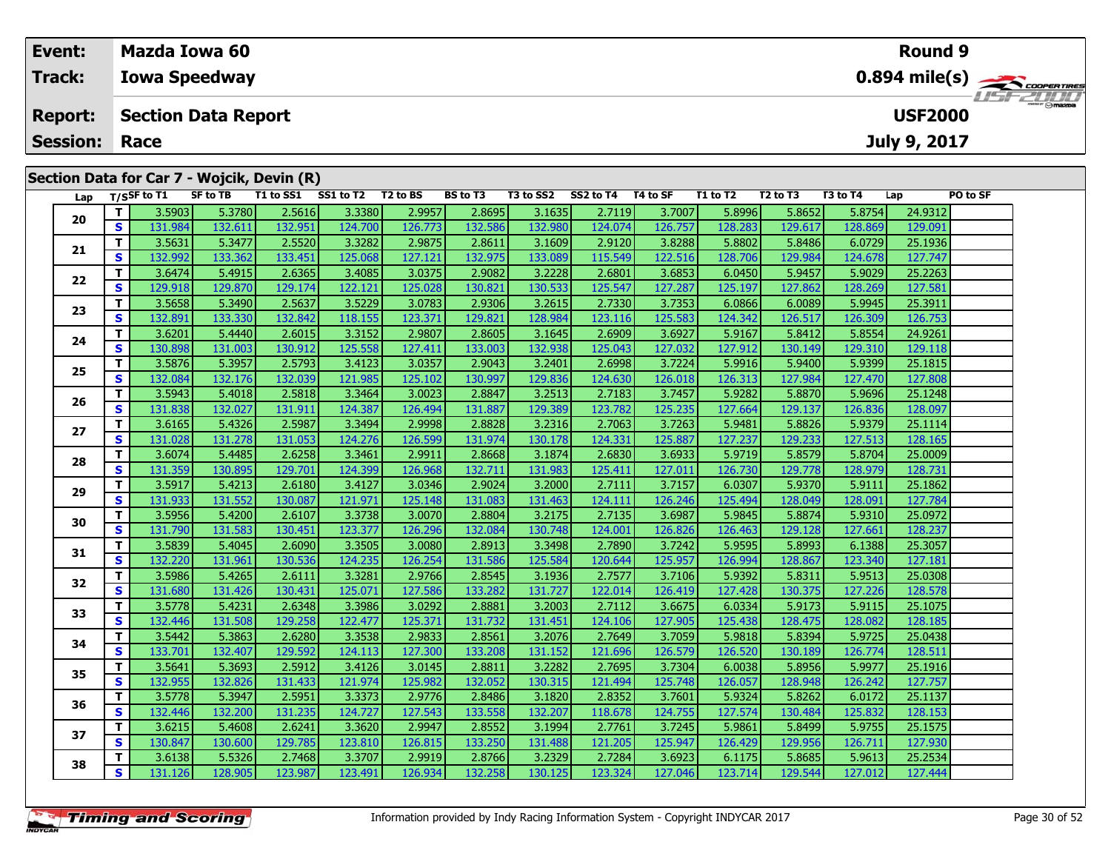|                                | Event:          |                            |             | <b>Mazda Iowa 60</b>                       |                  |                      |                      |                 |                  |                        |          |          |                                  |              | <b>Round 9</b> |          |                                                         |
|--------------------------------|-----------------|----------------------------|-------------|--------------------------------------------|------------------|----------------------|----------------------|-----------------|------------------|------------------------|----------|----------|----------------------------------|--------------|----------------|----------|---------------------------------------------------------|
| Track:<br><b>Iowa Speedway</b> |                 |                            |             |                                            |                  |                      |                      |                 |                  |                        |          |          |                                  |              |                |          | $0.894$ mile(s) $\overbrace{\hspace{2cm}}$ code ratings |
|                                | <b>Report:</b>  | <b>Section Data Report</b> |             |                                            |                  |                      |                      |                 |                  |                        |          |          |                                  |              | <b>USF2000</b> |          | $H = -H$                                                |
|                                | <b>Session:</b> | Race                       |             |                                            |                  |                      |                      |                 |                  |                        |          |          |                                  | July 9, 2017 |                |          |                                                         |
|                                |                 |                            |             | Section Data for Car 7 - Wojcik, Devin (R) |                  |                      |                      |                 |                  |                        |          |          |                                  |              |                |          |                                                         |
|                                | Lap             |                            | T/SSF to T1 | SF to TB                                   | T1 to SS1        | SS1 to T2            | T2 to BS             | <b>BS</b> to T3 | T3 to SS2        | SS2 to T4              | T4 to SF | T1 to T2 | T <sub>2</sub> to T <sub>3</sub> | T3 to T4     | Lap            | PO to SF |                                                         |
|                                | 20              |                            | 3.5903      | 5.3780                                     | 2.5616           | 3.3380               | 2.9957               | 2.8695          | 3.1635           | 2.7119                 | 3.7007   | 5.8996   | 5.8652                           | 5.8754       | 24.9312        |          |                                                         |
|                                |                 |                            | 121021      | 122.611 <b>1</b>                           | 122.051 $\Gamma$ | 124.700 $\mathsf{L}$ | 126 772 $\mathsf{L}$ | 122504          | <u> ۱۵۵۸ 137</u> | 124.074 $\blacksquare$ | 126751   | 128.291  | 120.617 <b>1</b>                 | 128.861      | 120001         |          |                                                         |

| 20 | T. | 3.5903  | 5.3780  | 2.5616  | 3.3380  | 2.9957  | 2.8695  | 3.1635  | 2.7119  | 3.7007  | 5.8996  | 5.8652  | 5.8754  | 24.9312 |  |
|----|----|---------|---------|---------|---------|---------|---------|---------|---------|---------|---------|---------|---------|---------|--|
|    | S  | 131.984 | 132.611 | 132.951 | 124.700 | 126.773 | 132.586 | 132.980 | 124.074 | 126.757 | 128.283 | 129.617 | 128.869 | 129.091 |  |
| 21 | T. | 3.5631  | 5.3477  | 2.5520  | 3.3282  | 2.9875  | 2.8611  | 3.1609  | 2.9120  | 3.8288  | 5.8802  | 5.8486  | 6.0729  | 25.1936 |  |
|    | S  | 132.992 | 133.362 | 133.451 | 125.068 | 127.121 | 132.975 | 133.089 | 115.549 | 122.516 | 128.706 | 129.984 | 124.678 | 127.747 |  |
| 22 | T. | 3.6474  | 5.4915  | 2.6365  | 3.4085  | 3.0375  | 2.9082  | 3.2228  | 2.6801  | 3.6853  | 6.0450  | 5.9457  | 5.9029  | 25.2263 |  |
|    | S  | 129.918 | 129.870 | 129.174 | 122.121 | 125.028 | 130.821 | 130.533 | 125.547 | 127.287 | 125.197 | 127.862 | 128.269 | 127.581 |  |
| 23 | T. | 3.5658  | 5.3490  | 2.5637  | 3.5229  | 3.0783  | 2.9306  | 3.2615  | 2.7330  | 3.7353  | 6.0866  | 6.0089  | 5.9945  | 25.3911 |  |
|    | S  | 132.891 | 133.330 | 132.842 | 118.155 | 123.371 | 129.821 | 128.984 | 123.116 | 125.583 | 124.342 | 126.517 | 126.309 | 126.753 |  |
| 24 | T. | 3.6201  | 5.4440  | 2.6015  | 3.3152  | 2.9807  | 2.8605  | 3.1645  | 2.6909  | 3.6927  | 5.9167  | 5.8412  | 5.8554  | 24.9261 |  |
|    | S  | 130.898 | 131.003 | 130.912 | 125.558 | 127.411 | 133.003 | 132.938 | 125.043 | 127.032 | 127.912 | 130.149 | 129.310 | 129.118 |  |
| 25 | T  | 3.5876  | 5.3957  | 2.5793  | 3.4123  | 3.0357  | 2.9043  | 3.2401  | 2.6998  | 3.7224  | 5.9916  | 5.9400  | 5.9399  | 25.1815 |  |
|    | S  | 132.084 | 132.176 | 132.039 | 121.985 | 125.102 | 130.997 | 129.836 | 124.630 | 126.018 | 126.313 | 127.984 | 127.470 | 127.808 |  |
| 26 | т  | 3.5943  | 5.4018  | 2.5818  | 3.3464  | 3.0023  | 2.8847  | 3.2513  | 2.7183  | 3.7457  | 5.9282  | 5.8870  | 5.9696  | 25.1248 |  |
|    | S  | 131.838 | 132.027 | 131.911 | 124.387 | 126.494 | 131.887 | 129.389 | 123.782 | 125.235 | 127.664 | 129.137 | 126.836 | 128.097 |  |
| 27 | T. | 3.6165  | 5.4326  | 2.5987  | 3.3494  | 2.9998  | 2.8828  | 3.2316  | 2.7063  | 3.7263  | 5.9481  | 5.8826  | 5.9379  | 25.1114 |  |
|    | S  | 131.028 | 131.278 | 131.053 | 124.276 | 126.599 | 131.974 | 130.178 | 124.331 | 125.887 | 127.237 | 129.233 | 127.513 | 128.165 |  |
| 28 | T. | 3.6074  | 5.4485  | 2.6258  | 3.3461  | 2.9911  | 2.8668  | 3.1874  | 2.6830  | 3.6933  | 5.9719  | 5.8579  | 5.8704  | 25.0009 |  |
|    | S  | 131.359 | 130.895 | 129.701 | 124.399 | 126.968 | 132.711 | 131.983 | 125.411 | 127.011 | 126.730 | 129.778 | 128.979 | 128.731 |  |
| 29 | Τ. | 3.5917  | 5.4213  | 2.6180  | 3.4127  | 3.0346  | 2.9024  | 3.2000  | 2.7111  | 3.7157  | 6.0307  | 5.9370  | 5.9111  | 25.1862 |  |
|    | S  | 131.933 | 131.552 | 130.087 | 121.971 | 125.148 | 131.083 | 131.463 | 124.111 | 126.246 | 125.494 | 128.049 | 128.091 | 127.784 |  |
| 30 | Τ. | 3.5956  | 5.4200  | 2.6107  | 3.3738  | 3.0070  | 2.8804  | 3.2175  | 2.7135  | 3.6987  | 5.9845  | 5.8874  | 5.9310  | 25.0972 |  |
|    | S  | 131.790 | 131.583 | 130.451 | 123.377 | 126.296 | 132.084 | 130.748 | 124.001 | 126.826 | 126.463 | 129.128 | 127.661 | 128.237 |  |
| 31 | т  | 3.5839  | 5.4045  | 2.6090  | 3.3505  | 3.0080  | 2.8913  | 3.3498  | 2.7890  | 3.7242  | 5.9595  | 5.8993  | 6.1388  | 25.3057 |  |
|    | S  | 132.220 | 131.961 | 130.536 | 124.235 | 126.254 | 131.586 | 125.584 | 120.644 | 125.957 | 126.994 | 128.867 | 123.340 | 127.181 |  |
| 32 | т  | 3.5986  | 5.4265  | 2.6111  | 3.3281  | 2.9766  | 2.8545  | 3.1936  | 2.7577  | 3.7106  | 5.9392  | 5.8311  | 5.9513  | 25.0308 |  |
|    | S  | 131.680 | 131.426 | 130.431 | 125.071 | 127.586 | 133.282 | 131.727 | 122.014 | 126.419 | 127.428 | 130.375 | 127.226 | 128.578 |  |
| 33 | T. | 3.5778  | 5.4231  | 2.6348  | 3.3986  | 3.0292  | 2.8881  | 3.2003  | 2.7112  | 3.6675  | 6.0334  | 5.9173  | 5.9115  | 25.1075 |  |
|    | S  | 132.446 | 131.508 | 129.258 | 122.477 | 125.371 | 131.732 | 131.451 | 124.106 | 127.905 | 125.438 | 128.475 | 128.082 | 128.185 |  |
| 34 | T. | 3.5442  | 5.3863  | 2.6280  | 3.3538  | 2.9833  | 2.8561  | 3.2076  | 2.7649  | 3.7059  | 5.9818  | 5.8394  | 5.9725  | 25.0438 |  |
|    | S  | 133.701 | 132.407 | 129.592 | 124.113 | 127.300 | 133.208 | 131.152 | 121.696 | 126.579 | 126.520 | 130.189 | 126.774 | 128.511 |  |
| 35 | T. | 3.5641  | 5.3693  | 2.5912  | 3.4126  | 3.0145  | 2.8811  | 3.2282  | 2.7695  | 3.7304  | 6.0038  | 5.8956  | 5.9977  | 25.1916 |  |
|    | S  | 132.955 | 132.826 | 131.433 | 121.974 | 125.982 | 132.052 | 130.315 | 121.494 | 125.748 | 126.057 | 128.948 | 126.242 | 127.757 |  |
| 36 | T. | 3.5778  | 5.3947  | 2.5951  | 3.3373  | 2.9776  | 2.8486  | 3.1820  | 2.8352  | 3.7601  | 5.9324  | 5.8262  | 6.0172  | 25.1137 |  |
|    | S. | 132.446 | 132.200 | 131.235 | 124.727 | 127.543 | 133.558 | 132.207 | 118.678 | 124.755 | 127.574 | 130.484 | 125.832 | 128.153 |  |
| 37 | T. | 3.6215  | 5.4608  | 2.6241  | 3.3620  | 2.9947  | 2.8552  | 3.1994  | 2.7761  | 3.7245  | 5.9861  | 5.8499  | 5.9755  | 25.1575 |  |
|    | S  | 130.847 | 130.600 | 129.785 | 123.810 | 126.815 | 133.250 | 131.488 | 121.205 | 125.947 | 126.429 | 129.956 | 126.711 | 127.930 |  |
| 38 | T. | 3.6138  | 5.5326  | 2.7468  | 3.3707  | 2.9919  | 2.8766  | 3.2329  | 2.7284  | 3.6923  | 6.1175  | 5.8685  | 5.9613  | 25.2534 |  |
|    | S. | 131.126 | 128.905 | 123.987 | 123.491 | 126.934 | 132.258 | 130.125 | 123.324 | 127.046 | 123.714 | 129.544 | 127.012 | 127.444 |  |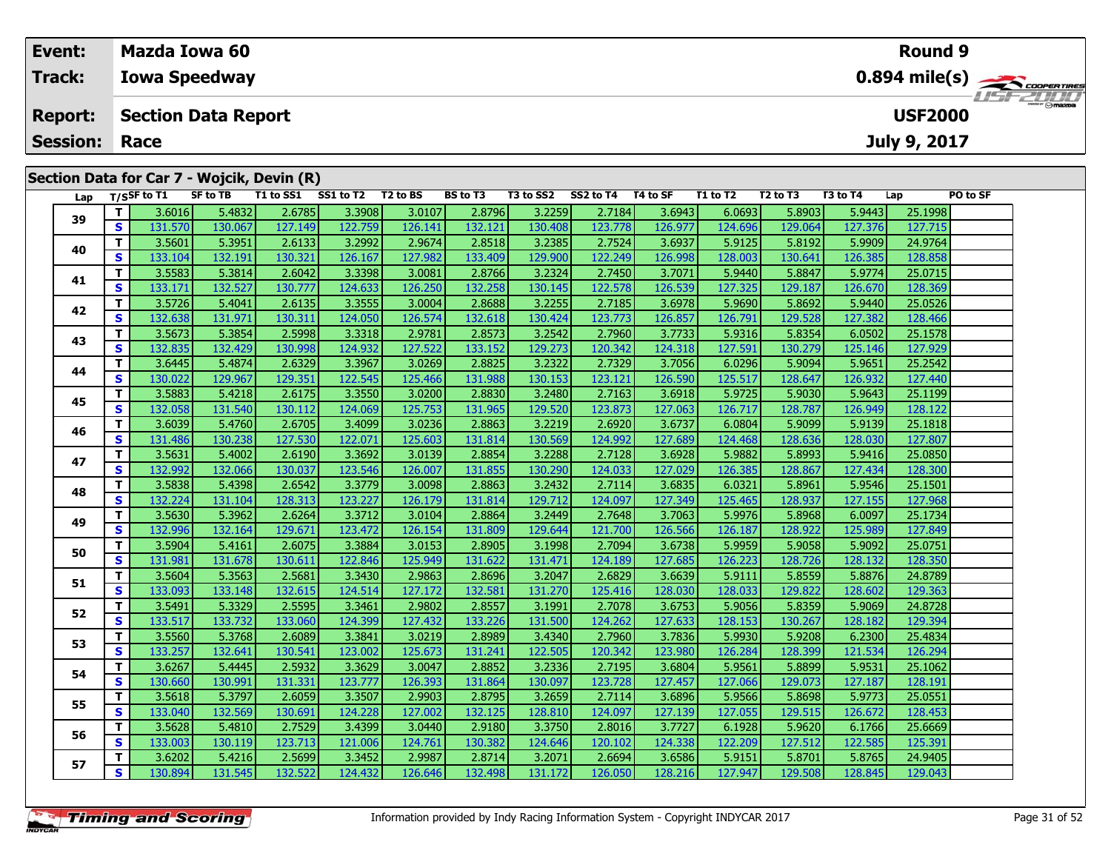| Event:               |                    | <b>Mazda Iowa 60</b>                       |           |           |          |                 |                 |           |          |                 |                                  |                     | <b>Round 9</b> |          |                        |
|----------------------|--------------------|--------------------------------------------|-----------|-----------|----------|-----------------|-----------------|-----------|----------|-----------------|----------------------------------|---------------------|----------------|----------|------------------------|
| <b>Track:</b>        |                    | <b>Iowa Speedway</b>                       |           |           |          |                 |                 |           |          |                 |                                  |                     |                |          |                        |
| <b>Report:</b>       |                    | <b>Section Data Report</b>                 |           |           |          |                 |                 |           |          |                 |                                  |                     | <b>USF2000</b> |          | <i><b>ISFED ON</b></i> |
| <b>Session: Race</b> |                    |                                            |           |           |          |                 |                 |           |          |                 |                                  |                     | July 9, 2017   |          |                        |
|                      |                    |                                            |           |           |          |                 |                 |           |          |                 |                                  |                     |                |          |                        |
|                      |                    | Section Data for Car 7 - Wojcik, Devin (R) |           |           |          |                 |                 |           |          |                 |                                  |                     |                |          |                        |
|                      | Lap $T/S$ SF to T1 | SF to TB                                   | T1 to SS1 | SS1 to T2 | T2 to BS | <b>BS</b> to T3 | T3 to SS2       | SS2 to T4 | T4 to SF | <b>T1 to T2</b> | T <sub>2</sub> to T <sub>3</sub> | T3 to T4            | Lap            | PO to SF |                        |
|                      | 3.6016             | 5.4832                                     | 2.6785    | 3.3908    | 3.0107   | 2.8796          | 3.2259          | 2.7184    | 3.6943   | 6.0693          | 5.8903                           | 5.9443              | 25.1998        |          |                        |
| 39                   | $121$ $570$        | 120021                                     | 12710     | 122.75    | 126.141  | 122.121         | $120 \text{ A}$ | 122.770   | 126.077  | 12400c          | 12000                            | 107.27 $\epsilon$ L | 127715         |          |                        |

| 39 |    | 3.6016  | 5.4832  | 2.6785  | 3.3908  | 3.0107  | 2.8796  | 3.2259  | 2.7184  | 3.6943  | 6.0693  | 5.8903  | 5.9443  | 25.1998 |  |
|----|----|---------|---------|---------|---------|---------|---------|---------|---------|---------|---------|---------|---------|---------|--|
|    | S  | 131.570 | 130.067 | 127.149 | 122.759 | 126.141 | 132.121 | 130.408 | 123.778 | 126.977 | 124.696 | 129.064 | 127.376 | 127.715 |  |
|    | T. | 3.5601  | 5.3951  | 2.6133  | 3.2992  | 2.9674  | 2.8518  | 3.2385  | 2.7524  | 3.6937  | 5.9125  | 5.8192  | 5.9909  | 24.9764 |  |
| 40 | S  | 133.104 | 132.191 | 130.321 | 126.167 | 127.982 | 133.409 | 129.900 | 122.249 | 126.998 | 128.003 | 130.641 | 126.385 | 128.858 |  |
| 41 | T. | 3.5583  | 5.3814  | 2.6042  | 3.3398  | 3.0081  | 2.8766  | 3.2324  | 2.7450  | 3.7071  | 5.9440  | 5.8847  | 5.9774  | 25.0715 |  |
|    | S  | 133.171 | 132.527 | 130.777 | 124.633 | 126.250 | 132.258 | 130.145 | 122.578 | 126.539 | 127.325 | 129.187 | 126.670 | 128.369 |  |
| 42 | T. | 3.5726  | 5.4041  | 2.6135  | 3.3555  | 3.0004  | 2.8688  | 3.2255  | 2.7185  | 3.6978  | 5.9690  | 5.8692  | 5.9440  | 25.0526 |  |
|    | S  | 132.638 | 131.971 | 130.311 | 124.050 | 126.574 | 132.618 | 130.424 | 123.773 | 126.857 | 126.791 | 129.528 | 127.382 | 128.466 |  |
| 43 | T. | 3.5673  | 5.3854  | 2.5998  | 3.3318  | 2.9781  | 2.8573  | 3.2542  | 2.7960  | 3.7733  | 5.9316  | 5.8354  | 6.0502  | 25.1578 |  |
|    | S  | 132.835 | 132.429 | 130.998 | 124.932 | 127.522 | 133.152 | 129.273 | 120.342 | 124.318 | 127.591 | 130.279 | 125.146 | 127.929 |  |
| 44 | T. | 3.6445  | 5.4874  | 2.6329  | 3.3967  | 3.0269  | 2.8825  | 3.2322  | 2.7329  | 3.7056  | 6.0296  | 5.9094  | 5.9651  | 25.2542 |  |
|    | S  | 130.022 | 129.967 | 129.351 | 122.545 | 125.466 | 131.988 | 130.153 | 123.121 | 126.590 | 125.517 | 128.647 | 126.932 | 127.440 |  |
| 45 | т  | 3.5883  | 5.4218  | 2.6175  | 3.3550  | 3.0200  | 2.8830  | 3.2480  | 2.7163  | 3.6918  | 5.9725  | 5.9030  | 5.9643  | 25.1199 |  |
|    | S  | 132.058 | 131.540 | 130.112 | 124.069 | 125.753 | 131.965 | 129.520 | 123.873 | 127.063 | 126.717 | 128.787 | 126.949 | 128.122 |  |
| 46 | T. | 3.6039  | 5.4760  | 2.6705  | 3.4099  | 3.0236  | 2.8863  | 3.2219  | 2.6920  | 3.6737  | 6.0804  | 5.9099  | 5.9139  | 25.1818 |  |
|    | S  | 131.486 | 130.238 | 127.530 | 122.071 | 125.603 | 131.814 | 130.569 | 124.992 | 127.689 | 124.468 | 128.636 | 128.030 | 127.807 |  |
| 47 | T. | 3.5631  | 5.4002  | 2.6190  | 3.3692  | 3.0139  | 2.8854  | 3.2288  | 2.7128  | 3.6928  | 5.9882  | 5.8993  | 5.9416  | 25.0850 |  |
|    | S  | 132.992 | 132.066 | 130.037 | 123.546 | 126.007 | 131.855 | 130.290 | 124.033 | 127.029 | 126.385 | 128.867 | 127.434 | 128.300 |  |
| 48 | T  | 3.5838  | 5.4398  | 2.6542  | 3.3779  | 3.0098  | 2.8863  | 3.2432  | 2.7114  | 3.6835  | 6.0321  | 5.8961  | 5.9546  | 25.1501 |  |
|    | S  | 132.224 | 131.104 | 128.313 | 123.227 | 126.179 | 131.814 | 129.712 | 124.097 | 127.349 | 125.465 | 128.937 | 127.155 | 127.968 |  |
| 49 | T. | 3.5630  | 5.3962  | 2.6264  | 3.3712  | 3.0104  | 2.8864  | 3.2449  | 2.7648  | 3.7063  | 5.9976  | 5.8968  | 6.0097  | 25.1734 |  |
|    | S  | 132.996 | 132.164 | 129.671 | 123.472 | 126.154 | 131.809 | 129.644 | 121.700 | 126.566 | 126.187 | 128.922 | 125.989 | 127.849 |  |
| 50 | T. | 3.5904  | 5.4161  | 2.6075  | 3.3884  | 3.0153  | 2.8905  | 3.1998  | 2.7094  | 3.6738  | 5.9959  | 5.9058  | 5.9092  | 25.0751 |  |
|    | S  | 131.981 | 131.678 | 130.611 | 122.846 | 125.949 | 131.622 | 131.471 | 124.189 | 127.685 | 126.223 | 128.726 | 128.132 | 128.350 |  |
| 51 | T. | 3.5604  | 5.3563  | 2.5681  | 3.3430  | 2.9863  | 2.8696  | 3.2047  | 2.6829  | 3.6639  | 5.9111  | 5.8559  | 5.8876  | 24.8789 |  |
|    | S  | 133.093 | 133.148 | 132.615 | 124.514 | 127.172 | 132.581 | 131.270 | 125.416 | 128.030 | 128.033 | 129.822 | 128.602 | 129.363 |  |
| 52 | T. | 3.5491  | 5.3329  | 2.5595  | 3.3461  | 2.9802  | 2.8557  | 3.1991  | 2.7078  | 3.6753  | 5.9056  | 5.8359  | 5.9069  | 24.8728 |  |
|    | S  | 133.517 | 133.732 | 133.060 | 124.399 | 127.432 | 133.226 | 131.500 | 124.262 | 127.633 | 128.153 | 130.267 | 128.182 | 129.394 |  |
| 53 | T. | 3.5560  | 5.3768  | 2.6089  | 3.3841  | 3.0219  | 2.8989  | 3.4340  | 2.7960  | 3.7836  | 5.9930  | 5.9208  | 6.2300  | 25.4834 |  |
|    | S  | 133.257 | 132.641 | 130.541 | 123.002 | 125.673 | 131.241 | 122.505 | 120.342 | 123.980 | 126.284 | 128.399 | 121.534 | 126.294 |  |
| 54 | T. | 3.6267  | 5.4445  | 2.5932  | 3.3629  | 3.0047  | 2.8852  | 3.2336  | 2.7195  | 3.6804  | 5.9561  | 5.8899  | 5.9531  | 25.1062 |  |
|    | S  | 130.660 | 130.991 | 131.331 | 123.777 | 126.393 | 131.864 | 130.097 | 123.728 | 127.457 | 127.066 | 129.073 | 127.187 | 128.191 |  |
| 55 | T. | 3.5618  | 5.3797  | 2.6059  | 3.3507  | 2.9903  | 2.8795  | 3.2659  | 2.7114  | 3.6896  | 5.9566  | 5.8698  | 5.9773  | 25.0551 |  |
|    | S  | 133.040 | 132.569 | 130.691 | 124.228 | 127.002 | 132.125 | 128.810 | 124.097 | 127.139 | 127.055 | 129.515 | 126.672 | 128.453 |  |
| 56 | T. | 3.5628  | 5.4810  | 2.7529  | 3.4399  | 3.0440  | 2.9180  | 3.3750  | 2.8016  | 3.7727  | 6.1928  | 5.9620  | 6.1766  | 25.6669 |  |
|    | S. | 133.003 | 130.119 | 123.713 | 121.006 | 124.761 | 130.382 | 124.646 | 120.102 | 124.338 | 122.209 | 127.512 | 122.585 | 125.391 |  |
| 57 | T. | 3.6202  | 5.4216  | 2.5699  | 3.3452  | 2.9987  | 2.8714  | 3.2071  | 2.6694  | 3.6586  | 5.9151  | 5.8701  | 5.8765  | 24.9405 |  |
|    | S  | 130.894 | 131.545 | 132.522 | 124.432 | 126.646 | 132.498 | 131.172 | 126.050 | 128.216 | 127.947 | 129.508 | 128.845 | 129.043 |  |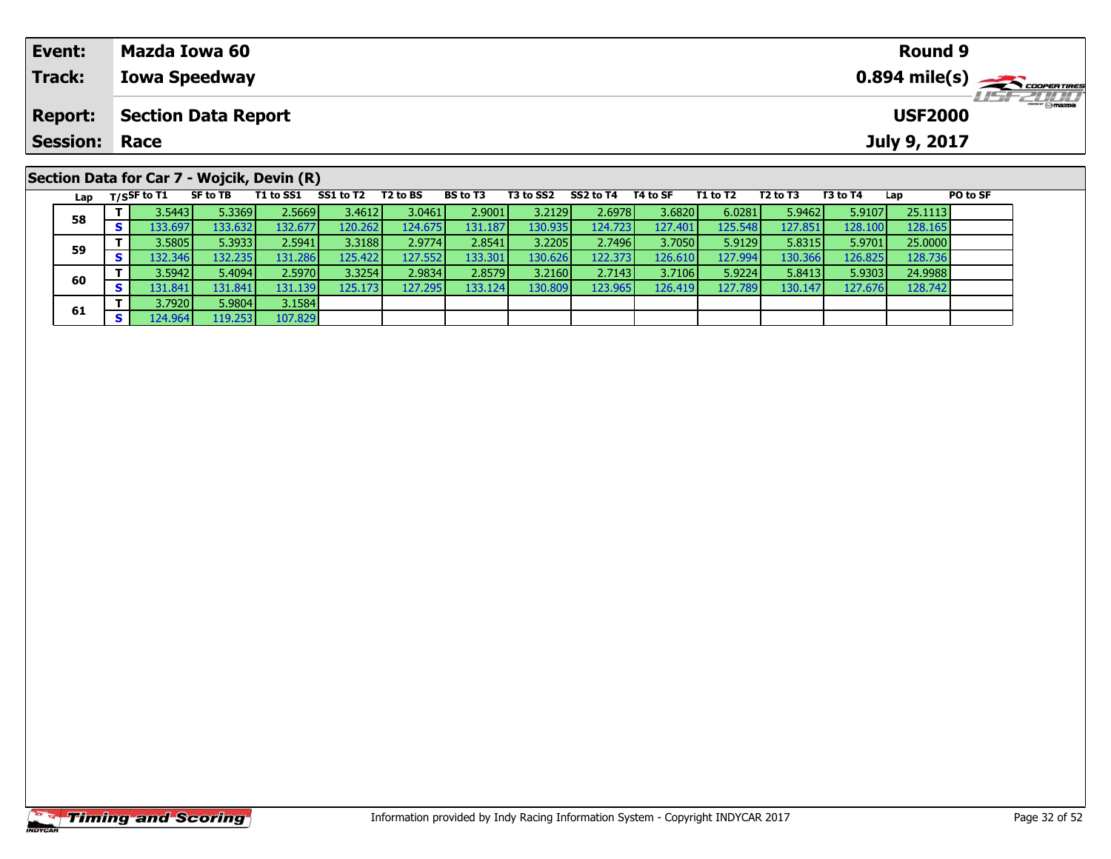| Event:               | Mazda Iowa 60                              |                              |          |           |           |          |          |          |          | <b>Round 9</b> |                                                              |
|----------------------|--------------------------------------------|------------------------------|----------|-----------|-----------|----------|----------|----------|----------|----------------|--------------------------------------------------------------|
| <b>Track:</b>        | <b>Iowa Speedway</b>                       |                              |          |           |           |          |          |          |          |                | $0.894$ mile(s) $\overbrace{\hspace{2.5cm}}^{3}$ coorentment |
| <b>Report:</b>       | <b>Section Data Report</b>                 |                              |          |           |           |          |          |          |          | <b>USF2000</b> | <b>LISF 2000</b>                                             |
| <b>Session: Race</b> |                                            |                              |          |           |           |          |          |          |          | July 9, 2017   |                                                              |
|                      |                                            |                              |          |           |           |          |          |          |          |                |                                                              |
|                      | Section Data for Car 7 - Wojcik, Devin (R) |                              |          |           |           |          |          |          |          |                |                                                              |
| Lap                  | T/SSF to T1<br>SF to TB                    | T1 to SS1 SS1 to T2 T2 to BS | BS to T3 | T3 to SS2 | SS2 to T4 | T4 to SF | T1 to T2 | T2 to T3 | T3 to T4 | Lap            | <b>PO to SF</b>                                              |

| $  -$ | .            |                  |         |          |         |                  |                  |          |          |         |         |          |         |         |  |
|-------|--------------|------------------|---------|----------|---------|------------------|------------------|----------|----------|---------|---------|----------|---------|---------|--|
| 58    |              | 3.5443           | 5.3369  | 2.5669]. | 3.4612  | 3.0461           | 2.9001           | 3.2129   | 2.6978   | 3.6820  | 6.0281  | 5.9462 l | 5.9107  | 25.1113 |  |
|       | $\mathbf{z}$ | 133.697          | 133.632 | 132.677  | 120.262 | 124.675          | .31.187          | 130.935  | 124.7231 | 127.401 | 125.548 | 127.851  | 128.100 | 128.165 |  |
| 59    |              | 3.5805           | 5.3933  | 2.5941   | 3.3188  | 2.9774           | 2.8541           | 3.2205   | 2.7496   | 3.7050  | 5.9129  | 5.8315   | 5.9701  | 25.0000 |  |
|       | D.           | 132.346 <b>I</b> | 132.235 | 131.286  | 125.422 | 127.552          | .33.301 <b>I</b> | 130.6261 | 122.373  | 126.610 | 127.994 | 130.366  | 126.825 | 128.736 |  |
| 60    |              | 3.5942           | 5.4094  | 2.5970   | 3.3254  | 2.9834           | 2.8579           | 3.2160   | 2.7143   | 3.7106  | 5.9224  | 5.8413   | 5.9303  | 24.9988 |  |
|       | S            | 131.841          | 131.841 | 131.139  | 125.173 | 127.295 <b>I</b> | .33.124          | 130.809  | 123.965  | 126.419 | 127.789 | 130.147  | 127.676 | 128.742 |  |
|       |              | 3.7920           | 5.9804  | 3.1584   |         |                  |                  |          |          |         |         |          |         |         |  |
| 61    | S            | 124.964          | 19.253  | 107.829  |         |                  |                  |          |          |         |         |          |         |         |  |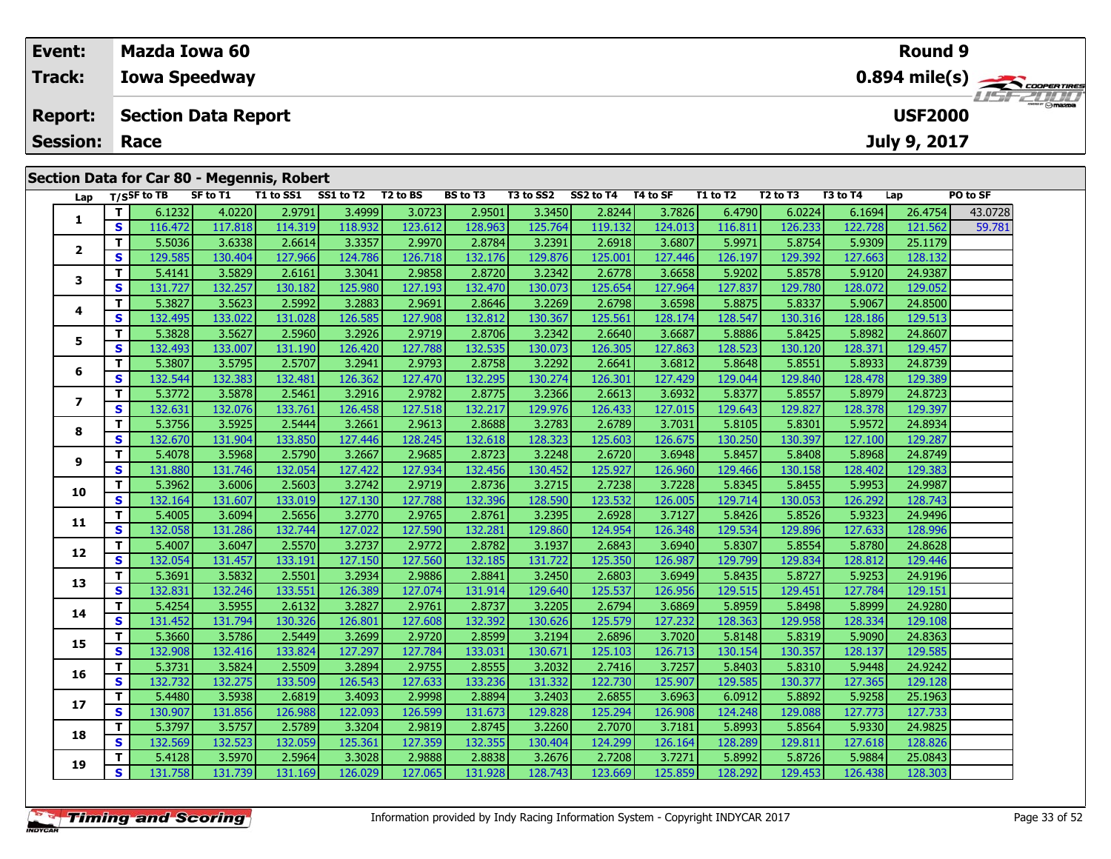| <b>Event:</b>                              | Mazda Iowa 60        |  |                                       |          |                              |          |          |          |              | <b>Round 9</b>  |                 |
|--------------------------------------------|----------------------|--|---------------------------------------|----------|------------------------------|----------|----------|----------|--------------|-----------------|-----------------|
| Track:                                     | <b>Iowa Speedway</b> |  |                                       |          |                              |          |          |          |              |                 |                 |
| <b>Report:</b>                             | Section Data Report  |  |                                       |          |                              |          |          |          |              | <b>USF2000</b>  | <b>USF 2000</b> |
| <b>Session: Race</b>                       |                      |  |                                       |          |                              |          |          |          | July 9, 2017 |                 |                 |
|                                            |                      |  |                                       |          |                              |          |          |          |              |                 |                 |
| Section Data for Car 80 - Megennis, Robert |                      |  |                                       |          |                              |          |          |          |              |                 |                 |
|                                            | lan T/CSF to TR      |  | SE to T1 T1 to SS1 SS1 to T2 T2 to BS | BS to T3 | T3 to SS2 SS2 to T4 T4 to SF | T1 to T2 | T2 to T3 | T3 to T4 | lan          | <b>PO to SE</b> |                 |

| Lap            |              | T/SSF to TB | SF to T1 | T1 to SS1 | SS1 to T2 | T2 to BS | <b>BS to T3</b> | T3 to SS2 | SS2 to T4 | T4 to SF | T1 to T2 | T2 to T3 | T3 to T4 | Lap     | PO to SF |
|----------------|--------------|-------------|----------|-----------|-----------|----------|-----------------|-----------|-----------|----------|----------|----------|----------|---------|----------|
| 1              | T.           | 6.1232      | 4.0220   | 2.9791    | 3.4999    | 3.0723   | 2.9501          | 3.3450    | 2.8244    | 3.7826   | 6.4790   | 6.0224   | 6.1694   | 26.4754 | 43.0728  |
|                | S            | 116.472     | 117.818  | 114.319   | 118.932   | 123.612  | 128.963         | 125.764   | 119.132   | 124.013  | 116.811  | 126.233  | 122.728  | 121.562 | 59.781   |
| $\mathbf{2}$   | T.           | 5.5036      | 3.6338   | 2.6614    | 3.3357    | 2.9970   | 2.8784          | 3.2391    | 2.6918    | 3.6807   | 5.9971   | 5.8754   | 5.9309   | 25.1179 |          |
|                | S            | 129.585     | 130.404  | 127.966   | 124.786   | 126.718  | 132.176         | 129.876   | 125.001   | 127.446  | 126.197  | 129.392  | 127.663  | 128.132 |          |
| 3              | T.           | 5.4141      | 3.5829   | 2.6161    | 3.3041    | 2.9858   | 2.8720          | 3.2342    | 2.6778    | 3.6658   | 5.9202   | 5.8578   | 5.9120   | 24.9387 |          |
|                | S            | 131.727     | 132.257  | 130.182   | 125.980   | 127.193  | 132.470         | 130.073   | 125.654   | 127.964  | 127.837  | 129.780  | 128.072  | 129.052 |          |
| 4              | T            | 5.3827      | 3.5623   | 2.5992    | 3.2883    | 2.9691   | 2.8646          | 3.2269    | 2.6798    | 3.6598   | 5.8875   | 5.8337   | 5.9067   | 24.8500 |          |
|                | S            | 132.495     | 133.022  | 131.028   | 126.585   | 127.908  | 132.812         | 130.367   | 125.561   | 128.174  | 128.547  | 130.316  | 128.186  | 129.513 |          |
| 5              | T.           | 5.3828      | 3.5627   | 2.5960    | 3.2926    | 2.9719   | 2.8706          | 3.2342    | 2.6640    | 3.6687   | 5.8886   | 5.8425   | 5.8982   | 24.8607 |          |
|                | S            | 132.493     | 133.007  | 131.190   | 126.420   | 127.788  | 132.535         | 130.073   | 126.305   | 127.863  | 128.523  | 130.120  | 128.371  | 129.457 |          |
| 6              | T.           | 5.3807      | 3.5795   | 2.5707    | 3.2941    | 2.9793   | 2.8758          | 3.2292    | 2.6641    | 3.6812   | 5.8648   | 5.8551   | 5.8933   | 24.8739 |          |
|                | S            | 132.544     | 132.383  | 132.481   | 126.362   | 127.470  | 132.295         | 130.274   | 126.301   | 127.429  | 129.044  | 129.840  | 128.478  | 129.389 |          |
| $\overline{ }$ | T.           | 5.3772      | 3.5878   | 2.5461    | 3.2916    | 2.9782   | 2.8775          | 3.2366    | 2.6613    | 3.6932   | 5.8377   | 5.8557   | 5.8979   | 24.8723 |          |
|                | S            | 132.631     | 132.076  | 133.761   | 126.458   | 127.518  | 132.217         | 129.976   | 126.433   | 127.015  | 129.643  | 129.827  | 128.378  | 129.397 |          |
| 8              | T.           | 5.3756      | 3.5925   | 2.5444    | 3.2661    | 2.9613   | 2.8688          | 3.2783    | 2.6789    | 3.7031   | 5.8105   | 5.8301   | 5.9572   | 24.8934 |          |
|                | $\mathbf{s}$ | 132.670     | 131.904  | 133.850   | 127.446   | 128.245  | 132.618         | 128.323   | 125.603   | 126.675  | 130.250  | 130.397  | 127.100  | 129.287 |          |
| 9              | $\mathbf{T}$ | 5.4078      | 3.5968   | 2.5790    | 3.2667    | 2.9685   | 2.8723          | 3.2248    | 2.6720    | 3.6948   | 5.8457   | 5.8408   | 5.8968   | 24.8749 |          |
|                | <b>S</b>     | 131.880     | 131.746  | 132.054   | 127.422   | 127.934  | 132.456         | 130.452   | 125.927   | 126.960  | 129.466  | 130.158  | 128.402  | 129.383 |          |
| 10             | T.           | 5.3962      | 3.6006   | 2.5603    | 3.2742    | 2.9719   | 2.8736          | 3.2715    | 2.7238    | 3.7228   | 5.8345   | 5.8455   | 5.9953   | 24.9987 |          |
|                | $\mathbf{s}$ | 132.164     | 131.607  | 133.019   | 127.130   | 127.788  | 132.396         | 128.590   | 123.532   | 126.005  | 129.714  | 130.053  | 126.292  | 128.743 |          |
| 11             | Т            | 5.4005      | 3.6094   | 2.5656    | 3.2770    | 2.9765   | 2.8761          | 3.2395    | 2.6928    | 3.7127   | 5.8426   | 5.8526   | 5.9323   | 24.9496 |          |
|                | S            | 132.058     | 131.286  | 132.744   | 127.022   | 127.590  | 132.281         | 129.860   | 124.954   | 126.348  | 129.534  | 129.896  | 127.633  | 128.996 |          |
| 12             | T.           | 5.4007      | 3.6047   | 2.5570    | 3.2737    | 2.9772   | 2.8782          | 3.1937    | 2.6843    | 3.6940   | 5.8307   | 5.8554   | 5.8780   | 24.8628 |          |
|                | S            | 132.054     | 131.457  | 133.191   | 127.150   | 127.560  | 132.185         | 131.722   | 125.350   | 126.987  | 129.799  | 129.834  | 128.812  | 129.446 |          |
| 13             | T.           | 5.3691      | 3.5832   | 2.5501    | 3.2934    | 2.9886   | 2.8841          | 3.2450    | 2.6803    | 3.6949   | 5.8435   | 5.8727   | 5.9253   | 24.9196 |          |
|                | S            | 132.831     | 132.246  | 133.551   | 126.389   | 127.074  | 131.914         | 129.640   | 125.537   | 126.956  | 129.515  | 129.451  | 127.784  | 129.151 |          |
| 14             | T.           | 5.4254      | 3.5955   | 2.6132    | 3.2827    | 2.9761   | 2.8737          | 3.2205    | 2.6794    | 3.6869   | 5.8959   | 5.8498   | 5.8999   | 24.9280 |          |
|                | S            | 131.452     | 131.794  | 130.326   | 126.801   | 127.608  | 132.392         | 130.626   | 125.579   | 127.232  | 128.363  | 129.958  | 128.334  | 129.108 |          |
| 15             | $\mathbf{T}$ | 5.3660      | 3.5786   | 2.5449    | 3.2699    | 2.9720   | 2.8599          | 3.2194    | 2.6896    | 3.7020   | 5.8148   | 5.8319   | 5.9090   | 24.8363 |          |
|                | <b>S</b>     | 132.908     | 132.416  | 133.824   | 127.297   | 127.784  | 133.031         | 130.671   | 125.103   | 126.713  | 130.154  | 130.357  | 128.137  | 129.585 |          |
| 16             | T.           | 5.3731      | 3.5824   | 2.5509    | 3.2894    | 2.9755   | 2.8555          | 3.2032    | 2.7416    | 3.7257   | 5.8403   | 5.8310   | 5.9448   | 24.9242 |          |
|                | $\mathbf{s}$ | 132.732     | 132.275  | 133.509   | 126.543   | 127.633  | 133.236         | 131.332   | 122.730   | 125.907  | 129.585  | 130.377  | 127.365  | 129.128 |          |
| 17             | T.           | 5.4480      | 3.5938   | 2.6819    | 3.4093    | 2.9998   | 2.8894          | 3.2403    | 2.6855    | 3.6963   | 6.0912   | 5.8892   | 5.9258   | 25.1963 |          |
|                | S            | 130.907     | 131.856  | 126.988   | 122.093   | 126.599  | 131.673         | 129.828   | 125.294   | 126.908  | 124.248  | 129.088  | 127.773  | 127.733 |          |
| 18             | $\mathbf{T}$ | 5.3797      | 3.5757   | 2.5789    | 3.3204    | 2.9819   | 2.8745          | 3.2260    | 2.7070    | 3.7181   | 5.8993   | 5.8564   | 5.9330   | 24.9825 |          |
|                | S            | 132.569     | 132.523  | 132.059   | 125.361   | 127.359  | 132.355         | 130.404   | 124.299   | 126.164  | 128.289  | 129.811  | 127.618  | 128.826 |          |
| 19             | T            | 5.4128      | 3.5970   | 2.5964    | 3.3028    | 2.9888   | 2.8838          | 3.2676    | 2.7208    | 3.7271   | 5.8992   | 5.8726   | 5.9884   | 25.0843 |          |
|                | S.           | 131.758     | 131.739  | 131.169   | 126.029   | 127.065  | 131.928         | 128.743   | 123.669   | 125.859  | 128.292  | 129.453  | 126.438  | 128.303 |          |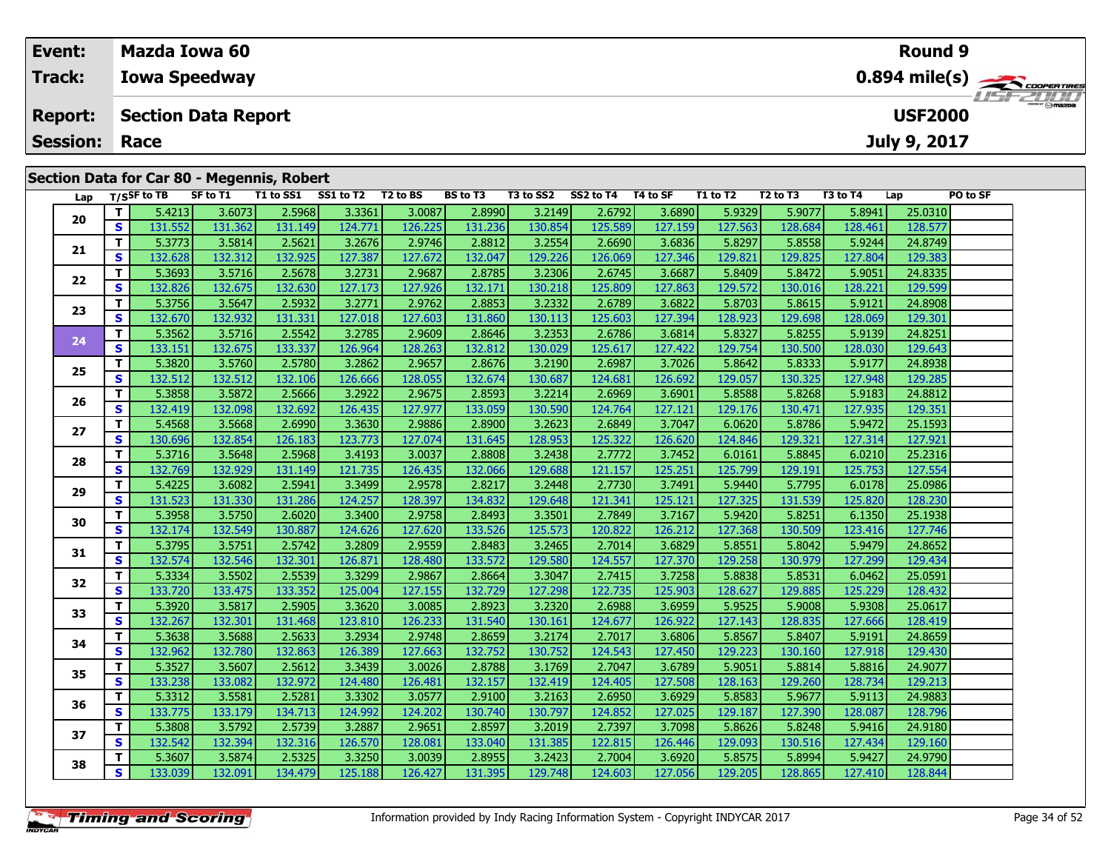| Event:               | Mazda Iowa 60                              |          |                              |          |                              |          |          |          | Round 9        |          |                                                        |
|----------------------|--------------------------------------------|----------|------------------------------|----------|------------------------------|----------|----------|----------|----------------|----------|--------------------------------------------------------|
| Track:               | <b>Iowa Speedway</b>                       |          |                              |          |                              |          |          |          |                |          | $0.894$ mile(s) $\overbrace{\hspace{2cm}}$ COOPERTIRES |
| <b>Report:</b>       | <b>Section Data Report</b>                 |          |                              |          |                              |          |          |          | <b>USF2000</b> |          | <b>LIST CLIPP</b>                                      |
| <b>Session: Race</b> |                                            |          |                              |          |                              |          |          |          | July 9, 2017   |          |                                                        |
|                      |                                            |          |                              |          |                              |          |          |          |                |          |                                                        |
|                      | Section Data for Car 80 - Megennis, Robert |          |                              |          |                              |          |          |          |                |          |                                                        |
|                      | I <sub>an</sub> T/SSE to TB                | SF to T1 | T1 to SS1 SS1 to T2 T2 to BS | BS to T3 | T3 to SS2 SS2 to T4 T4 to SF | T1 to T2 | T2 to T3 | T3 to T4 | Lan            | PO to SF |                                                        |

| Lap |              | T/SSF to TB | SF to T1 | T1 to SS1 | SS1 to T2 | T2 to BS | <b>BS</b> to T3 | T3 to SS2 | SS2 to T4 | T4 to SF | T1 to T2 | T <sub>2</sub> to T <sub>3</sub> | T3 to T4 | Lap     | PO to SF |
|-----|--------------|-------------|----------|-----------|-----------|----------|-----------------|-----------|-----------|----------|----------|----------------------------------|----------|---------|----------|
| 20  | T.           | 5.4213      | 3.6073   | 2.5968    | 3.3361    | 3.0087   | 2.8990          | 3.2149    | 2.6792    | 3.6890   | 5.9329   | 5.9077                           | 5.8941   | 25.0310 |          |
|     | <b>S</b>     | 131.552     | 131.362  | 131.149   | 124.771   | 126.225  | 131.236         | 130.854   | 125.589   | 127.159  | 127.563  | 128.684                          | 128.461  | 128.577 |          |
|     | $\mathbf{T}$ | 5.3773      | 3.5814   | 2.5621    | 3.2676    | 2.9746   | 2.8812          | 3.2554    | 2.6690    | 3.6836   | 5.8297   | 5.8558                           | 5.9244   | 24.8749 |          |
| 21  | S            | 132.628     | 132.312  | 132.925   | 127.387   | 127.672  | 132.047         | 129.226   | 126.069   | 127.346  | 129.821  | 129.825                          | 127.804  | 129.383 |          |
| 22  | T.           | 5.3693      | 3.5716   | 2.5678    | 3.2731    | 2.9687   | 2.8785          | 3.2306    | 2.6745    | 3.6687   | 5.8409   | 5.8472                           | 5.9051   | 24.8335 |          |
|     | S            | 132.826     | 132.675  | 132.630   | 127.173   | 127.926  | 132.171         | 130.218   | 125.809   | 127.863  | 129.572  | 130.016                          | 128.221  | 129.599 |          |
| 23  | T.           | 5.3756      | 3.5647   | 2.5932    | 3.2771    | 2.9762   | 2.8853          | 3.2332    | 2.6789    | 3.6822   | 5.8703   | 5.8615                           | 5.9121   | 24.8908 |          |
|     | S            | 132.670     | 132.932  | 131.331   | 127.018   | 127.603  | 131.860         | 130.113   | 125.603   | 127.394  | 128.923  | 129.698                          | 128.069  | 129.301 |          |
| 24  | $\mathbf{T}$ | 5.3562      | 3.5716   | 2.5542    | 3.2785    | 2.9609   | 2.8646          | 3.2353    | 2.6786    | 3.6814   | 5.8327   | 5.8255                           | 5.9139   | 24.8251 |          |
|     | S            | 133.151     | 132.675  | 133.337   | 126.964   | 128.263  | 132.812         | 130.029   | 125.617   | 127.422  | 129.754  | 130.500                          | 128.030  | 129.643 |          |
| 25  | $\mathbf{T}$ | 5.3820      | 3.5760   | 2.5780    | 3.2862    | 2.9657   | 2.8676          | 3.2190    | 2.6987    | 3.7026   | 5.8642   | 5.8333                           | 5.9177   | 24.8938 |          |
|     | S            | 132.512     | 132.512  | 132.106   | 126.666   | 128.055  | 132.674         | 130.687   | 124.681   | 126.692  | 129.057  | 130.325                          | 127.948  | 129.285 |          |
| 26  | T.           | 5.3858      | 3.5872   | 2.5666    | 3.2922    | 2.9675   | 2.8593          | 3.2214    | 2.6969    | 3.6901   | 5.8588   | 5.8268                           | 5.9183   | 24.8812 |          |
|     | $\mathbf{s}$ | 132.419     | 132.098  | 132.692   | 126.435   | 127.977  | 133.059         | 130.590   | 124.764   | 127.121  | 129.176  | 130.471                          | 127.935  | 129.351 |          |
| 27  | $\mathbf{T}$ | 5.4568      | 3.5668   | 2.6990    | 3.3630    | 2.9886   | 2.8900          | 3.2623    | 2.6849    | 3.7047   | 6.0620   | 5.8786                           | 5.9472   | 25.1593 |          |
|     | $\mathbf{s}$ | 130.696     | 132.854  | 126.183   | 123.773   | 127.074  | 131.645         | 128.953   | 125.322   | 126.620  | 124.846  | 129.321                          | 127.314  | 127.921 |          |
| 28  | $\mathbf{T}$ | 5.3716      | 3.5648   | 2.5968    | 3.4193    | 3.0037   | 2.8808          | 3.2438    | 2.7772    | 3.7452   | 6.0161   | 5.8845                           | 6.0210   | 25.2316 |          |
|     | S            | 132.769     | 132.929  | 131.149   | 121.735   | 126.435  | 132.066         | 129.688   | 121.157   | 125.251  | 125.799  | 129.191                          | 125.753  | 127.554 |          |
| 29  | T            | 5.4225      | 3.6082   | 2.5941    | 3.3499    | 2.9578   | 2.8217          | 3.2448    | 2.7730    | 3.7491   | 5.9440   | 5.7795                           | 6.0178   | 25.0986 |          |
|     | $\mathbf{s}$ | 131.523     | 131.330  | 131.286   | 124.257   | 128.397  | 134.832         | 129.648   | 121.341   | 125.121  | 127.325  | 131.539                          | 125.820  | 128.230 |          |
| 30  | T.           | 5.3958      | 3.5750   | 2.6020    | 3.3400    | 2.9758   | 2.8493          | 3.3501    | 2.7849    | 3.7167   | 5.9420   | 5.8251                           | 6.1350   | 25.1938 |          |
|     | S            | 132.174     | 132.549  | 130.887   | 124.626   | 127.620  | 133.526         | 125.573   | 120.822   | 126.212  | 127.368  | 130.509                          | 123.416  | 127.746 |          |
| 31  | $\mathbf{T}$ | 5.3795      | 3.5751   | 2.5742    | 3.2809    | 2.9559   | 2.8483          | 3.2465    | 2.7014    | 3.6829   | 5.8551   | 5.8042                           | 5.9479   | 24.8652 |          |
|     | <b>S</b>     | 132.574     | 132.546  | 132.301   | 126.871   | 128.480  | 133.572         | 129.580   | 124.557   | 127.370  | 129.258  | 130.979                          | 127.299  | 129.434 |          |
| 32  | T.           | 5.3334      | 3.5502   | 2.5539    | 3.3299    | 2.9867   | 2.8664          | 3.3047    | 2.7415    | 3.7258   | 5.8838   | 5.8531                           | 6.0462   | 25.0591 |          |
|     | S            | 133.720     | 133.475  | 133.352   | 125.004   | 127.155  | 132.729         | 127.298   | 122.735   | 125.903  | 128.627  | 129.885                          | 125.229  | 128.432 |          |
| 33  | $\mathbf{T}$ | 5.3920      | 3.5817   | 2.5905    | 3.3620    | 3.0085   | 2.8923          | 3.2320    | 2.6988    | 3.6959   | 5.9525   | 5.9008                           | 5.9308   | 25.0617 |          |
|     | S            | 132.267     | 132.301  | 131.468   | 123.810   | 126.233  | 131.540         | 130.161   | 124.677   | 126.922  | 127.143  | 128.835                          | 127.666  | 128.419 |          |
| 34  | $\mathbf{T}$ | 5.3638      | 3.5688   | 2.5633    | 3.2934    | 2.9748   | 2.8659          | 3.2174    | 2.7017    | 3.6806   | 5.8567   | 5.8407                           | 5.9191   | 24.8659 |          |
|     | S            | 132.962     | 132.780  | 132.863   | 126.389   | 127.663  | 132.752         | 130.752   | 124.543   | 127.450  | 129.223  | 130.160                          | 127.918  | 129.430 |          |
| 35  | T.           | 5.3527      | 3.5607   | 2.5612    | 3.3439    | 3.0026   | 2.8788          | 3.1769    | 2.7047    | 3.6789   | 5.9051   | 5.8814                           | 5.8816   | 24.9077 |          |
|     | $\mathbf{s}$ | 133.238     | 133.082  | 132.972   | 124.480   | 126.481  | 132.157         | 132.419   | 124.405   | 127.508  | 128.163  | 129.260                          | 128.734  | 129.213 |          |
| 36  | T.           | 5.3312      | 3.5581   | 2.5281    | 3.3302    | 3.0577   | 2.9100          | 3.2163    | 2.6950    | 3.6929   | 5.8583   | 5.9677                           | 5.9113   | 24.9883 |          |
|     | S            | 133.775     | 133.179  | 134.713   | 124.992   | 124.202  | 130.740         | 130.797   | 124.852   | 127.025  | 129.187  | 127.390                          | 128.087  | 128.796 |          |
| 37  | $\mathbf{T}$ | 5.3808      | 3.5792   | 2.5739    | 3.2887    | 2.9651   | 2.8597          | 3.2019    | 2.7397    | 3.7098   | 5.8626   | 5.8248                           | 5.9416   | 24.9180 |          |
|     | <b>S</b>     | 132.542     | 132.394  | 132.316   | 126.570   | 128.081  | 133.040         | 131.385   | 122.815   | 126.446  | 129.093  | 130.516                          | 127.434  | 129.160 |          |
| 38  | T            | 5.3607      | 3.5874   | 2.5325    | 3.3250    | 3.0039   | 2.8955          | 3.2423    | 2.7004    | 3.6920   | 5.8575   | 5.8994                           | 5.9427   | 24.9790 |          |
|     | S.           | 133.039     | 132.091  | 134.479   | 125.188   | 126.427  | 131.395         | 129.748   | 124.603   | 127.056  | 129.205  | 128.865                          | 127.410  | 128.844 |          |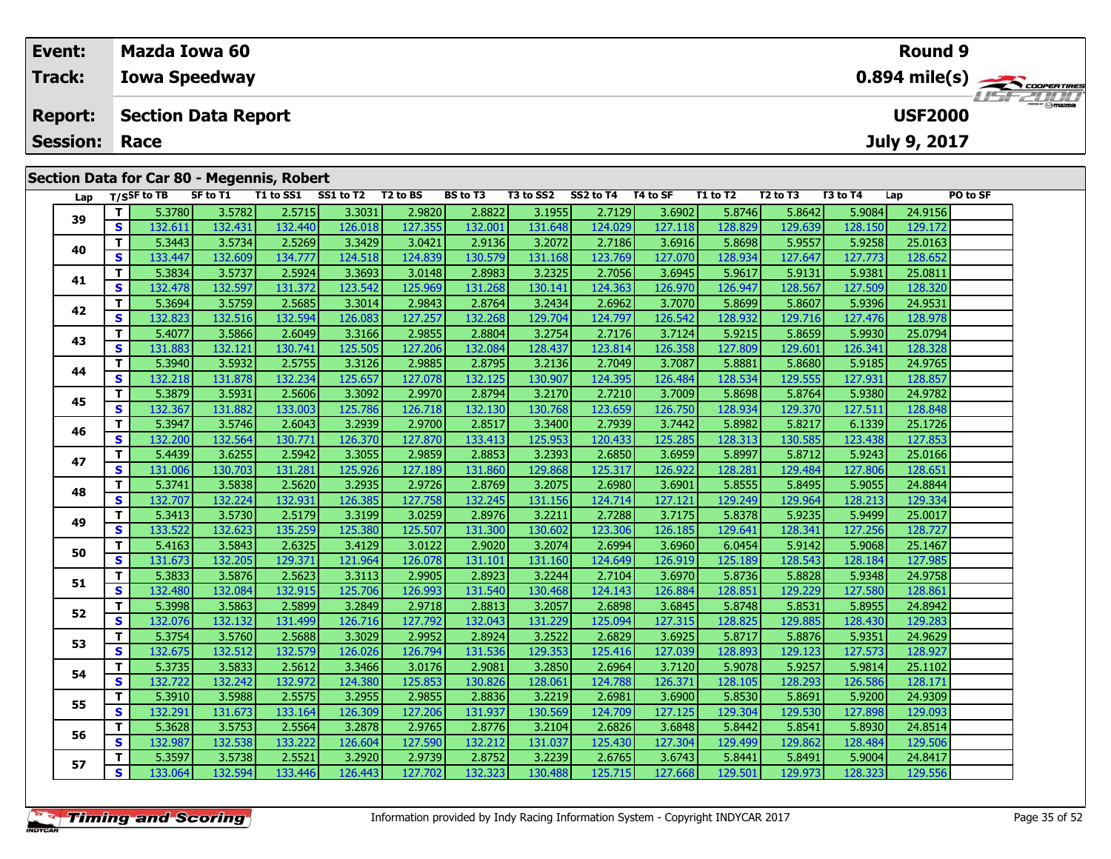| <b>Event:</b>                              | Mazda Iowa 60               |  |                                       |  |                                       |  |          |          |          |              | <b>Round 9</b>  |                                                        |
|--------------------------------------------|-----------------------------|--|---------------------------------------|--|---------------------------------------|--|----------|----------|----------|--------------|-----------------|--------------------------------------------------------|
| Track:                                     | <b>Iowa Speedway</b>        |  |                                       |  |                                       |  |          |          |          |              |                 | $0.894$ mile(s) $\overbrace{\hspace{2cm}}$ coderatings |
| <b>Report:</b>                             | <b>Section Data Report</b>  |  |                                       |  |                                       |  |          |          |          |              | <b>USF2000</b>  | <b>USF 2000</b>                                        |
| <b>Session: Race</b>                       |                             |  |                                       |  |                                       |  |          |          |          | July 9, 2017 |                 |                                                        |
|                                            |                             |  |                                       |  |                                       |  |          |          |          |              |                 |                                                        |
| Section Data for Car 80 - Megennis, Robert |                             |  |                                       |  |                                       |  |          |          |          |              |                 |                                                        |
|                                            | $1 - r$ $T$ $1 - r$ $T$ $R$ |  | SE to T1 T1 to SS1 SS1 to T2 T2 to BS |  | RS to T3 T3 to SS2 SS2 to T4 T4 to SF |  | T1 to T2 | 57 to T3 | T3 to T4 | l an i       | <b>DO to SE</b> |                                                        |

| Lap |                         | T/SSF to TB | SF to T1 | T1 to SS1 | SS1 to T2 | T2 to BS | <b>BS</b> to T3 | T3 to SS2 | SS2 to T4 | T4 to SF | T1 to T2 | T <sub>2</sub> to T <sub>3</sub> | T3 to T4 | Lap     | PO to SF |
|-----|-------------------------|-------------|----------|-----------|-----------|----------|-----------------|-----------|-----------|----------|----------|----------------------------------|----------|---------|----------|
| 39  | $\mathbf{T}$            | 5.3780      | 3.5782   | 2.5715    | 3.3031    | 2.9820   | 2.8822          | 3.1955    | 2.7129    | 3.6902   | 5.8746   | 5.8642                           | 5.9084   | 24.9156 |          |
|     | S                       | 132.611     | 132.431  | 132.440   | 126.018   | 127.355  | 132.001         | 131.648   | 124.029   | 127.118  | 128.829  | 129.639                          | 128.150  | 129.172 |          |
| 40  | $\mathbf{T}$            | 5.3443      | 3.5734   | 2.5269    | 3.3429    | 3.0421   | 2.9136          | 3.2072    | 2.7186    | 3.6916   | 5.8698   | 5.9557                           | 5.9258   | 25.0163 |          |
|     | <b>S</b>                | 133.447     | 132.609  | 134.777   | 124.518   | 124.839  | 130.579         | 131.168   | 123.769   | 127.070  | 128.934  | 127.647                          | 127.773  | 128.652 |          |
| 41  | T.                      | 5.3834      | 3.5737   | 2.5924    | 3.3693    | 3.0148   | 2.8983          | 3.2325    | 2.7056    | 3.6945   | 5.9617   | 5.9131                           | 5.9381   | 25.0811 |          |
|     | S                       | 132.478     | 132.597  | 131.372   | 123.542   | 125.969  | 131.268         | 130.141   | 124.363   | 126.970  | 126.947  | 128.567                          | 127.509  | 128.320 |          |
| 42  | T.                      | 5.3694      | 3.5759   | 2.5685    | 3.3014    | 2.9843   | 2.8764          | 3.2434    | 2.6962    | 3.7070   | 5.8699   | 5.8607                           | 5.9396   | 24.9531 |          |
|     | S                       | 132.823     | 132.516  | 132.594   | 126.083   | 127.257  | 132.268         | 129.704   | 124.797   | 126.542  | 128.932  | 129.716                          | 127.476  | 128.978 |          |
| 43  | T.                      | 5.4077      | 3.5866   | 2.6049    | 3.3166    | 2.9855   | 2.8804          | 3.2754    | 2.7176    | 3.7124   | 5.9215   | 5.8659                           | 5.9930   | 25.0794 |          |
|     | S                       | 131.883     | 132.121  | 130.741   | 125.505   | 127.206  | 132.084         | 128.437   | 123.814   | 126.358  | 127.809  | 129.601                          | 126.341  | 128.328 |          |
| 44  | T.                      | 5.3940      | 3.5932   | 2.5755    | 3.3126    | 2.9885   | 2.8795          | 3.2136    | 2.7049    | 3.7087   | 5.8881   | 5.8680                           | 5.9185   | 24.9765 |          |
|     | S                       | 132.218     | 131.878  | 132.234   | 125.657   | 127.078  | 132.125         | 130.907   | 124.395   | 126.484  | 128.534  | 129.555                          | 127.931  | 128.857 |          |
| 45  | T.                      | 5.3879      | 3.5931   | 2.5606    | 3.3092    | 2.9970   | 2.8794          | 3.2170    | 2.7210    | 3.7009   | 5.8698   | 5.8764                           | 5.9380   | 24.9782 |          |
|     | S                       | 132.367     | 131.882  | 133.003   | 125.786   | 126.718  | 132.130         | 130.768   | 123.659   | 126.750  | 128.934  | 129.370                          | 127.511  | 128.848 |          |
| 46  | T                       | 5.3947      | 3.5746   | 2.6043    | 3.2939    | 2.9700   | 2.8517          | 3.3400    | 2.7939    | 3.7442   | 5.8982   | 5.8217                           | 6.1339   | 25.1726 |          |
|     | <b>S</b>                | 132.200     | 132.564  | 130.771   | 126.370   | 127.870  | 133.413         | 125.953   | 120.433   | 125.285  | 128.313  | 130.585                          | 123.438  | 127.853 |          |
| 47  | T.                      | 5.4439      | 3.6255   | 2.5942    | 3.3055    | 2.9859   | 2.8853          | 3.2393    | 2.6850    | 3.6959   | 5.8997   | 5.8712                           | 5.9243   | 25.0166 |          |
|     | S                       | 131.006     | 130.703  | 131.281   | 125.926   | 127.189  | 131.860         | 129.868   | 125.317   | 126.922  | 128.281  | 129.484                          | 127.806  | 128.651 |          |
| 48  | T.                      | 5.3741      | 3.5838   | 2.5620    | 3.2935    | 2.9726   | 2.8769          | 3.2075    | 2.6980    | 3.6901   | 5.8555   | 5.8495                           | 5.9055   | 24.8844 |          |
|     | S                       | 132.707     | 132.224  | 132.931   | 126.385   | 127.758  | 132.245         | 131.156   | 124.714   | 127.121  | 129.249  | 129.964                          | 128.213  | 129.334 |          |
| 49  | $\mathbf{T}$            | 5.3413      | 3.5730   | 2.5179    | 3.3199    | 3.0259   | 2.8976          | 3.2211    | 2.7288    | 3.7175   | 5.8378   | 5.9235                           | 5.9499   | 25.0017 |          |
|     | S                       | 133.522     | 132.623  | 135.259   | 125.380   | 125.507  | 131.300         | 130.602   | 123.306   | 126.185  | 129.641  | 128.341                          | 127.256  | 128,727 |          |
| 50  | T.                      | 5.4163      | 3.5843   | 2.6325    | 3.4129    | 3.0122   | 2.9020          | 3.2074    | 2.6994    | 3.6960   | 6.0454   | 5.9142                           | 5.9068   | 25.1467 |          |
|     | S                       | 131.673     | 132.205  | 129.371   | 121.964   | 126.078  | 131.101         | 131.160   | 124.649   | 126.919  | 125.189  | 128.543                          | 128.184  | 127.985 |          |
| 51  | T.                      | 5.3833      | 3.5876   | 2.5623    | 3.3113    | 2.9905   | 2.8923          | 3.2244    | 2.7104    | 3.6970   | 5.8736   | 5.8828                           | 5.9348   | 24.9758 |          |
|     | $\mathbf{s}$            | 132.480     | 132.084  | 132.915   | 125.706   | 126.993  | 131.540         | 130.468   | 124.143   | 126.884  | 128.851  | 129.229                          | 127.580  | 128.861 |          |
| 52  | $\mathbf{T}$            | 5.3998      | 3.5863   | 2.5899    | 3.2849    | 2.9718   | 2.8813          | 3.2057    | 2.6898    | 3.6845   | 5.8748   | 5.8531                           | 5.8955   | 24.8942 |          |
|     | S                       | 132.076     | 132.132  | 131.499   | 126.716   | 127.792  | 132.043         | 131.229   | 125.094   | 127.315  | 128.825  | 129.885                          | 128.430  | 129.283 |          |
| 53  | $\mathbf{T}$            | 5.3754      | 3.5760   | 2.5688    | 3.3029    | 2.9952   | 2.8924          | 3.2522    | 2.6829    | 3.6925   | 5.8717   | 5.8876                           | 5.9351   | 24.9629 |          |
|     | S                       | 132.675     | 132.512  | 132.579   | 126.026   | 126.794  | 131.536         | 129.353   | 125.416   | 127.039  | 128.893  | 129.123                          | 127.573  | 128.927 |          |
| 54  | T.                      | 5.3735      | 3.5833   | 2.5612    | 3.3466    | 3.0176   | 2.9081          | 3.2850    | 2.6964    | 3.7120   | 5.9078   | 5.9257                           | 5.9814   | 25.1102 |          |
|     | S                       | 132.722     | 132.242  | 132.972   | 124.380   | 125.853  | 130.826         | 128.061   | 124.788   | 126.371  | 128.105  | 128.293                          | 126.586  | 128.171 |          |
| 55  | $\mathbf{T}$            | 5.3910      | 3.5988   | 2.5575    | 3.2955    | 2.9855   | 2.8836          | 3.2219    | 2.6981    | 3.6900   | 5.8530   | 5.8691                           | 5.9200   | 24.9309 |          |
|     | S                       | 132.291     | 131.673  | 133.164   | 126.309   | 127.206  | 131.937         | 130.569   | 124.709   | 127.125  | 129.304  | 129.530                          | 127.898  | 129.093 |          |
| 56  | $\overline{\mathsf{T}}$ | 5.3628      | 3.5753   | 2.5564    | 3.2878    | 2.9765   | 2.8776          | 3.2104    | 2.6826    | 3.6848   | 5.8442   | 5.8541                           | 5.8930   | 24.8514 |          |
|     | S                       | 132.987     | 132.538  | 133.222   | 126.604   | 127.590  | 132.212         | 131.037   | 125.430   | 127.304  | 129.499  | 129.862                          | 128.484  | 129.506 |          |
| 57  | $\mathbf{T}$            | 5.3597      | 3.5738   | 2.5521    | 3.2920    | 2.9739   | 2.8752          | 3.2239    | 2.6765    | 3.6743   | 5.8441   | 5.8491                           | 5.9004   | 24.8417 |          |
|     | S.                      | 133.064     | 132.594  | 133.446   | 126.443   | 127.702  | 132.323         | 130.488   | 125.715   | 127.668  | 129.501  | 129.973                          | 128.323  | 129.556 |          |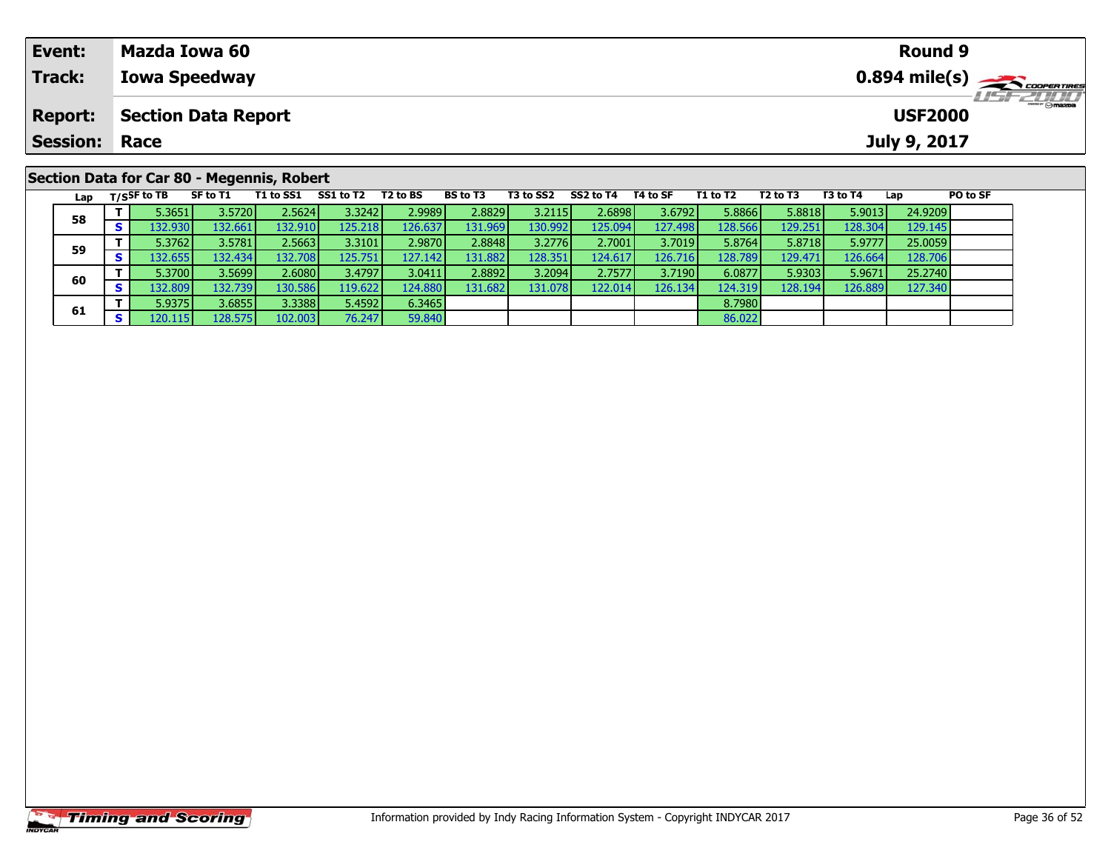| Event:               | Mazda Iowa 60                              | <b>Round 9</b>                                         |
|----------------------|--------------------------------------------|--------------------------------------------------------|
| Track:               | <b>Iowa Speedway</b>                       | $0.894$ mile(s) $\overbrace{\hspace{2cm}}$ coderatings |
| <b>Report:</b>       | Section Data Report                        | <b>LISFZULU</b><br><b>USF2000</b>                      |
| <b>Session: Race</b> |                                            | July 9, 2017                                           |
|                      |                                            |                                                        |
|                      | Section Data for Car 80 - Megennis, Robert |                                                        |

| Lap |     | $T/S$ SF to TB | SF to T1         | T1 to SS1 | SS1 to T2 | T2 to BS | <b>BS to T3</b> | T3 to SS2 | SS2 to T4 | T4 to SF         | T1 to T2 | T2 to T3 | T3 to T4 | Lap     | <b>PO to SF</b> |
|-----|-----|----------------|------------------|-----------|-----------|----------|-----------------|-----------|-----------|------------------|----------|----------|----------|---------|-----------------|
| 58  |     | 5.3651         | 3.5720           | 2.5624V   | 3.3242    | 2.9989   | 2.8829          | 3.2115    | 2.6898    | 3.6792           | 5.8866   | 5.8818   | 5.9013   | 24.9209 |                 |
|     | S.  | 132.930        | 132.661          | 132.910   | 125.218   | 126.637  | 131.969         | 130.992   | 125.094   | 127.498          | 128.5661 | 129.251  | 128.304  | 129.145 |                 |
| 59  |     | 5.3762         | 3.5781           | 2.5663V   | 3.3101    | 2.9870   | 2.8848          | 3.2776    | 2.7001    | 3.7019           | 5.8764   | 5.8718   | 5.9777   | 25.0059 |                 |
|     | S.  | 132.6551       | I32.434 l        | 132.708   | 125.751   | 127.142  | 131.882         | 128.351   | 124.617   | 126.716 <b>I</b> | 128.789  | 129.471  | 126.664  | 128.706 |                 |
| 60  |     | 5.3700         | 3.5699           | 2.6080    | 3.4797    | 3.0411   | 2.8892          | 3.2094    | 2.7577    | 3.7190           | 6.0877   | 5.9303   | 5.9671   | 25.2740 |                 |
|     | S.  | 132.809        | 132.739 <b>I</b> | 130.586   | 119.622   | 124.880  | 131.682         | 131.078   | 122.014   | 126.1341         | 124.3191 | 128.194  | 126.889  | 127.340 |                 |
|     |     | 5.9375         | 3.6855           | 3.3388    | 5.4592    | 6.3465   |                 |           |           |                  | 8.7980   |          |          |         |                 |
| 61  | S I | 120.1151       | 128.575          | 102.003   | 76.2471   | 59.840   |                 |           |           |                  | 86.022   |          |          |         |                 |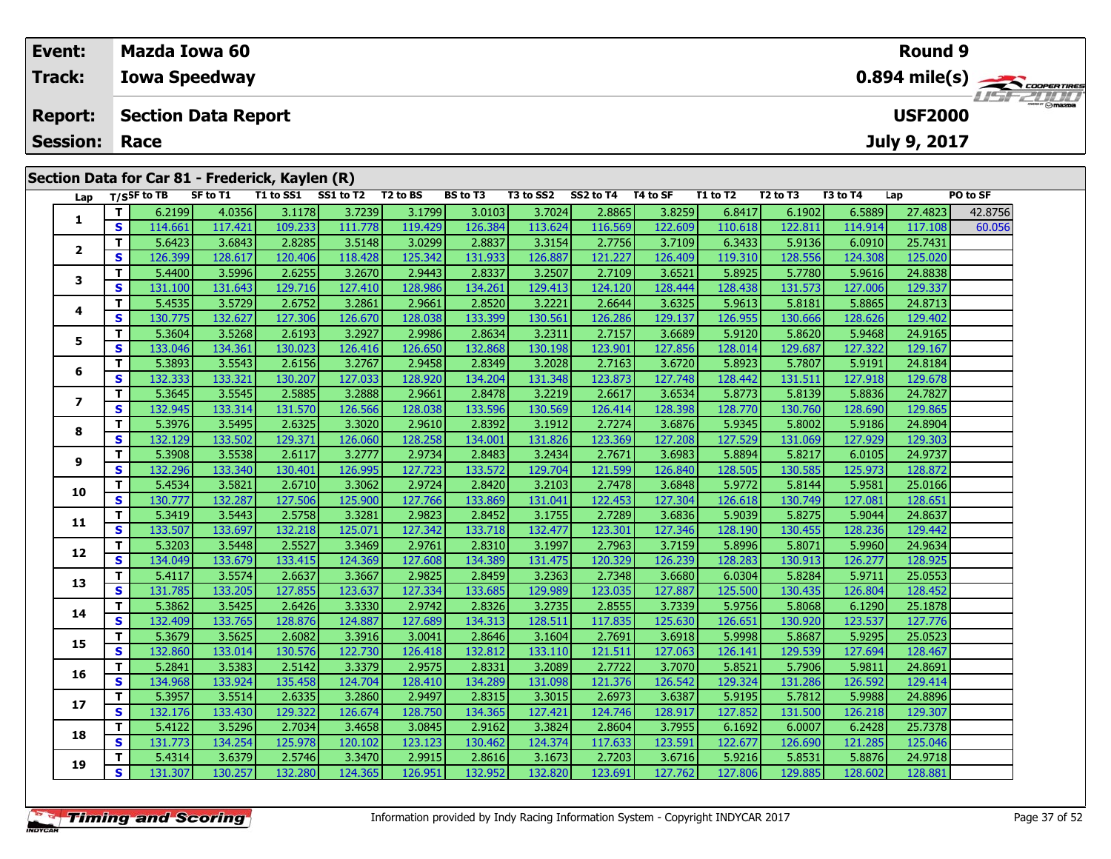| Event:                                          | <b>Mazda Iowa 60</b>       |          |                              |          |           |           |          |          |          |          | Round 9        |                                                        |
|-------------------------------------------------|----------------------------|----------|------------------------------|----------|-----------|-----------|----------|----------|----------|----------|----------------|--------------------------------------------------------|
| Track:                                          | <b>Iowa Speedway</b>       |          |                              |          |           |           |          |          |          |          |                | $0.894$ mile(s) $\overbrace{\hspace{2cm}}$ coderatings |
| <b>Report:</b>                                  | <b>Section Data Report</b> |          |                              |          |           |           |          |          |          |          | <b>USF2000</b> | <b>USF 2000</b>                                        |
| <b>Session: Race</b>                            |                            |          |                              |          |           |           |          |          |          |          | July 9, 2017   |                                                        |
|                                                 |                            |          |                              |          |           |           |          |          |          |          |                |                                                        |
| Section Data for Car 81 - Frederick, Kaylen (R) |                            |          |                              |          |           |           |          |          |          |          |                |                                                        |
|                                                 | Lap T/SSF to TB            | SF to T1 | T1 to SS1 SS1 to T2 T2 to BS | BS to T3 | T3 to SS2 | SS2 to T4 | T4 to SF | T1 to T2 | T2 to T3 | T3 to T4 | Lap            | PO to SF                                               |

| ra h                    | ., .         |         |         |         |         |         |         |         |         |         |         |         |         |         |         |
|-------------------------|--------------|---------|---------|---------|---------|---------|---------|---------|---------|---------|---------|---------|---------|---------|---------|
|                         | т            | 6.2199  | 4.0356  | 3.1178  | 3.7239  | 3.1799  | 3.0103  | 3.7024  | 2.8865  | 3.8259  | 6.8417  | 6.1902  | 6.5889  | 27.4823 | 42.8756 |
| 1                       | S            | 114.661 | 117.421 | 109.233 | 111.778 | 119.429 | 126.384 | 113.624 | 116.569 | 122.609 | 110.618 | 122.811 | 114.914 | 117.108 | 60.056  |
|                         | T.           | 5.6423  | 3.6843  | 2.8285  | 3.5148  | 3.0299  | 2.8837  | 3.3154  | 2.7756  | 3.7109  | 6.3433  | 5.9136  | 6.0910  | 25.7431 |         |
| 2                       | S            | 126.399 | 128.617 | 120.406 | 118.428 | 125.342 | 131.933 | 126.887 | 121.227 | 126.409 | 119.310 | 128.556 | 124.308 | 125.020 |         |
|                         | T            | 5.4400  | 3.5996  | 2.6255  | 3.2670  | 2.9443  | 2.8337  | 3.2507  | 2.7109  | 3.6521  | 5.8925  | 5.7780  | 5.9616  | 24.8838 |         |
| 3                       | S            | 131.100 | 131.643 | 129.716 | 127.410 | 128.986 | 134.261 | 129.413 | 124.120 | 128.444 | 128.438 | 131.573 | 127.006 | 129.337 |         |
| 4                       | T.           | 5.4535  | 3.5729  | 2.6752  | 3.2861  | 2.9661  | 2.8520  | 3.2221  | 2.6644  | 3.6325  | 5.9613  | 5.8181  | 5.8865  | 24.8713 |         |
|                         | S            | 130.775 | 132.627 | 127.306 | 126.670 | 128.038 | 133.399 | 130.561 | 126.286 | 129.137 | 126.955 | 130.666 | 128.626 | 129.402 |         |
| 5                       | T.           | 5.3604  | 3.5268  | 2.6193  | 3.2927  | 2.9986  | 2.8634  | 3.2311  | 2.7157  | 3.6689  | 5.9120  | 5.8620  | 5.9468  | 24.9165 |         |
|                         | S            | 133.046 | 134.361 | 130.023 | 126.416 | 126.650 | 132.868 | 130.198 | 123.901 | 127.856 | 128.014 | 129.687 | 127.322 | 129.167 |         |
| 6                       | т            | 5.3893  | 3.5543  | 2.6156  | 3.2767  | 2.9458  | 2.8349  | 3.2028  | 2.7163  | 3.6720  | 5.8923  | 5.7807  | 5.9191  | 24.8184 |         |
|                         | S            | 132.333 | 133.321 | 130.207 | 127.033 | 128.920 | 134.204 | 131.348 | 123.873 | 127.748 | 128.442 | 131.511 | 127.918 | 129.678 |         |
| $\overline{\mathbf{z}}$ | T            | 5.3645  | 3.5545  | 2.5885  | 3.2888  | 2.9661  | 2.8478  | 3.2219  | 2.6617  | 3.6534  | 5.8773  | 5.8139  | 5.8836  | 24.7827 |         |
|                         | S            | 132.945 | 133.314 | 131.570 | 126.566 | 128.038 | 133.596 | 130.569 | 126.414 | 128.398 | 128.770 | 130.760 | 128.690 | 129.865 |         |
| 8                       | т            | 5.3976  | 3.5495  | 2.6325  | 3.3020  | 2.9610  | 2.8392  | 3.1912  | 2.7274  | 3.6876  | 5.9345  | 5.8002  | 5.9186  | 24.8904 |         |
|                         | $\mathbf{s}$ | 132.129 | 133.502 | 129.371 | 126.060 | 128.258 | 134.001 | 131.826 | 123.369 | 127.208 | 127.529 | 131.069 | 127.929 | 129.303 |         |
| 9                       | T.           | 5.3908  | 3.5538  | 2.6117  | 3.2777  | 2.9734  | 2.8483  | 3.2434  | 2.7671  | 3.6983  | 5.8894  | 5.8217  | 6.0105  | 24.9737 |         |
|                         | S            | 132.296 | 133.340 | 130.401 | 126.995 | 127.723 | 133.572 | 129.704 | 121.599 | 126.840 | 128.505 | 130.585 | 125.973 | 128.872 |         |
| 10                      | T.           | 5.4534  | 3.5821  | 2.6710  | 3.3062  | 2.9724  | 2.8420  | 3.2103  | 2.7478  | 3.6848  | 5.9772  | 5.8144  | 5.9581  | 25.0166 |         |
|                         | S            | 130.777 | 132.287 | 127.506 | 125.900 | 127.766 | 133.869 | 131.041 | 122.453 | 127.304 | 126.618 | 130.749 | 127.081 | 128.651 |         |
| 11                      | T            | 5.3419  | 3.5443  | 2.5758  | 3.3281  | 2.9823  | 2.8452  | 3.1755  | 2.7289  | 3.6836  | 5.9039  | 5.8275  | 5.9044  | 24.8637 |         |
|                         | S            | 133.507 | 133.697 | 132.218 | 125.071 | 127.342 | 133.718 | 132.477 | 123.301 | 127.346 | 128.190 | 130.455 | 128.236 | 129.442 |         |
| 12                      | т            | 5.3203  | 3.5448  | 2.5527  | 3.3469  | 2.9761  | 2.8310  | 3.1997  | 2.7963  | 3.7159  | 5.8996  | 5.8071  | 5.9960  | 24.9634 |         |
|                         | S            | 134.049 | 133.679 | 133.415 | 124.369 | 127.608 | 134.389 | 131.475 | 120.329 | 126.239 | 128.283 | 130.913 | 126.277 | 128.925 |         |
| 13                      | T.           | 5.4117  | 3.5574  | 2.6637  | 3.3667  | 2.9825  | 2.8459  | 3.2363  | 2.7348  | 3.6680  | 6.0304  | 5.8284  | 5.9711  | 25.0553 |         |
|                         | S            | 131.785 | 133.205 | 127.855 | 123.637 | 127.334 | 133.685 | 129.989 | 123.035 | 127.887 | 125.500 | 130.435 | 126.804 | 128.452 |         |
| 14                      | T.           | 5.3862  | 3.5425  | 2.6426  | 3.3330  | 2.9742  | 2.8326  | 3.2735  | 2.8555  | 3.7339  | 5.9756  | 5.8068  | 6.1290  | 25.1878 |         |
|                         | S            | 132.409 | 133.765 | 128.876 | 124.887 | 127.689 | 134.313 | 128.511 | 117.835 | 125.630 | 126.651 | 130.920 | 123.537 | 127.776 |         |
| 15                      | T            | 5.3679  | 3.5625  | 2.6082  | 3.3916  | 3.0041  | 2.8646  | 3.1604  | 2.7691  | 3.6918  | 5.9998  | 5.8687  | 5.9295  | 25.0523 |         |
|                         | S            | 132.860 | 133.014 | 130.576 | 122.730 | 126.418 | 132.812 | 133.110 | 121.511 | 127.063 | 126.141 | 129.539 | 127.694 | 128.467 |         |
| 16                      | т            | 5.2841  | 3.5383  | 2.5142  | 3.3379  | 2.9575  | 2.8331  | 3.2089  | 2.7722  | 3.7070  | 5.8521  | 5.7906  | 5.9811  | 24.8691 |         |
|                         | S            | 134.968 | 133.924 | 135.458 | 124.704 | 128.410 | 134.289 | 131.098 | 121.376 | 126.542 | 129.324 | 131.286 | 126.592 | 129.414 |         |
| 17                      | T.           | 5.3957  | 3.5514  | 2.6335  | 3.2860  | 2.9497  | 2.8315  | 3.3015  | 2.6973  | 3.6387  | 5.9195  | 5.7812  | 5.9988  | 24.8896 |         |
|                         | S            | 132.176 | 133.430 | 129.322 | 126.674 | 128.750 | 134.365 | 127.421 | 124.746 | 128.917 | 127.852 | 131.500 | 126.218 | 129.307 |         |
| 18                      | T.           | 5.4122  | 3.5296  | 2.7034  | 3.4658  | 3.0845  | 2.9162  | 3.3824  | 2.8604  | 3.7955  | 6.1692  | 6.0007  | 6.2428  | 25.7378 |         |
|                         | S            | 131.773 | 134.254 | 125.978 | 120.102 | 123.123 | 130.462 | 124.374 | 117.633 | 123.591 | 122.677 | 126.690 | 121.285 | 125.046 |         |
| 19                      | T.           | 5.4314  | 3.6379  | 2.5746  | 3.3470  | 2.9915  | 2.8616  | 3.1673  | 2.7203  | 3.6716  | 5.9216  | 5.8531  | 5.8876  | 24.9718 |         |
|                         | <b>S</b>     | 131.307 | 130.257 | 132.280 | 124.365 | 126.951 | 132.952 | 132.820 | 123.691 | 127.762 | 127.806 | 129.885 | 128.602 | 128.881 |         |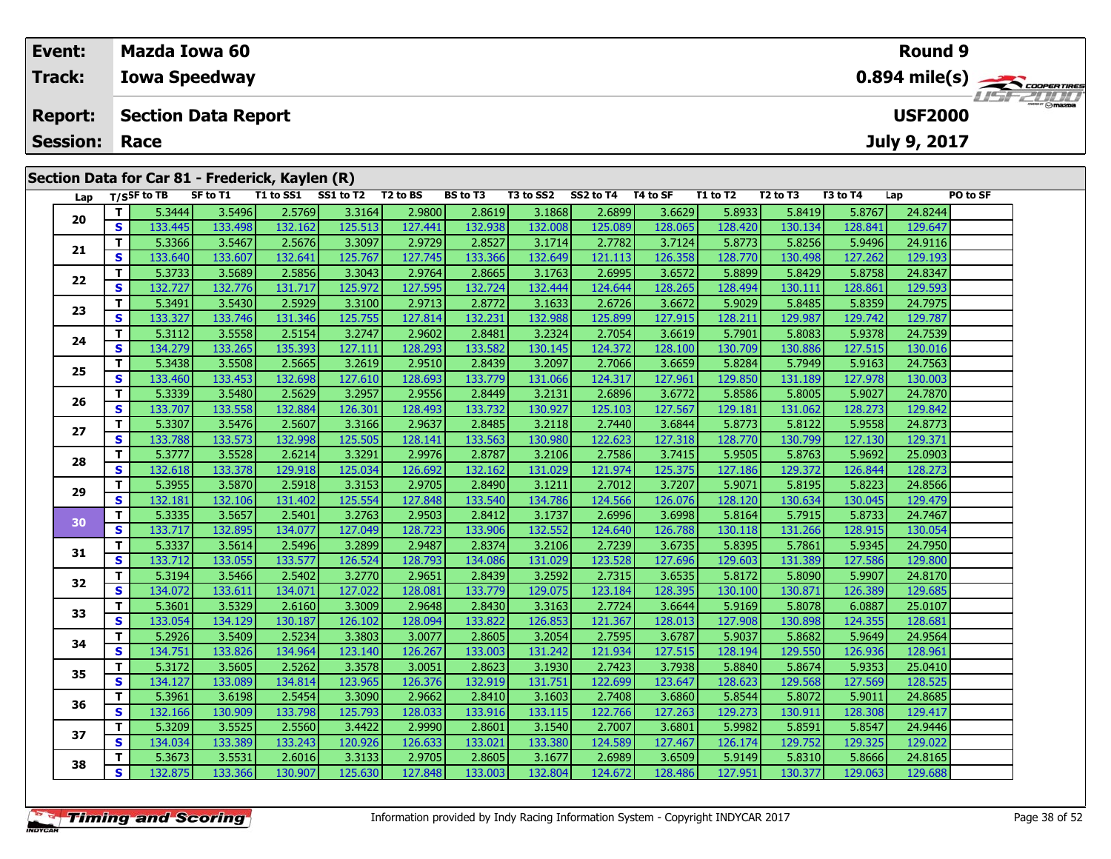| Event:               |                                                 | Mazda Iowa 60              |           |           |          |                 |           |           |          |                 |          |          |                | <b>Round 9</b>                                         |              |
|----------------------|-------------------------------------------------|----------------------------|-----------|-----------|----------|-----------------|-----------|-----------|----------|-----------------|----------|----------|----------------|--------------------------------------------------------|--------------|
| Track:               |                                                 | <b>Iowa Speedway</b>       |           |           |          |                 |           |           |          |                 |          |          |                | $0.894$ mile(s) $\overbrace{\hspace{2cm}}$ coder Times |              |
| <b>Report:</b>       |                                                 | <b>Section Data Report</b> |           |           |          |                 |           |           |          |                 |          |          | <b>USF2000</b> |                                                        | $H = -H H T$ |
| <b>Session: Race</b> |                                                 |                            |           |           |          |                 |           |           |          |                 |          |          | July 9, 2017   |                                                        |              |
|                      |                                                 |                            |           |           |          |                 |           |           |          |                 |          |          |                |                                                        |              |
|                      | Section Data for Car 81 - Frederick, Kaylen (R) |                            |           |           |          |                 |           |           |          |                 |          |          |                |                                                        |              |
|                      | Lap T/S <sup>SF</sup> to TB                     | SF to T1                   | T1 to SS1 | SS1 to T2 | T2 to BS | <b>BS to T3</b> | T3 to SS2 | SS2 to T4 | T4 to SF | <b>T1 to T2</b> | T2 to T3 | T3 to T4 | Lap            | <b>PO to SF</b>                                        |              |
|                      |                                                 |                            |           |           |          |                 |           |           |          |                 |          |          |                |                                                        |              |

| т<br>5.3444<br>3.5496<br>2.5769<br>2.9800<br>2.8619<br>3.1868<br>2.6899<br>3.6629<br>5.8933<br>5.8419<br>5.8767<br>24.8244<br>3.3164<br>20<br>S<br>133.445<br>133.498<br>132.162<br>125.513<br>127.441<br>132.938<br>132.008<br>125.089<br>128.065<br>130.134<br>128.841<br>129.647<br>128.420<br>T.<br>3.5467<br>2.5676<br>2.8527<br>5.8256<br>5.3366<br>3.3097<br>2.9729<br>3.1714<br>2.7782<br>3.7124<br>5.8773<br>5.9496<br>24.9116<br>21<br>S<br>133.607<br>127.745<br>133.366<br>121.113<br>126.358<br>127.262<br>133.640<br>132.641<br>125.767<br>132.649<br>128.770<br>130.498<br>129.193<br>2.6995<br>3.5689<br>2.5856<br>2.9764<br>2.8665<br>5.8899<br>5.8429<br>24.8347<br>т<br>5.3733<br>3.3043<br>3.1763<br>3.6572<br>5.8758<br>22<br>$\mathbf s$<br>132.727<br>132.776<br>127.595<br>132.724<br>124.644<br>128.265<br>131.717<br>125.972<br>132.444<br>128.494<br>130.111<br>128.861<br>129.593<br>T<br>2.5929<br>2.9713<br>2.8772<br>2.6726<br>5.8485<br>5.3491<br>3.5430<br>3.1633<br>3.6672<br>5.9029<br>5.8359<br>24.7975<br>3.3100<br>23<br>$\mathbf s$<br>133.746<br>131.346<br>132.231<br>125.899<br>127.915<br>129.987<br>133.327<br>125.755<br>127.814<br>128.211<br>129.742<br>129.787<br>132.988<br>T.<br>2.5154<br>5.3112<br>3.5558<br>3.2747<br>2.9602<br>2.8481<br>3.2324<br>2.7054<br>3.6619<br>5.8083<br>5.9378<br>24.7539<br>5.7901<br>24<br>$\overline{\mathbf{s}}$<br>134.279<br>133.265<br>135.393<br>127.111<br>128.293<br>133.582<br>124.372<br>128.100<br>130.709<br>130.886<br>127.515<br>130.145<br>130.016<br>T<br>5.3438<br>3.5508<br>2.5665<br>3.2619<br>2.8439<br>2.7066<br>3.6659<br>5.7949<br>2.9510<br>3.2097<br>5.8284<br>5.9163<br>24.7563<br>25<br>S<br>133.453<br>132.698<br>128.693<br>133.779<br>124.317<br>127.961<br>133.460<br>127.610<br>131.066<br>129.850<br>131.189<br>127.978<br>130.003<br>5.3339<br>3.5480<br>2.5629<br>2.9556<br>2.8449<br>2.6896<br>3.6772<br>5.8005<br>24.7870<br>т<br>3.2957<br>3.2131<br>5.8586<br>5.9027<br>26<br>S<br>133.707<br>133.558<br>132.884<br>128.493<br>133.732<br>127.567<br>126.301<br>130.927<br>125.103<br>129.181<br>131.062<br>128.273<br>129.842<br>т<br>2.5607<br>2.9637<br>2.8485<br>2.7440<br>5.8122<br>5.3307<br>3.5476<br>3.3166<br>3.2118<br>3.6844<br>5.8773<br>5.9558<br>24.8773<br>27<br>$\mathbf{s}$<br>133.563<br>122.623<br>133.788<br>133.573<br>132.998<br>125.505<br>128.141<br>130.980<br>127.318<br>130.799<br>127.130<br>129.371<br>128.770<br>т<br>5.3777<br>3.5528<br>2.6214<br>3.3291<br>2.9976<br>2.8787<br>3.2106<br>2.7586<br>3.7415<br>5.9505<br>5.8763<br>5.9692<br>25.0903<br>28<br>S<br>132.162<br>132.618<br>133.378<br>129.918<br>126.692<br>131.029<br>121.974<br>125.375<br>129.372<br>126.844<br>128.273<br>125.034<br>127.186<br>2.7012<br>3.5870<br>2.5918<br>2.8490<br>3.1211<br>3.7207<br>5.8195<br>24.8566<br>T.<br>5.3955<br>3.3153<br>2.9705<br>5.9071<br>5.8223<br>29<br>S<br>125.554<br>127.848<br>133.540<br>124.566<br>130.634<br>132.181<br>132.106<br>131.402<br>134.786<br>126.076<br>130.045<br>129.479<br>128.120<br>T<br>5.3335<br>3.5657<br>2.5401<br>2.8412<br>2.6996<br>5.7915<br>3.2763<br>2.9503<br>3.1737<br>3.6998<br>5.8164<br>5.8733<br>24.7467<br>30<br>$\mathbf s$<br>131.266<br>133.717<br>132.895<br>134.077<br>127.049<br>128.723<br>133.906<br>132.552<br>124.640<br>126.788<br>128.915<br>130.054<br>130.118<br>2.5496<br>2.8374<br>2.7239<br>5.7861<br>т<br>5.3337<br>3.5614<br>3.2899<br>2.9487<br>3.2106<br>3.6735<br>5.8395<br>5.9345<br>24.7950<br>31<br>$\mathbf{s}$<br>123.528<br>133.712<br>133.055<br>133.577<br>126.524<br>128.793<br>134.086<br>131.029<br>127.696<br>129.603<br>131.389<br>127.586<br>129.800<br>T.<br>5.3194<br>3.5466<br>2.5402<br>3.2770<br>2.9651<br>2.8439<br>3.2592<br>2.7315<br>3.6535<br>5.8172<br>5.8090<br>5.9907<br>24.8170<br>32<br>$\overline{\mathbf{s}}$<br>134.072<br>134.071<br>127.022<br>133.779<br>123.184<br>128.395<br>130.871<br>126.389<br>133.611<br>128.081<br>129.075<br>130.100<br>129.685<br>3.5329<br>2.9648<br>2.8430<br>2.7724<br>3.6644<br>5.8078<br>т<br>5.3601<br>2.6160<br>3.3009<br>3.3163<br>5.9169<br>6.0887<br>25.0107<br>33<br>S<br>133.822<br>121.367<br>124.355<br>133.054<br>134.129<br>130.187<br>126.102<br>128.094<br>126.853<br>128.013<br>127.908<br>130.898<br>128.681<br>T<br>2.5234<br>2.8605<br>2.7595<br>5.8682<br>24.9564<br>5.2926<br>3.5409<br>3.3803<br>3.0077<br>3.2054<br>3.6787<br>5.9037<br>5.9649<br>34<br>$\mathbf{s}$<br>134.751<br>133.826<br>134.964<br>123.140<br>126.267<br>133.003<br>131.242<br>121.934<br>127.515<br>129.550<br>126.936<br>128.961<br>128.194<br>5.8674<br>т<br>5.3172<br>3.5605<br>2.5262<br>3.3578<br>3.0051<br>2.8623<br>2.7423<br>3.7938<br>5.8840<br>3.1930<br>5.9353<br>25.0410<br>35<br>$\mathbf{s}$<br>134.127<br>133.089<br>134.814<br>123.965<br>126.376<br>132.919<br>131.751<br>122.699<br>123.647<br>128.623<br>129.568<br>127.569<br>128.525<br>T.<br>5.3961<br>3.6198<br>2.5454<br>2.9662<br>2.8410<br>3.1603<br>2.7408<br>5.8072<br>5.9011<br>24.8685<br>3.3090<br>3.6860<br>5.8544<br>36<br>S<br>132.166<br>133.798<br>133.916<br>122.766<br>127.263<br>129.273<br>130.909<br>125.793<br>128.033<br>133.115<br>130.911<br>128.308<br>129.417<br>2.5560<br>2.9990<br>2.7007<br>5.8591<br>24.9446<br>T.<br>5.3209<br>3.5525<br>3.4422<br>2.8601<br>3.1540<br>3.6801<br>5.9982<br>5.8547<br>37<br>S<br>133.243<br>124.589<br>133.389<br>126.633<br>133.021<br>127.467<br>129.752<br>129.325<br>129.022<br>134.034<br>120.926<br>133.380<br>126.174<br>T.<br>2.6016<br>2.8605<br>2.6989<br>5.8310<br>24.8165<br>5.3673<br>3.5531<br>3.3133<br>2.9705<br>3.1677<br>3.6509<br>5.9149<br>5.8666<br>38<br>S.<br>132.875<br>133.366<br>127.848<br>133.003<br>132.804<br>127.951<br>130.377<br>130.907<br>125.630<br>124.672<br>128.486<br>129.063<br>129.688 | Lap | 175 <sup>5F</sup> | טו ש | 1 1 LU 33 1 | 331 W IZ | 12 W DJ | pj<br>ພື້ນ | 19 W 394 | 334 W IT | ເບ ວາ | 1 1 LV 1 4 | 14 W 13 | דו שט כו | ∟aµ | rv w 31 |
|------------------------------------------------------------------------------------------------------------------------------------------------------------------------------------------------------------------------------------------------------------------------------------------------------------------------------------------------------------------------------------------------------------------------------------------------------------------------------------------------------------------------------------------------------------------------------------------------------------------------------------------------------------------------------------------------------------------------------------------------------------------------------------------------------------------------------------------------------------------------------------------------------------------------------------------------------------------------------------------------------------------------------------------------------------------------------------------------------------------------------------------------------------------------------------------------------------------------------------------------------------------------------------------------------------------------------------------------------------------------------------------------------------------------------------------------------------------------------------------------------------------------------------------------------------------------------------------------------------------------------------------------------------------------------------------------------------------------------------------------------------------------------------------------------------------------------------------------------------------------------------------------------------------------------------------------------------------------------------------------------------------------------------------------------------------------------------------------------------------------------------------------------------------------------------------------------------------------------------------------------------------------------------------------------------------------------------------------------------------------------------------------------------------------------------------------------------------------------------------------------------------------------------------------------------------------------------------------------------------------------------------------------------------------------------------------------------------------------------------------------------------------------------------------------------------------------------------------------------------------------------------------------------------------------------------------------------------------------------------------------------------------------------------------------------------------------------------------------------------------------------------------------------------------------------------------------------------------------------------------------------------------------------------------------------------------------------------------------------------------------------------------------------------------------------------------------------------------------------------------------------------------------------------------------------------------------------------------------------------------------------------------------------------------------------------------------------------------------------------------------------------------------------------------------------------------------------------------------------------------------------------------------------------------------------------------------------------------------------------------------------------------------------------------------------------------------------------------------------------------------------------------------------------------------------------------------------------------------------------------------------------------------------------------------------------------------------------------------------------------------------------------------------------------------------------------------------------------------------------------------------------------------------------------------------------------------------------------------------------------------------------------------------------------------------------------------------------------------------------------------------------------------------------------------------------------------------------------------------------------------------------------------------------------------------------------------------------------------------------------------------------------------------------------------------------------------------------------------------------------------------------------------------------------------------------------------------------------------------------------------------------------------------------------------------------------------------------------------------------------------------------------------------------------------------------------------------------------------------------------------------------------------------------------------------------------------------------------------------------------------------------------------------------------------------------------------------------------------------------------------------------------------------------------------------------------------------------------------------------|-----|-------------------|------|-------------|----------|---------|------------|----------|----------|-------|------------|---------|----------|-----|---------|
|                                                                                                                                                                                                                                                                                                                                                                                                                                                                                                                                                                                                                                                                                                                                                                                                                                                                                                                                                                                                                                                                                                                                                                                                                                                                                                                                                                                                                                                                                                                                                                                                                                                                                                                                                                                                                                                                                                                                                                                                                                                                                                                                                                                                                                                                                                                                                                                                                                                                                                                                                                                                                                                                                                                                                                                                                                                                                                                                                                                                                                                                                                                                                                                                                                                                                                                                                                                                                                                                                                                                                                                                                                                                                                                                                                                                                                                                                                                                                                                                                                                                                                                                                                                                                                                                                                                                                                                                                                                                                                                                                                                                                                                                                                                                                                                                                                                                                                                                                                                                                                                                                                                                                                                                                                                                                                                                                                                                                                                                                                                                                                                                                                                                                                                                                                                                                                                                  |     |                   |      |             |          |         |            |          |          |       |            |         |          |     |         |
|                                                                                                                                                                                                                                                                                                                                                                                                                                                                                                                                                                                                                                                                                                                                                                                                                                                                                                                                                                                                                                                                                                                                                                                                                                                                                                                                                                                                                                                                                                                                                                                                                                                                                                                                                                                                                                                                                                                                                                                                                                                                                                                                                                                                                                                                                                                                                                                                                                                                                                                                                                                                                                                                                                                                                                                                                                                                                                                                                                                                                                                                                                                                                                                                                                                                                                                                                                                                                                                                                                                                                                                                                                                                                                                                                                                                                                                                                                                                                                                                                                                                                                                                                                                                                                                                                                                                                                                                                                                                                                                                                                                                                                                                                                                                                                                                                                                                                                                                                                                                                                                                                                                                                                                                                                                                                                                                                                                                                                                                                                                                                                                                                                                                                                                                                                                                                                                                  |     |                   |      |             |          |         |            |          |          |       |            |         |          |     |         |
|                                                                                                                                                                                                                                                                                                                                                                                                                                                                                                                                                                                                                                                                                                                                                                                                                                                                                                                                                                                                                                                                                                                                                                                                                                                                                                                                                                                                                                                                                                                                                                                                                                                                                                                                                                                                                                                                                                                                                                                                                                                                                                                                                                                                                                                                                                                                                                                                                                                                                                                                                                                                                                                                                                                                                                                                                                                                                                                                                                                                                                                                                                                                                                                                                                                                                                                                                                                                                                                                                                                                                                                                                                                                                                                                                                                                                                                                                                                                                                                                                                                                                                                                                                                                                                                                                                                                                                                                                                                                                                                                                                                                                                                                                                                                                                                                                                                                                                                                                                                                                                                                                                                                                                                                                                                                                                                                                                                                                                                                                                                                                                                                                                                                                                                                                                                                                                                                  |     |                   |      |             |          |         |            |          |          |       |            |         |          |     |         |
|                                                                                                                                                                                                                                                                                                                                                                                                                                                                                                                                                                                                                                                                                                                                                                                                                                                                                                                                                                                                                                                                                                                                                                                                                                                                                                                                                                                                                                                                                                                                                                                                                                                                                                                                                                                                                                                                                                                                                                                                                                                                                                                                                                                                                                                                                                                                                                                                                                                                                                                                                                                                                                                                                                                                                                                                                                                                                                                                                                                                                                                                                                                                                                                                                                                                                                                                                                                                                                                                                                                                                                                                                                                                                                                                                                                                                                                                                                                                                                                                                                                                                                                                                                                                                                                                                                                                                                                                                                                                                                                                                                                                                                                                                                                                                                                                                                                                                                                                                                                                                                                                                                                                                                                                                                                                                                                                                                                                                                                                                                                                                                                                                                                                                                                                                                                                                                                                  |     |                   |      |             |          |         |            |          |          |       |            |         |          |     |         |
|                                                                                                                                                                                                                                                                                                                                                                                                                                                                                                                                                                                                                                                                                                                                                                                                                                                                                                                                                                                                                                                                                                                                                                                                                                                                                                                                                                                                                                                                                                                                                                                                                                                                                                                                                                                                                                                                                                                                                                                                                                                                                                                                                                                                                                                                                                                                                                                                                                                                                                                                                                                                                                                                                                                                                                                                                                                                                                                                                                                                                                                                                                                                                                                                                                                                                                                                                                                                                                                                                                                                                                                                                                                                                                                                                                                                                                                                                                                                                                                                                                                                                                                                                                                                                                                                                                                                                                                                                                                                                                                                                                                                                                                                                                                                                                                                                                                                                                                                                                                                                                                                                                                                                                                                                                                                                                                                                                                                                                                                                                                                                                                                                                                                                                                                                                                                                                                                  |     |                   |      |             |          |         |            |          |          |       |            |         |          |     |         |
|                                                                                                                                                                                                                                                                                                                                                                                                                                                                                                                                                                                                                                                                                                                                                                                                                                                                                                                                                                                                                                                                                                                                                                                                                                                                                                                                                                                                                                                                                                                                                                                                                                                                                                                                                                                                                                                                                                                                                                                                                                                                                                                                                                                                                                                                                                                                                                                                                                                                                                                                                                                                                                                                                                                                                                                                                                                                                                                                                                                                                                                                                                                                                                                                                                                                                                                                                                                                                                                                                                                                                                                                                                                                                                                                                                                                                                                                                                                                                                                                                                                                                                                                                                                                                                                                                                                                                                                                                                                                                                                                                                                                                                                                                                                                                                                                                                                                                                                                                                                                                                                                                                                                                                                                                                                                                                                                                                                                                                                                                                                                                                                                                                                                                                                                                                                                                                                                  |     |                   |      |             |          |         |            |          |          |       |            |         |          |     |         |
|                                                                                                                                                                                                                                                                                                                                                                                                                                                                                                                                                                                                                                                                                                                                                                                                                                                                                                                                                                                                                                                                                                                                                                                                                                                                                                                                                                                                                                                                                                                                                                                                                                                                                                                                                                                                                                                                                                                                                                                                                                                                                                                                                                                                                                                                                                                                                                                                                                                                                                                                                                                                                                                                                                                                                                                                                                                                                                                                                                                                                                                                                                                                                                                                                                                                                                                                                                                                                                                                                                                                                                                                                                                                                                                                                                                                                                                                                                                                                                                                                                                                                                                                                                                                                                                                                                                                                                                                                                                                                                                                                                                                                                                                                                                                                                                                                                                                                                                                                                                                                                                                                                                                                                                                                                                                                                                                                                                                                                                                                                                                                                                                                                                                                                                                                                                                                                                                  |     |                   |      |             |          |         |            |          |          |       |            |         |          |     |         |
|                                                                                                                                                                                                                                                                                                                                                                                                                                                                                                                                                                                                                                                                                                                                                                                                                                                                                                                                                                                                                                                                                                                                                                                                                                                                                                                                                                                                                                                                                                                                                                                                                                                                                                                                                                                                                                                                                                                                                                                                                                                                                                                                                                                                                                                                                                                                                                                                                                                                                                                                                                                                                                                                                                                                                                                                                                                                                                                                                                                                                                                                                                                                                                                                                                                                                                                                                                                                                                                                                                                                                                                                                                                                                                                                                                                                                                                                                                                                                                                                                                                                                                                                                                                                                                                                                                                                                                                                                                                                                                                                                                                                                                                                                                                                                                                                                                                                                                                                                                                                                                                                                                                                                                                                                                                                                                                                                                                                                                                                                                                                                                                                                                                                                                                                                                                                                                                                  |     |                   |      |             |          |         |            |          |          |       |            |         |          |     |         |
|                                                                                                                                                                                                                                                                                                                                                                                                                                                                                                                                                                                                                                                                                                                                                                                                                                                                                                                                                                                                                                                                                                                                                                                                                                                                                                                                                                                                                                                                                                                                                                                                                                                                                                                                                                                                                                                                                                                                                                                                                                                                                                                                                                                                                                                                                                                                                                                                                                                                                                                                                                                                                                                                                                                                                                                                                                                                                                                                                                                                                                                                                                                                                                                                                                                                                                                                                                                                                                                                                                                                                                                                                                                                                                                                                                                                                                                                                                                                                                                                                                                                                                                                                                                                                                                                                                                                                                                                                                                                                                                                                                                                                                                                                                                                                                                                                                                                                                                                                                                                                                                                                                                                                                                                                                                                                                                                                                                                                                                                                                                                                                                                                                                                                                                                                                                                                                                                  |     |                   |      |             |          |         |            |          |          |       |            |         |          |     |         |
|                                                                                                                                                                                                                                                                                                                                                                                                                                                                                                                                                                                                                                                                                                                                                                                                                                                                                                                                                                                                                                                                                                                                                                                                                                                                                                                                                                                                                                                                                                                                                                                                                                                                                                                                                                                                                                                                                                                                                                                                                                                                                                                                                                                                                                                                                                                                                                                                                                                                                                                                                                                                                                                                                                                                                                                                                                                                                                                                                                                                                                                                                                                                                                                                                                                                                                                                                                                                                                                                                                                                                                                                                                                                                                                                                                                                                                                                                                                                                                                                                                                                                                                                                                                                                                                                                                                                                                                                                                                                                                                                                                                                                                                                                                                                                                                                                                                                                                                                                                                                                                                                                                                                                                                                                                                                                                                                                                                                                                                                                                                                                                                                                                                                                                                                                                                                                                                                  |     |                   |      |             |          |         |            |          |          |       |            |         |          |     |         |
|                                                                                                                                                                                                                                                                                                                                                                                                                                                                                                                                                                                                                                                                                                                                                                                                                                                                                                                                                                                                                                                                                                                                                                                                                                                                                                                                                                                                                                                                                                                                                                                                                                                                                                                                                                                                                                                                                                                                                                                                                                                                                                                                                                                                                                                                                                                                                                                                                                                                                                                                                                                                                                                                                                                                                                                                                                                                                                                                                                                                                                                                                                                                                                                                                                                                                                                                                                                                                                                                                                                                                                                                                                                                                                                                                                                                                                                                                                                                                                                                                                                                                                                                                                                                                                                                                                                                                                                                                                                                                                                                                                                                                                                                                                                                                                                                                                                                                                                                                                                                                                                                                                                                                                                                                                                                                                                                                                                                                                                                                                                                                                                                                                                                                                                                                                                                                                                                  |     |                   |      |             |          |         |            |          |          |       |            |         |          |     |         |
|                                                                                                                                                                                                                                                                                                                                                                                                                                                                                                                                                                                                                                                                                                                                                                                                                                                                                                                                                                                                                                                                                                                                                                                                                                                                                                                                                                                                                                                                                                                                                                                                                                                                                                                                                                                                                                                                                                                                                                                                                                                                                                                                                                                                                                                                                                                                                                                                                                                                                                                                                                                                                                                                                                                                                                                                                                                                                                                                                                                                                                                                                                                                                                                                                                                                                                                                                                                                                                                                                                                                                                                                                                                                                                                                                                                                                                                                                                                                                                                                                                                                                                                                                                                                                                                                                                                                                                                                                                                                                                                                                                                                                                                                                                                                                                                                                                                                                                                                                                                                                                                                                                                                                                                                                                                                                                                                                                                                                                                                                                                                                                                                                                                                                                                                                                                                                                                                  |     |                   |      |             |          |         |            |          |          |       |            |         |          |     |         |
|                                                                                                                                                                                                                                                                                                                                                                                                                                                                                                                                                                                                                                                                                                                                                                                                                                                                                                                                                                                                                                                                                                                                                                                                                                                                                                                                                                                                                                                                                                                                                                                                                                                                                                                                                                                                                                                                                                                                                                                                                                                                                                                                                                                                                                                                                                                                                                                                                                                                                                                                                                                                                                                                                                                                                                                                                                                                                                                                                                                                                                                                                                                                                                                                                                                                                                                                                                                                                                                                                                                                                                                                                                                                                                                                                                                                                                                                                                                                                                                                                                                                                                                                                                                                                                                                                                                                                                                                                                                                                                                                                                                                                                                                                                                                                                                                                                                                                                                                                                                                                                                                                                                                                                                                                                                                                                                                                                                                                                                                                                                                                                                                                                                                                                                                                                                                                                                                  |     |                   |      |             |          |         |            |          |          |       |            |         |          |     |         |
|                                                                                                                                                                                                                                                                                                                                                                                                                                                                                                                                                                                                                                                                                                                                                                                                                                                                                                                                                                                                                                                                                                                                                                                                                                                                                                                                                                                                                                                                                                                                                                                                                                                                                                                                                                                                                                                                                                                                                                                                                                                                                                                                                                                                                                                                                                                                                                                                                                                                                                                                                                                                                                                                                                                                                                                                                                                                                                                                                                                                                                                                                                                                                                                                                                                                                                                                                                                                                                                                                                                                                                                                                                                                                                                                                                                                                                                                                                                                                                                                                                                                                                                                                                                                                                                                                                                                                                                                                                                                                                                                                                                                                                                                                                                                                                                                                                                                                                                                                                                                                                                                                                                                                                                                                                                                                                                                                                                                                                                                                                                                                                                                                                                                                                                                                                                                                                                                  |     |                   |      |             |          |         |            |          |          |       |            |         |          |     |         |
|                                                                                                                                                                                                                                                                                                                                                                                                                                                                                                                                                                                                                                                                                                                                                                                                                                                                                                                                                                                                                                                                                                                                                                                                                                                                                                                                                                                                                                                                                                                                                                                                                                                                                                                                                                                                                                                                                                                                                                                                                                                                                                                                                                                                                                                                                                                                                                                                                                                                                                                                                                                                                                                                                                                                                                                                                                                                                                                                                                                                                                                                                                                                                                                                                                                                                                                                                                                                                                                                                                                                                                                                                                                                                                                                                                                                                                                                                                                                                                                                                                                                                                                                                                                                                                                                                                                                                                                                                                                                                                                                                                                                                                                                                                                                                                                                                                                                                                                                                                                                                                                                                                                                                                                                                                                                                                                                                                                                                                                                                                                                                                                                                                                                                                                                                                                                                                                                  |     |                   |      |             |          |         |            |          |          |       |            |         |          |     |         |
|                                                                                                                                                                                                                                                                                                                                                                                                                                                                                                                                                                                                                                                                                                                                                                                                                                                                                                                                                                                                                                                                                                                                                                                                                                                                                                                                                                                                                                                                                                                                                                                                                                                                                                                                                                                                                                                                                                                                                                                                                                                                                                                                                                                                                                                                                                                                                                                                                                                                                                                                                                                                                                                                                                                                                                                                                                                                                                                                                                                                                                                                                                                                                                                                                                                                                                                                                                                                                                                                                                                                                                                                                                                                                                                                                                                                                                                                                                                                                                                                                                                                                                                                                                                                                                                                                                                                                                                                                                                                                                                                                                                                                                                                                                                                                                                                                                                                                                                                                                                                                                                                                                                                                                                                                                                                                                                                                                                                                                                                                                                                                                                                                                                                                                                                                                                                                                                                  |     |                   |      |             |          |         |            |          |          |       |            |         |          |     |         |
|                                                                                                                                                                                                                                                                                                                                                                                                                                                                                                                                                                                                                                                                                                                                                                                                                                                                                                                                                                                                                                                                                                                                                                                                                                                                                                                                                                                                                                                                                                                                                                                                                                                                                                                                                                                                                                                                                                                                                                                                                                                                                                                                                                                                                                                                                                                                                                                                                                                                                                                                                                                                                                                                                                                                                                                                                                                                                                                                                                                                                                                                                                                                                                                                                                                                                                                                                                                                                                                                                                                                                                                                                                                                                                                                                                                                                                                                                                                                                                                                                                                                                                                                                                                                                                                                                                                                                                                                                                                                                                                                                                                                                                                                                                                                                                                                                                                                                                                                                                                                                                                                                                                                                                                                                                                                                                                                                                                                                                                                                                                                                                                                                                                                                                                                                                                                                                                                  |     |                   |      |             |          |         |            |          |          |       |            |         |          |     |         |
|                                                                                                                                                                                                                                                                                                                                                                                                                                                                                                                                                                                                                                                                                                                                                                                                                                                                                                                                                                                                                                                                                                                                                                                                                                                                                                                                                                                                                                                                                                                                                                                                                                                                                                                                                                                                                                                                                                                                                                                                                                                                                                                                                                                                                                                                                                                                                                                                                                                                                                                                                                                                                                                                                                                                                                                                                                                                                                                                                                                                                                                                                                                                                                                                                                                                                                                                                                                                                                                                                                                                                                                                                                                                                                                                                                                                                                                                                                                                                                                                                                                                                                                                                                                                                                                                                                                                                                                                                                                                                                                                                                                                                                                                                                                                                                                                                                                                                                                                                                                                                                                                                                                                                                                                                                                                                                                                                                                                                                                                                                                                                                                                                                                                                                                                                                                                                                                                  |     |                   |      |             |          |         |            |          |          |       |            |         |          |     |         |
|                                                                                                                                                                                                                                                                                                                                                                                                                                                                                                                                                                                                                                                                                                                                                                                                                                                                                                                                                                                                                                                                                                                                                                                                                                                                                                                                                                                                                                                                                                                                                                                                                                                                                                                                                                                                                                                                                                                                                                                                                                                                                                                                                                                                                                                                                                                                                                                                                                                                                                                                                                                                                                                                                                                                                                                                                                                                                                                                                                                                                                                                                                                                                                                                                                                                                                                                                                                                                                                                                                                                                                                                                                                                                                                                                                                                                                                                                                                                                                                                                                                                                                                                                                                                                                                                                                                                                                                                                                                                                                                                                                                                                                                                                                                                                                                                                                                                                                                                                                                                                                                                                                                                                                                                                                                                                                                                                                                                                                                                                                                                                                                                                                                                                                                                                                                                                                                                  |     |                   |      |             |          |         |            |          |          |       |            |         |          |     |         |
|                                                                                                                                                                                                                                                                                                                                                                                                                                                                                                                                                                                                                                                                                                                                                                                                                                                                                                                                                                                                                                                                                                                                                                                                                                                                                                                                                                                                                                                                                                                                                                                                                                                                                                                                                                                                                                                                                                                                                                                                                                                                                                                                                                                                                                                                                                                                                                                                                                                                                                                                                                                                                                                                                                                                                                                                                                                                                                                                                                                                                                                                                                                                                                                                                                                                                                                                                                                                                                                                                                                                                                                                                                                                                                                                                                                                                                                                                                                                                                                                                                                                                                                                                                                                                                                                                                                                                                                                                                                                                                                                                                                                                                                                                                                                                                                                                                                                                                                                                                                                                                                                                                                                                                                                                                                                                                                                                                                                                                                                                                                                                                                                                                                                                                                                                                                                                                                                  |     |                   |      |             |          |         |            |          |          |       |            |         |          |     |         |
|                                                                                                                                                                                                                                                                                                                                                                                                                                                                                                                                                                                                                                                                                                                                                                                                                                                                                                                                                                                                                                                                                                                                                                                                                                                                                                                                                                                                                                                                                                                                                                                                                                                                                                                                                                                                                                                                                                                                                                                                                                                                                                                                                                                                                                                                                                                                                                                                                                                                                                                                                                                                                                                                                                                                                                                                                                                                                                                                                                                                                                                                                                                                                                                                                                                                                                                                                                                                                                                                                                                                                                                                                                                                                                                                                                                                                                                                                                                                                                                                                                                                                                                                                                                                                                                                                                                                                                                                                                                                                                                                                                                                                                                                                                                                                                                                                                                                                                                                                                                                                                                                                                                                                                                                                                                                                                                                                                                                                                                                                                                                                                                                                                                                                                                                                                                                                                                                  |     |                   |      |             |          |         |            |          |          |       |            |         |          |     |         |
|                                                                                                                                                                                                                                                                                                                                                                                                                                                                                                                                                                                                                                                                                                                                                                                                                                                                                                                                                                                                                                                                                                                                                                                                                                                                                                                                                                                                                                                                                                                                                                                                                                                                                                                                                                                                                                                                                                                                                                                                                                                                                                                                                                                                                                                                                                                                                                                                                                                                                                                                                                                                                                                                                                                                                                                                                                                                                                                                                                                                                                                                                                                                                                                                                                                                                                                                                                                                                                                                                                                                                                                                                                                                                                                                                                                                                                                                                                                                                                                                                                                                                                                                                                                                                                                                                                                                                                                                                                                                                                                                                                                                                                                                                                                                                                                                                                                                                                                                                                                                                                                                                                                                                                                                                                                                                                                                                                                                                                                                                                                                                                                                                                                                                                                                                                                                                                                                  |     |                   |      |             |          |         |            |          |          |       |            |         |          |     |         |
|                                                                                                                                                                                                                                                                                                                                                                                                                                                                                                                                                                                                                                                                                                                                                                                                                                                                                                                                                                                                                                                                                                                                                                                                                                                                                                                                                                                                                                                                                                                                                                                                                                                                                                                                                                                                                                                                                                                                                                                                                                                                                                                                                                                                                                                                                                                                                                                                                                                                                                                                                                                                                                                                                                                                                                                                                                                                                                                                                                                                                                                                                                                                                                                                                                                                                                                                                                                                                                                                                                                                                                                                                                                                                                                                                                                                                                                                                                                                                                                                                                                                                                                                                                                                                                                                                                                                                                                                                                                                                                                                                                                                                                                                                                                                                                                                                                                                                                                                                                                                                                                                                                                                                                                                                                                                                                                                                                                                                                                                                                                                                                                                                                                                                                                                                                                                                                                                  |     |                   |      |             |          |         |            |          |          |       |            |         |          |     |         |
|                                                                                                                                                                                                                                                                                                                                                                                                                                                                                                                                                                                                                                                                                                                                                                                                                                                                                                                                                                                                                                                                                                                                                                                                                                                                                                                                                                                                                                                                                                                                                                                                                                                                                                                                                                                                                                                                                                                                                                                                                                                                                                                                                                                                                                                                                                                                                                                                                                                                                                                                                                                                                                                                                                                                                                                                                                                                                                                                                                                                                                                                                                                                                                                                                                                                                                                                                                                                                                                                                                                                                                                                                                                                                                                                                                                                                                                                                                                                                                                                                                                                                                                                                                                                                                                                                                                                                                                                                                                                                                                                                                                                                                                                                                                                                                                                                                                                                                                                                                                                                                                                                                                                                                                                                                                                                                                                                                                                                                                                                                                                                                                                                                                                                                                                                                                                                                                                  |     |                   |      |             |          |         |            |          |          |       |            |         |          |     |         |
|                                                                                                                                                                                                                                                                                                                                                                                                                                                                                                                                                                                                                                                                                                                                                                                                                                                                                                                                                                                                                                                                                                                                                                                                                                                                                                                                                                                                                                                                                                                                                                                                                                                                                                                                                                                                                                                                                                                                                                                                                                                                                                                                                                                                                                                                                                                                                                                                                                                                                                                                                                                                                                                                                                                                                                                                                                                                                                                                                                                                                                                                                                                                                                                                                                                                                                                                                                                                                                                                                                                                                                                                                                                                                                                                                                                                                                                                                                                                                                                                                                                                                                                                                                                                                                                                                                                                                                                                                                                                                                                                                                                                                                                                                                                                                                                                                                                                                                                                                                                                                                                                                                                                                                                                                                                                                                                                                                                                                                                                                                                                                                                                                                                                                                                                                                                                                                                                  |     |                   |      |             |          |         |            |          |          |       |            |         |          |     |         |
|                                                                                                                                                                                                                                                                                                                                                                                                                                                                                                                                                                                                                                                                                                                                                                                                                                                                                                                                                                                                                                                                                                                                                                                                                                                                                                                                                                                                                                                                                                                                                                                                                                                                                                                                                                                                                                                                                                                                                                                                                                                                                                                                                                                                                                                                                                                                                                                                                                                                                                                                                                                                                                                                                                                                                                                                                                                                                                                                                                                                                                                                                                                                                                                                                                                                                                                                                                                                                                                                                                                                                                                                                                                                                                                                                                                                                                                                                                                                                                                                                                                                                                                                                                                                                                                                                                                                                                                                                                                                                                                                                                                                                                                                                                                                                                                                                                                                                                                                                                                                                                                                                                                                                                                                                                                                                                                                                                                                                                                                                                                                                                                                                                                                                                                                                                                                                                                                  |     |                   |      |             |          |         |            |          |          |       |            |         |          |     |         |
|                                                                                                                                                                                                                                                                                                                                                                                                                                                                                                                                                                                                                                                                                                                                                                                                                                                                                                                                                                                                                                                                                                                                                                                                                                                                                                                                                                                                                                                                                                                                                                                                                                                                                                                                                                                                                                                                                                                                                                                                                                                                                                                                                                                                                                                                                                                                                                                                                                                                                                                                                                                                                                                                                                                                                                                                                                                                                                                                                                                                                                                                                                                                                                                                                                                                                                                                                                                                                                                                                                                                                                                                                                                                                                                                                                                                                                                                                                                                                                                                                                                                                                                                                                                                                                                                                                                                                                                                                                                                                                                                                                                                                                                                                                                                                                                                                                                                                                                                                                                                                                                                                                                                                                                                                                                                                                                                                                                                                                                                                                                                                                                                                                                                                                                                                                                                                                                                  |     |                   |      |             |          |         |            |          |          |       |            |         |          |     |         |
|                                                                                                                                                                                                                                                                                                                                                                                                                                                                                                                                                                                                                                                                                                                                                                                                                                                                                                                                                                                                                                                                                                                                                                                                                                                                                                                                                                                                                                                                                                                                                                                                                                                                                                                                                                                                                                                                                                                                                                                                                                                                                                                                                                                                                                                                                                                                                                                                                                                                                                                                                                                                                                                                                                                                                                                                                                                                                                                                                                                                                                                                                                                                                                                                                                                                                                                                                                                                                                                                                                                                                                                                                                                                                                                                                                                                                                                                                                                                                                                                                                                                                                                                                                                                                                                                                                                                                                                                                                                                                                                                                                                                                                                                                                                                                                                                                                                                                                                                                                                                                                                                                                                                                                                                                                                                                                                                                                                                                                                                                                                                                                                                                                                                                                                                                                                                                                                                  |     |                   |      |             |          |         |            |          |          |       |            |         |          |     |         |
|                                                                                                                                                                                                                                                                                                                                                                                                                                                                                                                                                                                                                                                                                                                                                                                                                                                                                                                                                                                                                                                                                                                                                                                                                                                                                                                                                                                                                                                                                                                                                                                                                                                                                                                                                                                                                                                                                                                                                                                                                                                                                                                                                                                                                                                                                                                                                                                                                                                                                                                                                                                                                                                                                                                                                                                                                                                                                                                                                                                                                                                                                                                                                                                                                                                                                                                                                                                                                                                                                                                                                                                                                                                                                                                                                                                                                                                                                                                                                                                                                                                                                                                                                                                                                                                                                                                                                                                                                                                                                                                                                                                                                                                                                                                                                                                                                                                                                                                                                                                                                                                                                                                                                                                                                                                                                                                                                                                                                                                                                                                                                                                                                                                                                                                                                                                                                                                                  |     |                   |      |             |          |         |            |          |          |       |            |         |          |     |         |
|                                                                                                                                                                                                                                                                                                                                                                                                                                                                                                                                                                                                                                                                                                                                                                                                                                                                                                                                                                                                                                                                                                                                                                                                                                                                                                                                                                                                                                                                                                                                                                                                                                                                                                                                                                                                                                                                                                                                                                                                                                                                                                                                                                                                                                                                                                                                                                                                                                                                                                                                                                                                                                                                                                                                                                                                                                                                                                                                                                                                                                                                                                                                                                                                                                                                                                                                                                                                                                                                                                                                                                                                                                                                                                                                                                                                                                                                                                                                                                                                                                                                                                                                                                                                                                                                                                                                                                                                                                                                                                                                                                                                                                                                                                                                                                                                                                                                                                                                                                                                                                                                                                                                                                                                                                                                                                                                                                                                                                                                                                                                                                                                                                                                                                                                                                                                                                                                  |     |                   |      |             |          |         |            |          |          |       |            |         |          |     |         |
|                                                                                                                                                                                                                                                                                                                                                                                                                                                                                                                                                                                                                                                                                                                                                                                                                                                                                                                                                                                                                                                                                                                                                                                                                                                                                                                                                                                                                                                                                                                                                                                                                                                                                                                                                                                                                                                                                                                                                                                                                                                                                                                                                                                                                                                                                                                                                                                                                                                                                                                                                                                                                                                                                                                                                                                                                                                                                                                                                                                                                                                                                                                                                                                                                                                                                                                                                                                                                                                                                                                                                                                                                                                                                                                                                                                                                                                                                                                                                                                                                                                                                                                                                                                                                                                                                                                                                                                                                                                                                                                                                                                                                                                                                                                                                                                                                                                                                                                                                                                                                                                                                                                                                                                                                                                                                                                                                                                                                                                                                                                                                                                                                                                                                                                                                                                                                                                                  |     |                   |      |             |          |         |            |          |          |       |            |         |          |     |         |
|                                                                                                                                                                                                                                                                                                                                                                                                                                                                                                                                                                                                                                                                                                                                                                                                                                                                                                                                                                                                                                                                                                                                                                                                                                                                                                                                                                                                                                                                                                                                                                                                                                                                                                                                                                                                                                                                                                                                                                                                                                                                                                                                                                                                                                                                                                                                                                                                                                                                                                                                                                                                                                                                                                                                                                                                                                                                                                                                                                                                                                                                                                                                                                                                                                                                                                                                                                                                                                                                                                                                                                                                                                                                                                                                                                                                                                                                                                                                                                                                                                                                                                                                                                                                                                                                                                                                                                                                                                                                                                                                                                                                                                                                                                                                                                                                                                                                                                                                                                                                                                                                                                                                                                                                                                                                                                                                                                                                                                                                                                                                                                                                                                                                                                                                                                                                                                                                  |     |                   |      |             |          |         |            |          |          |       |            |         |          |     |         |
|                                                                                                                                                                                                                                                                                                                                                                                                                                                                                                                                                                                                                                                                                                                                                                                                                                                                                                                                                                                                                                                                                                                                                                                                                                                                                                                                                                                                                                                                                                                                                                                                                                                                                                                                                                                                                                                                                                                                                                                                                                                                                                                                                                                                                                                                                                                                                                                                                                                                                                                                                                                                                                                                                                                                                                                                                                                                                                                                                                                                                                                                                                                                                                                                                                                                                                                                                                                                                                                                                                                                                                                                                                                                                                                                                                                                                                                                                                                                                                                                                                                                                                                                                                                                                                                                                                                                                                                                                                                                                                                                                                                                                                                                                                                                                                                                                                                                                                                                                                                                                                                                                                                                                                                                                                                                                                                                                                                                                                                                                                                                                                                                                                                                                                                                                                                                                                                                  |     |                   |      |             |          |         |            |          |          |       |            |         |          |     |         |
|                                                                                                                                                                                                                                                                                                                                                                                                                                                                                                                                                                                                                                                                                                                                                                                                                                                                                                                                                                                                                                                                                                                                                                                                                                                                                                                                                                                                                                                                                                                                                                                                                                                                                                                                                                                                                                                                                                                                                                                                                                                                                                                                                                                                                                                                                                                                                                                                                                                                                                                                                                                                                                                                                                                                                                                                                                                                                                                                                                                                                                                                                                                                                                                                                                                                                                                                                                                                                                                                                                                                                                                                                                                                                                                                                                                                                                                                                                                                                                                                                                                                                                                                                                                                                                                                                                                                                                                                                                                                                                                                                                                                                                                                                                                                                                                                                                                                                                                                                                                                                                                                                                                                                                                                                                                                                                                                                                                                                                                                                                                                                                                                                                                                                                                                                                                                                                                                  |     |                   |      |             |          |         |            |          |          |       |            |         |          |     |         |
|                                                                                                                                                                                                                                                                                                                                                                                                                                                                                                                                                                                                                                                                                                                                                                                                                                                                                                                                                                                                                                                                                                                                                                                                                                                                                                                                                                                                                                                                                                                                                                                                                                                                                                                                                                                                                                                                                                                                                                                                                                                                                                                                                                                                                                                                                                                                                                                                                                                                                                                                                                                                                                                                                                                                                                                                                                                                                                                                                                                                                                                                                                                                                                                                                                                                                                                                                                                                                                                                                                                                                                                                                                                                                                                                                                                                                                                                                                                                                                                                                                                                                                                                                                                                                                                                                                                                                                                                                                                                                                                                                                                                                                                                                                                                                                                                                                                                                                                                                                                                                                                                                                                                                                                                                                                                                                                                                                                                                                                                                                                                                                                                                                                                                                                                                                                                                                                                  |     |                   |      |             |          |         |            |          |          |       |            |         |          |     |         |
|                                                                                                                                                                                                                                                                                                                                                                                                                                                                                                                                                                                                                                                                                                                                                                                                                                                                                                                                                                                                                                                                                                                                                                                                                                                                                                                                                                                                                                                                                                                                                                                                                                                                                                                                                                                                                                                                                                                                                                                                                                                                                                                                                                                                                                                                                                                                                                                                                                                                                                                                                                                                                                                                                                                                                                                                                                                                                                                                                                                                                                                                                                                                                                                                                                                                                                                                                                                                                                                                                                                                                                                                                                                                                                                                                                                                                                                                                                                                                                                                                                                                                                                                                                                                                                                                                                                                                                                                                                                                                                                                                                                                                                                                                                                                                                                                                                                                                                                                                                                                                                                                                                                                                                                                                                                                                                                                                                                                                                                                                                                                                                                                                                                                                                                                                                                                                                                                  |     |                   |      |             |          |         |            |          |          |       |            |         |          |     |         |
|                                                                                                                                                                                                                                                                                                                                                                                                                                                                                                                                                                                                                                                                                                                                                                                                                                                                                                                                                                                                                                                                                                                                                                                                                                                                                                                                                                                                                                                                                                                                                                                                                                                                                                                                                                                                                                                                                                                                                                                                                                                                                                                                                                                                                                                                                                                                                                                                                                                                                                                                                                                                                                                                                                                                                                                                                                                                                                                                                                                                                                                                                                                                                                                                                                                                                                                                                                                                                                                                                                                                                                                                                                                                                                                                                                                                                                                                                                                                                                                                                                                                                                                                                                                                                                                                                                                                                                                                                                                                                                                                                                                                                                                                                                                                                                                                                                                                                                                                                                                                                                                                                                                                                                                                                                                                                                                                                                                                                                                                                                                                                                                                                                                                                                                                                                                                                                                                  |     |                   |      |             |          |         |            |          |          |       |            |         |          |     |         |
|                                                                                                                                                                                                                                                                                                                                                                                                                                                                                                                                                                                                                                                                                                                                                                                                                                                                                                                                                                                                                                                                                                                                                                                                                                                                                                                                                                                                                                                                                                                                                                                                                                                                                                                                                                                                                                                                                                                                                                                                                                                                                                                                                                                                                                                                                                                                                                                                                                                                                                                                                                                                                                                                                                                                                                                                                                                                                                                                                                                                                                                                                                                                                                                                                                                                                                                                                                                                                                                                                                                                                                                                                                                                                                                                                                                                                                                                                                                                                                                                                                                                                                                                                                                                                                                                                                                                                                                                                                                                                                                                                                                                                                                                                                                                                                                                                                                                                                                                                                                                                                                                                                                                                                                                                                                                                                                                                                                                                                                                                                                                                                                                                                                                                                                                                                                                                                                                  |     |                   |      |             |          |         |            |          |          |       |            |         |          |     |         |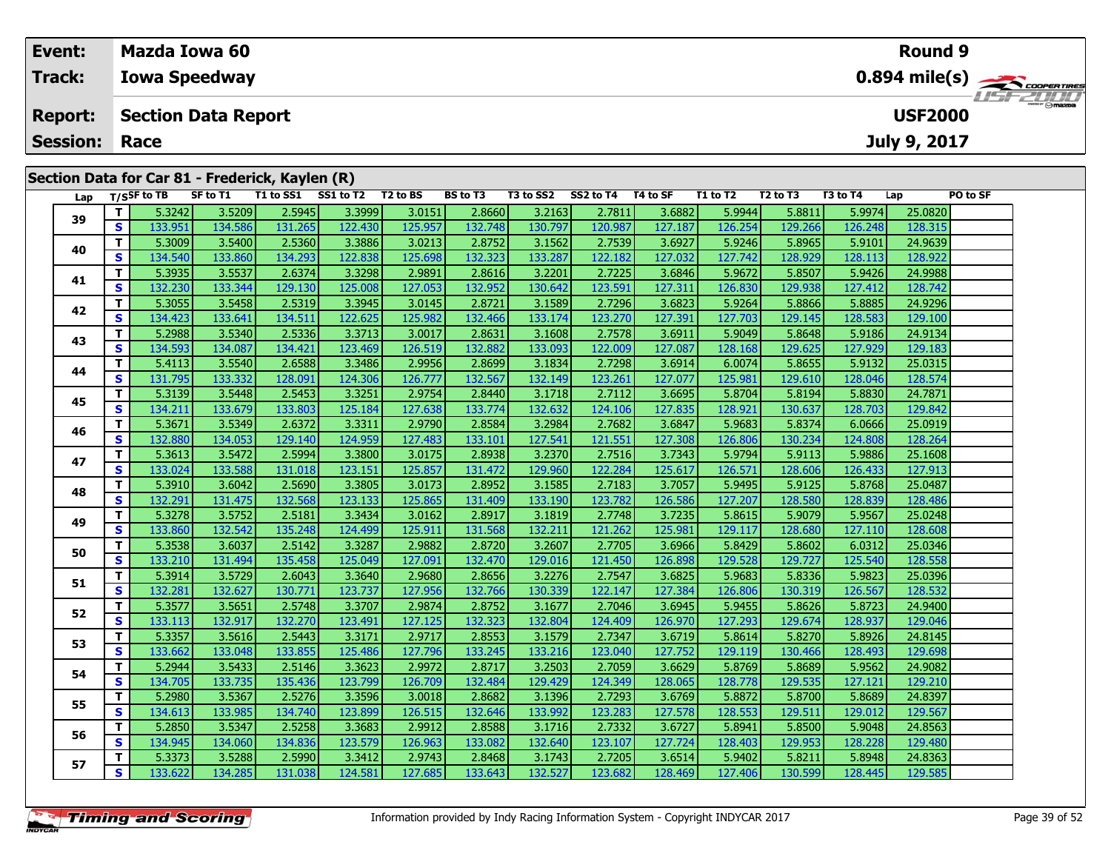| Event:                                          | Mazda Iowa 60              |          |                              |  |          |           |           |          |          |          |          | Round 9        |                 |                  |
|-------------------------------------------------|----------------------------|----------|------------------------------|--|----------|-----------|-----------|----------|----------|----------|----------|----------------|-----------------|------------------|
| Track:                                          | <b>Iowa Speedway</b>       |          |                              |  |          |           |           |          |          |          |          |                |                 |                  |
| <b>Report:</b>                                  | <b>Section Data Report</b> |          |                              |  |          |           |           |          |          |          |          | <b>USF2000</b> |                 | <b>LIST 2000</b> |
| <b>Session: Race</b>                            |                            |          |                              |  |          |           |           |          |          |          |          | July 9, 2017   |                 |                  |
|                                                 |                            |          |                              |  |          |           |           |          |          |          |          |                |                 |                  |
| Section Data for Car 81 - Frederick, Kaylen (R) |                            |          |                              |  |          |           |           |          |          |          |          |                |                 |                  |
|                                                 | Lap T/SSF to TB            | SF to T1 | T1 to SS1 SS1 to T2 T2 to BS |  | BS to T3 | T3 to SS2 | SS2 to T4 | T4 to SF | T1 to T2 | T2 to T3 | T3 to T4 | Lap            | <b>PO to SF</b> |                  |

| Lap |    | םו שו וכצן ו | SF LOIL | 1 T TO 22 T | 331012  | 1 Z LO D. | נו טו כם | 15 to 552 | <b>334 to 14</b> | 14 W JF | 1 1 1 1 1 1 2 1 | 12 LO 13 | 15 LO 14 | ∟ap     | ru lu ər |
|-----|----|--------------|---------|-------------|---------|-----------|----------|-----------|------------------|---------|-----------------|----------|----------|---------|----------|
|     | T. | 5.3242       | 3.5209  | 2.5945      | 3.3999  | 3.0151    | 2.8660   | 3.2163    | 2.7811           | 3.6882  | 5.9944          | 5.8811   | 5.9974   | 25.0820 |          |
| 39  | S  | 133.951      | 134.586 | 131.265     | 122.430 | 125.957   | 132.748  | 130.797   | 120.987          | 127.187 | 126.254         | 129.266  | 126.248  | 128.315 |          |
|     | т  | 5.3009       | 3.5400  | 2.5360      | 3.3886  | 3.0213    | 2.8752   | 3.1562    | 2.7539           | 3.6927  | 5.9246          | 5.8965   | 5.9101   | 24.9639 |          |
| 40  | S  | 134.540      | 133.860 | 134.293     | 122.838 | 125.698   | 132.323  | 133.287   | 122.182          | 127.032 | 127.742         | 128.929  | 128.113  | 128.922 |          |
|     | T. | 5.3935       | 3.5537  | 2.6374      | 3.3298  | 2.9891    | 2.8616   | 3.2201    | 2.7225           | 3.6846  | 5.9672          | 5.8507   | 5.9426   | 24.9988 |          |
| 41  | S  | 132.230      | 133.344 | 129.130     | 125.008 | 127.053   | 132.952  | 130.642   | 123.591          | 127.311 | 126.830         | 129.938  | 127.412  | 128.742 |          |
|     | T. | 5.3055       | 3.5458  | 2.5319      | 3.3945  | 3.0145    | 2.8721   | 3.1589    | 2.7296           | 3.6823  | 5.9264          | 5.8866   | 5.8885   | 24.9296 |          |
| 42  | S  | 134.423      | 133.641 | 134.511     | 122.625 | 125.982   | 132.466  | 133.174   | 123.270          | 127.391 | 127.703         | 129.145  | 128.583  | 129.100 |          |
| 43  | T. | 5.2988       | 3.5340  | 2.5336      | 3.3713  | 3.0017    | 2.8631   | 3.1608    | 2.7578           | 3.6911  | 5.9049          | 5.8648   | 5.9186   | 24.9134 |          |
|     | S. | 134.593      | 134.087 | 134.421     | 123.469 | 126.519   | 132.882  | 133.093   | 122.009          | 127.087 | 128.168         | 129.625  | 127.929  | 129.183 |          |
| 44  | т  | 5.4113       | 3.5540  | 2.6588      | 3.3486  | 2.9956    | 2.8699   | 3.1834    | 2.7298           | 3.6914  | 6.0074          | 5.8655   | 5.9132   | 25.0315 |          |
|     | S  | 131.795      | 133.332 | 128.091     | 124.306 | 126.777   | 132.567  | 132.149   | 123.261          | 127.077 | 125.981         | 129.610  | 128.046  | 128.574 |          |
| 45  | T. | 5.3139       | 3.5448  | 2.5453      | 3.3251  | 2.9754    | 2.8440   | 3.1718    | 2.7112           | 3.6695  | 5.8704          | 5.8194   | 5.8830   | 24.7871 |          |
|     | S. | 134.211      | 133.679 | 133.803     | 125.184 | 127.638   | 133.774  | 132.632   | 124.106          | 127.835 | 128.921         | 130.637  | 128.703  | 129.842 |          |
| 46  | т  | 5.3671       | 3.5349  | 2.6372      | 3.3311  | 2.9790    | 2.8584   | 3.2984    | 2.7682           | 3.6847  | 5.9683          | 5.8374   | 6.0666   | 25.0919 |          |
|     | S  | 132.880      | 134.053 | 129.140     | 124.959 | 127.483   | 133.101  | 127.541   | 121.551          | 127.308 | 126.806         | 130.234  | 124.808  | 128.264 |          |
| 47  | т  | 5.3613       | 3.5472  | 2.5994      | 3.3800  | 3.0175    | 2.8938   | 3.2370    | 2.7516           | 3.7343  | 5.9794          | 5.9113   | 5.9886   | 25.1608 |          |
|     | S  | 133.024      | 133.588 | 131.018     | 123.151 | 125.857   | 131.472  | 129.960   | 122.284          | 125.617 | 126.571         | 128.606  | 126.433  | 127.913 |          |
| 48  | T. | 5.3910       | 3.6042  | 2.5690      | 3.3805  | 3.0173    | 2.8952   | 3.1585    | 2.7183           | 3.7057  | 5.9495          | 5.9125   | 5.8768   | 25.0487 |          |
|     | S. | 132.291      | 131.475 | 132.568     | 123.133 | 125.865   | 131.409  | 133.190   | 123.782          | 126.586 | 127.207         | 128.580  | 128.839  | 128.486 |          |
| 49  | T. | 5.3278       | 3.5752  | 2.5181      | 3.3434  | 3.0162    | 2.8917   | 3.1819    | 2.7748           | 3.7235  | 5.8615          | 5.9079   | 5.9567   | 25.0248 |          |
|     | S  | 133.860      | 132.542 | 135.248     | 124.499 | 125.911   | 131.568  | 132.211   | 121.262          | 125.981 | 129.117         | 128.680  | 127.110  | 128.608 |          |
| 50  | T. | 5.3538       | 3.6037  | 2.5142      | 3.3287  | 2.9882    | 2.8720   | 3.2607    | 2.7705           | 3.6966  | 5.8429          | 5.8602   | 6.0312   | 25.0346 |          |
|     | S  | 133.210      | 131.494 | 135.458     | 125.049 | 127.091   | 132.470  | 129.016   | 121.450          | 126.898 | 129.528         | 129.727  | 125.540  | 128.558 |          |
| 51  | т  | 5.3914       | 3.5729  | 2.6043      | 3.3640  | 2.9680    | 2.8656   | 3.2276    | 2.7547           | 3.6825  | 5.9683          | 5.8336   | 5.9823   | 25.0396 |          |
|     | S  | 132.281      | 132.627 | 130.771     | 123.737 | 127.956   | 132.766  | 130.339   | 122.147          | 127.384 | 126.806         | 130.319  | 126.567  | 128.532 |          |
| 52  | T. | 5.3577       | 3.5651  | 2.5748      | 3.3707  | 2.9874    | 2.8752   | 3.1677    | 2.7046           | 3.6945  | 5.9455          | 5.8626   | 5.8723   | 24.9400 |          |
|     | S. | 133.113      | 132.917 | 132.270     | 123.491 | 127.125   | 132.323  | 132.804   | 124.409          | 126.970 | 127.293         | 129.674  | 128.937  | 129.046 |          |
| 53  | т  | 5.3357       | 3.5616  | 2.5443      | 3.3171  | 2.9717    | 2.8553   | 3.1579    | 2.7347           | 3.6719  | 5.8614          | 5.8270   | 5.8926   | 24.8145 |          |
|     | S  | 133.662      | 133.048 | 133.855     | 125.486 | 127.796   | 133.245  | 133.216   | 123.040          | 127.752 | 129.119         | 130.466  | 128.493  | 129.698 |          |
| 54  | т  | 5.2944       | 3.5433  | 2.5146      | 3.3623  | 2.9972    | 2.8717   | 3.2503    | 2.7059           | 3.6629  | 5.8769          | 5.8689   | 5.9562   | 24.9082 |          |
|     | S  | 134.705      | 133.735 | 135.436     | 123.799 | 126.709   | 132.484  | 129.429   | 124.349          | 128.065 | 128.778         | 129.535  | 127.121  | 129.210 |          |
| 55  | T. | 5.2980       | 3.5367  | 2.5276      | 3.3596  | 3.0018    | 2.8682   | 3.1396    | 2.7293           | 3.6769  | 5.8872          | 5.8700   | 5.8689   | 24.8397 |          |
|     | S  | 134.613      | 133.985 | 134.740     | 123.899 | 126.515   | 132.646  | 133.992   | 123.283          | 127.578 | 128.553         | 129.511  | 129.012  | 129.567 |          |
| 56  | T. | 5.2850       | 3.5347  | 2.5258      | 3.3683  | 2.9912    | 2.8588   | 3.1716    | 2.7332           | 3.6727  | 5.8941          | 5.8500   | 5.9048   | 24.8563 |          |
|     | S. | 134.945      | 134.060 | 134.836     | 123.579 | 126.963   | 133.082  | 132.640   | 123.107          | 127.724 | 128.403         | 129.953  | 128.228  | 129.480 |          |
| 57  | Τ. | 5.3373       | 3.5288  | 2.5990      | 3.3412  | 2.9743    | 2.8468   | 3.1743    | 2.7205           | 3.6514  | 5.9402          | 5.8211   | 5.8948   | 24.8363 |          |
|     | S. | 133.622      | 134.285 | 131.038     | 124.581 | 127.685   | 133.643  | 132.527   | 123.682          | 128.469 | 127.406         | 130.599  | 128.445  | 129.585 |          |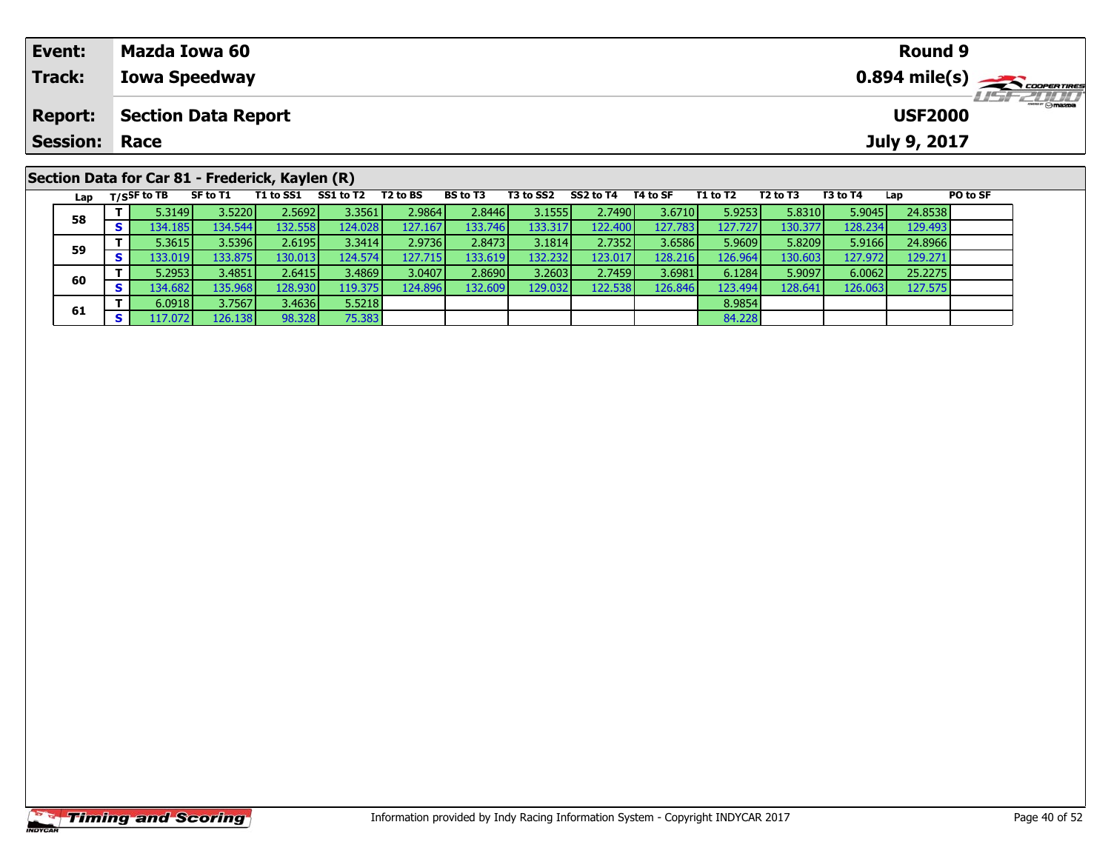| Event:               | Mazda Iowa 60                                   | <b>Round 9</b> |                         |
|----------------------|-------------------------------------------------|----------------|-------------------------|
| <b>Track:</b>        | <b>Iowa Speedway</b>                            |                |                         |
| <b>Report:</b>       | <b>Section Data Report</b>                      | <b>USF2000</b> | <i><b>LISF 2000</b></i> |
| <b>Session: Race</b> |                                                 | July 9, 2017   |                         |
|                      |                                                 |                |                         |
|                      | Section Data for Car 81 - Frederick, Kaylen (R) |                |                         |

| Lap |    | $T/S$ SF to TB   | SF to T1         | T1 to SS1 | SS1 to T2 | T2 to BS | <b>BS</b> to T3  | T3 to SS2 | SS2 to T4 | T4 to SF         | T1 to T2 | T <sub>2</sub> to T <sub>3</sub> | T3 to T4 | Lap     | PO to SF |
|-----|----|------------------|------------------|-----------|-----------|----------|------------------|-----------|-----------|------------------|----------|----------------------------------|----------|---------|----------|
| 58  |    | 5.3149           | 3.5220           | 2.5692    | 3.3561    | 2.9864   | 2.8446           | 3.1555    | 2.7490    | 3.6710           | 5.9253   | 5.8310                           | 5.9045   | 24.8538 |          |
|     | ъ. | 134.185 <b>I</b> | 134.544 <b>l</b> | 132.558   | 124.028   | 127.167  | 133.746          | 133.317   | 122.400   | 127.7831         | 127.7271 | 130.377                          | 128.234  | 129.493 |          |
| 59  |    | 5.3615           | 3.5396           | 2.6195    | 3.3414    | 2.9736   | 2.8473           | 3.1814    | 2.7352    | 3.6586           | 5.9609   | 5.8209                           | 5.9166   | 24.8966 |          |
|     | s  | I33.019 <b>I</b> | 133.875 <b>I</b> | 130.013   | 124.574   | 127.7151 | 133.619 <b>I</b> | 132.232   | 123.017   | 128.216          | 126.9641 | 130.603                          | 127.972  | 129.271 |          |
| 60  |    | 5.2953           | 3.4851           | 2.6415    | 3.4869    | 3.0407   | 2.8690           | 3.2603    | 2.7459    | 3.6981           | 6.1284   | 5.9097                           | 6.0062   | 25.2275 |          |
|     |    | 134.682 <b>I</b> | 135.968 <b> </b> | 128.930   | 119.375   | 124.896  | 132.609          | 129.032   | 122.538   | 126.846 <b> </b> | 123.494  | 128.641                          | 126.063  | 127.575 |          |
| 61  |    | 6.0918           | 3.7567           | 3.4636 l  | 5.5218    |          |                  |           |           |                  | 8.9854   |                                  |          |         |          |
|     | э  | 17.072 <b>I</b>  | L26.138 L        | 98.328    | 75.383    |          |                  |           |           |                  | 84.228   |                                  |          |         |          |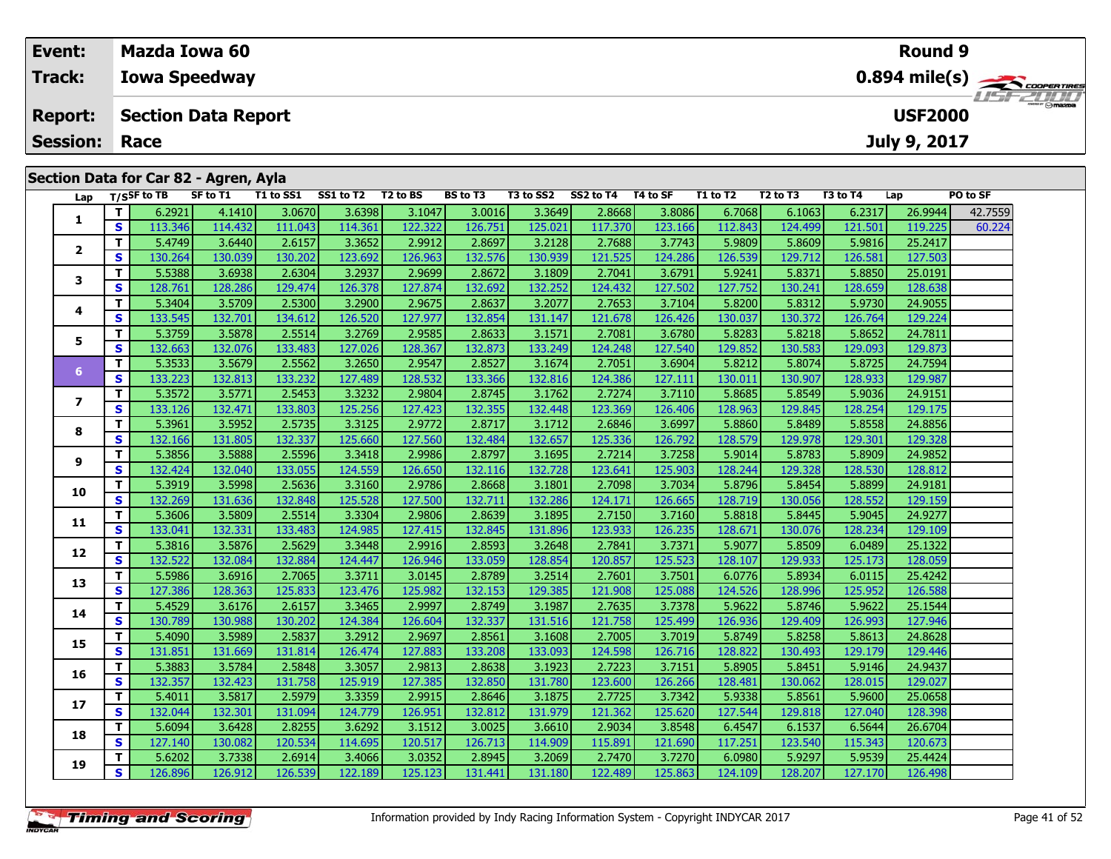| Event:               |                             | <b>Mazda Iowa 60</b>                  |           |                    |                 |           |           |          |          |          |          | Round 9        |                 |                                                        |
|----------------------|-----------------------------|---------------------------------------|-----------|--------------------|-----------------|-----------|-----------|----------|----------|----------|----------|----------------|-----------------|--------------------------------------------------------|
| Track:               |                             | <b>Iowa Speedway</b>                  |           |                    |                 |           |           |          |          |          |          |                |                 | $0.894$ mile(s) $\overbrace{\hspace{2cm}}$ coderatings |
| <b>Report:</b>       |                             | <b>Section Data Report</b>            |           |                    |                 |           |           |          |          |          |          | <b>USF2000</b> |                 | <b>LISFZULL</b>                                        |
| <b>Session: Race</b> |                             |                                       |           |                    |                 |           |           |          |          |          |          | July 9, 2017   |                 |                                                        |
|                      |                             |                                       |           |                    |                 |           |           |          |          |          |          |                |                 |                                                        |
|                      |                             | Section Data for Car 82 - Agren, Ayla |           |                    |                 |           |           |          |          |          |          |                |                 |                                                        |
|                      | Lap T/S <sup>SF</sup> to TB | SF to T1                              | T1 to SS1 | SS1 to T2 T2 to BS | <b>BS to T3</b> | T3 to SS2 | SS2 to T4 | T4 to SF | T1 to T2 | T2 to T3 | T3 to T4 | Lap            | <b>PO to SF</b> |                                                        |
|                      |                             |                                       |           |                    |                 |           |           |          |          |          |          |                |                 |                                                        |

| 1                       | т            | 6.2921  | 4.1410  | 3.0670  | 3.6398  | 3.1047  | 3.0016  | 3.3649  | 2.8668  | 3.8086  | 6.7068  | 6.1063  | 6.2317  | 26.9944 | 42.7559 |
|-------------------------|--------------|---------|---------|---------|---------|---------|---------|---------|---------|---------|---------|---------|---------|---------|---------|
|                         | $\mathbf{s}$ | 113.346 | 114.432 | 111.043 | 114.361 | 122.322 | 126.751 | 125.021 | 117.370 | 123.166 | 112.843 | 124.499 | 121.501 | 119.225 | 60.224  |
| $\mathbf{2}$            | Т            | 5.4749  | 3.6440  | 2.6157  | 3.3652  | 2.9912  | 2.8697  | 3.2128  | 2.7688  | 3.7743  | 5.9809  | 5.8609  | 5.9816  | 25.2417 |         |
|                         | $\mathbf{s}$ | 130.264 | 130.039 | 130.202 | 123.692 | 126.963 | 132.576 | 130.939 | 121.525 | 124.286 | 126.539 | 129.712 | 126.581 | 127.503 |         |
| 3                       | Т            | 5.5388  | 3.6938  | 2.6304  | 3.2937  | 2.9699  | 2.8672  | 3.1809  | 2.7041  | 3.6791  | 5.9241  | 5.8371  | 5.8850  | 25.0191 |         |
|                         | S            | 128.761 | 128.286 | 129.474 | 126.378 | 127.874 | 132.692 | 132.252 | 124.432 | 127.502 | 127.752 | 130.241 | 128.659 | 128.638 |         |
| 4                       | Т            | 5.3404  | 3.5709  | 2.5300  | 3.2900  | 2.9675  | 2.8637  | 3.2077  | 2.7653  | 3.7104  | 5.8200  | 5.8312  | 5.9730  | 24.9055 |         |
|                         | $\mathbf{s}$ | 133.545 | 132.701 | 134.612 | 126.520 | 127.977 | 132.854 | 131.147 | 121.678 | 126.426 | 130.037 | 130.372 | 126.764 | 129.224 |         |
| 5                       | Т            | 5.3759  | 3.5878  | 2.5514  | 3.2769  | 2.9585  | 2.8633  | 3.1571  | 2.7081  | 3.6780  | 5.8283  | 5.8218  | 5.8652  | 24.7811 |         |
|                         | $\mathbf{s}$ | 132.663 | 132.076 | 133.483 | 127.026 | 128.367 | 132.873 | 133.249 | 124.248 | 127.540 | 129.852 | 130.583 | 129.093 | 129.873 |         |
| 6 <sup>1</sup>          | T.           | 5.3533  | 3.5679  | 2.5562  | 3.2650  | 2.9547  | 2.8527  | 3.1674  | 2.7051  | 3.6904  | 5.8212  | 5.8074  | 5.8725  | 24.7594 |         |
|                         | S            | 133.223 | 132.813 | 133.232 | 127.489 | 128.532 | 133.366 | 132.816 | 124.386 | 127.111 | 130.011 | 130.907 | 128.933 | 129.987 |         |
| $\overline{\mathbf{z}}$ | T.           | 5.3572  | 3.5771  | 2.5453  | 3.3232  | 2.9804  | 2.8745  | 3.1762  | 2.7274  | 3.7110  | 5.8685  | 5.8549  | 5.9036  | 24.9151 |         |
|                         | $\mathbf{s}$ | 133.126 | 132.471 | 133.803 | 125.256 | 127.423 | 132.355 | 132.448 | 123.369 | 126.406 | 128.963 | 129.845 | 128.254 | 129.175 |         |
| 8                       | Т            | 5.3961  | 3.5952  | 2.5735  | 3.3125  | 2.9772  | 2.8717  | 3.1712  | 2.6846  | 3.6997  | 5.8860  | 5.8489  | 5.8558  | 24.8856 |         |
|                         | $\mathbf{s}$ | 132.166 | 131.805 | 132.337 | 125.660 | 127.560 | 132.484 | 132.657 | 125.336 | 126.792 | 128.579 | 129.978 | 129.301 | 129.328 |         |
| 9                       | Т            | 5.3856  | 3.5888  | 2.5596  | 3.3418  | 2.9986  | 2.8797  | 3.1695  | 2.7214  | 3.7258  | 5.9014  | 5.8783  | 5.8909  | 24.9852 |         |
|                         | S            | 132.424 | 132.040 | 133.055 | 124.559 | 126.650 | 132.116 | 132.728 | 123.641 | 125.903 | 128.244 | 129.328 | 128.530 | 128.812 |         |
| 10                      | Т            | 5.3919  | 3.5998  | 2.5636  | 3.3160  | 2.9786  | 2.8668  | 3.1801  | 2.7098  | 3.7034  | 5.8796  | 5.8454  | 5.8899  | 24.9181 |         |
|                         | S            | 132.269 | 131.636 | 132.848 | 125.528 | 127.500 | 132.711 | 132.286 | 124.171 | 126.665 | 128.719 | 130.056 | 128.552 | 129.159 |         |
| 11                      | T            | 5.3606  | 3.5809  | 2.5514  | 3.3304  | 2.9806  | 2.8639  | 3.1895  | 2.7150  | 3.7160  | 5.8818  | 5.8445  | 5.9045  | 24.9277 |         |
|                         | $\mathbf{s}$ | 133.041 | 132.331 | 133.483 | 124.985 | 127.415 | 132.845 | 131.896 | 123.933 | 126.235 | 128.671 | 130.076 | 128.234 | 129.109 |         |
| 12                      | $\mathbf{T}$ | 5.3816  | 3.5876  | 2.5629  | 3.3448  | 2.9916  | 2.8593  | 3.2648  | 2.7841  | 3.7371  | 5.9077  | 5.8509  | 6.0489  | 25.1322 |         |
|                         | $\mathbf{s}$ | 132.522 | 132.084 | 132.884 | 124.447 | 126.946 | 133.059 | 128.854 | 120.857 | 125.523 | 128.107 | 129.933 | 125.173 | 128.059 |         |
| 13                      | T            | 5.5986  | 3.6916  | 2.7065  | 3.3711  | 3.0145  | 2.8789  | 3.2514  | 2.7601  | 3.7501  | 6.0776  | 5.8934  | 6.0115  | 25.4242 |         |
|                         | $\mathbf{s}$ | 127.386 | 128.363 | 125.833 | 123.476 | 125.982 | 132.153 | 129.385 | 121.908 | 125.088 | 124.526 | 128.996 | 125.952 | 126.588 |         |
| 14                      | Т            | 5.4529  | 3.6176  | 2.6157  | 3.3465  | 2.9997  | 2.8749  | 3.1987  | 2.7635  | 3.7378  | 5.9622  | 5.8746  | 5.9622  | 25.1544 |         |
|                         | $\mathbf{s}$ | 130.789 | 130.988 | 130.202 | 124.384 | 126.604 | 132.337 | 131.516 | 121.758 | 125.499 | 126.936 | 129.409 | 126.993 | 127.946 |         |
| 15                      | Т            | 5.4090  | 3.5989  | 2.5837  | 3.2912  | 2.9697  | 2.8561  | 3.1608  | 2.7005  | 3.7019  | 5.8749  | 5.8258  | 5.8613  | 24.8628 |         |
|                         | <b>S</b>     | 131.851 | 131.669 | 131.814 | 126.474 | 127.883 | 133.208 | 133.093 | 124.598 | 126.716 | 128.822 | 130.493 | 129.179 | 129.446 |         |
| 16                      | T            | 5.3883  | 3.5784  | 2.5848  | 3.3057  | 2.9813  | 2.8638  | 3.1923  | 2.7223  | 3.7151  | 5.8905  | 5.8451  | 5.9146  | 24.9437 |         |
|                         | $\mathbf{s}$ | 132.357 | 132.423 | 131.758 | 125.919 | 127.385 | 132.850 | 131.780 | 123.600 | 126.266 | 128.481 | 130.062 | 128.015 | 129.027 |         |
| 17                      | Т            | 5.4011  | 3.5817  | 2.5979  | 3.3359  | 2.9915  | 2.8646  | 3.1875  | 2.7725  | 3.7342  | 5.9338  | 5.8561  | 5.9600  | 25.0658 |         |
|                         | $\mathbf{s}$ | 132.044 | 132.301 | 131.094 | 124.779 | 126.951 | 132.812 | 131.979 | 121.362 | 125.620 | 127.544 | 129.818 | 127.040 | 128.398 |         |
| 18                      | $\mathbf{T}$ | 5.6094  | 3.6428  | 2.8255  | 3.6292  | 3.1512  | 3.0025  | 3.6610  | 2.9034  | 3.8548  | 6.4547  | 6.1537  | 6.5644  | 26.6704 |         |
|                         | $\mathbf{s}$ | 127.140 | 130.082 | 120.534 | 114.695 | 120.517 | 126.713 | 114.909 | 115.891 | 121.690 | 117.251 | 123.540 | 115.343 | 120.673 |         |
| 19                      | Т            | 5.6202  | 3.7338  | 2.6914  | 3.4066  | 3.0352  | 2.8945  | 3.2069  | 2.7470  | 3.7270  | 6.0980  | 5.9297  | 5.9539  | 25.4424 |         |
|                         | S            | 126.896 | 126.912 | 126.539 | 122.189 | 125.123 | 131.441 | 131.180 | 122.489 | 125.863 | 124.109 | 128.207 | 127.170 | 126.498 |         |
|                         |              |         |         |         |         |         |         |         |         |         |         |         |         |         |         |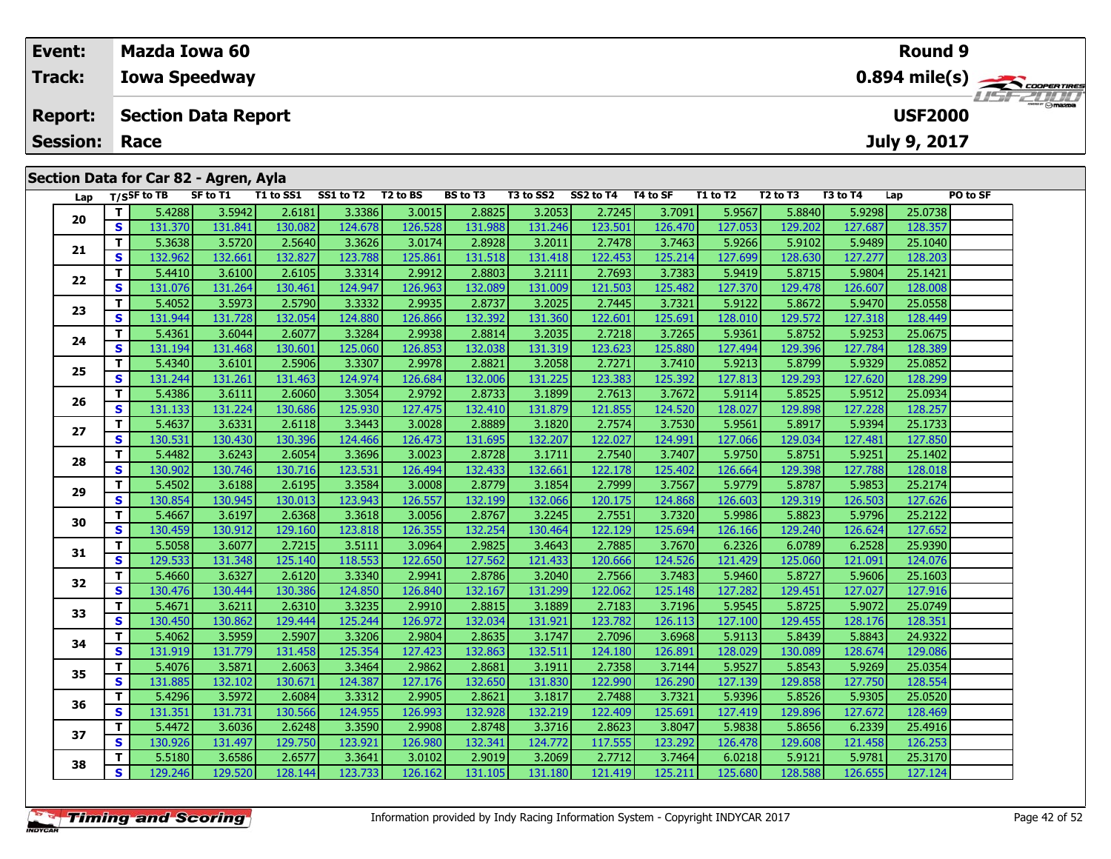| Event:               |                    | <b>Mazda Iowa 60</b>                  |           |                    |          |           |           |          |          |          |          |                | Round 9         |                  |
|----------------------|--------------------|---------------------------------------|-----------|--------------------|----------|-----------|-----------|----------|----------|----------|----------|----------------|-----------------|------------------|
| Track:               |                    | <b>Iowa Speedway</b>                  |           |                    |          |           |           |          |          |          |          |                |                 |                  |
| <b>Report:</b>       |                    | <b>Section Data Report</b>            |           |                    |          |           |           |          |          |          |          | <b>USF2000</b> |                 | <b>LISF 2000</b> |
| <b>Session: Race</b> |                    |                                       |           |                    |          |           |           |          |          |          |          | July 9, 2017   |                 |                  |
|                      |                    |                                       |           |                    |          |           |           |          |          |          |          |                |                 |                  |
|                      |                    | Section Data for Car 82 - Agren, Ayla |           |                    |          |           |           |          |          |          |          |                |                 |                  |
|                      | Lap $T/S$ SF to TB | SF to T1                              | T1 to SS1 | SS1 to T2 T2 to BS | BS to T3 | T3 to SS2 | SS2 to T4 | T4 to SF | T1 to T2 | T2 to T3 | T3 to T4 | Lap            | <b>PO to SF</b> |                  |
|                      |                    |                                       |           |                    |          |           |           |          |          |          |          |                |                 |                  |

| 20 | Τ. | 5.4288  | 3.5942  | 2.6181  | 3.3386  | 3.0015  | 2.8825  | 3.2053  | 2.7245  | 3.7091  | 5.9567  | 5.8840  | 5.9298  | 25.0738 |
|----|----|---------|---------|---------|---------|---------|---------|---------|---------|---------|---------|---------|---------|---------|
|    | S  | 131.370 | 131.841 | 130.082 | 124.678 | 126.528 | 131.988 | 131.246 | 123.501 | 126.470 | 127.053 | 129.202 | 127.687 | 128.357 |
|    | T. | 5.3638  | 3.5720  | 2.5640  | 3.3626  | 3.0174  | 2.8928  | 3.2011  | 2.7478  | 3.7463  | 5.9266  | 5.9102  | 5.9489  | 25.1040 |
| 21 | S  | 132.962 | 132.661 | 132.827 | 123.788 | 125.861 | 131.518 | 131.418 | 122.453 | 125.214 | 127.699 | 128.630 | 127.277 | 128.203 |
| 22 | T. | 5.4410  | 3.6100  | 2.6105  | 3.3314  | 2.9912  | 2.8803  | 3.2111  | 2.7693  | 3.7383  | 5.9419  | 5.8715  | 5.9804  | 25.1421 |
|    | S  | 131.076 | 131.264 | 130.461 | 124.947 | 126.963 | 132.089 | 131.009 | 121.503 | 125.482 | 127.370 | 129.478 | 126.607 | 128.008 |
|    | T. | 5.4052  | 3.5973  | 2.5790  | 3.3332  | 2.9935  | 2.8737  | 3.2025  | 2.7445  | 3.7321  | 5.9122  | 5.8672  | 5.9470  | 25.0558 |
| 23 | S  | 131.944 | 131.728 | 132.054 | 124.880 | 126.866 | 132.392 | 131.360 | 122.601 | 125.691 | 128.010 | 129.572 | 127.318 | 128.449 |
| 24 | T. | 5.4361  | 3.6044  | 2.6077  | 3.3284  | 2.9938  | 2.8814  | 3.2035  | 2.7218  | 3.7265  | 5.9361  | 5.8752  | 5.9253  | 25.0675 |
|    | S  | 131.194 | 131.468 | 130.601 | 125.060 | 126.853 | 132.038 | 131.319 | 123.623 | 125.880 | 127.494 | 129.396 | 127.784 | 128.389 |
| 25 | T. | 5.4340  | 3.6101  | 2.5906  | 3.3307  | 2.9978  | 2.8821  | 3.2058  | 2.7271  | 3.7410  | 5.9213  | 5.8799  | 5.9329  | 25.0852 |
|    | S  | 131.244 | 131.261 | 131.463 | 124.974 | 126.684 | 132.006 | 131.225 | 123.383 | 125.392 | 127.813 | 129.293 | 127.620 | 128.299 |
|    | T. | 5.4386  | 3.6111  | 2.6060  | 3.3054  | 2.9792  | 2.8733  | 3.1899  | 2.7613  | 3.7672  | 5.9114  | 5.8525  | 5.9512  | 25.0934 |
| 26 | S  | 131.133 | 131.224 | 130.686 | 125.930 | 127.475 | 132.410 | 131.879 | 121.855 | 124.520 | 128.027 | 129.898 | 127.228 | 128.257 |
| 27 | T. | 5.4637  | 3.6331  | 2.6118  | 3.3443  | 3.0028  | 2.8889  | 3.1820  | 2.7574  | 3.7530  | 5.9561  | 5.8917  | 5.9394  | 25.1733 |
|    | S  | 130.531 | 130.430 | 130.396 | 124.466 | 126.473 | 131.695 | 132.207 | 122.027 | 124.991 | 127.066 | 129.034 | 127.481 | 127.850 |
| 28 | т  | 5.4482  | 3.6243  | 2.6054  | 3.3696  | 3.0023  | 2.8728  | 3.1711  | 2.7540  | 3.7407  | 5.9750  | 5.8751  | 5.9251  | 25.1402 |
|    | S  | 130.902 | 130.746 | 130.716 | 123.531 | 126.494 | 132.433 | 132.661 | 122.178 | 125.402 | 126.664 | 129.398 | 127.788 | 128.018 |
| 29 | T. | 5.4502  | 3.6188  | 2.6195  | 3.3584  | 3.0008  | 2.8779  | 3.1854  | 2.7999  | 3.7567  | 5.9779  | 5.8787  | 5.9853  | 25.2174 |
|    | S  | 130.854 | 130.945 | 130.013 | 123.943 | 126.557 | 132.199 | 132.066 | 120.175 | 124.868 | 126.603 | 129.319 | 126.503 | 127.626 |
| 30 | Τ. | 5.4667  | 3.6197  | 2.6368  | 3.3618  | 3.0056  | 2.8767  | 3.2245  | 2.7551  | 3.7320  | 5.9986  | 5.8823  | 5.9796  | 25.2122 |
|    | S  | 130.459 | 130.912 | 129.160 | 123.818 | 126.355 | 132.254 | 130.464 | 122.129 | 125.694 | 126.166 | 129.240 | 126.624 | 127.652 |
| 31 | T. | 5.5058  | 3.6077  | 2.7215  | 3.5111  | 3.0964  | 2.9825  | 3.4643  | 2.7885  | 3.7670  | 6.2326  | 6.0789  | 6.2528  | 25.9390 |
|    | S  | 129.533 | 131.348 | 125.140 | 118.553 | 122.650 | 127.562 | 121.433 | 120.666 | 124.526 | 121.429 | 125.060 | 121.091 | 124.076 |
| 32 | T  | 5.4660  | 3.6327  | 2.6120  | 3.3340  | 2.9941  | 2.8786  | 3.2040  | 2.7566  | 3.7483  | 5.9460  | 5.8727  | 5.9606  | 25.1603 |
|    | S  | 130.476 | 130.444 | 130.386 | 124.850 | 126.840 | 132.167 | 131.299 | 122.062 | 125.148 | 127.282 | 129.451 | 127.027 | 127.916 |
| 33 | T. | 5.4671  | 3.6211  | 2.6310  | 3.3235  | 2.9910  | 2.8815  | 3.1889  | 2.7183  | 3.7196  | 5.9545  | 5.8725  | 5.9072  | 25.0749 |
|    | S  | 130.450 | 130.862 | 129.444 | 125.244 | 126.972 | 132.034 | 131.921 | 123.782 | 126.113 | 127.100 | 129.455 | 128.176 | 128.351 |
| 34 | T. | 5.4062  | 3.5959  | 2.5907  | 3.3206  | 2.9804  | 2.8635  | 3.1747  | 2.7096  | 3.6968  | 5.9113  | 5.8439  | 5.8843  | 24.9322 |
|    | S  | 131.919 | 131.779 | 131.458 | 125.354 | 127.423 | 132.863 | 132.511 | 124.180 | 126.891 | 128.029 | 130.089 | 128.674 | 129.086 |
| 35 | T. | 5.4076  | 3.5871  | 2.6063  | 3.3464  | 2.9862  | 2.8681  | 3.1911  | 2.7358  | 3.7144  | 5.9527  | 5.8543  | 5.9269  | 25.0354 |
|    | S  | 131.885 | 132.102 | 130.671 | 124.387 | 127.176 | 132.650 | 131.830 | 122.990 | 126.290 | 127.139 | 129.858 | 127.750 | 128.554 |
| 36 | T. | 5.4296  | 3.5972  | 2.6084  | 3.3312  | 2.9905  | 2.8621  | 3.1817  | 2.7488  | 3.7321  | 5.9396  | 5.8526  | 5.9305  | 25.0520 |
|    | S  | 131.351 | 131.731 | 130.566 | 124.955 | 126.993 | 132.928 | 132.219 | 122.409 | 125.691 | 127.419 | 129.896 | 127.672 | 128.469 |
| 37 | T. | 5.4472  | 3.6036  | 2.6248  | 3.3590  | 2.9908  | 2.8748  | 3.3716  | 2.8623  | 3.8047  | 5.9838  | 5.8656  | 6.2339  | 25.4916 |
|    | S  | 130.926 | 131.497 | 129.750 | 123.921 | 126.980 | 132.341 | 124.772 | 117.555 | 123.292 | 126.478 | 129.608 | 121.458 | 126.253 |
| 38 | Τ. | 5.5180  | 3.6586  | 2.6577  | 3.3641  | 3.0102  | 2.9019  | 3.2069  | 2.7712  | 3.7464  | 6.0218  | 5.9121  | 5.9781  | 25.3170 |
|    | S  | 129.246 | 129.520 | 128.144 | 123.733 | 126.162 | 131.105 | 131.180 | 121.419 | 125.211 | 125.680 | 128.588 | 126.655 | 127.124 |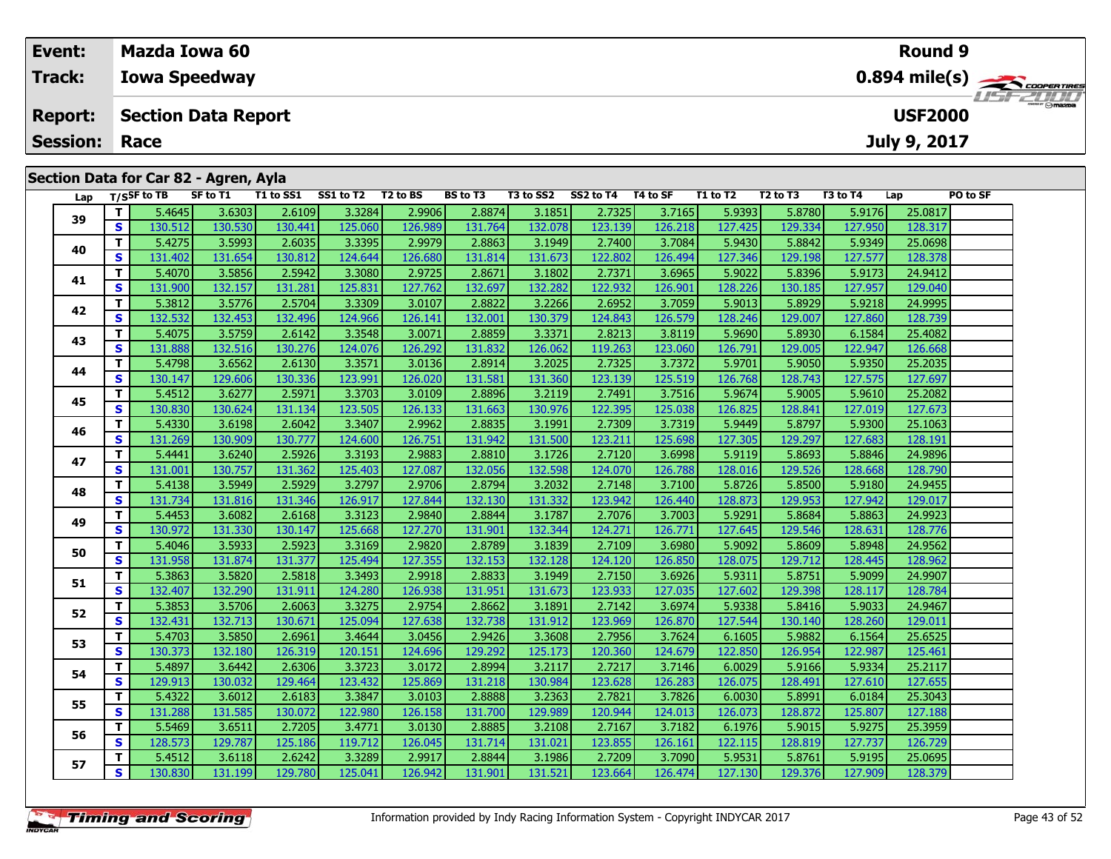| Event:               | Mazda Iowa 60                                                                                                                                                                                                                         |                    |                              |           |                      |                                  |          | Round 9                |          |
|----------------------|---------------------------------------------------------------------------------------------------------------------------------------------------------------------------------------------------------------------------------------|--------------------|------------------------------|-----------|----------------------|----------------------------------|----------|------------------------|----------|
| Track:               | <b>Iowa Speedway</b>                                                                                                                                                                                                                  |                    |                              |           |                      |                                  |          |                        |          |
| <b>Report:</b>       | <b>Section Data Report</b>                                                                                                                                                                                                            |                    |                              |           |                      |                                  |          | <b>USF2000</b>         | LISTZULU |
| <b>Session: Race</b> |                                                                                                                                                                                                                                       |                    |                              |           |                      |                                  |          | July 9, 2017           |          |
|                      |                                                                                                                                                                                                                                       |                    |                              |           |                      |                                  |          |                        |          |
|                      | Section Data for Car 82 - Agren, Ayla                                                                                                                                                                                                 |                    |                              |           |                      |                                  |          |                        |          |
|                      | Lap $T/S$ SF to TB<br>T1 to SS1<br>SF to T1                                                                                                                                                                                           | SS1 to T2 T2 to BS | <b>BS to T3</b><br>T3 to SS2 | SS2 to T4 | T4 to SF<br>T1 to T2 | T2 to T3                         | T3 to T4 | <b>PO to SF</b><br>Lap |          |
|                      | in the case of the case of the case of the case of the terms of the terms of the terms of the terms of the terms of the terms of the terms of the terms of the terms of the terms of the terms of the terms of the terms of th<br>- 1 |                    |                              |           |                      | <b>Expenditure</b><br>$ -$ - $-$ | $   -$   |                        |          |

| ra h | ., .                    |         |         |         |         |         |         |         |         |         |         |         |         |         |  |
|------|-------------------------|---------|---------|---------|---------|---------|---------|---------|---------|---------|---------|---------|---------|---------|--|
|      | T                       | 5.4645  | 3.6303  | 2.6109  | 3.3284  | 2.9906  | 2.8874  | 3.1851  | 2.7325  | 3.7165  | 5.9393  | 5.8780  | 5.9176  | 25.0817 |  |
| 39   | S                       | 130.512 | 130.530 | 130.441 | 125.060 | 126.989 | 131.764 | 132.078 | 123.139 | 126.218 | 127.425 | 129.334 | 127.950 | 128.317 |  |
| 40   | T                       | 5.4275  | 3.5993  | 2.6035  | 3.3395  | 2.9979  | 2.8863  | 3.1949  | 2.7400  | 3.7084  | 5.9430  | 5.8842  | 5.9349  | 25.0698 |  |
|      | S                       | 131.402 | 131.654 | 130.812 | 124.644 | 126.680 | 131.814 | 131.673 | 122.802 | 126.494 | 127.346 | 129.198 | 127.577 | 128.378 |  |
| 41   | т                       | 5.4070  | 3.5856  | 2.5942  | 3.3080  | 2.9725  | 2.8671  | 3.1802  | 2.7371  | 3.6965  | 5.9022  | 5.8396  | 5.9173  | 24.9412 |  |
|      | S                       | 131.900 | 132.157 | 131.281 | 125.831 | 127.762 | 132.697 | 132.282 | 122.932 | 126.901 | 128.226 | 130.185 | 127.957 | 129.040 |  |
| 42   | T                       | 5.3812  | 3.5776  | 2.5704  | 3.3309  | 3.0107  | 2.8822  | 3.2266  | 2.6952  | 3.7059  | 5.9013  | 5.8929  | 5.9218  | 24.9995 |  |
|      | S                       | 132.532 | 132.453 | 132.496 | 124.966 | 126.141 | 132.001 | 130.379 | 124.843 | 126.579 | 128.246 | 129.007 | 127.860 | 128.739 |  |
| 43   | T.                      | 5.4075  | 3.5759  | 2.6142  | 3.3548  | 3.0071  | 2.8859  | 3.3371  | 2.8213  | 3.8119  | 5.9690  | 5.8930  | 6.1584  | 25.4082 |  |
|      | S                       | 131.888 | 132.516 | 130.276 | 124.076 | 126.292 | 131.832 | 126.062 | 119.263 | 123.060 | 126.791 | 129.005 | 122.947 | 126.668 |  |
| 44   | T                       | 5.4798  | 3.6562  | 2.6130  | 3.3571  | 3.0136  | 2.8914  | 3.2025  | 2.7325  | 3.7372  | 5.9701  | 5.9050  | 5.9350  | 25.2035 |  |
|      | S                       | 130.147 | 129.606 | 130.336 | 123.991 | 126.020 | 131.581 | 131.360 | 123.139 | 125.519 | 126.768 | 128.743 | 127.575 | 127.697 |  |
| 45   | т                       | 5.4512  | 3.6277  | 2.5971  | 3.3703  | 3.0109  | 2.8896  | 3.2119  | 2.7491  | 3.7516  | 5.9674  | 5.9005  | 5.9610  | 25.2082 |  |
|      | S                       | 130.830 | 130.624 | 131.134 | 123.505 | 126.133 | 131.663 | 130.976 | 122.395 | 125.038 | 126.825 | 128.841 | 127.019 | 127.673 |  |
| 46   | T.                      | 5.4330  | 3.6198  | 2.6042  | 3.3407  | 2.9962  | 2.8835  | 3.1991  | 2.7309  | 3.7319  | 5.9449  | 5.8797  | 5.9300  | 25.1063 |  |
|      | $\overline{\mathbf{s}}$ | 131.269 | 130.909 | 130.777 | 124.600 | 126.751 | 131.942 | 131.500 | 123.211 | 125.698 | 127.305 | 129.297 | 127.683 | 128.191 |  |
| 47   | T.                      | 5.4441  | 3.6240  | 2.5926  | 3.3193  | 2.9883  | 2.8810  | 3.1726  | 2.7120  | 3.6998  | 5.9119  | 5.8693  | 5.8846  | 24.9896 |  |
|      | S                       | 131.001 | 130.757 | 131.362 | 125.403 | 127.087 | 132.056 | 132.598 | 124.070 | 126.788 | 128.016 | 129.526 | 128.668 | 128.790 |  |
| 48   | T.                      | 5.4138  | 3.5949  | 2.5929  | 3.2797  | 2.9706  | 2.8794  | 3.2032  | 2.7148  | 3.7100  | 5.8726  | 5.8500  | 5.9180  | 24.9455 |  |
|      | S                       | 131.734 | 131.816 | 131.346 | 126.917 | 127.844 | 132.130 | 131.332 | 123.942 | 126.440 | 128.873 | 129.953 | 127.942 | 129.017 |  |
| 49   | т                       | 5.4453  | 3.6082  | 2.6168  | 3.3123  | 2.9840  | 2.8844  | 3.1787  | 2.7076  | 3.7003  | 5.9291  | 5.8684  | 5.8863  | 24.9923 |  |
|      | S                       | 130.972 | 131.330 | 130.147 | 125.668 | 127.270 | 131.901 | 132.344 | 124.271 | 126.771 | 127.645 | 129.546 | 128.631 | 128.776 |  |
| 50   | T.                      | 5.4046  | 3.5933  | 2.5923  | 3.3169  | 2.9820  | 2.8789  | 3.1839  | 2.7109  | 3.6980  | 5.9092  | 5.8609  | 5.8948  | 24.9562 |  |
|      | S                       | 131.958 | 131.874 | 131.377 | 125.494 | 127.355 | 132.153 | 132.128 | 124.120 | 126.850 | 128.075 | 129.712 | 128.445 | 128.962 |  |
| 51   | T.                      | 5.3863  | 3.5820  | 2.5818  | 3.3493  | 2.9918  | 2.8833  | 3.1949  | 2.7150  | 3.6926  | 5.9311  | 5.8751  | 5.9099  | 24.9907 |  |
|      | S                       | 132.407 | 132.290 | 131.911 | 124.280 | 126.938 | 131.951 | 131.673 | 123.933 | 127.035 | 127.602 | 129.398 | 128.117 | 128.784 |  |
| 52   | T.                      | 5.3853  | 3.5706  | 2.6063  | 3.3275  | 2.9754  | 2.8662  | 3.1891  | 2.7142  | 3.6974  | 5.9338  | 5.8416  | 5.9033  | 24.9467 |  |
|      | S                       | 132.431 | 132.713 | 130.671 | 125.094 | 127.638 | 132.738 | 131.912 | 123.969 | 126.870 | 127.544 | 130.140 | 128.260 | 129.011 |  |
| 53   | T                       | 5.4703  | 3.5850  | 2.6961  | 3.4644  | 3.0456  | 2.9426  | 3.3608  | 2.7956  | 3.7624  | 6.1605  | 5.9882  | 6.1564  | 25.6525 |  |
|      | S                       | 130.373 | 132.180 | 126.319 | 120.151 | 124.696 | 129.292 | 125.173 | 120.360 | 124.679 | 122.850 | 126.954 | 122.987 | 125.461 |  |
| 54   | т                       | 5.4897  | 3.6442  | 2.6306  | 3.3723  | 3.0172  | 2.8994  | 3.2117  | 2.7217  | 3.7146  | 6.0029  | 5.9166  | 5.9334  | 25.2117 |  |
|      | S                       | 129.913 | 130.032 | 129.464 | 123.432 | 125.869 | 131.218 | 130.984 | 123.628 | 126.283 | 126.075 | 128.491 | 127.610 | 127.655 |  |
| 55   | T.                      | 5.4322  | 3.6012  | 2.6183  | 3.3847  | 3.0103  | 2.8888  | 3.2363  | 2.7821  | 3.7826  | 6.0030  | 5.8991  | 6.0184  | 25.3043 |  |
|      | S                       | 131.288 | 131.585 | 130.072 | 122.980 | 126.158 | 131.700 | 129.989 | 120.944 | 124.013 | 126.073 | 128.872 | 125.807 | 127.188 |  |
| 56   | T.                      | 5.5469  | 3.6511  | 2.7205  | 3.4771  | 3.0130  | 2.8885  | 3.2108  | 2.7167  | 3.7182  | 6.1976  | 5.9015  | 5.9275  | 25.3959 |  |
|      | S                       | 128.573 | 129.787 | 125.186 | 119.712 | 126.045 | 131.714 | 131.021 | 123.855 | 126.161 | 122.115 | 128.819 | 127.737 | 126.729 |  |
| 57   | T.                      | 5.4512  | 3.6118  | 2.6242  | 3.3289  | 2.9917  | 2.8844  | 3.1986  | 2.7209  | 3.7090  | 5.9531  | 5.8761  | 5.9195  | 25.0695 |  |
|      | <b>S</b>                | 130.830 | 131.199 | 129.780 | 125.041 | 126.942 | 131.901 | 131.521 | 123.664 | 126.474 | 127.130 | 129.376 | 127.909 | 128.379 |  |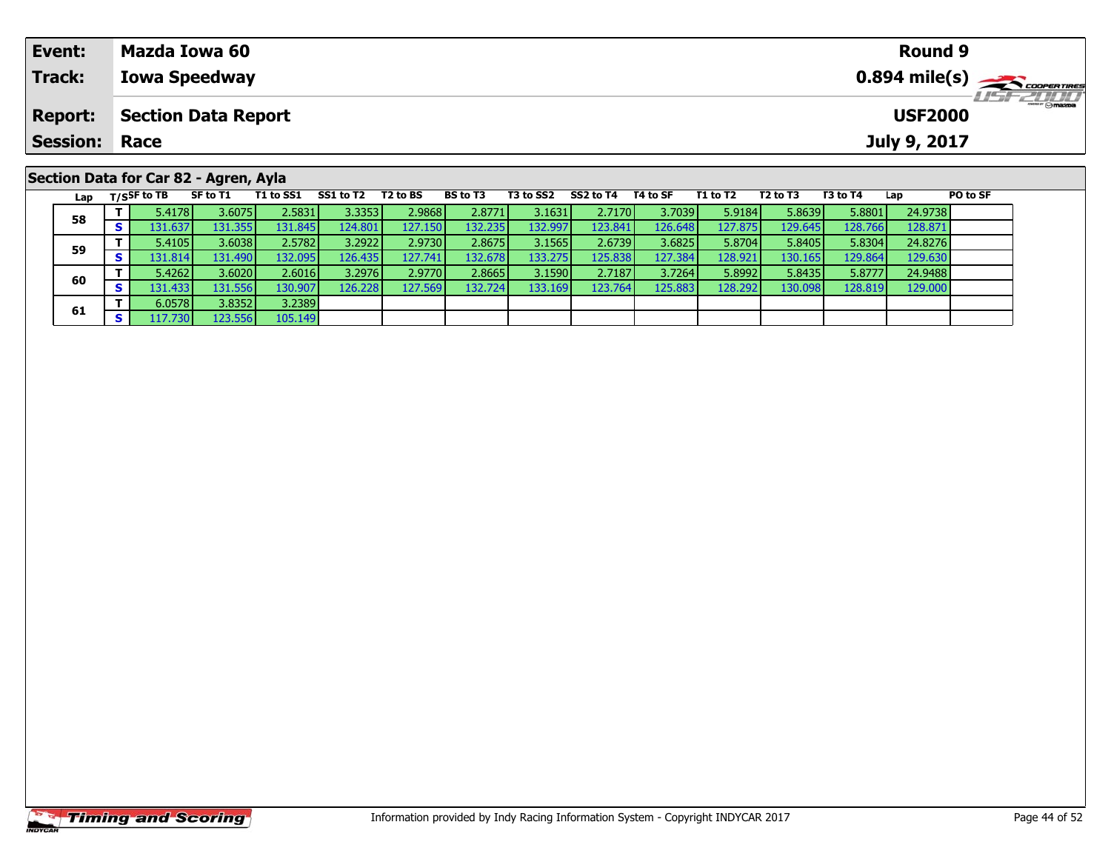| Event:               | Mazda Iowa 60                         |                              |          |           |           |          |          |          |          | Round 9        |                 |                                                              |
|----------------------|---------------------------------------|------------------------------|----------|-----------|-----------|----------|----------|----------|----------|----------------|-----------------|--------------------------------------------------------------|
| <b>Track:</b>        | <b>Iowa Speedway</b>                  |                              |          |           |           |          |          |          |          |                |                 | $0.894$ mile(s) $\overbrace{\hspace{2.5cm}}^{3}$ coorentment |
| <b>Report:</b>       | <b>Section Data Report</b>            |                              |          |           |           |          |          |          |          | <b>USF2000</b> |                 | <b>LISF 2000</b>                                             |
| <b>Session: Race</b> |                                       |                              |          |           |           |          |          |          |          | July 9, 2017   |                 |                                                              |
|                      |                                       |                              |          |           |           |          |          |          |          |                |                 |                                                              |
|                      | Section Data for Car 82 - Agren, Ayla |                              |          |           |           |          |          |          |          |                |                 |                                                              |
| Lap                  | T/SSF to TB<br>SF to T1               | T1 to SS1 SS1 to T2 T2 to BS | BS to T3 | T3 to SS2 | SS2 to T4 | T4 to SF | T1 to T2 | T2 to T3 | T3 to T4 | Lap            | <b>PO to SF</b> |                                                              |

| —— <b>—</b> | $\mathbf{r}$ |         |         |         |         |          |          |         |         |          |         |         |         |         |  |
|-------------|--------------|---------|---------|---------|---------|----------|----------|---------|---------|----------|---------|---------|---------|---------|--|
| 58          |              | 5.4178  | 3.6075  | 2.5831  | 3.3353  | 2.9868   | 2.8771   | 3.1631  | 2.7170  | 3.7039   | 5.9184  | 5.8639  | 5.8801  | 24.9738 |  |
|             | S.           | 131.637 | 131.355 | 131.845 | 124.801 | 127.150  | 132.2351 | 132.997 | 123.841 | 126.648  | 127.875 | 129.645 | 128.766 | 128.871 |  |
| 59          |              | 5.4105  | 3.6038  | 2.5782  | 3.2922  | 2.9730   | 2.8675   | 3.1565  | 2.6739  | 3.6825   | 5.8704  | 5.8405  | 5.8304  | 24.8276 |  |
|             | S.           | 131.814 | 131.490 | 132.095 | 126.435 | 127.741  | 132.678  | 133.275 | 125.838 | 127.3841 | 128.921 | 130.165 | 129.864 | 129.630 |  |
| 60          |              | 5.4262  | 3.6020  | 2.6016  | 3.2976  | 2.9770   | 2.8665   | 3.1590  | 2.7187  | 3.7264   | 5.8992  | 5.8435  | 5.8777  | 24.9488 |  |
|             | S.           | 131.433 | 131.556 | 130.907 | 126.228 | 127.5691 | 132.724  | 133.169 | 123.764 | 125.883  | 128.292 | 130.098 | 128.819 | 129.000 |  |
| 61          |              | 6.0578  | 3.8352  | 3.2389  |         |          |          |         |         |          |         |         |         |         |  |
|             | S.           | 17.730  | 123.556 | 105.149 |         |          |          |         |         |          |         |         |         |         |  |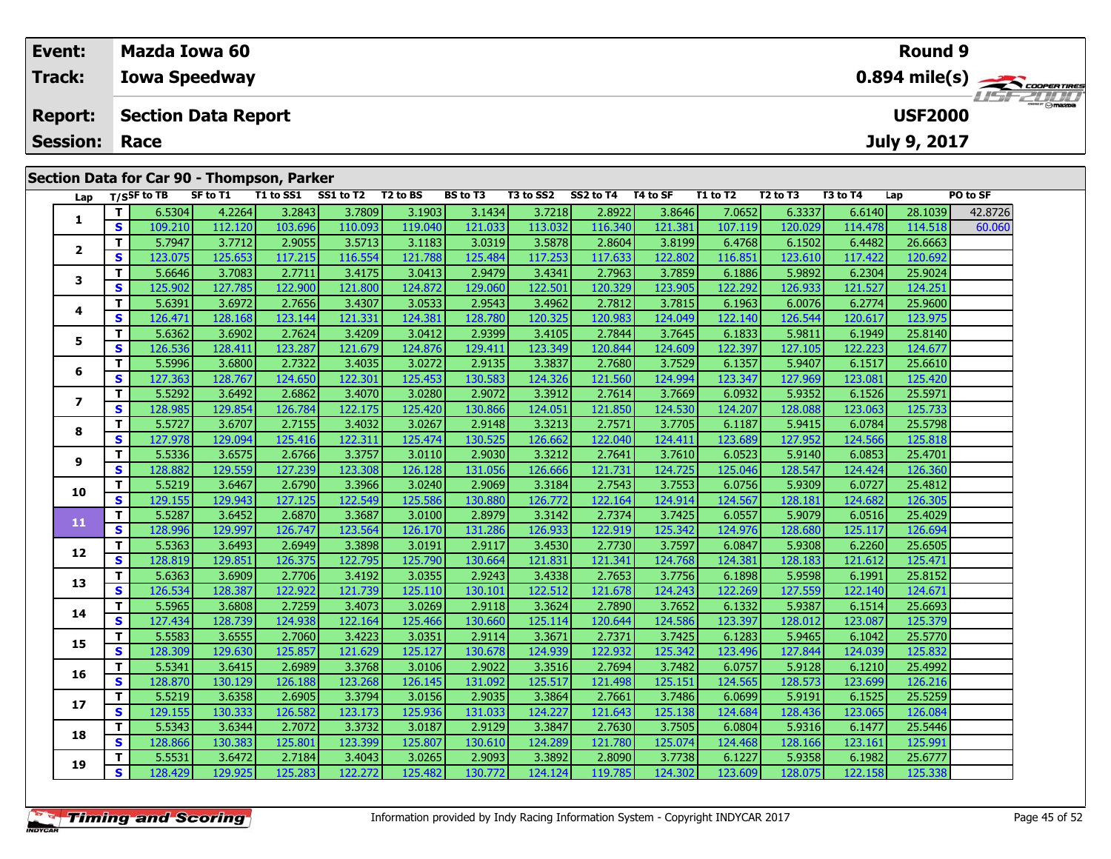| Event:                                     | Mazda Iowa 60              |          |                                       |  |                              |          |          |          |              | <b>Round 9</b>  |                  |
|--------------------------------------------|----------------------------|----------|---------------------------------------|--|------------------------------|----------|----------|----------|--------------|-----------------|------------------|
| <b>Track:</b>                              | <b>Iowa Speedway</b>       |          |                                       |  |                              |          |          |          |              |                 |                  |
| <b>Report:</b>                             | <b>Section Data Report</b> |          |                                       |  |                              |          |          |          |              | <b>USF2000</b>  | <b>LISF 2000</b> |
| <b>Session: Race</b>                       |                            |          |                                       |  |                              |          |          |          | July 9, 2017 |                 |                  |
|                                            |                            |          |                                       |  |                              |          |          |          |              |                 |                  |
| Section Data for Car 90 - Thompson, Parker |                            |          |                                       |  |                              |          |          |          |              |                 |                  |
|                                            | $1 - r$ $T/CSE$ to $TR$    | SE to T1 | T1 to SS1 SS1 to T2 T2 to BS BS to T3 |  | TR to CCD CCD to TA TA to CF | T1 to T2 | T2 to T3 | T3 to T4 | l an         | <b>DO to SE</b> |                  |

| Lap            |              | T/S <sup>F</sup> to TB | SF to T1 |         | T1 to SS1 SS1 to T2 T2 to BS |         | BS to T3 | T3 to SS2    SS2 to T4 |         | T4 to SF | <b>T1 to T2</b> | T <sub>2</sub> to T <sub>3</sub> | T3 to T4 | Lap     | PO to SF |
|----------------|--------------|------------------------|----------|---------|------------------------------|---------|----------|------------------------|---------|----------|-----------------|----------------------------------|----------|---------|----------|
| 1              | T.           | 6.5304                 | 4.2264   | 3.2843  | 3.7809                       | 3.1903  | 3.1434   | 3.7218                 | 2.8922  | 3.8646   | 7.0652          | 6.3337                           | 6.6140   | 28.1039 | 42.8726  |
|                | S            | 109.210                | 112.120  | 103.696 | 110.093                      | 119.040 | 121.033  | 113.032                | 116.340 | 121.381  | 107.119         | 120.029                          | 114.478  | 114.518 | 60.060   |
|                | T            | 5.7947                 | 3.7712   | 2.9055  | 3.5713                       | 3.1183  | 3.0319   | 3.5878                 | 2.8604  | 3.8199   | 6.4768          | 6.1502                           | 6.4482   | 26.6663 |          |
| 2              | S            | 123.075                | 125.653  | 117.215 | 116.554                      | 121.788 | 125.484  | 117.253                | 117.633 | 122.802  | 116.851         | 123.610                          | 117.422  | 120.692 |          |
| 3              | $\mathbf{T}$ | 5.6646                 | 3.7083   | 2.7711  | 3.4175                       | 3.0413  | 2.9479   | 3.4341                 | 2.7963  | 3.7859   | 6.1886          | 5.9892                           | 6.2304   | 25.9024 |          |
|                | S            | 125.902                | 127.785  | 122.900 | 121.800                      | 124.872 | 129.060  | 122.501                | 120.329 | 123.905  | 122.292         | 126.933                          | 121.527  | 124.251 |          |
| 4              | T            | 5.6391                 | 3.6972   | 2.7656  | 3.4307                       | 3.0533  | 2.9543   | 3.4962                 | 2.7812  | 3.7815   | 6.1963          | 6.0076                           | 6.2774   | 25.9600 |          |
|                | S            | 126.471                | 128.168  | 123.144 | 121.331                      | 124.381 | 128.780  | 120.325                | 120.983 | 124.049  | 122.140         | 126.544                          | 120.617  | 123.975 |          |
| 5              | T.           | 5.6362                 | 3.6902   | 2.7624  | 3.4209                       | 3.0412  | 2.9399   | 3.4105                 | 2.7844  | 3.7645   | 6.1833          | 5.9811                           | 6.1949   | 25.8140 |          |
|                | S            | 126.536                | 128.411  | 123.287 | 121.679                      | 124.876 | 129.411  | 123.349                | 120.844 | 124.609  | 122.397         | 127.105                          | 122.223  | 124.677 |          |
| 6              | T            | 5.5996                 | 3.6800   | 2.7322  | 3.4035                       | 3.0272  | 2.9135   | 3.3837                 | 2.7680  | 3.7529   | 6.1357          | 5.9407                           | 6.1517   | 25.6610 |          |
|                | S            | 127.363                | 128.767  | 124.650 | 122.301                      | 125.453 | 130.583  | 124.326                | 121.560 | 124.994  | 123.347         | 127.969                          | 123.081  | 125.420 |          |
| $\overline{ }$ | T            | 5.5292                 | 3.6492   | 2.6862  | 3.4070                       | 3.0280  | 2.9072   | 3.3912                 | 2.7614  | 3.7669   | 6.0932          | 5.9352                           | 6.1526   | 25.5971 |          |
|                | $\mathbf{s}$ | 128.985                | 129.854  | 126.784 | 122.175                      | 125.420 | 130.866  | 124.051                | 121.850 | 124.530  | 124.207         | 128.088                          | 123.063  | 125.733 |          |
| 8              | T            | 5.5727                 | 3.6707   | 2.7155  | 3.4032                       | 3.0267  | 2.9148   | 3.3213                 | 2.7571  | 3.7705   | 6.1187          | 5.9415                           | 6.0784   | 25.5798 |          |
|                | $\mathbf{s}$ | 127.978                | 129.094  | 125.416 | 122.311                      | 125.474 | 130.525  | 126.662                | 122.040 | 124.411  | 123.689         | 127.952                          | 124.566  | 125.818 |          |
| 9              | T            | 5.5336                 | 3.6575   | 2.6766  | 3.3757                       | 3.0110  | 2.9030   | 3.3212                 | 2.7641  | 3.7610   | 6.0523          | 5.9140                           | 6.0853   | 25.4701 |          |
|                | S            | 128.882                | 129.559  | 127.239 | 123.308                      | 126.128 | 131.056  | 126.666                | 121.731 | 124.725  | 125.046         | 128.547                          | 124.424  | 126.360 |          |
| 10             | T            | 5.5219                 | 3.6467   | 2.6790  | 3.3966                       | 3.0240  | 2.9069   | 3.3184                 | 2.7543  | 3.7553   | 6.0756          | 5.9309                           | 6.0727   | 25.4812 |          |
|                | $\mathbf{s}$ | 129.155                | 129.943  | 127.125 | 122.549                      | 125.586 | 130.880  | 126.772                | 122.164 | 124.914  | 124.567         | 128.181                          | 124.682  | 126.305 |          |
| 11             | T            | 5.5287                 | 3.6452   | 2.6870  | 3.3687                       | 3.0100  | 2.8979   | 3.3142                 | 2.7374  | 3.7425   | 6.0557          | 5.9079                           | 6.0516   | 25.4029 |          |
|                | <b>S</b>     | 128.996                | 129.997  | 126.747 | 123.564                      | 126.170 | 131.286  | 126.933                | 122.919 | 125.342  | 124.976         | 128.680                          | 125.117  | 126.694 |          |
| 12             | T.           | 5.5363                 | 3.6493   | 2.6949  | 3.3898                       | 3.0191  | 2.9117   | 3.4530                 | 2.7730  | 3.7597   | 6.0847          | 5.9308                           | 6.2260   | 25.6505 |          |
|                | S            | 128.819                | 129.851  | 126.375 | 122.795                      | 125.790 | 130.664  | 121.831                | 121.341 | 124.768  | 124.381         | 128.183                          | 121.612  | 125.471 |          |
| 13             | T.           | 5.6363                 | 3.6909   | 2.7706  | 3.4192                       | 3.0355  | 2.9243   | 3.4338                 | 2.7653  | 3.7756   | 6.1898          | 5.9598                           | 6.1991   | 25.8152 |          |
|                | $\mathbf{s}$ | 126.534                | 128.387  | 122.922 | 121.739                      | 125.110 | 130.101  | 122.512                | 121.678 | 124.243  | 122.269         | 127.559                          | 122.140  | 124.671 |          |
| 14             | T.           | 5.5965                 | 3.6808   | 2.7259  | 3.4073                       | 3.0269  | 2.9118   | 3.3624                 | 2.7890  | 3.7652   | 6.1332          | 5.9387                           | 6.1514   | 25.6693 |          |
|                | $\mathbf{s}$ | 127.434                | 128.739  | 124.938 | 122.164                      | 125.466 | 130.660  | 125.114                | 120.644 | 124.586  | 123.397         | 128.012                          | 123.087  | 125.379 |          |
| 15             | T.           | 5.5583                 | 3.6555   | 2.7060  | 3.4223                       | 3.0351  | 2.9114   | 3.3671                 | 2.7371  | 3.7425   | 6.1283          | 5.9465                           | 6.1042   | 25.5770 |          |
|                | S            | 128.309                | 129.630  | 125.857 | 121.629                      | 125.127 | 130.678  | 124.939                | 122.932 | 125.342  | 123.496         | 127.844                          | 124.039  | 125.832 |          |
| 16             | T.           | 5.5341                 | 3.6415   | 2.6989  | 3.3768                       | 3.0106  | 2.9022   | 3.3516                 | 2.7694  | 3.7482   | 6.0757          | 5.9128                           | 6.1210   | 25.4992 |          |
|                | S            | 128.870                | 130.129  | 126.188 | 123.268                      | 126.145 | 131.092  | 125.517                | 121.498 | 125.151  | 124.565         | 128.573                          | 123.699  | 126.216 |          |
| 17             | $\mathbf{T}$ | 5.5219                 | 3.6358   | 2.6905  | 3.3794                       | 3.0156  | 2.9035   | 3.3864                 | 2.7661  | 3.7486   | 6.0699          | 5.9191                           | 6.1525   | 25.5259 |          |
|                | S            | 129.155                | 130.333  | 126.582 | 123.173                      | 125.936 | 131.033  | 124.227                | 121.643 | 125.138  | 124.684         | 128.436                          | 123.065  | 126.084 |          |
| 18             | T            | 5.5343                 | 3.6344   | 2.7072  | 3.3732                       | 3.0187  | 2.9129   | 3.3847                 | 2.7630  | 3.7505   | 6.0804          | 5.9316                           | 6.1477   | 25.5446 |          |
|                | S.           | 128.866                | 130.383  | 125.801 | 123.399                      | 125.807 | 130.610  | 124.289                | 121.780 | 125.074  | 124.468         | 128.166                          | 123.161  | 125.991 |          |
| 19             | $\mathbf{T}$ | 5.5531                 | 3.6472   | 2.7184  | 3.4043                       | 3.0265  | 2.9093   | 3.3892                 | 2.8090  | 3.7738   | 6.1227          | 5.9358                           | 6.1982   | 25.6777 |          |
|                | S.           | 128.429                | 129.925  | 125.283 | 122.272                      | 125.482 | 130.772  | 124.124                | 119.785 | 124.302  | 123.609         | 128.075                          | 122.158  | 125.338 |          |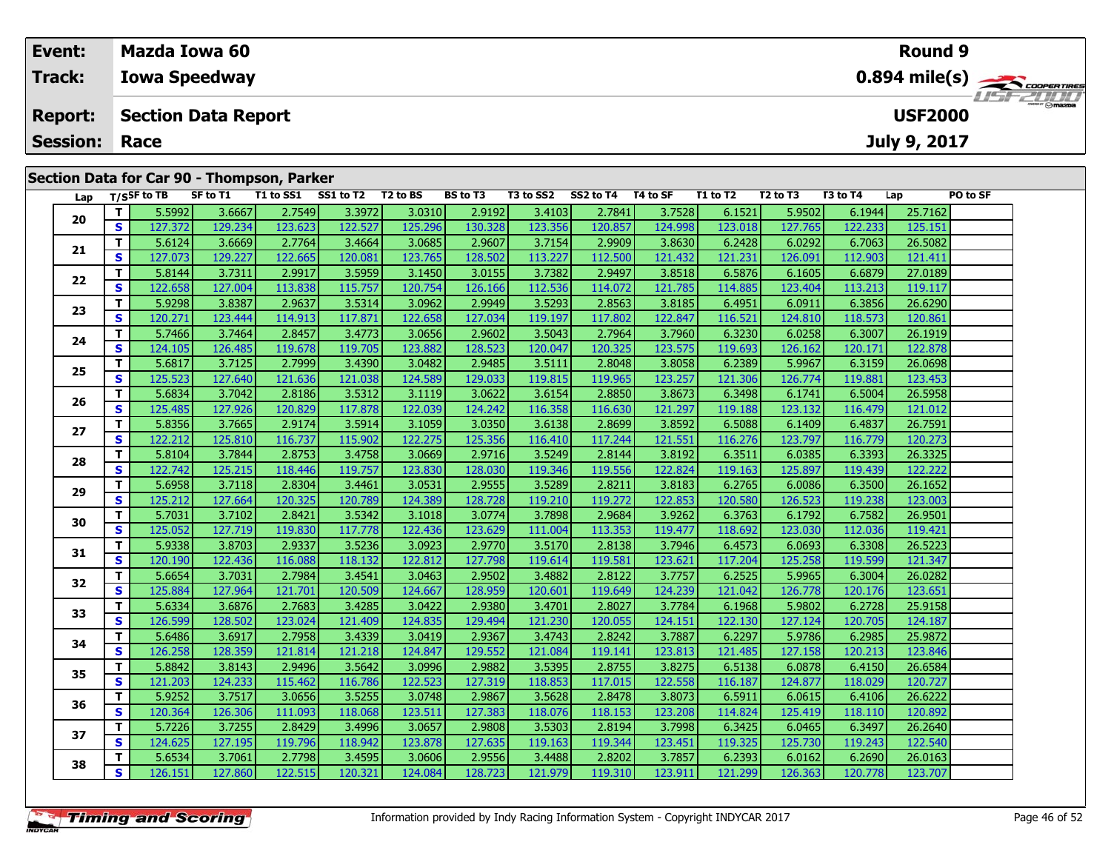| Event:                                     | Mazda Iowa 60              |          |                              |  |          |           |           |          |          |                |          | <b>Round 9</b>   |          |                                                        |
|--------------------------------------------|----------------------------|----------|------------------------------|--|----------|-----------|-----------|----------|----------|----------------|----------|------------------|----------|--------------------------------------------------------|
| Track:                                     | <b>Iowa Speedway</b>       |          |                              |  |          |           |           |          |          |                |          |                  |          | $0.894$ mile(s) $\overbrace{\hspace{2cm}}$ coderatings |
| <b>Report:</b>                             | <b>Section Data Report</b> |          |                              |  |          |           |           |          |          | <b>USF2000</b> |          | <b>LISF 2000</b> |          |                                                        |
| <b>Session: Race</b>                       |                            |          |                              |  |          |           |           |          |          |                |          | July 9, 2017     |          |                                                        |
|                                            |                            |          |                              |  |          |           |           |          |          |                |          |                  |          |                                                        |
| Section Data for Car 90 - Thompson, Parker |                            |          |                              |  |          |           |           |          |          |                |          |                  |          |                                                        |
| Lap                                        | $_{\mathsf{T}}$ /SSF to TB | SF to T1 | T1 to SS1 SS1 to T2 T2 to BS |  | BS to T3 | T3 to SS2 | SS2 to T4 | T4 to SF | T1 to T2 | T2 to T3       | T3 to T4 | Lap              | PO to SF |                                                        |

| Lap |                         | $1/5$ <sup>31</sup> to 18 | <b>SE LU 14</b> | 1 T LA 99 T | 331 W IZ | 12 W DJ | 53 W IJ | 1 J W JJZ | 334 W IT | 14 W JI | 1 J. LU 1 Z | 14 W 13 | . .     | ∟aµ     | rv w 31 |
|-----|-------------------------|---------------------------|-----------------|-------------|----------|---------|---------|-----------|----------|---------|-------------|---------|---------|---------|---------|
|     | T.                      | 5.5992                    | 3.6667          | 2.7549      | 3.3972   | 3.0310  | 2.9192  | 3.4103    | 2.7841   | 3.7528  | 6.1521      | 5.9502  | 6.1944  | 25.7162 |         |
| 20  | S                       | 127.372                   | 129.234         | 123.623     | 122.527  | 125.296 | 130.328 | 123.356   | 120.857  | 124.998 | 123.018     | 127.765 | 122.233 | 125.151 |         |
|     | T.                      | 5.6124                    | 3.6669          | 2.7764      | 3.4664   | 3.0685  | 2.9607  | 3.7154    | 2.9909   | 3.8630  | 6.2428      | 6.0292  | 6.7063  | 26.5082 |         |
| 21  | S                       | 127.073                   | 129.227         | 122.665     | 120.081  | 123.765 | 128.502 | 113.227   | 112.500  | 121.432 | 121.231     | 126.091 | 112.903 | 121.411 |         |
|     | T.                      | 5.8144                    | 3.7311          | 2.9917      | 3.5959   | 3.1450  | 3.0155  | 3.7382    | 2.9497   | 3.8518  | 6.5876      | 6.1605  | 6.6879  | 27.0189 |         |
| 22  | $\mathbf{s}$            | 122.658                   | 127.004         | 113.838     | 115.757  | 120.754 | 126.166 | 112.536   | 114.072  | 121.785 | 114.885     | 123.404 | 113.213 | 119.117 |         |
|     | T                       | 5.9298                    | 3.8387          | 2.9637      | 3.5314   | 3.0962  | 2.9949  | 3.5293    | 2.8563   | 3.8185  | 6.4951      | 6.0911  | 6.3856  | 26.6290 |         |
| 23  | $\mathbf s$             | 120.271                   | 123.444         | 114.913     | 117.871  | 122.658 | 127.034 | 119.197   | 117.802  | 122.847 | 116.521     | 124.810 | 118.573 | 120.861 |         |
|     | T.                      | 5.7466                    | 3.7464          | 2.8457      | 3.4773   | 3.0656  | 2.9602  | 3.5043    | 2.7964   | 3.7960  | 6.3230      | 6.0258  | 6.3007  | 26.1919 |         |
| 24  | S                       | 124.105                   | 126.485         | 119.678     | 119.705  | 123.882 | 128.523 | 120.047   | 120.325  | 123.575 | 119.693     | 126.162 | 120.171 | 122.878 |         |
|     | T.                      | 5.6817                    | 3.7125          | 2.7999      | 3.4390   | 3.0482  | 2.9485  | 3.5111    | 2.8048   | 3.8058  | 6.2389      | 5.9967  | 6.3159  | 26.0698 |         |
| 25  | $\mathbf{s}$            | 125.523                   | 127.640         | 121.636     | 121.038  | 124.589 | 129.033 | 119.815   | 119.965  | 123.257 | 121.306     | 126.774 | 119.881 | 123.453 |         |
| 26  | т                       | 5.6834                    | 3.7042          | 2.8186      | 3.5312   | 3.1119  | 3.0622  | 3.6154    | 2.8850   | 3.8673  | 6.3498      | 6.1741  | 6.5004  | 26.5958 |         |
|     | $\mathbf{s}$            | 125.485                   | 127.926         | 120.829     | 117.878  | 122.039 | 124.242 | 116.358   | 116.630  | 121.297 | 119.188     | 123.132 | 116.479 | 121.012 |         |
| 27  | T                       | 5.8356                    | 3.7665          | 2.9174      | 3.5914   | 3.1059  | 3.0350  | 3.6138    | 2.8699   | 3.8592  | 6.5088      | 6.1409  | 6.4837  | 26.7591 |         |
|     | $\mathbf{s}$            | 122.212                   | 125.810         | 116.737     | 115.902  | 122.275 | 125.356 | 116.410   | 117.244  | 121.551 | 116.276     | 123.797 | 116.779 | 120.273 |         |
| 28  | T.                      | 5.8104                    | 3.7844          | 2.8753      | 3.4758   | 3.0669  | 2.9716  | 3.5249    | 2.8144   | 3.8192  | 6.3511      | 6.0385  | 6.3393  | 26.3325 |         |
|     | $\mathbf{s}$            | 122.742                   | 125.215         | 118.446     | 119.757  | 123.830 | 128.030 | 119.346   | 119.556  | 122.824 | 119.163     | 125.897 | 119.439 | 122.222 |         |
| 29  | T.                      | 5.6958                    | 3.7118          | 2.8304      | 3.4461   | 3.0531  | 2.9555  | 3.5289    | 2.8211   | 3.8183  | 6.2765      | 6.0086  | 6.3500  | 26.1652 |         |
|     | $\mathbf{s}$            | 125.212                   | 127.664         | 120.325     | 120.789  | 124.389 | 128.728 | 119.210   | 119.272  | 122.853 | 120.580     | 126.523 | 119.238 | 123.003 |         |
| 30  | T                       | 5.7031                    | 3.7102          | 2.8421      | 3.5342   | 3.1018  | 3.0774  | 3.7898    | 2.9684   | 3.9262  | 6.3763      | 6.1792  | 6.7582  | 26.9501 |         |
|     | $\mathbf s$             | 125.052                   | 127.719         | 119.830     | 117.778  | 122.436 | 123.629 | 111.004   | 113.353  | 119.477 | 118.692     | 123.030 | 112.036 | 119.421 |         |
| 31  | т                       | 5.9338                    | 3.8703          | 2.9337      | 3.5236   | 3.0923  | 2.9770  | 3.5170    | 2.8138   | 3.7946  | 6.4573      | 6.0693  | 6.3308  | 26.5223 |         |
|     | $\mathbf{s}$            | 120.190                   | 122.436         | 116.088     | 118.132  | 122.812 | 127.798 | 119.614   | 119.581  | 123.621 | 117.204     | 125.258 | 119.599 | 121.347 |         |
| 32  | T.                      | 5.6654                    | 3.7031          | 2.7984      | 3.4541   | 3.0463  | 2.9502  | 3.4882    | 2.8122   | 3.7757  | 6.2525      | 5.9965  | 6.3004  | 26.0282 |         |
|     | $\overline{\mathbf{s}}$ | 125.884                   | 127.964         | 121.701     | 120.509  | 124.667 | 128.959 | 120.601   | 119.649  | 124.239 | 121.042     | 126.778 | 120.176 | 123.651 |         |
| 33  | т                       | 5.6334                    | 3.6876          | 2.7683      | 3.4285   | 3.0422  | 2.9380  | 3.4701    | 2.8027   | 3.7784  | 6.1968      | 5.9802  | 6.2728  | 25.9158 |         |
|     | S                       | 126.599                   | 128.502         | 123.024     | 121.409  | 124.835 | 129.494 | 121.230   | 120.055  | 124.151 | 122.130     | 127.124 | 120.705 | 124.187 |         |
| 34  | T                       | 5.6486                    | 3.6917          | 2.7958      | 3.4339   | 3.0419  | 2.9367  | 3.4743    | 2.8242   | 3.7887  | 6.2297      | 5.9786  | 6.2985  | 25.9872 |         |
|     | $\mathbf{s}$            | 126.258                   | 128.359         | 121.814     | 121.218  | 124.847 | 129.552 | 121.084   | 119.141  | 123.813 | 121.485     | 127.158 | 120.213 | 123.846 |         |
| 35  | T.                      | 5.8842                    | 3.8143          | 2.9496      | 3.5642   | 3.0996  | 2.9882  | 3.5395    | 2.8755   | 3.8275  | 6.5138      | 6.0878  | 6.4150  | 26.6584 |         |
|     | S                       | 121.203                   | 124.233         | 115.462     | 116.786  | 122.523 | 127.319 | 118.853   | 117.015  | 122.558 | 116.187     | 124.877 | 118.029 | 120.727 |         |
| 36  | $\mathbf{T}$            | 5.9252                    | 3.7517          | 3.0656      | 3.5255   | 3.0748  | 2.9867  | 3.5628    | 2.8478   | 3.8073  | 6.5911      | 6.0615  | 6.4106  | 26.6222 |         |
|     | S                       | 120.364                   | 126.306         | 111.093     | 118.068  | 123.511 | 127.383 | 118.076   | 118.153  | 123.208 | 114.824     | 125.419 | 118.110 | 120.892 |         |
| 37  | $\mathbf{T}$            | 5.7226                    | 3.7255          | 2.8429      | 3.4996   | 3.0657  | 2.9808  | 3.5303    | 2.8194   | 3.7998  | 6.3425      | 6.0465  | 6.3497  | 26.2640 |         |
|     | S                       | 124.625                   | 127.195         | 119.796     | 118.942  | 123.878 | 127.635 | 119.163   | 119.344  | 123.451 | 119.325     | 125.730 | 119.243 | 122.540 |         |
| 38  | T.                      | 5.6534                    | 3.7061          | 2.7798      | 3.4595   | 3.0606  | 2.9556  | 3.4488    | 2.8202   | 3.7857  | 6.2393      | 6.0162  | 6.2690  | 26.0163 |         |
|     | S.                      | 126.151                   | 127.860         | 122.515     | 120.321  | 124.084 | 128.723 | 121.979   | 119.310  | 123.911 | 121.299     | 126.363 | 120.778 | 123.707 |         |
|     |                         |                           |                 |             |          |         |         |           |          |         |             |         |         |         |         |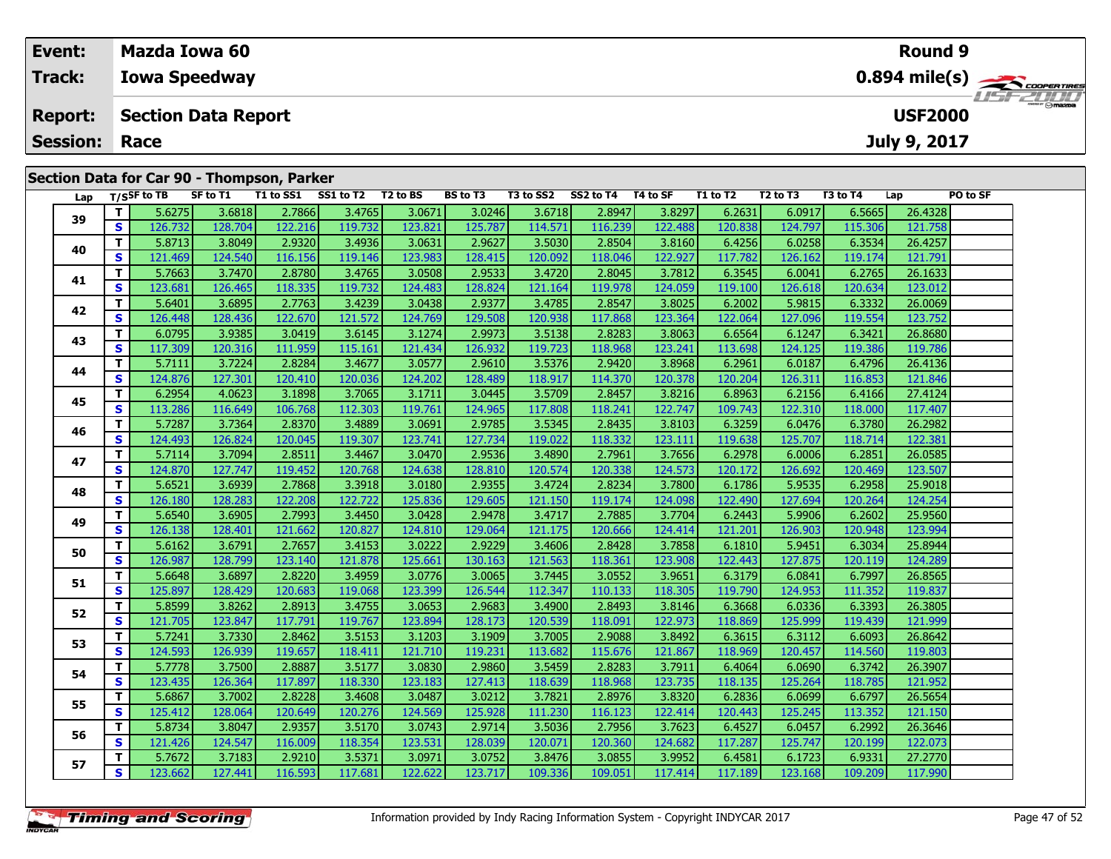| Event:                                     | Mazda Iowa 60                     |          |                                    |                 |           |                                |          |          |          |              | Round 9         |                                                        |
|--------------------------------------------|-----------------------------------|----------|------------------------------------|-----------------|-----------|--------------------------------|----------|----------|----------|--------------|-----------------|--------------------------------------------------------|
| <b>Track:</b>                              | <b>Iowa Speedway</b>              |          |                                    |                 |           |                                |          |          |          |              |                 | $0.894$ mile(s) $\overbrace{\hspace{2cm}}$ coderatings |
| <b>Report:</b>                             | <b>Section Data Report</b>        |          |                                    |                 |           |                                |          |          |          |              | <b>USF2000</b>  | <b>LISF 2000</b>                                       |
| <b>Session: Race</b>                       |                                   |          |                                    |                 |           |                                |          |          |          | July 9, 2017 |                 |                                                        |
|                                            |                                   |          |                                    |                 |           |                                |          |          |          |              |                 |                                                        |
| Section Data for Car 90 - Thompson, Parker |                                   |          |                                    |                 |           |                                |          |          |          |              |                 |                                                        |
|                                            | $1.22 \times 10^{-4}$ T/cSF to TR | SF to T1 | $T1 to SG1$ $SG1 to T2$ $T2 to RG$ | <b>RS to T3</b> | T3 to 552 | SS <sub>2</sub> to T4 T4 to SF | T1 to T2 | 57 to T3 | T3 to T4 | lan          | <b>PO to SE</b> |                                                        |

| Lap |                         | $T/S$ SF to TB | SF to T1 | T1 to SS1 | SS1 to T2 | T2 to BS | BS to T3 | T3 to SS2 | SS2 to T4 | T4 to SF | T1 to T2 | T2 to T3 | T3 to T4 | Lap     | PO to SF |
|-----|-------------------------|----------------|----------|-----------|-----------|----------|----------|-----------|-----------|----------|----------|----------|----------|---------|----------|
| 39  | T.                      | 5.6275         | 3.6818   | 2.7866    | 3.4765    | 3.0671   | 3.0246   | 3.6718    | 2.8947    | 3.8297   | 6.2631   | 6.0917   | 6.5665   | 26.4328 |          |
|     | S                       | 126.732        | 128.704  | 122.216   | 119.732   | 123.821  | 125.787  | 114.571   | 116.239   | 122.488  | 120.838  | 124.797  | 115.306  | 121.758 |          |
|     | $\mathbf{T}$            | 5.8713         | 3.8049   | 2.9320    | 3.4936    | 3.0631   | 2.9627   | 3.5030    | 2.8504    | 3.8160   | 6.4256   | 6.0258   | 6.3534   | 26.4257 |          |
| 40  | $\mathbf{s}$            | 121.469        | 124.540  | 116.156   | 119.146   | 123.983  | 128.415  | 120.092   | 118.046   | 122.927  | 117.782  | 126.162  | 119.174  | 121.791 |          |
| 41  | T                       | 5.7663         | 3.7470   | 2.8780    | 3.4765    | 3.0508   | 2.9533   | 3.4720    | 2.8045    | 3.7812   | 6.3545   | 6.0041   | 6.2765   | 26.1633 |          |
|     | S                       | 123.681        | 126.465  | 118.335   | 119.732   | 124.483  | 128.824  | 121.164   | 119.978   | 124.059  | 119.100  | 126.618  | 120.634  | 123.012 |          |
| 42  | T.                      | 5.6401         | 3.6895   | 2.7763    | 3.4239    | 3.0438   | 2.9377   | 3.4785    | 2.8547    | 3.8025   | 6.2002   | 5.9815   | 6.3332   | 26.0069 |          |
|     | $\mathbf{s}$            | 126.448        | 128.436  | 122.670   | 121.572   | 124.769  | 129.508  | 120.938   | 117.868   | 123.364  | 122.064  | 127.096  | 119.554  | 123.752 |          |
| 43  | T                       | 6.0795         | 3.9385   | 3.0419    | 3.6145    | 3.1274   | 2.9973   | 3.5138    | 2.8283    | 3.8063   | 6.6564   | 6.1247   | 6.3421   | 26.8680 |          |
|     | S                       | 117.309        | 120.316  | 111.959   | 115.161   | 121.434  | 126.932  | 119.723   | 118.968   | 123.241  | 113.698  | 124.125  | 119.386  | 119.786 |          |
| 44  | T                       | 5.7111         | 3.7224   | 2.8284    | 3.4677    | 3.0577   | 2.9610   | 3.5376    | 2.9420    | 3.8968   | 6.2961   | 6.0187   | 6.4796   | 26.4136 |          |
|     | S                       | 124.876        | 127.301  | 120.410   | 120.036   | 124.202  | 128.489  | 118.917   | 114.370   | 120.378  | 120.204  | 126.311  | 116.853  | 121.846 |          |
| 45  | T.                      | 6.2954         | 4.0623   | 3.1898    | 3.7065    | 3.1711   | 3.0445   | 3.5709    | 2.8457    | 3.8216   | 6.8963   | 6.2156   | 6.4166   | 27.4124 |          |
|     | $\overline{\mathbf{s}}$ | 113.286        | 116.649  | 106.768   | 112.303   | 119.761  | 124.965  | 117.808   | 118.241   | 122.747  | 109.743  | 122.310  | 118.000  | 117.407 |          |
| 46  | T.                      | 5.7287         | 3.7364   | 2.8370    | 3.4889    | 3.0691   | 2.9785   | 3.5345    | 2.8435    | 3.8103   | 6.3259   | 6.0476   | 6.3780   | 26.2982 |          |
|     | $\mathbf{s}$            | 124.493        | 126.824  | 120.045   | 119.307   | 123.741  | 127.734  | 119.022   | 118.332   | 123.111  | 119.638  | 125.707  | 118.714  | 122.381 |          |
| 47  | T                       | 5.7114         | 3.7094   | 2.8511    | 3.4467    | 3.0470   | 2.9536   | 3.4890    | 2.7961    | 3.7656   | 6.2978   | 6.0006   | 6.2851   | 26.0585 |          |
|     | S                       | 124.870        | 127.747  | 119.452   | 120.768   | 124.638  | 128.810  | 120.574   | 120.338   | 124.573  | 120.172  | 126.692  | 120.469  | 123.507 |          |
| 48  | T.                      | 5.6521         | 3.6939   | 2.7868    | 3.3918    | 3.0180   | 2.9355   | 3.4724    | 2.8234    | 3.7800   | 6.1786   | 5.9535   | 6.2958   | 25.9018 |          |
|     | S                       | 126.180        | 128.283  | 122.208   | 122.722   | 125.836  | 129.605  | 121.150   | 119.174   | 124.098  | 122.490  | 127.694  | 120.264  | 124.254 |          |
| 49  | T                       | 5.6540         | 3.6905   | 2.7993    | 3.4450    | 3.0428   | 2.9478   | 3.4717    | 2.7885    | 3.7704   | 6.2443   | 5.9906   | 6.2602   | 25.9560 |          |
|     | S                       | 126.138        | 128.401  | 121.662   | 120.827   | 124.810  | 129.064  | 121.175   | 120.666   | 124.414  | 121.201  | 126.903  | 120.948  | 123.994 |          |
| 50  | T                       | 5.6162         | 3.6791   | 2.7657    | 3.4153    | 3.0222   | 2.9229   | 3.4606    | 2.8428    | 3.7858   | 6.1810   | 5.9451   | 6.3034   | 25.8944 |          |
|     | S                       | 126.987        | 128.799  | 123.140   | 121.878   | 125.661  | 130.163  | 121.563   | 118.361   | 123.908  | 122.443  | 127.875  | 120.119  | 124.289 |          |
| 51  | T.                      | 5.6648         | 3.6897   | 2.8220    | 3.4959    | 3.0776   | 3.0065   | 3.7445    | 3.0552    | 3.9651   | 6.3179   | 6.0841   | 6.7997   | 26.8565 |          |
|     | $\overline{\mathbf{s}}$ | 125.897        | 128.429  | 120.683   | 119.068   | 123.399  | 126.544  | 112.347   | 110.133   | 118.305  | 119.790  | 124.953  | 111.352  | 119.837 |          |
| 52  | T                       | 5.8599         | 3.8262   | 2.8913    | 3.4755    | 3.0653   | 2.9683   | 3.4900    | 2.8493    | 3.8146   | 6.3668   | 6.0336   | 6.3393   | 26.3805 |          |
|     | S                       | 121.705        | 123.847  | 117.791   | 119.767   | 123.894  | 128.173  | 120.539   | 118.091   | 122.973  | 118.869  | 125.999  | 119.439  | 121.999 |          |
| 53  | T.                      | 5.7241         | 3.7330   | 2.8462    | 3.5153    | 3.1203   | 3.1909   | 3.7005    | 2.9088    | 3.8492   | 6.3615   | 6.3112   | 6.6093   | 26.8642 |          |
|     | S                       | 124.593        | 126.939  | 119.657   | 118.411   | 121.710  | 119.231  | 113.682   | 115.676   | 121.867  | 118.969  | 120.457  | 114.560  | 119.803 |          |
| 54  | T.                      | 5.7778         | 3.7500   | 2.8887    | 3.5177    | 3.0830   | 2.9860   | 3.5459    | 2.8283    | 3.7911   | 6.4064   | 6.0690   | 6.3742   | 26.3907 |          |
|     | $\overline{\mathbf{s}}$ | 123.435        | 126.364  | 117.897   | 118.330   | 123.183  | 127.413  | 118.639   | 118.968   | 123.735  | 118.135  | 125.264  | 118.785  | 121.952 |          |
| 55  | $\mathbf{T}$            | 5.6867         | 3.7002   | 2.8228    | 3.4608    | 3.0487   | 3.0212   | 3.7821    | 2.8976    | 3.8320   | 6.2836   | 6.0699   | 6.6797   | 26.5654 |          |
|     | S                       | 125.412        | 128.064  | 120.649   | 120.276   | 124.569  | 125.928  | 111.230   | 116.123   | 122.414  | 120.443  | 125.245  | 113.352  | 121.150 |          |
| 56  | $\mathbf{T}$            | 5.8734         | 3.8047   | 2.9357    | 3.5170    | 3.0743   | 2.9714   | 3.5036    | 2.7956    | 3.7623   | 6.4527   | 6.0457   | 6.2992   | 26.3646 |          |
|     | S.                      | 121.426        | 124.547  | 116.009   | 118.354   | 123.531  | 128.039  | 120.071   | 120.360   | 124.682  | 117.287  | 125.747  | 120.199  | 122.073 |          |
| 57  | T.                      | 5.7672         | 3.7183   | 2.9210    | 3.5371    | 3.0971   | 3.0752   | 3.8476    | 3.0855    | 3.9952   | 6.4581   | 6.1723   | 6.9331   | 27.2770 |          |
|     | S.                      | 123.662        | 127.441  | 116.593   | 117.681   | 122.622  | 123.717  | 109.336   | 109.051   | 117.414  | 117.189  | 123.168  | 109.209  | 117.990 |          |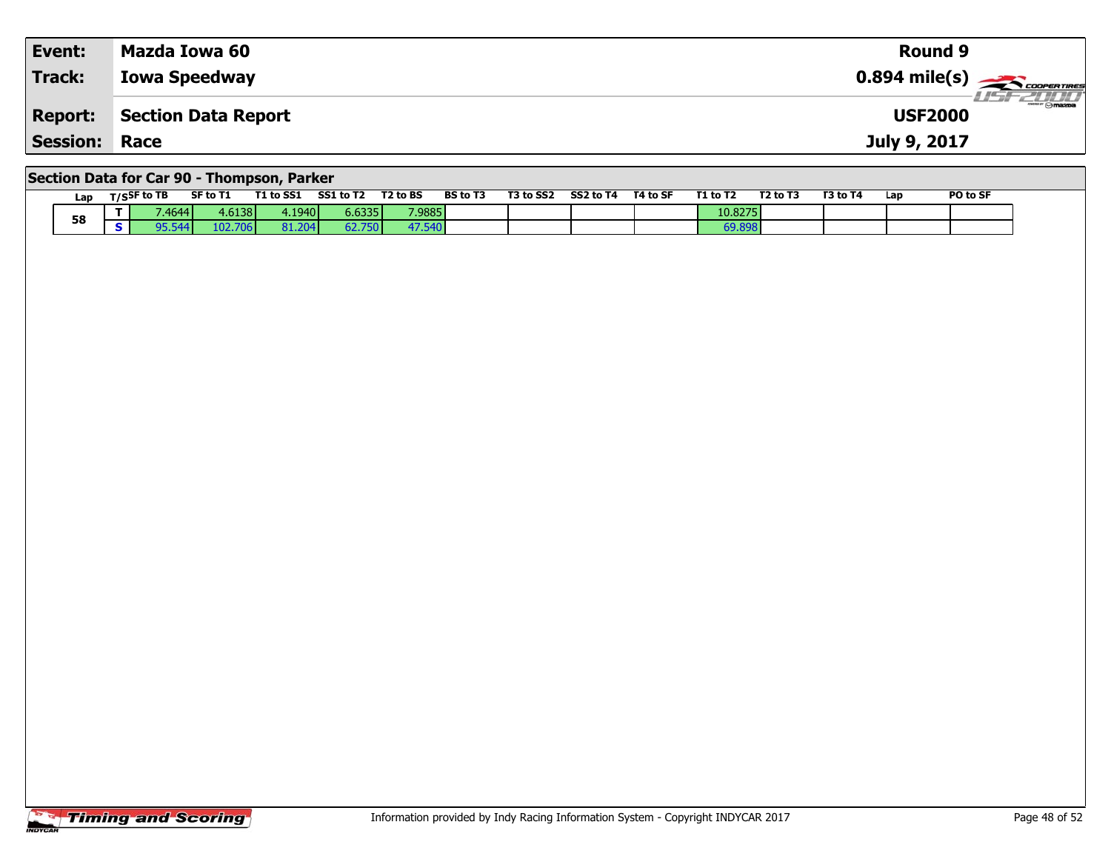| Event:               | Mazda Iowa 60        | <b>Round 9</b>                                          |
|----------------------|----------------------|---------------------------------------------------------|
| Track:               | <b>Iowa Speedway</b> | $0.894$ mile(s) $\overbrace{\hspace{2cm}}$ COOPER TIRES |
| Report:              | Section Data Report  | $m_{\text{max}}$ $\odot$ mazna<br><b>USF2000</b>        |
| <b>Session: Race</b> |                      | July 9, 2017                                            |
|                      |                      |                                                         |

## **Section Data for Car 90 - Thompson, Parker**

| Lap | T/SSF to TB | SF to T1 | T1 to SS1              | SS1 to T2 | T <sub>2</sub> to BS | <b>BS</b> to T3 | T3 to SS2 | SS2 to T4 | T4 to SF | T1 to T2 | T <sub>2</sub> to T <sub>3</sub> | T3 to T4 | Lap | PO to SF |
|-----|-------------|----------|------------------------|-----------|----------------------|-----------------|-----------|-----------|----------|----------|----------------------------------|----------|-----|----------|
| 58  | ا 4644.     | 4.6138   | $.1940$ $\blacksquare$ | 6.6335    | 7.9885               |                 |           |           |          | 10.8275  |                                  |          |     |          |
|     |             | .02.     | 31.204l                | 62.750    | 17.5401              |                 |           |           |          | 69.898   |                                  |          |     |          |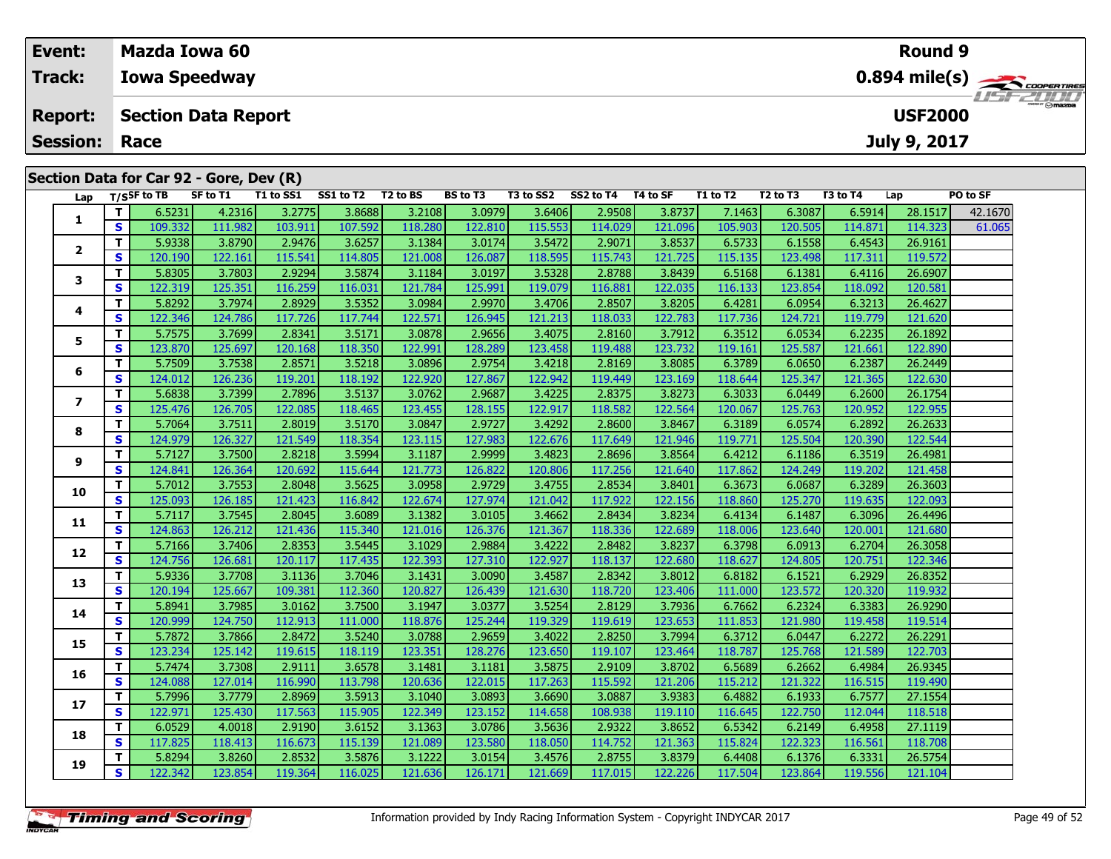| Event:<br>Track: |     |                 | <b>Mazda Iowa 60</b><br><b>Iowa Speedway</b> |           |           |                      |                 |           |           |          |          |                                  |          | Round 9        |          |                              |
|------------------|-----|-----------------|----------------------------------------------|-----------|-----------|----------------------|-----------------|-----------|-----------|----------|----------|----------------------------------|----------|----------------|----------|------------------------------|
| <b>Report:</b>   |     |                 | <b>Section Data Report</b>                   |           |           |                      |                 |           |           |          |          |                                  |          | <b>USF2000</b> |          | $H = -H \prod_{\text{Smax}}$ |
| <b>Session:</b>  |     | Race            |                                              |           |           |                      |                 |           |           |          |          |                                  |          | July 9, 2017   |          |                              |
|                  |     |                 | Section Data for Car 92 - Gore, Dev (R)      |           |           |                      |                 |           |           |          |          |                                  |          |                |          |                              |
|                  |     | Lap T/SSF to TB | SF to T1                                     | T1 to SS1 | SS1 to T2 | T <sub>2</sub> to BS | <b>BS</b> to T3 | T3 to SS2 | SS2 to T4 | T4 to SF | T1 to T2 | T <sub>2</sub> to T <sub>3</sub> | T3 to T4 | Lap            | PO to SF |                              |
|                  |     | 6.5231          | 4.2316                                       | 3.2775    | 3.8688    | 3.2108               | 3.0979          | 3.6406    | 2.9508    | 3.8737   | 7.1463   | 6.3087                           | 6.5914   | 28.1517        | 42.1670  |                              |
|                  | S.  | 109.332         | 111.982                                      | 103.911   | 107.592   | 118.280              | 122.810         | 115.553   | 114.029   | 121.096  | 105.903  | 120.505                          | 114.871  | 114.323        | 61.065   |                              |
|                  |     | 5.9338          | 3.8790                                       | 2.9476    | 3.6257    | 3.1384               | 3.0174          | 3.5472    | 2.9071    | 3.8537   | 6.5733   | 6.1558                           | 6.4543   | 26.9161        |          |                              |
|                  | S.  | 120.190         | 122.161                                      | 115.541   | 114.805   | 121.008              | 126.087         | 118.595   | 115.743   | 121.725  | 115.135  | 123.498                          | 117.311  | 119.572        |          |                              |
|                  | - 1 | r operl         | 22001                                        | 2001      | 20021     | 2.1101               | 20.0107         | lo copoli | 2020      | 20.220   | c racol  | $\sim$ 1001                      | 6.444c   | 20002          |          |                              |

| 1            | . . | 0.9231  |         | ----    | 5.0000  | $-0.400$ | ----    | 5.0100  | 1.5500  | 5.0757  | 7.100   | $\sim$  | 0.9911  | $-0.1917$ | 12.1070 |
|--------------|-----|---------|---------|---------|---------|----------|---------|---------|---------|---------|---------|---------|---------|-----------|---------|
|              | S   | 109.332 | 111.982 | 103.911 | 107.592 | 118.280  | 122.810 | 115.553 | 114.029 | 121.096 | 105.903 | 120.505 | 114.871 | 114.323   | 61.065  |
| $\mathbf{2}$ | T.  | 5.9338  | 3.8790  | 2.9476  | 3.6257  | 3.1384   | 3.0174  | 3.5472  | 2.9071  | 3.8537  | 6.5733  | 6.1558  | 6.4543  | 26.9161   |         |
|              | S   | 120.190 | 122.161 | 115.541 | 114.805 | 121.008  | 126.087 | 118.595 | 115.743 | 121.725 | 115.135 | 123.498 | 117.311 | 119.572   |         |
| 3            | T.  | 5.8305  | 3.7803  | 2.9294  | 3.5874  | 3.1184   | 3.0197  | 3.5328  | 2.8788  | 3.8439  | 6.5168  | 6.1381  | 6.4116  | 26.6907   |         |
|              | S   | 122.319 | 125.351 | 116.259 | 116.031 | 121.784  | 125.991 | 119.079 | 116.881 | 122.035 | 116.133 | 123.854 | 118.092 | 120.581   |         |
| 4            | T.  | 5.8292  | 3.7974  | 2.8929  | 3.5352  | 3.0984   | 2.9970  | 3.4706  | 2.8507  | 3.8205  | 6.4281  | 6.0954  | 6.3213  | 26.4627   |         |
|              | S   | 122.346 | 124.786 | 117.726 | 117.744 | 122.571  | 126.945 | 121.213 | 118.033 | 122.783 | 117.736 | 124.721 | 119.779 | 121.620   |         |
| 5            | T.  | 5.7575  | 3.7699  | 2.8341  | 3.5171  | 3.0878   | 2.9656  | 3.4075  | 2.8160  | 3.7912  | 6.3512  | 6.0534  | 6.2235  | 26.1892   |         |
|              | S   | 123.870 | 125.697 | 120.168 | 118.350 | 122.991  | 128.289 | 123.458 | 119.488 | 123.732 | 119.161 | 125.587 | 121.661 | 122.890   |         |
| 6            | T.  | 5.7509  | 3.7538  | 2.8571  | 3.5218  | 3.0896   | 2.9754  | 3.4218  | 2.8169  | 3.8085  | 6.3789  | 6.0650  | 6.2387  | 26.2449   |         |
|              | S   | 124.012 | 126.236 | 119.201 | 118.192 | 122.920  | 127.867 | 122.942 | 119.449 | 123.169 | 118.644 | 125.347 | 121.365 | 122.630   |         |
| 7            | T.  | 5.6838  | 3.7399  | 2.7896  | 3.5137  | 3.0762   | 2.9687  | 3.4225  | 2.8375  | 3.8273  | 6.3033  | 6.0449  | 6.2600  | 26.1754   |         |
|              | S   | 125.476 | 126.705 | 122.085 | 118.465 | 123.455  | 128.155 | 122.917 | 118.582 | 122.564 | 120.067 | 125.763 | 120.952 | 122.955   |         |
| 8            | T   | 5.7064  | 3.7511  | 2.8019  | 3.5170  | 3.0847   | 2.9727  | 3.4292  | 2.8600  | 3.8467  | 6.3189  | 6.0574  | 6.2892  | 26.2633   |         |
|              | S   | 124.979 | 126.327 | 121.549 | 118.354 | 123.115  | 127.983 | 122.676 | 117.649 | 121.946 | 119.771 | 125.504 | 120.390 | 122.544   |         |
| 9            | T.  | 5.7127  | 3.7500  | 2.8218  | 3.5994  | 3.1187   | 2.9999  | 3.4823  | 2.8696  | 3.8564  | 6.4212  | 6.1186  | 6.3519  | 26.4981   |         |
|              | S   | 124.841 | 126.364 | 120.692 | 115.644 | 121.773  | 126.822 | 120.806 | 117.256 | 121.640 | 117.862 | 124.249 | 119.202 | 121.458   |         |
| 10           | T.  | 5.7012  | 3.7553  | 2.8048  | 3.5625  | 3.0958   | 2.9729  | 3.4755  | 2.8534  | 3.8401  | 6.3673  | 6.0687  | 6.3289  | 26.3603   |         |
|              | S   | 125.093 | 126.185 | 121.423 | 116.842 | 122.674  | 127.974 | 121.042 | 117.922 | 122.156 | 118.860 | 125.270 | 119.635 | 122.093   |         |
| 11           | T.  | 5.7117  | 3.7545  | 2.8045  | 3.6089  | 3.1382   | 3.0105  | 3.4662  | 2.8434  | 3.8234  | 6.4134  | 6.1487  | 6.3096  | 26.4496   |         |
|              | S   | 124.863 | 126.212 | 121.436 | 115.340 | 121.016  | 126.376 | 121.367 | 118.336 | 122.689 | 118.006 | 123.640 | 120.001 | 121.680   |         |
| 12           | T.  | 5.7166  | 3.7406  | 2.8353  | 3.5445  | 3.1029   | 2.9884  | 3.4222  | 2.8482  | 3.8237  | 6.3798  | 6.0913  | 6.2704  | 26.3058   |         |
|              | S   | 124.756 | 126.681 | 120.117 | 117.435 | 122.393  | 127.310 | 122.927 | 118.137 | 122.680 | 118.627 | 124.805 | 120.751 | 122.346   |         |
| 13           | T.  | 5.9336  | 3.7708  | 3.1136  | 3.7046  | 3.1431   | 3.0090  | 3.4587  | 2.8342  | 3.8012  | 6.8182  | 6.1521  | 6.2929  | 26.8352   |         |
|              | S   | 120.194 | 125.667 | 109.381 | 112.360 | 120.827  | 126.439 | 121.630 | 118.720 | 123.406 | 111.000 | 123.572 | 120.320 | 119.932   |         |
| 14           | T.  | 5.8941  | 3.7985  | 3.0162  | 3.7500  | 3.1947   | 3.0377  | 3.5254  | 2.8129  | 3.7936  | 6.7662  | 6.2324  | 6.3383  | 26.9290   |         |
|              | S   | 120.999 | 124.750 | 112.913 | 111.000 | 118.876  | 125.244 | 119.329 | 119.619 | 123.653 | 111.853 | 121.980 | 119.458 | 119.514   |         |
| 15           | т   | 5.7872  | 3.7866  | 2.8472  | 3.5240  | 3.0788   | 2.9659  | 3.4022  | 2.8250  | 3.7994  | 6.3712  | 6.0447  | 6.2272  | 26.2291   |         |
|              | S   | 123.234 | 125.142 | 119.615 | 118.119 | 123.351  | 128.276 | 123.650 | 119.107 | 123.464 | 118.787 | 125.768 | 121.589 | 122.703   |         |
| 16           | T   | 5.7474  | 3.7308  | 2.9111  | 3.6578  | 3.1481   | 3.1181  | 3.5875  | 2.9109  | 3.8702  | 6.5689  | 6.2662  | 6.4984  | 26.9345   |         |
|              | S   | 124.088 | 127.014 | 116.990 | 113.798 | 120.636  | 122.015 | 117.263 | 115.592 | 121.206 | 115.212 | 121.322 | 116.515 | 119.490   |         |
| 17           | T.  | 5.7996  | 3.7779  | 2.8969  | 3.5913  | 3.1040   | 3.0893  | 3.6690  | 3.0887  | 3.9383  | 6.4882  | 6.1933  | 6.7577  | 27.1554   |         |
|              | S   | 122.971 | 125.430 | 117.563 | 115.905 | 122.349  | 123.152 | 114.658 | 108.938 | 119.110 | 116.645 | 122.750 | 112.044 | 118.518   |         |
| 18           | T.  | 6.0529  | 4.0018  | 2.9190  | 3.6152  | 3.1363   | 3.0786  | 3.5636  | 2.9322  | 3.8652  | 6.5342  | 6.2149  | 6.4958  | 27.1119   |         |
|              | S   | 117.825 | 118.413 | 116.673 | 115.139 | 121.089  | 123.580 | 118.050 | 114.752 | 121.363 | 115.824 | 122.323 | 116.561 | 118.708   |         |
| 19           | T.  | 5.8294  | 3.8260  | 2.8532  | 3.5876  | 3.1222   | 3.0154  | 3.4576  | 2.8755  | 3.8379  | 6.4408  | 6.1376  | 6.3331  | 26.5754   |         |
|              | S   | 122.342 | 123.854 | 119.364 | 116.025 | 121.636  | 126.171 | 121.669 | 117.015 | 122.226 | 117.504 | 123.864 | 119.556 | 121.104   |         |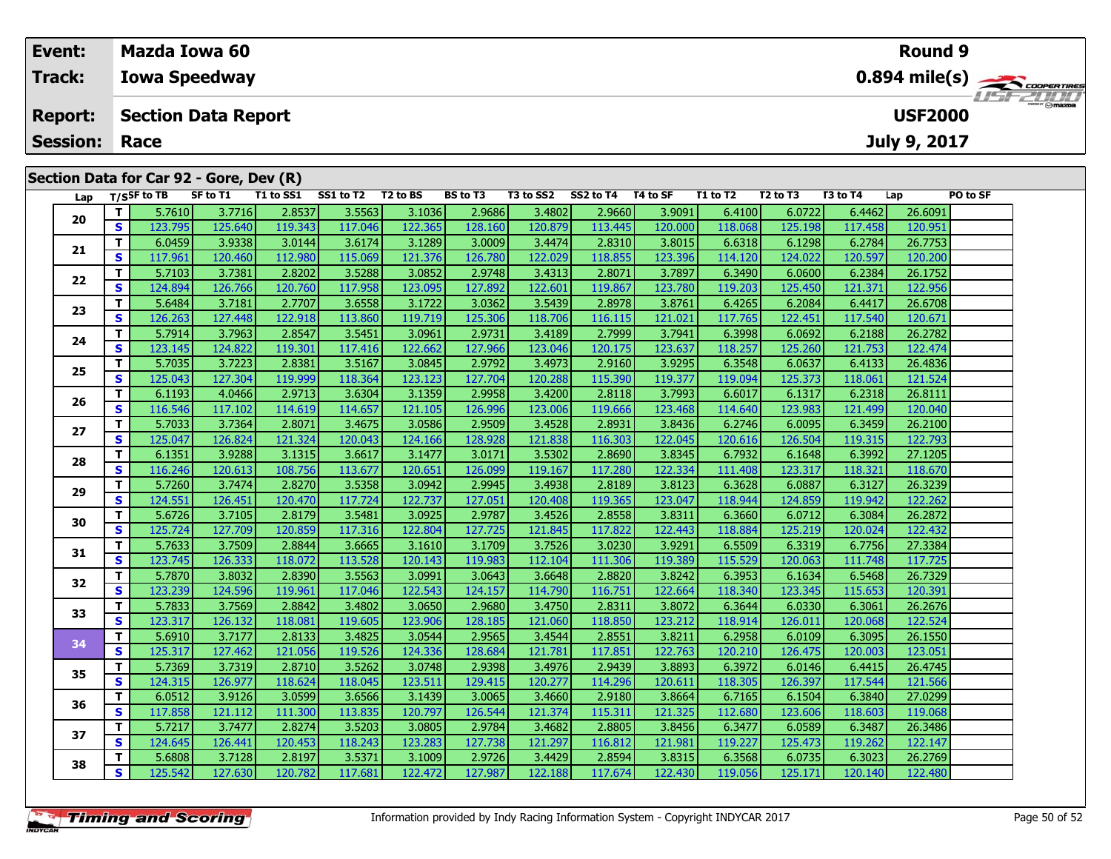|  | Event:          |                      |                 | <b>Mazda Iowa 60</b>                    |           |           |                      |          |           |           |          |          |                                  |                                     | <b>Round 9</b> |          |           |  |  |
|--|-----------------|----------------------|-----------------|-----------------------------------------|-----------|-----------|----------------------|----------|-----------|-----------|----------|----------|----------------------------------|-------------------------------------|----------------|----------|-----------|--|--|
|  | Track:          | <b>Iowa Speedway</b> |                 |                                         |           |           |                      |          |           |           |          |          |                                  | $0.894$ mile(s) $\sum$ coorer TIRES |                |          |           |  |  |
|  | <b>Report:</b>  |                      |                 | <b>Section Data Report</b>              |           |           |                      |          |           |           |          |          |                                  |                                     | <b>USF2000</b> |          | LISF 2000 |  |  |
|  | <b>Session:</b> |                      | Race            |                                         |           |           |                      |          |           |           |          |          |                                  |                                     | July 9, 2017   |          |           |  |  |
|  |                 |                      |                 |                                         |           |           |                      |          |           |           |          |          |                                  |                                     |                |          |           |  |  |
|  |                 |                      |                 | Section Data for Car 92 - Gore, Dev (R) |           |           |                      |          |           |           |          |          |                                  |                                     |                |          |           |  |  |
|  |                 |                      | Lap T/SSF to TB | SF to T1                                | T1 to SS1 | SS1 to T2 | T <sub>2</sub> to BS | BS to T3 | T3 to SS2 | SS2 to T4 | T4 to SF | T1 to T2 | T <sub>2</sub> to T <sub>3</sub> | T3 to T4                            | Lap            | PO to SF |           |  |  |
|  |                 |                      | 5.7610          | 3.7716                                  | 2.8537    | 3.5563    | 3.1036               | 2.9686   | 3.4802    | 2.9660    | 3.9091   | 6.4100   | 6.0722                           | 6.4462                              | 26.6091        |          |           |  |  |
|  | 20              | S.                   | 123.795         | 125.640                                 | 119.343   | 117.046   | 122.365              | 128.160  | 120.879   | 113.445   | 120.000  | 118.068  | 125.198                          | 117.458                             | 120.951        |          |           |  |  |
|  | 21              |                      | 6.0459          | 3.9338                                  | 3.0144    | 3.6174    | 3.1289               | 3.0009   | 3.4474    | 2.8310    | 3.8015   | 6.6318   | 6.1298                           | 6.2784                              | 26.7753        |          |           |  |  |
|  |                 | S.                   | 117.961         | 120.460                                 | 112.980   | 115.069   | 121.376              | 126.780  | 122.029   | 118.855   | 123.396  | 114.120  | 124.022                          | 120.597                             | 120.200        |          |           |  |  |
|  |                 |                      | 5.7103          | 3.7381                                  | 2.8202    | 3.5288    | 3.0852               | 2.9748   | 3.4313    | 2.8071    | 3.7897   | 6.3490   | 6.06001                          | 6.2384                              | 26.1752        |          |           |  |  |
|  | 22              | $\epsilon$           | 12000           | 126.76c                                 | 120.70    | 11700     | 12200                | 12200    | 122.01    | 110027    | 122.700  | 110000   | $125 \times 150$                 | 12127                               | 12200          |          |           |  |  |

| 21 | T.                      | 6.0459  | 3.9338  | 3.0144  | 3.6174  | 3.1289  | 3.0009  | 3.4474  | 2.8310  | 3.8015  | 6.6318  | 6.1298  | 6.2784  | 26.7753 |  |
|----|-------------------------|---------|---------|---------|---------|---------|---------|---------|---------|---------|---------|---------|---------|---------|--|
|    | S                       | 117.961 | 120.460 | 112.980 | 115.069 | 121.376 | 126.780 | 122.029 | 118.855 | 123.396 | 114.120 | 124.022 | 120.597 | 120.200 |  |
| 22 | T.                      | 5.7103  | 3.7381  | 2.8202  | 3.5288  | 3.0852  | 2.9748  | 3.4313  | 2.8071  | 3.7897  | 6.3490  | 6.0600  | 6.2384  | 26.1752 |  |
|    | $\mathbf{s}$            | 124.894 | 126.766 | 120.760 | 117.958 | 123.095 | 127.892 | 122.601 | 119.867 | 123.780 | 119.203 | 125.450 | 121.371 | 122.956 |  |
| 23 | Т                       | 5.6484  | 3.7181  | 2.7707  | 3.6558  | 3.1722  | 3.0362  | 3.5439  | 2.8978  | 3.8761  | 6.4265  | 6.2084  | 6.4417  | 26.6708 |  |
|    | $\mathbf{s}$            | 126.263 | 127.448 | 122.918 | 113.860 | 119.719 | 125.306 | 118.706 | 116.115 | 121.021 | 117.765 | 122.451 | 117.540 | 120.671 |  |
| 24 | т                       | 5.7914  | 3.7963  | 2.8547  | 3.5451  | 3.0961  | 2.9731  | 3.4189  | 2.7999  | 3.7941  | 6.3998  | 6.0692  | 6.2188  | 26.2782 |  |
|    | $\overline{\mathbf{s}}$ | 123.145 | 124.822 | 119.301 | 117.416 | 122.662 | 127.966 | 123.046 | 120.175 | 123.637 | 118.257 | 125.260 | 121.753 | 122.474 |  |
| 25 | T.                      | 5.7035  | 3.7223  | 2.8381  | 3.5167  | 3.0845  | 2.9792  | 3.4973  | 2.9160  | 3.9295  | 6.3548  | 6.0637  | 6.4133  | 26.4836 |  |
|    | S                       | 125.043 | 127.304 | 119.999 | 118.364 | 123.123 | 127.704 | 120.288 | 115.390 | 119.377 | 119.094 | 125.373 | 118.061 | 121.524 |  |
|    | T.                      | 6.1193  | 4.0466  | 2.9713  | 3.6304  | 3.1359  | 2.9958  | 3.4200  | 2.8118  | 3.7993  | 6.6017  | 6.1317  | 6.2318  | 26.8111 |  |
| 26 | S                       | 116.546 | 117.102 | 114.619 | 114.657 | 121.105 | 126.996 | 123.006 | 119.666 | 123.468 | 114.640 | 123.983 | 121.499 | 120.040 |  |
|    | T.                      | 5.7033  | 3.7364  | 2.8071  | 3.4675  | 3.0586  | 2.9509  | 3.4528  | 2.8931  | 3.8436  | 6.2746  | 6.0095  | 6.3459  | 26.2100 |  |
| 27 | $\overline{\mathbf{s}}$ | 125.047 | 126.824 | 121.324 | 120.043 | 124.166 | 128.928 | 121.838 | 116.303 | 122.045 | 120.616 | 126.504 | 119.315 | 122.793 |  |
|    | T.                      | 6.1351  | 3.9288  | 3.1315  | 3.6617  | 3.1477  | 3.0171  | 3.5302  | 2.8690  | 3.8345  | 6.7932  | 6.1648  | 6.3992  | 27.1205 |  |
| 28 | $\overline{\mathbf{s}}$ | 116.246 | 120.613 | 108.756 | 113.677 | 120.651 | 126.099 | 119.167 | 117.280 | 122.334 | 111.408 | 123.317 | 118.321 | 118.670 |  |
|    | T.                      | 5.7260  | 3.7474  | 2.8270  | 3.5358  | 3.0942  | 2.9945  | 3.4938  | 2.8189  | 3.8123  | 6.3628  | 6.0887  | 6.3127  | 26.3239 |  |
| 29 | S                       | 124.551 | 126.451 | 120.470 | 117.724 | 122.737 | 127.051 | 120.408 | 119.365 | 123.047 | 118.944 | 124.859 | 119.942 | 122.262 |  |
| 30 | $\mathbf{T}$            | 5.6726  | 3.7105  | 2.8179  | 3.5481  | 3.0925  | 2.9787  | 3.4526  | 2.8558  | 3.8311  | 6.3660  | 6.0712  | 6.3084  | 26.2872 |  |
|    | S                       | 125.724 | 127.709 | 120.859 | 117.316 | 122.804 | 127.725 | 121.845 | 117.822 | 122.443 | 118.884 | 125.219 | 120.024 | 122.432 |  |
|    | $\mathbf{T}$            | 5.7633  | 3.7509  | 2.8844  | 3.6665  | 3.1610  | 3.1709  | 3.7526  | 3.0230  | 3.9291  | 6.5509  | 6.3319  | 6.7756  | 27.3384 |  |
| 31 | S                       | 123.745 | 126.333 | 118.072 | 113.528 | 120.143 | 119.983 | 112.104 | 111.306 | 119.389 | 115.529 | 120.063 | 111.748 | 117.725 |  |
| 32 | T.                      | 5.7870  | 3.8032  | 2.8390  | 3.5563  | 3.0991  | 3.0643  | 3.6648  | 2.8820  | 3.8242  | 6.3953  | 6.1634  | 6.5468  | 26.7329 |  |
|    | $\mathbf{s}$            | 123.239 | 124.596 | 119.961 | 117.046 | 122.543 | 124.157 | 114.790 | 116.751 | 122.664 | 118.340 | 123.345 | 115.653 | 120.391 |  |
|    | T.                      | 5.7833  | 3.7569  | 2.8842  | 3.4802  | 3.0650  | 2.9680  | 3.4750  | 2.8311  | 3.8072  | 6.3644  | 6.0330  | 6.3061  | 26.2676 |  |
| 33 | $\overline{\mathbf{s}}$ | 123.317 | 126.132 | 118.081 | 119.605 | 123.906 | 128.185 | 121.060 | 118.850 | 123.212 | 118.914 | 126.011 | 120.068 | 122.524 |  |
| 34 | T.                      | 5.6910  | 3.7177  | 2.8133  | 3.4825  | 3.0544  | 2.9565  | 3.4544  | 2.8551  | 3.8211  | 6.2958  | 6.0109  | 6.3095  | 26.1550 |  |
|    | S                       | 125.317 | 127.462 | 121.056 | 119.526 | 124.336 | 128.684 | 121.781 | 117.851 | 122.763 | 120.210 | 126.475 | 120.003 | 123.051 |  |
|    | т                       | 5.7369  | 3.7319  | 2.8710  | 3.5262  | 3.0748  | 2.9398  | 3.4976  | 2.9439  | 3.8893  | 6.3972  | 6.0146  | 6.4415  | 26.4745 |  |
| 35 | $\overline{\mathbf{s}}$ | 124.315 | 126.977 | 118.624 | 118.045 | 123.511 | 129.415 | 120.277 | 114.296 | 120.611 | 118.305 | 126.397 | 117.544 | 121.566 |  |
|    | T.                      | 6.0512  | 3.9126  | 3.0599  | 3.6566  | 3.1439  | 3.0065  | 3.4660  | 2.9180  | 3.8664  | 6.7165  | 6.1504  | 6.3840  | 27.0299 |  |
| 36 | $\overline{\mathbf{s}}$ | 117.858 | 121.112 | 111.300 | 113.835 | 120.797 | 126.544 | 121.374 | 115.311 | 121.325 | 112.680 | 123.606 | 118.603 | 119.068 |  |
|    | T.                      | 5.7217  | 3.7477  | 2.8274  | 3.5203  | 3.0805  | 2.9784  | 3.4682  | 2.8805  | 3.8456  | 6.3477  | 6.0589  | 6.3487  | 26.3486 |  |
| 37 | $\overline{\mathbf{s}}$ | 124.645 | 126.441 | 120.453 | 118.243 | 123.283 | 127.738 | 121.297 | 116.812 | 121.981 | 119.227 | 125.473 | 119.262 | 122.147 |  |
|    | T.                      | 5.6808  | 3.7128  | 2.8197  | 3.5371  | 3.1009  | 2.9726  | 3.4429  | 2.8594  | 3.8315  | 6.3568  | 6.0735  | 6.3023  | 26.2769 |  |
| 38 | S                       | 125.542 | 127.630 | 120.782 | 117.681 | 122.472 | 127.987 | 122.188 | 117.674 | 122.430 | 119.056 | 125.171 | 120.140 | 122.480 |  |
|    |                         |         |         |         |         |         |         |         |         |         |         |         |         |         |  |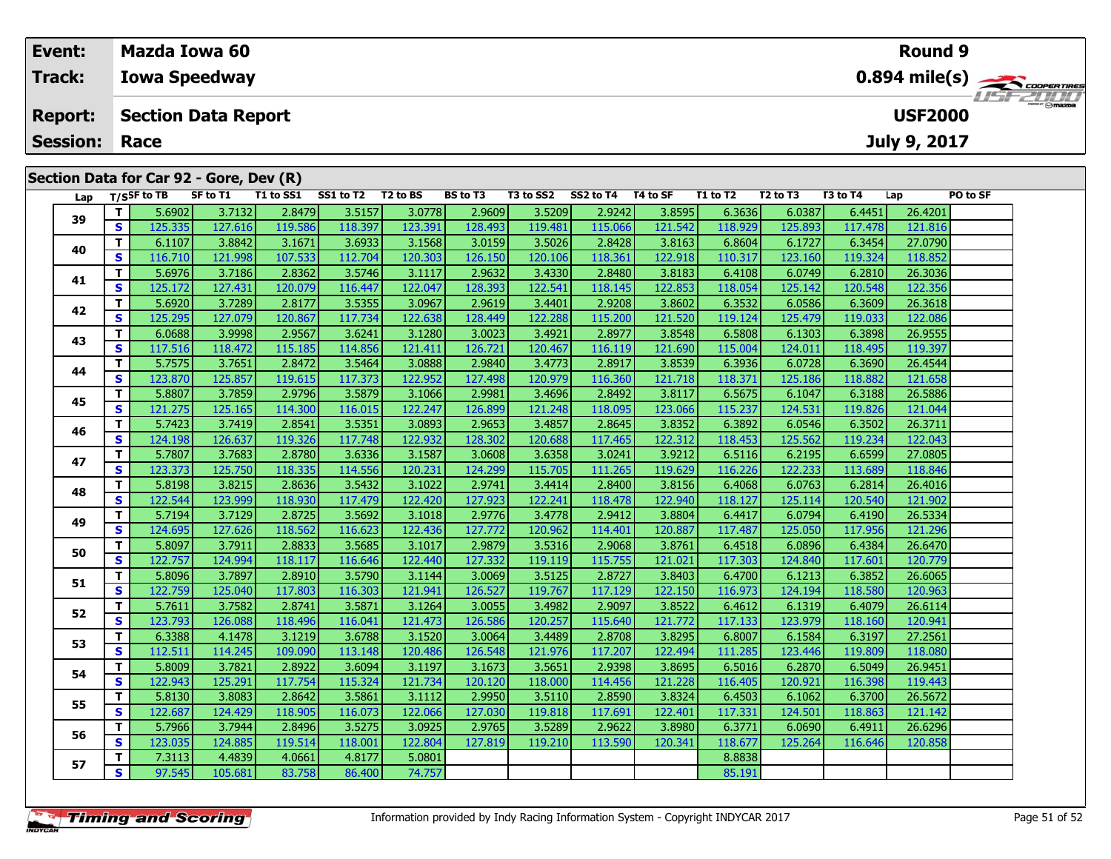| Event:          |    |                | <b>Mazda Iowa 60</b>                    |             |                                                                                                   |          |             |            |           |          |               |                                  |                       | <b>Round 9</b>    |          |                |
|-----------------|----|----------------|-----------------------------------------|-------------|---------------------------------------------------------------------------------------------------|----------|-------------|------------|-----------|----------|---------------|----------------------------------|-----------------------|-------------------|----------|----------------|
| Track:          |    |                | <b>Iowa Speedway</b>                    |             |                                                                                                   |          |             |            |           |          |               |                                  |                       |                   |          |                |
| <b>Report:</b>  |    |                | <b>Section Data Report</b>              |             |                                                                                                   |          |             |            |           |          |               |                                  |                       | <b>USF2000</b>    |          | <b>HSFZUID</b> |
| <b>Session:</b> |    | Race           |                                         |             |                                                                                                   |          |             |            |           |          |               |                                  |                       | July 9, 2017      |          |                |
|                 |    |                | Section Data for Car 92 - Gore, Dev (R) |             |                                                                                                   |          |             |            |           |          |               |                                  |                       |                   |          |                |
| Lap             |    | $T/S$ SF to TB | SF to T1                                | T1 to SS1   | SS1 to T2                                                                                         | T2 to BS | BS to T3    | T3 to SS2  | SS2 to T4 | T4 to SF | T1 to T2      | T <sub>2</sub> to T <sub>3</sub> | T3 to T4              | Lap               | PO to SF |                |
| 39              |    | 5.6902         | 3.7132                                  | 2.8479      | 3.5157                                                                                            | 3.0778   | 2.9609      | 3.5209     | 2.9242    | 3.8595   | 6.3636        | 6.0387                           | 6.4451                | 26.4201           |          |                |
|                 | S. | 125.335        | 127.616                                 | 119.586     | 118.397                                                                                           | 123.391  | 128.493     | 119.481    | 115.066   | 121.542  | 118.929       | 125.893                          | 117.478               | 121.816           |          |                |
|                 |    | 6.1107         | 3.8842                                  | 3.1671      | 3.6933                                                                                            | 3.1568   | 3.0159      | 3.5026     | 2.8428    | 3.8163   | 6.8604        | 6.1727                           | 6.3454                | 27.0790           |          |                |
| 40              |    | ------         |                                         | $100 - 500$ | $\rightarrow$ $\rightarrow$ $\rightarrow$ $\rightarrow$ $\rightarrow$ $\rightarrow$ $\rightarrow$ |          | $100 - 100$ | $\sqrt{2}$ | . 1       |          | $\frac{1}{2}$ | $300 - 200$                      | $\overline{11222221}$ | $\overline{1122}$ |          |                |

|                                                                                           | 121.542<br>118.929<br>125.893<br>121.816<br>115.066<br>117.478 |
|-------------------------------------------------------------------------------------------|----------------------------------------------------------------|
| Т<br>6.1107<br>3.8842<br>3.1671<br>3.6933<br>3.1568<br>3.0159<br>3.5026<br>40             | 2.8428<br>3.8163<br>6.8604<br>6.3454<br>27.0790<br>6.1727      |
| S<br>121.998<br>107.533<br>120.303<br>116.710<br>112.704<br>126.150<br>120.106            | 118.852<br>118.361<br>122.918<br>110.317<br>123.160<br>119.324 |
| T.<br>5.6976<br>2.8362<br>3.7186<br>3.5746<br>3.1117<br>2.9632<br>3.4330<br>41            | 2.8480<br>26.3036<br>3.8183<br>6.4108<br>6.0749<br>6.2810      |
| $\mathbf{s}$<br>125.172<br>127.431<br>120.079<br>116.447<br>122.047<br>128.393<br>122.541 | 118.054<br>125.142<br>122.356<br>118.145<br>122.853<br>120.548 |
| Т<br>5.6920<br>3.7289<br>2.8177<br>3.5355<br>3.0967<br>2.9619<br>3.4401<br>42             | 2.9208<br>3.8602<br>6.3532<br>6.3609<br>26.3618<br>6.0586      |
| S<br>125.295<br>127.079<br>120.867<br>122.638<br>128.449<br>122.288<br>117.734            | 115.200<br>121.520<br>119.124<br>125.479<br>119.033<br>122.086 |
| 6.0688<br>3.9998<br>2.9567<br>3.6241<br>3.1280<br>Т<br>3.0023<br>3.4921<br>43             | 2.8977<br>6.5808<br>26.9555<br>3.8548<br>6.1303<br>6.3898      |
| S<br>117.516<br>115.185<br>118.472<br>114.856<br>121.411<br>126.721<br>120.467            | 115.004<br>119.397<br>116.119<br>121.690<br>124.011<br>118.495 |
| Т<br>5.7575<br>3.7651<br>2.8472<br>3.5464<br>3.0888<br>2.9840<br>3.4773<br>44             | 2.8917<br>3.8539<br>6.3936<br>26.4544<br>6.0728<br>6.3690      |
| S<br>122.952<br>123.870<br>125.857<br>119.615<br>127.498<br>120.979<br>117.373            | 121.658<br>116.360<br>118.371<br>125.186<br>118.882<br>121.718 |
| 5.8807<br>3.7859<br>2.9796<br>3.5879<br>3.1066<br>3.4696<br>T.<br>2.9981<br>45            | 2.8492<br>3.8117<br>6.5675<br>26.5886<br>6.1047<br>6.3188      |
| S<br>125.165<br>122.247<br>121.275<br>114.300<br>116.015<br>126.899<br>121.248            | 118.095<br>115.237<br>124.531<br>119.826<br>121.044<br>123.066 |
| 3.0893<br>Т<br>5.7423<br>3.7419<br>2.8541<br>3.5351<br>2.9653<br>3.4857<br>46             | 2.8645<br>3.8352<br>6.3892<br>6.3502<br>26.3711<br>6.0546      |
| S<br>122.932<br>124.198<br>126.637<br>119.326<br>117.748<br>128.302<br>120.688            | 118.453<br>125.562<br>117.465<br>122.312<br>119.234<br>122.043 |
| T.<br>5.7807<br>3.7683<br>2.8780<br>3.6336<br>3.1587<br>3.6358<br>3.0608<br>47            | 3.0241<br>3.9212<br>6.5116<br>27,0805<br>6.2195<br>6.6599      |
| S<br>123.373<br>125.750<br>118.335<br>120.231<br>114.556<br>124.299<br>115.705            | 111.265<br>119.629<br>116.226<br>122.233<br>113.689<br>118.846 |
| 3.8215<br>3.1022<br>Т<br>5.8198<br>2.8636<br>3.5432<br>2.9741<br>3.4414<br>48             | 2.8400<br>3.8156<br>6.4068<br>6.0763<br>6.2814<br>26.4016      |
| S<br>122.544<br>123.999<br>118.930<br>122.420<br>127.923<br>122.241<br>117.479            | 125.114<br>118.478<br>122.940<br>118.127<br>120.540<br>121.902 |
| T.<br>5.7194<br>3.7129<br>2.8725<br>3.5692<br>3.1018<br>3.4778<br>2.9776<br>49            | 2.9412<br>3.8804<br>6.4417<br>6.4190<br>26.5334<br>6.0794      |
| $\mathbf{s}$<br>124.695<br>127.626<br>118.562<br>122.436<br>120.962<br>116.623<br>127.772 | 117.487<br>125.050<br>121.296<br>114.401<br>120.887<br>117.956 |
| T.<br>3.7911<br>2.8833<br>3.5685<br>3.1017<br>5.8097<br>2.9879<br>3.5316<br>50            | 2.9068<br>6.4518<br>26.6470<br>3.8761<br>6.0896<br>6.4384      |
| $\mathbf{s}$<br>122.757<br>124.994<br>118.117<br>116.646<br>122.440<br>127.332<br>119.119 | 115.755<br>117.303<br>121.021<br>124.840<br>117.601<br>120.779 |
| Т<br>5.8096<br>3.7897<br>2.8910<br>3.5790<br>3.1144<br>3.5125<br>3.0069<br>51             | 2.8727<br>3.8403<br>6.4700<br>6.3852<br>26.6065<br>6.1213      |
| <b>S</b><br>125.040<br>117.803<br>121.941<br>119.767<br>122.759<br>116.303<br>126.527     | 116.973<br>124.194<br>118.580<br>120.963<br>117.129<br>122.150 |
| T.<br>3.7582<br>3.1264<br>5.7611<br>2.8741<br>3.5871<br>3.0055<br>3.4982<br>52            | 2.9097<br>3.8522<br>6.4612<br>6.1319<br>6.4079<br>26.6114      |
| $\mathbf{s}$<br>118.496<br>123.793<br>126.088<br>116.041<br>121.473<br>126.586<br>120.257 | 115.640<br>117.133<br>123.979<br>120.941<br>121.772<br>118.160 |
| 3.1520<br>Т<br>6.3388<br>4.1478<br>3.1219<br>3.6788<br>3.4489<br>3.0064<br>53             | 27.2561<br>2.8708<br>3.8295<br>6.8007<br>6.1584<br>6.3197      |
| S<br>112.511<br>114.245<br>109.090<br>120.486<br>126.548<br>121.976<br>113.148            | 117.207<br>122.494<br>111.285<br>123.446<br>119.809<br>118,080 |
| T<br>3.7821<br>2.8922<br>3.1197<br>3.5651<br>5.8009<br>3.6094<br>3.1673<br>54             | 2.9398<br>3.8695<br>6.5016<br>26.9451<br>6.2870<br>6.5049      |
| $\mathbf{s}$<br>121.734<br>122.943<br>125.291<br>117.754<br>115.324<br>120.120<br>118.000 | 119.443<br>114.456<br>121.228<br>116.405<br>120.921<br>116.398 |
| Т<br>5.8130<br>3.8083<br>2.8642<br>3.5861<br>3.1112<br>2.9950<br>3.5110<br>55             | 26.5672<br>2.8590<br>3.8324<br>6.4503<br>6.3700<br>6.1062      |
| $\mathbf{s}$<br>122.687<br>124.429<br>118.905<br>122.066<br>119.818<br>116.073<br>127.030 | 117.691<br>117.331<br>124.501<br>118.863<br>121.142<br>122.401 |
| T.<br>5.7966<br>3.7944<br>3.5275<br>3.0925<br>2.8496<br>2.9765<br>3.5289<br>56            | 2.9622<br>26.6296<br>3.8980<br>6.3771<br>6.0690<br>6.4911      |
| $\mathbf{s}$<br>124.885<br>122.804<br>123.035<br>119.514<br>127.819<br>119.210<br>118.001 | 118.677<br>113.590<br>125.264<br>116.646<br>120.858<br>120.341 |
| Т<br>4.4839<br>5.0801<br>7.3113<br>4.0661<br>4.8177<br>57                                 | 8.8838                                                         |
| S<br>97.545<br>105.681<br>83.758<br>86.400<br>74.757                                      | 85.191                                                         |